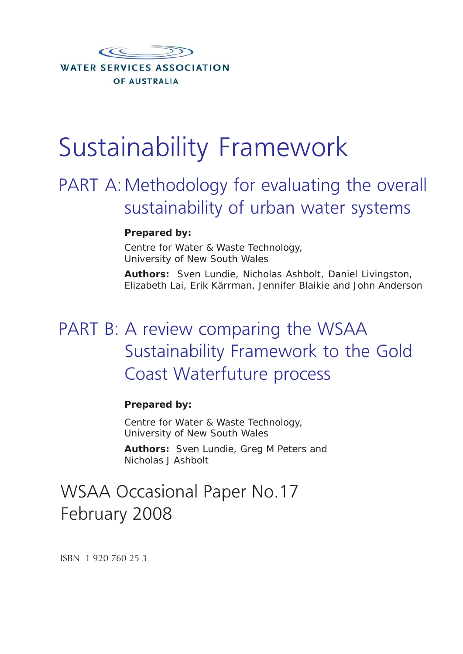

# Sustainability Framework

## PART A: Methodology for evaluating the overall sustainability of urban water systems

## **Prepared by:**

Centre for Water & Waste Technology, University of New South Wales

**Authors:** Sven Lundie, Nicholas Ashbolt, Daniel Livingston, Elizabeth Lai, Erik Kärrman, Jennifer Blaikie and John Anderson

## PART B: A review comparing the WSAA Sustainability Framework to the Gold Coast Waterfuture process

## **Prepared by:**

Centre for Water & Waste Technology, University of New South Wales

**Authors:** Sven Lundie, Greg M Peters and Nicholas J Ashbolt

## WSAA Occasional Paper No.17 February 2008

ISBN 1 920 760 25 3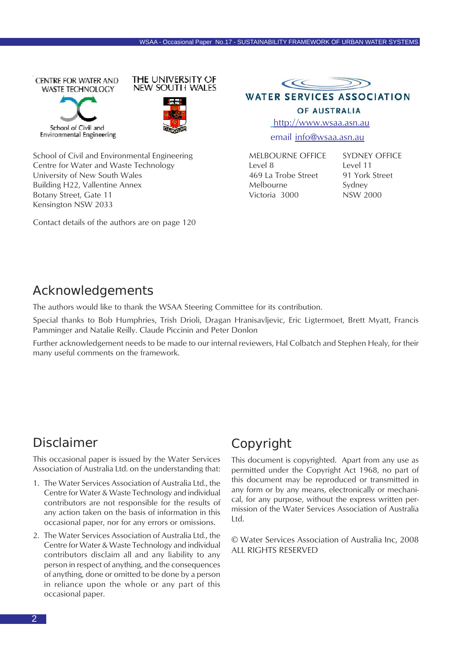





School of Civil and Environmental Engineering Centre for Water and Waste Technology University of New South Wales Building H22, Vallentine Annex Botany Street, Gate 11 Kensington NSW 2033

Contact details of the authors are on page 120



**WATER SERVICES ASSOCIATION** 

#### OF AUSTRALIA

http://www.wsaa.asn.au

email info@wsaa.asn.au

MELBOURNE OFFICE Level 8 469 La Trobe Street Melbourne Victoria 3000

SYDNEY OFFICE Level 11 91 York Street Sydney NSW 2000

## Acknowledgements

The authors would like to thank the WSAA Steering Committee for its contribution.

Special thanks to Bob Humphries, Trish Drioli, Dragan Hranisavljevic, Eric Ligtermoet, Brett Myatt, Francis Pamminger and Natalie Reilly. Claude Piccinin and Peter Donlon

Further acknowledgement needs to be made to our internal reviewers, Hal Colbatch and Stephen Healy, for their many useful comments on the framework.

## Disclaimer

This occasional paper is issued by the Water Services Association of Australia Ltd. on the understanding that:

- 1. The Water Services Association of Australia Ltd., the Centre for Water & Waste Technology and individual contributors are not responsible for the results of any action taken on the basis of information in this occasional paper, nor for any errors or omissions.
- 2. The Water Services Association of Australia Ltd., the Centre for Water & Waste Technology and individual contributors disclaim all and any liability to any person in respect of anything, and the consequences of anything, done or omitted to be done by a person in reliance upon the whole or any part of this occasional paper.

## Copyright

This document is copyrighted. Apart from any use as permitted under the Copyright Act 1968, no part of this document may be reproduced or transmitted in any form or by any means, electronically or mechanical, for any purpose, without the express written permission of the Water Services Association of Australia Ltd.

© Water Services Association of Australia Inc, 2008 ALL RIGHTS RESERVED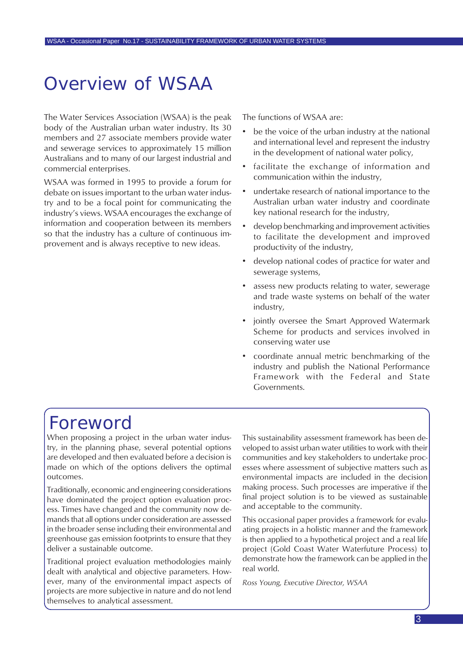## Overview of WSAA

The Water Services Association (WSAA) is the peak body of the Australian urban water industry. Its 30 members and 27 associate members provide water and sewerage services to approximately 15 million Australians and to many of our largest industrial and commercial enterprises.

WSAA was formed in 1995 to provide a forum for debate on issues important to the urban water industry and to be a focal point for communicating the industry's views. WSAA encourages the exchange of information and cooperation between its members so that the industry has a culture of continuous improvement and is always receptive to new ideas.

The functions of WSAA are:

- be the voice of the urban industry at the national and international level and represent the industry in the development of national water policy,
- facilitate the exchange of information and communication within the industry,
- undertake research of national importance to the Australian urban water industry and coordinate key national research for the industry,
- develop benchmarking and improvement activities to facilitate the development and improved productivity of the industry,
- develop national codes of practice for water and sewerage systems,
- assess new products relating to water, sewerage and trade waste systems on behalf of the water industry,
- jointly oversee the Smart Approved Watermark Scheme for products and services involved in conserving water use
- coordinate annual metric benchmarking of the industry and publish the National Performance Framework with the Federal and State Governments.

## Foreword

When proposing a project in the urban water industry, in the planning phase, several potential options are developed and then evaluated before a decision is made on which of the options delivers the optimal outcomes.

Traditionally, economic and engineering considerations have dominated the project option evaluation process. Times have changed and the community now demands that all options under consideration are assessed in the broader sense including their environmental and greenhouse gas emission footprints to ensure that they deliver a sustainable outcome.

Traditional project evaluation methodologies mainly dealt with analytical and objective parameters. However, many of the environmental impact aspects of projects are more subjective in nature and do not lend themselves to analytical assessment.

This sustainability assessment framework has been developed to assist urban water utilities to work with their communities and key stakeholders to undertake processes where assessment of subjective matters such as environmental impacts are included in the decision making process. Such processes are imperative if the final project solution is to be viewed as sustainable and acceptable to the community.

This occasional paper provides a framework for evaluating projects in a holistic manner and the framework is then applied to a hypothetical project and a real life project (Gold Coast Water Waterfuture Process) to demonstrate how the framework can be applied in the real world.

*Ross Young, Executive Director, WSAA*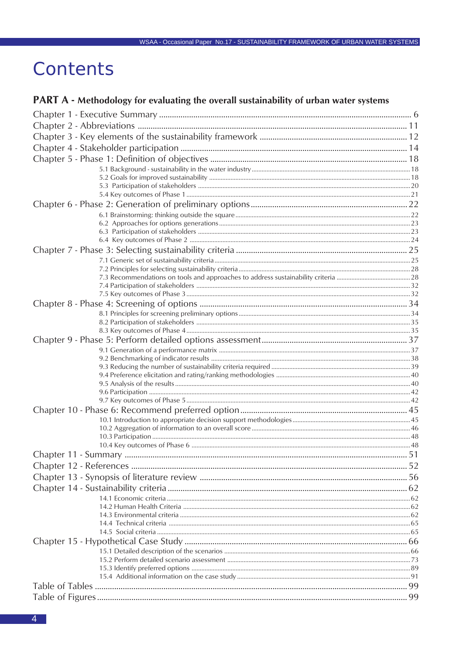## Contents

## PART A - Methodology for evaluating the overall sustainability of urban water systems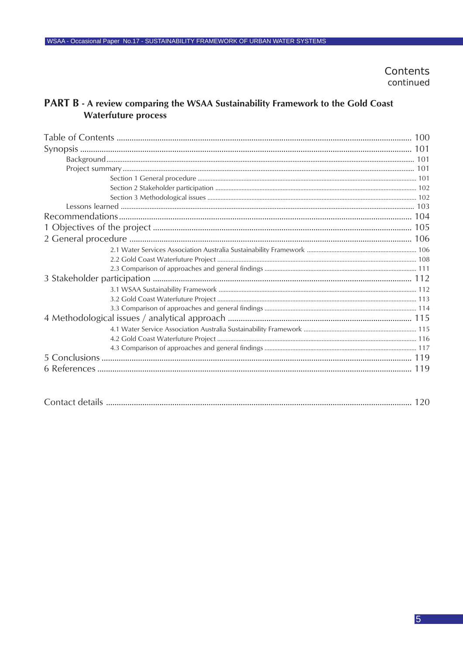Contents continued

## PART B - A review comparing the WSAA Sustainability Framework to the Gold Coast **Waterfuture process**

| $\sim$ $\sim$ $\sim$ $\sim$ $\sim$<br>t lontact details t<br>$\frac{1}{1} \frac{1}{1} \frac{1}{1} \frac{1}{1} \frac{1}{1} \frac{1}{1} \frac{1}{1} \frac{1}{1} \frac{1}{1} \frac{1}{1} \frac{1}{1} \frac{1}{1} \frac{1}{1} \frac{1}{1} \frac{1}{1} \frac{1}{1} \frac{1}{1} \frac{1}{1} \frac{1}{1} \frac{1}{1} \frac{1}{1} \frac{1}{1} \frac{1}{1} \frac{1}{1} \frac{1}{1} \frac{1}{1} \frac{1}{1} \frac{1}{1} \frac{1}{1} \frac{1}{1} \frac{1}{1} \frac{$ |
|-----------------------------------------------------------------------------------------------------------------------------------------------------------------------------------------------------------------------------------------------------------------------------------------------------------------------------------------------------------------------------------------------------------------------------------------------------------|
|-----------------------------------------------------------------------------------------------------------------------------------------------------------------------------------------------------------------------------------------------------------------------------------------------------------------------------------------------------------------------------------------------------------------------------------------------------------|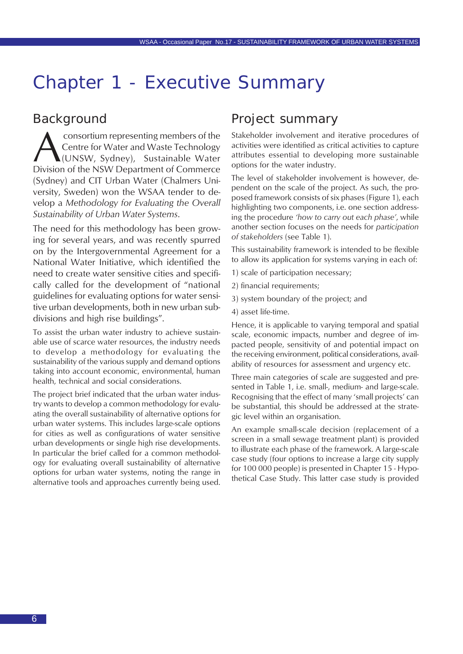## <span id="page-5-0"></span>Chapter 1 - Executive Summary

## Background

**A Consortium representing members of the Centre for Water and Waste Technology**<br>(UNSW, Sydney), Sustainable Water<br>Division of the NSW Department of Commerce Centre for Water and Waste Technology (UNSW, Sydney), Sustainable Water Division of the NSW Department of Commerce (Sydney) and CIT Urban Water (Chalmers University, Sweden) won the WSAA tender to develop a *Methodology for Evaluating the Overall Sustainability of Urban Water Systems*.

The need for this methodology has been growing for several years, and was recently spurred on by the Intergovernmental Agreement for a National Water Initiative, which identified the need to create water sensitive cities and specifically called for the development of "national guidelines for evaluating options for water sensitive urban developments, both in new urban subdivisions and high rise buildings".

To assist the urban water industry to achieve sustainable use of scarce water resources, the industry needs to develop a methodology for evaluating the sustainability of the various supply and demand options taking into account economic, environmental, human health, technical and social considerations.

The project brief indicated that the urban water industry wants to develop a common methodology for evaluating the overall sustainability of alternative options for urban water systems. This includes large-scale options for cities as well as configurations of water sensitive urban developments or single high rise developments. In particular the brief called for a common methodology for evaluating overall sustainability of alternative options for urban water systems, noting the range in alternative tools and approaches currently being used.

## Project summary

Stakeholder involvement and iterative procedures of activities were identified as critical activities to capture attributes essential to developing more sustainable options for the water industry.

The level of stakeholder involvement is however, dependent on the scale of the project. As such, the proposed framework consists of six phases (Figure 1), each highlighting two components, i.e. one section addressing the procedure *'how to carry out each phase'*, while another section focuses on the needs for *participation of stakeholders* (see Table 1).

This sustainability framework is intended to be flexible to allow its application for systems varying in each of:

- 1) scale of participation necessary;
- 2) financial requirements;
- 3) system boundary of the project; and
- 4) asset life-time.

Hence, it is applicable to varying temporal and spatial scale, economic impacts, number and degree of impacted people, sensitivity of and potential impact on the receiving environment, political considerations, availability of resources for assessment and urgency etc.

Three main categories of scale are suggested and presented in Table 1, i.e. small-, medium- and large-scale. Recognising that the effect of many 'small projects' can be substantial, this should be addressed at the strategic level within an organisation.

An example small-scale decision (replacement of a screen in a small sewage treatment plant) is provided to illustrate each phase of the framework. A large-scale case study (four options to increase a large city supply for 100 000 people) is presented in Chapter 15 - Hypothetical Case Study. This latter case study is provided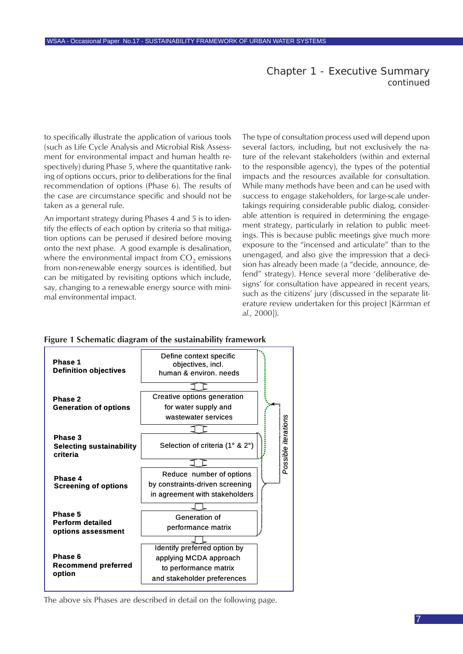### Chapter 1 - Executive Summary *continued*

to specifically illustrate the application of various tools (such as Life Cycle Analysis and Microbial Risk Assessment for environmental impact and human health respectively) during Phase 5, where the quantitative ranking of options occurs, prior to deliberations for the final recommendation of options (Phase 6). The results of the case are circumstance specific and should not be taken as a general rule.

An important strategy during Phases 4 and 5 is to identify the effects of each option by criteria so that mitigation options can be perused if desired before moving onto the next phase. A good example is desalination, where the environmental impact from  $CO<sub>2</sub>$  emissions from non-renewable energy sources is identified, but can be mitigated by revisiting options which include, say, changing to a renewable energy source with minimal environmental impact.

The type of consultation process used will depend upon several factors, including, but not exclusively the nature of the relevant stakeholders (within and external to the responsible agency), the types of the potential impacts and the resources available for consultation. While many methods have been and can be used with success to engage stakeholders, for large-scale undertakings requiring considerable public dialog, considerable attention is required in determining the engagement strategy, particularly in relation to public meetings. This is because public meetings give much more exposure to the "incensed and articulate" than to the unengaged, and also give the impression that a decision has already been made (a "decide, announce, defend" strategy). Hence several more 'deliberative designs' for consultation have appeared in recent years, such as the citizens' jury (discussed in the separate literature review undertaken for this project [Kärrman *et al.*, 2000]).

#### **Figure 1 Schematic diagram of the sustainability framework**



The above six Phases are described in detail on the following page.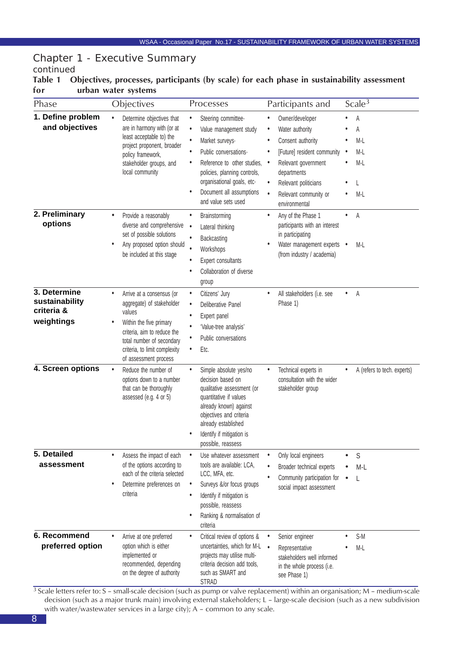## Chapter 1 - Executive Summary

## *continued*

#### **Table 1 Objectives, processes, participants (by scale) for each phase in sustainability assessment for urban water systems**

| Phase                                                      | Objectives                                                                                                                                                                                                                          | Processes                                                                                                                                                                                                                                                                       | Participants and                                                                                                                                                                                                                                   | Scale $3$                              |
|------------------------------------------------------------|-------------------------------------------------------------------------------------------------------------------------------------------------------------------------------------------------------------------------------------|---------------------------------------------------------------------------------------------------------------------------------------------------------------------------------------------------------------------------------------------------------------------------------|----------------------------------------------------------------------------------------------------------------------------------------------------------------------------------------------------------------------------------------------------|----------------------------------------|
| 1. Define problem<br>and objectives                        | Determine objectives that<br>are in harmony with (or at<br>least acceptable to) the<br>project proponent, broader<br>policy framework,<br>stakeholder groups, and<br>local community                                                | Steering committee-<br>٠<br>Value management study<br>٠<br>Market surveys-<br>$\bullet$<br>Public conversations-<br>٠<br>Reference to other studies,<br>٠<br>policies, planning controls,<br>organisational goals, etc-<br>Document all assumptions<br>٠<br>and value sets used | Owner/developer<br>Water authority<br>$\bullet$<br>Consent authority<br>[Future] resident community<br>Relevant government<br>$\bullet$<br>departments<br>Relevant politicians<br>$\bullet$<br>Relevant community or<br>$\bullet$<br>environmental | Α<br>Α<br>M-L<br>M-L<br>$M-L$<br>$M-L$ |
| 2. Preliminary<br>options                                  | Provide a reasonably<br>٠<br>diverse and comprehensive<br>set of possible solutions<br>Any proposed option should<br>$\bullet$<br>be included at this stage                                                                         | Brainstorming<br>٠<br>$\bullet$<br>Lateral thinking<br>$\bullet$<br>Backcasting<br>$\bullet$<br>Workshops<br>Expert consultants<br>Collaboration of diverse<br>O<br>group                                                                                                       | Any of the Phase 1<br>participants with an interest<br>in participating<br>Water management experts •<br>(from industry / academia)                                                                                                                | Α<br>M-L                               |
| 3. Determine<br>sustainability<br>criteria &<br>weightings | Arrive at a consensus (or<br>$\bullet$<br>aggregate) of stakeholder<br>values<br>Within the five primary<br>٠<br>criteria, aim to reduce the<br>total number of secondary<br>criteria, to limit complexity<br>of assessment process | Citizens' Jury<br>٠<br>Deliberative Panel<br>٠<br>Expert panel<br>٠<br>'Value-tree analysis'<br>٠<br>Public conversations<br>Etc.<br>٠                                                                                                                                          | All stakeholders (i.e. see<br>Phase 1)                                                                                                                                                                                                             | Α<br>$\bullet$                         |
| 4. Screen options                                          | Reduce the number of<br>$\bullet$<br>options down to a number<br>that can be thoroughly<br>assessed (e.g. 4 or 5)                                                                                                                   | Simple absolute yes/no<br>٠<br>decision based on<br>qualitative assessment (or<br>quantitative if values<br>already known) against<br>objectives and criteria<br>already established<br>Identify if mitigation is<br>possible, reassess                                         | Technical experts in<br>consultation with the wider<br>stakeholder group                                                                                                                                                                           | A (refers to tech. experts)            |
| 5. Detailed<br>assessment                                  | Assess the impact of each<br>$\bullet$<br>of the options according to<br>each of the criteria selected<br>$\bullet$<br>Determine preferences on<br>criteria                                                                         | Use whatever assessment<br>٠<br>tools are available: LCA,<br>LCC, MFA, etc.<br>Surveys &/or focus groups<br>٠<br>Identify if mitigation is<br>٠<br>possible, reassess<br>Ranking & normalisation of<br>٠<br>criteria                                                            | Only local engineers<br>$\bullet$<br>Broader technical experts<br>Community participation for<br>social impact assessment                                                                                                                          | S<br>M-L                               |
| 6. Recommend<br>preferred option                           | Arrive at one preferred<br>٠<br>option which is either<br>implemented or<br>recommended, depending<br>on the degree of authority                                                                                                    | Critical review of options &<br>$\bullet$<br>uncertainties, which for M-L .<br>projects may utilise multi-<br>criteria decision add tools,<br>such as SMART and<br><b>STRAD</b>                                                                                                 | Senior engineer<br>Representative<br>stakeholders well informed<br>in the whole process (i.e.<br>see Phase 1)                                                                                                                                      | S-M<br>$M-L$                           |

<sup>3</sup> Scale letters refer to: S – small-scale decision (such as pump or valve replacement) within an organisation; M – medium-scale decision (such as a major trunk main) involving external stakeholders; L – large-scale decision (such as a new subdivision with water/wastewater services in a large city); A – common to any scale.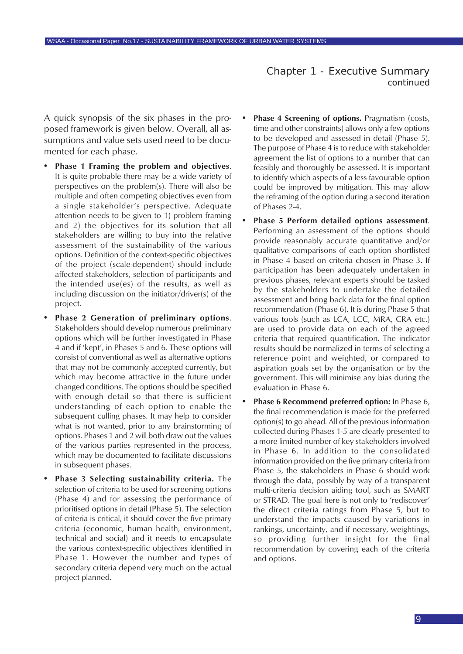Chapter 1 - Executive Summary *continued*

A quick synopsis of the six phases in the proposed framework is given below. Overall, all assumptions and value sets used need to be documented for each phase.

- **• Phase 1 Framing the problem and objectives**. It is quite probable there may be a wide variety of perspectives on the problem(s). There will also be multiple and often competing objectives even from a single stakeholder's perspective. Adequate attention needs to be given to 1) problem framing and 2) the objectives for its solution that all stakeholders are willing to buy into the relative assessment of the sustainability of the various options. Definition of the context-specific objectives of the project (scale-dependent) should include affected stakeholders, selection of participants and the intended use(es) of the results, as well as including discussion on the initiator/driver(s) of the project.
- **• Phase 2 Generation of preliminary options**. Stakeholders should develop numerous preliminary options which will be further investigated in Phase 4 and if 'kept', in Phases 5 and 6. These options will consist of conventional as well as alternative options that may not be commonly accepted currently, but which may become attractive in the future under changed conditions. The options should be specified with enough detail so that there is sufficient understanding of each option to enable the subsequent culling phases. It may help to consider what is not wanted, prior to any brainstorming of options. Phases 1 and 2 will both draw out the values of the various parties represented in the process, which may be documented to facilitate discussions in subsequent phases.
- **• Phase 3 Selecting sustainability criteria.** The selection of criteria to be used for screening options (Phase 4) and for assessing the performance of prioritised options in detail (Phase 5). The selection of criteria is critical, it should cover the five primary criteria (economic, human health, environment, technical and social) and it needs to encapsulate the various context-specific objectives identified in Phase 1. However the number and types of secondary criteria depend very much on the actual project planned.
- **Phase 4 Screening of options.** Pragmatism (costs, time and other constraints) allows only a few options to be developed and assessed in detail (Phase 5). The purpose of Phase 4 is to reduce with stakeholder agreement the list of options to a number that can feasibly and thoroughly be assessed. It is important to identify which aspects of a less favourable option could be improved by mitigation. This may allow the reframing of the option during a second iteration of Phases 2-4.
- **• Phase 5 Perform detailed options assessment**. Performing an assessment of the options should provide reasonably accurate quantitative and/or qualitative comparisons of each option shortlisted in Phase 4 based on criteria chosen in Phase 3. If participation has been adequately undertaken in previous phases, relevant experts should be tasked by the stakeholders to undertake the detailed assessment and bring back data for the final option recommendation (Phase 6). It is during Phase 5 that various tools (such as LCA, LCC, MRA, CRA etc.) are used to provide data on each of the agreed criteria that required quantification. The indicator results should be normalized in terms of selecting a reference point and weighted, or compared to aspiration goals set by the organisation or by the government. This will minimise any bias during the evaluation in Phase 6.
- **• Phase 6 Recommend preferred option:** In Phase 6, the final recommendation is made for the preferred option(s) to go ahead. All of the previous information collected during Phases 1-5 are clearly presented to a more limited number of key stakeholders involved in Phase 6. In addition to the consolidated information provided on the five primary criteria from Phase 5, the stakeholders in Phase 6 should work through the data, possibly by way of a transparent multi-criteria decision aiding tool, such as SMART or STRAD. The goal here is not only to 'rediscover' the direct criteria ratings from Phase 5, but to understand the impacts caused by variations in rankings, uncertainty, and if necessary, weightings, so providing further insight for the final recommendation by covering each of the criteria and options.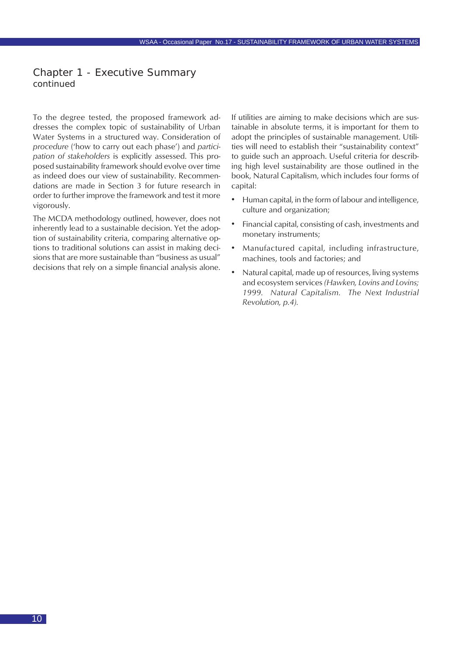#### Chapter 1 - Executive Summary *continued*

To the degree tested, the proposed framework addresses the complex topic of sustainability of Urban Water Systems in a structured way. Consideration of *procedure* ('how to carry out each phase') and *participation of stakeholders* is explicitly assessed. This proposed sustainability framework should evolve over time as indeed does our view of sustainability. Recommendations are made in Section 3 for future research in order to further improve the framework and test it more vigorously.

The MCDA methodology outlined, however, does not inherently lead to a sustainable decision. Yet the adoption of sustainability criteria, comparing alternative options to traditional solutions can assist in making decisions that are more sustainable than "business as usual" decisions that rely on a simple financial analysis alone. If utilities are aiming to make decisions which are sustainable in absolute terms, it is important for them to adopt the principles of sustainable management. Utilities will need to establish their "sustainability context" to guide such an approach. Useful criteria for describing high level sustainability are those outlined in the book, Natural Capitalism, which includes four forms of capital:

- Human capital, in the form of labour and intelligence, culture and organization;
- Financial capital, consisting of cash, investments and monetary instruments;
- Manufactured capital, including infrastructure, machines, tools and factories; and
- Natural capital, made up of resources, living systems and ecosystem services *(Hawken, Lovins and Lovins; 1999. Natural Capitalism. The Next Industrial Revolution, p.4).*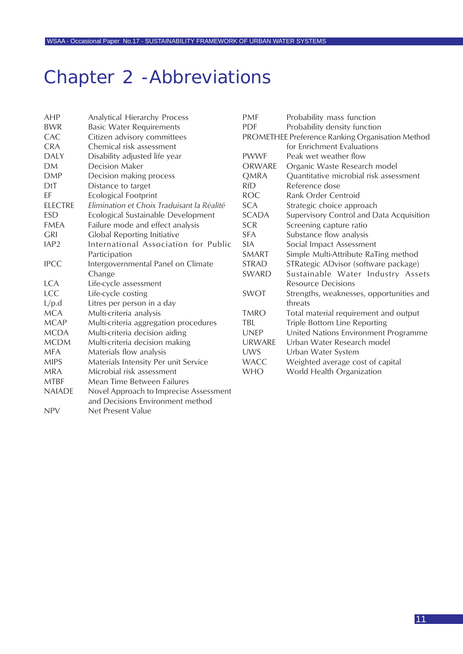## <span id="page-10-0"></span>Chapter 2 -Abbreviations

NPV Net Present Value

| AHP              | Analytical Hierarchy Process               | <b>PMF</b>    | Probability mass function                        |
|------------------|--------------------------------------------|---------------|--------------------------------------------------|
| <b>BWR</b>       | <b>Basic Water Requirements</b>            | <b>PDF</b>    | Probability density function                     |
| CAC              | Citizen advisory committees                |               | PROMETHEE Preference Ranking Organisation Method |
| <b>CRA</b>       | Chemical risk assessment                   |               | for Enrichment Evaluations                       |
| <b>DALY</b>      | Disability adjusted life year              | <b>PWWF</b>   | Peak wet weather flow                            |
| <b>DM</b>        | Decision Maker                             | <b>ORWARE</b> | Organic Waste Research model                     |
| <b>DMP</b>       | Decision making process                    | <b>QMRA</b>   | Quantitative microbial risk assessment           |
| DtT              | Distance to target                         | <b>RfD</b>    | Reference dose                                   |
| EF               | <b>Ecological Footprint</b>                | <b>ROC</b>    | Rank Order Centroid                              |
| <b>ELECTRE</b>   | Elimination et Choix Traduisant la Réalité | <b>SCA</b>    | Strategic choice approach                        |
| <b>ESD</b>       | Ecological Sustainable Development         | <b>SCADA</b>  | Supervisory Control and Data Acquisition         |
| <b>FMEA</b>      | Failure mode and effect analysis           | <b>SCR</b>    | Screening capture ratio                          |
| <b>GRI</b>       | Global Reporting Initiative                | <b>SFA</b>    | Substance flow analysis                          |
| IAP <sub>2</sub> | International Association for Public       | <b>SIA</b>    | Social Impact Assessment                         |
|                  | Participation                              | SMART         | Simple Multi-Attribute RaTing method             |
| <b>IPCC</b>      | Intergovernmental Panel on Climate         | <b>STRAD</b>  | STRategic ADvisor (software package)             |
|                  | Change                                     | SWARD         | Sustainable Water Industry Assets                |
| <b>LCA</b>       | Life-cycle assessment                      |               | <b>Resource Decisions</b>                        |
| <b>LCC</b>       | Life-cycle costing                         | <b>SWOT</b>   | Strengths, weaknesses, opportunities and         |
| L/p.d            | Litres per person in a day                 |               | threats                                          |
| <b>MCA</b>       | Multi-criteria analysis                    | <b>TMRO</b>   | Total material requirement and output            |
| <b>MCAP</b>      | Multi-criteria aggregation procedures      | <b>TBL</b>    | Triple Bottom Line Reporting                     |
| <b>MCDA</b>      | Multi-criteria decision aiding             | <b>UNEP</b>   | United Nations Environment Programme             |
| <b>MCDM</b>      | Multi-criteria decision making             | <b>URWARE</b> | Urban Water Research model                       |
| <b>MFA</b>       | Materials flow analysis                    | <b>UWS</b>    | Urban Water System                               |
| <b>MIPS</b>      | Materials Intensity Per unit Service       | <b>WACC</b>   | Weighted average cost of capital                 |
| <b>MRA</b>       | Microbial risk assessment                  | <b>WHO</b>    | World Health Organization                        |
| <b>MTBF</b>      | Mean Time Between Failures                 |               |                                                  |
| <b>NAIADE</b>    | Novel Approach to Imprecise Assessment     |               |                                                  |
|                  | and Decisions Environment method           |               |                                                  |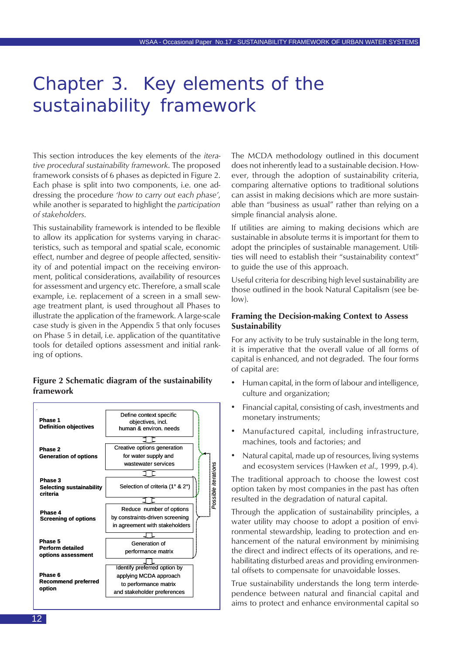## Chapter 3. Key elements of the sustainability framework

This section introduces the key elements of the *iterative procedural sustainability framework*. The proposed framework consists of 6 phases as depicted in Figure 2. Each phase is split into two components, i.e. one addressing the procedure *'how to carry out each phase'*, while another is separated to highlight the *participation of stakeholders*.

This sustainability framework is intended to be flexible to allow its application for systems varying in characteristics, such as temporal and spatial scale, economic effect, number and degree of people affected, sensitivity of and potential impact on the receiving environment, political considerations, availability of resources for assessment and urgency etc. Therefore, a small scale example, i.e. replacement of a screen in a small sewage treatment plant, is used throughout all Phases to illustrate the application of the framework. A large-scale case study is given in the Appendix 5 that only focuses on Phase 5 in detail, i.e. application of the quantitative tools for detailed options assessment and initial ranking of options.

#### **Figure 2 Schematic diagram of the sustainability framework**



The MCDA methodology outlined in this document does not inherently lead to a sustainable decision. However, through the adoption of sustainability criteria, comparing alternative options to traditional solutions can assist in making decisions which are more sustainable than "business as usual" rather than relying on a simple financial analysis alone.

If utilities are aiming to making decisions which are sustainable in absolute terms it is important for them to adopt the principles of sustainable management. Utilities will need to establish their "sustainability context" to guide the use of this approach.

Useful criteria for describing high level sustainability are those outlined in the book Natural Capitalism (see below).

#### **Framing the Decision-making Context to Assess Sustainability**

For any activity to be truly sustainable in the long term, it is imperative that the overall value of all forms of capital is enhanced, and not degraded. The four forms of capital are:

- Human capital, in the form of labour and intelligence, culture and organization;
- Financial capital, consisting of cash, investments and monetary instruments;
- Manufactured capital, including infrastructure, machines, tools and factories; and
- Natural capital, made up of resources, living systems and ecosystem services (Hawken *et al*., 1999, p.4).

The traditional approach to choose the lowest cost option taken by most companies in the past has often resulted in the degradation of natural capital.

Through the application of sustainability principles, a water utility may choose to adopt a position of environmental stewardship, leading to protection and enhancement of the natural environment by minimising the direct and indirect effects of its operations, and rehabilitating disturbed areas and providing environmental offsets to compensate for unavoidable losses.

True sustainability understands the long term interdependence between natural and financial capital and aims to protect and enhance environmental capital so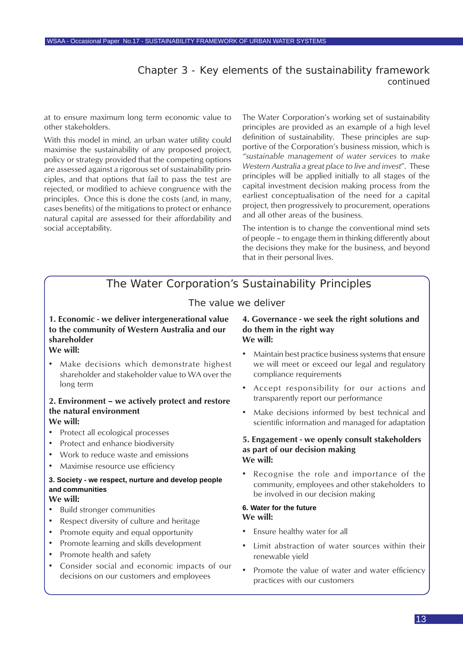### Chapter 3 - Key elements of the sustainability framework *continued*

<span id="page-12-0"></span>at to ensure maximum long term economic value to other stakeholders.

With this model in mind, an urban water utility could maximise the sustainability of any proposed project, policy or strategy provided that the competing options are assessed against a rigorous set of sustainability principles, and that options that fail to pass the test are rejected, or modified to achieve congruence with the principles. Once this is done the costs (and, in many, cases benefits) of the mitigations to protect or enhance natural capital are assessed for their affordability and social acceptability.

The Water Corporation's working set of sustainability principles are provided as an example of a high level definition of sustainability. These principles are supportive of the Corporation's business mission, which is *"sustainable management of water services* to *make Western Australia a great place to live and invest*". These principles will be applied initially to all stages of the capital investment decision making process from the earliest conceptualisation of the need for a capital project, then progressively to procurement, operations and all other areas of the business.

The intention is to change the conventional mind sets of people – to engage them in thinking differently about the decisions they make for the business, and beyond that in their personal lives.

## The Water Corporation's Sustainability Principles

### The value we deliver

#### **1. Economic - we deliver intergenerational value to the community of Western Australia and our shareholder We will:**

• Make decisions which demonstrate highest shareholder and stakeholder value to WA over the long term

#### **2. Environment – we actively protect and restore the natural environment We will:**

- Protect all ecological processes
- Protect and enhance biodiversity
- Work to reduce waste and emissions
- Maximise resource use efficiency

### **3. Society - we respect, nurture and develop people and communities**

#### **We will:**

- Build stronger communities
- Respect diversity of culture and heritage
- Promote equity and equal opportunity
- Promote learning and skills development
- Promote health and safety
- Consider social and economic impacts of our decisions on our customers and employees

#### **4. Governance - we seek the right solutions and do them in the right way We will:**

- Maintain best practice business systems that ensure we will meet or exceed our legal and regulatory compliance requirements
- Accept responsibility for our actions and transparently report our performance
- Make decisions informed by best technical and scientific information and managed for adaptation

#### **5. Engagement - we openly consult stakeholders as part of our decision making We will:**

• Recognise the role and importance of the community, employees and other stakeholders to be involved in our decision making

#### **6. Water for the future We will:**

- Ensure healthy water for all
- Limit abstraction of water sources within their renewable yield
- Promote the value of water and water efficiency practices with our customers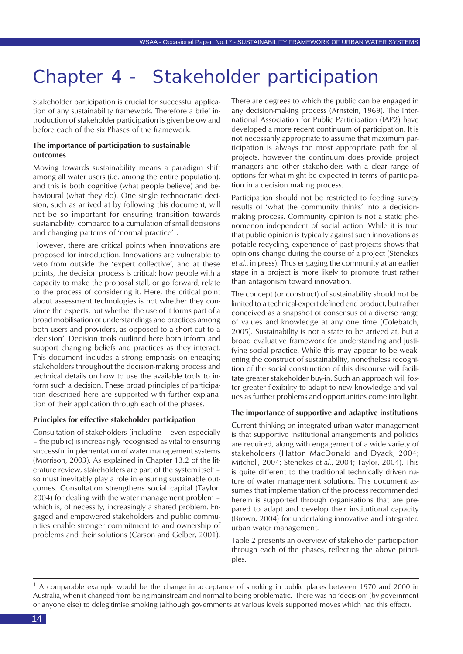## Chapter 4 - Stakeholder participation

Stakeholder participation is crucial for successful application of any sustainability framework. Therefore a brief introduction of stakeholder participation is given below and before each of the six Phases of the framework.

#### **The importance of participation to sustainable outcomes**

Moving towards sustainability means a paradigm shift among all water users (i.e. among the entire population), and this is both cognitive (what people believe) and behavioural (what they do). One single technocratic decision, such as arrived at by following this document, will not be so important for ensuring transition towards sustainability, compared to a cumulation of small decisions and changing patterns of 'normal practice'1.

However, there are critical points when innovations are proposed for introduction. Innovations are vulnerable to veto from outside the 'expert collective', and at these points, the decision process is critical: how people with a capacity to make the proposal stall, or go forward, relate to the process of considering it. Here, the critical point about assessment technologies is not whether they convince the experts, but whether the use of it forms part of a broad mobilisation of understandings and practices among both users and providers, as opposed to a short cut to a 'decision'. Decision tools outlined here both inform and support changing beliefs and practices as they interact. This document includes a strong emphasis on engaging stakeholders throughout the decision-making process and technical details on how to use the available tools to inform such a decision. These broad principles of participation described here are supported with further explanation of their application through each of the phases.

#### **Principles for effective stakeholder participation**

Consultation of stakeholders (including – even especially – the public) is increasingly recognised as vital to ensuring successful implementation of water management systems (Morrison, 2003). As explained in Chapter 13.2 of the literature review, stakeholders are part of the system itself – so must inevitably play a role in ensuring sustainable outcomes. Consultation strengthens social capital (Taylor, 2004) for dealing with the water management problem – which is, of necessity, increasingly a shared problem. Engaged and empowered stakeholders and public communities enable stronger commitment to and ownership of problems and their solutions (Carson and Gelber, 2001). There are degrees to which the public can be engaged in any decision-making process (Arnstein, 1969). The International Association for Public Participation (IAP2) have developed a more recent continuum of participation. It is not necessarily appropriate to assume that maximum participation is always the most appropriate path for all projects, however the continuum does provide project managers and other stakeholders with a clear range of options for what might be expected in terms of participation in a decision making process.

Participation should not be restricted to feeding survey results of 'what the community thinks' into a decisionmaking process. Community opinion is not a static phenomenon independent of social action. While it is true that public opinion is typically against such innovations as potable recycling, experience of past projects shows that opinions change during the course of a project (Stenekes *et al.*, in press). Thus engaging the community at an earlier stage in a project is more likely to promote trust rather than antagonism toward innovation.

The concept (or construct) of sustainability should not be limited to a technical-expert defined end product, but rather conceived as a snapshot of consensus of a diverse range of values and knowledge at any one time (Colebatch, 2005). Sustainability is not a state to be arrived at, but a broad evaluative framework for understanding and justifying social practice. While this may appear to be weakening the construct of sustainability, nonetheless recognition of the social construction of this discourse will facilitate greater stakeholder buy-in. Such an approach will foster greater flexibility to adapt to new knowledge and values as further problems and opportunities come into light.

#### **The importance of supportive and adaptive institutions**

Current thinking on integrated urban water management is that supportive institutional arrangements and policies are required, along with engagement of a wide variety of stakeholders (Hatton MacDonald and Dyack, 2004; Mitchell, 2004; Stenekes *et al.*, 2004; Taylor, 2004). This is quite different to the traditional technically driven nature of water management solutions. This document assumes that implementation of the process recommended herein is supported through organisations that are prepared to adapt and develop their institutional capacity (Brown, 2004) for undertaking innovative and integrated urban water management.

Table 2 presents an overview of stakeholder participation through each of the phases, reflecting the above principles.

 $<sup>1</sup>$  A comparable example would be the change in acceptance of smoking in public places between 1970 and 2000 in</sup> Australia, when it changed from being mainstream and normal to being problematic. There was no 'decision' (by government or anyone else) to delegitimise smoking (although governments at various levels supported moves which had this effect).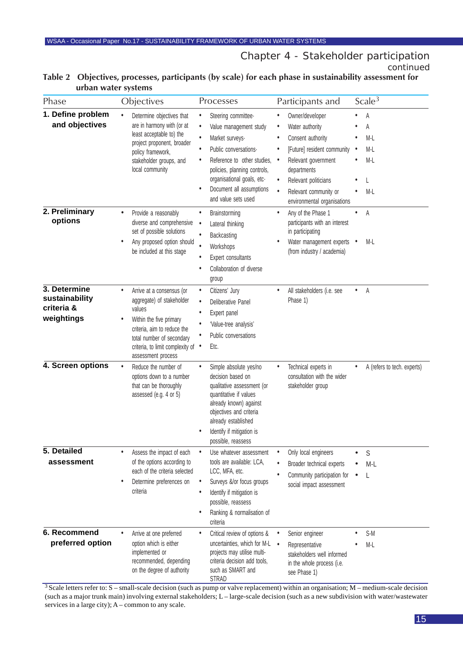Chapter 4 - Stakeholder participation *continued*

| Phase                                                      | Objectives                                                                                                                                                                                                                          | Processes                                                                                                                                                                                                                                                                                               | Participants and                                                                                                                                                                                                                                         | Scale <sup>3</sup>                     |
|------------------------------------------------------------|-------------------------------------------------------------------------------------------------------------------------------------------------------------------------------------------------------------------------------------|---------------------------------------------------------------------------------------------------------------------------------------------------------------------------------------------------------------------------------------------------------------------------------------------------------|----------------------------------------------------------------------------------------------------------------------------------------------------------------------------------------------------------------------------------------------------------|----------------------------------------|
| 1. Define problem<br>and objectives                        | Determine objectives that<br>$\bullet$<br>are in harmony with (or at<br>least acceptable to) the<br>project proponent, broader<br>policy framework,<br>stakeholder groups, and<br>local community                                   | Steering committee-<br>$\bullet$<br>$\bullet$<br>Value management study<br>$\bullet$<br>Market surveys.<br>Public conversations.<br>$\bullet$<br>Reference to other studies,<br>٠<br>policies, planning controls,<br>organisational goals, etc-<br>Document all assumptions<br>٠<br>and value sets used | Owner/developer<br>Water authority<br>Consent authority<br>٠<br>[Future] resident community<br>Relevant government<br>$\bullet$<br>departments<br>Relevant politicians<br>$\bullet$<br>$\bullet$<br>Relevant community or<br>environmental organisations | Α<br>Α<br>M-L<br>M-L<br>$M-L$<br>$M-L$ |
| 2. Preliminary<br>options                                  | Provide a reasonably<br>٠<br>diverse and comprehensive<br>set of possible solutions<br>Any proposed option should<br>٠<br>be included at this stage                                                                                 | Brainstorming<br>$\bullet$<br>$\bullet$<br>Lateral thinking<br>$\bullet$<br>Backcasting<br>$\bullet$<br>Workshops<br>Expert consultants<br>$\bullet$<br>Collaboration of diverse<br>٠<br>group                                                                                                          | Any of the Phase 1<br>$\bullet$<br>participants with an interest<br>in participating<br>Water management experts •<br>(from industry / academia)                                                                                                         | A<br>٠<br>M-L                          |
| 3. Determine<br>sustainability<br>criteria &<br>weightings | Arrive at a consensus (or<br>$\bullet$<br>aggregate) of stakeholder<br>values<br>Within the five primary<br>٠<br>criteria, aim to reduce the<br>total number of secondary<br>criteria, to limit complexity of<br>assessment process | Citizens' Jury<br>$\bullet$<br>Deliberative Panel<br>$\bullet$<br>Expert panel<br>٠<br>'Value-tree analysis'<br>$\bullet$<br>Public conversations<br>Etc.<br>$\bullet$                                                                                                                                  | All stakeholders (i.e. see<br>٠<br>Phase 1)                                                                                                                                                                                                              | A<br>$\bullet$                         |
| 4. Screen options                                          | $\bullet$<br>Reduce the number of<br>options down to a number<br>that can be thoroughly<br>assessed (e.g. 4 or 5)                                                                                                                   | Simple absolute yes/no<br>$\bullet$<br>decision based on<br>qualitative assessment (or<br>quantitative if values<br>already known) against<br>objectives and criteria<br>already established<br>Identify if mitigation is<br>٠<br>possible, reassess                                                    | Technical experts in<br>consultation with the wider<br>stakeholder group                                                                                                                                                                                 | A (refers to tech. experts)            |
| 5. Detailed<br>assessment                                  | Assess the impact of each<br>$\bullet$<br>of the options according to<br>each of the criteria selected<br>Determine preferences on<br>$\bullet$<br>criteria                                                                         | Use whatever assessment<br>$\bullet$<br>tools are available: LCA,<br>LCC, MFA, etc.<br>Surveys &/or focus groups<br>$\bullet$<br>Identify if mitigation is<br>٠<br>possible, reassess<br>Ranking & normalisation of<br>٠<br>criteria                                                                    | Only local engineers<br>Broader technical experts<br>Community participation for<br>social impact assessment                                                                                                                                             | S<br>$M-L$<br>L                        |
| 6. Recommend<br>preferred option                           | $\bullet$<br>Arrive at one preferred<br>option which is either<br>implemented or<br>recommended, depending<br>on the degree of authority                                                                                            | Critical review of options &<br>$\bullet$<br>uncertainties, which for M-L<br>projects may utilise multi-<br>criteria decision add tools,<br>such as SMART and<br>STRAD                                                                                                                                  | Senior engineer<br>Representative<br>$\bullet$<br>stakeholders well informed<br>in the whole process (i.e.<br>see Phase 1)                                                                                                                               | S-M<br>$M-L$                           |

#### **Table 2 Objectives, processes, participants (by scale) for each phase in sustainability assessment for urban water systems**

<sup>3</sup> Scale letters refer to: S – small-scale decision (such as pump or valve replacement) within an organisation; M – medium-scale decision (such as a major trunk main) involving external stakeholders; L – large-scale decision (such as a new subdivision with water/wastewater services in a large city); A – common to any scale.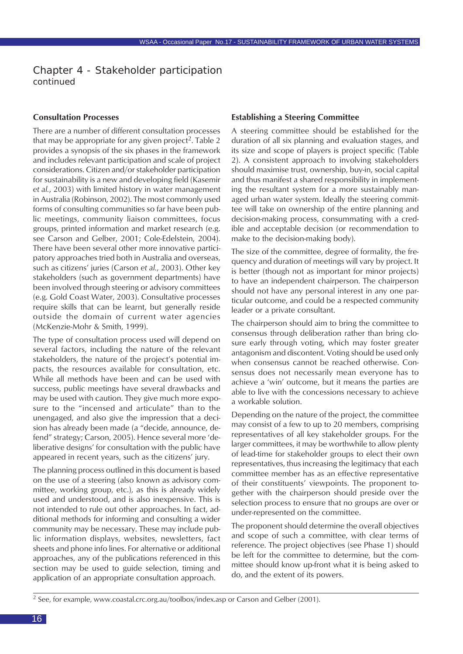Chapter 4 - Stakeholder participation *continued*

#### **Consultation Processes**

There are a number of different consultation processes that may be appropriate for any given project<sup>2</sup>. Table 2 provides a synopsis of the six phases in the framework and includes relevant participation and scale of project considerations. Citizen and/or stakeholder participation for sustainability is a new and developing field (Kasemir *et al.*, 2003) with limited history in water management in Australia (Robinson, 2002). The most commonly used forms of consulting communities so far have been public meetings, community liaison committees, focus groups, printed information and market research (e.g. see Carson and Gelber, 2001; Cole-Edelstein, 2004). There have been several other more innovative participatory approaches tried both in Australia and overseas, such as citizens' juries (Carson *et al.*, 2003). Other key stakeholders (such as government departments) have been involved through steering or advisory committees (e.g. Gold Coast Water, 2003). Consultative processes require skills that can be learnt, but generally reside outside the domain of current water agencies (McKenzie-Mohr & Smith, 1999).

The type of consultation process used will depend on several factors, including the nature of the relevant stakeholders, the nature of the project's potential impacts, the resources available for consultation, etc. While all methods have been and can be used with success, public meetings have several drawbacks and may be used with caution. They give much more exposure to the "incensed and articulate" than to the unengaged, and also give the impression that a decision has already been made (a "decide, announce, defend" strategy; Carson, 2005). Hence several more 'deliberative designs' for consultation with the public have appeared in recent years, such as the citizens' jury.

The planning process outlined in this document is based on the use of a steering (also known as advisory committee, working group, etc.), as this is already widely used and understood, and is also inexpensive. This is not intended to rule out other approaches. In fact, additional methods for informing and consulting a wider community may be necessary. These may include public information displays, websites, newsletters, fact sheets and phone info lines. For alternative or additional approaches, any of the publications referenced in this section may be used to guide selection, timing and application of an appropriate consultation approach.

#### **Establishing a Steering Committee**

A steering committee should be established for the duration of all six planning and evaluation stages, and its size and scope of players is project specific (Table 2). A consistent approach to involving stakeholders should maximise trust, ownership, buy-in, social capital and thus manifest a shared responsibility in implementing the resultant system for a more sustainably managed urban water system. Ideally the steering committee will take on ownership of the entire planning and decision-making process, consummating with a credible and acceptable decision (or recommendation to make to the decision-making body).

The size of the committee, degree of formality, the frequency and duration of meetings will vary by project. It is better (though not as important for minor projects) to have an independent chairperson. The chairperson should not have any personal interest in any one particular outcome, and could be a respected community leader or a private consultant.

The chairperson should aim to bring the committee to consensus through deliberation rather than bring closure early through voting, which may foster greater antagonism and discontent. Voting should be used only when consensus cannot be reached otherwise. Consensus does not necessarily mean everyone has to achieve a 'win' outcome, but it means the parties are able to live with the concessions necessary to achieve a workable solution.

Depending on the nature of the project, the committee may consist of a few to up to 20 members, comprising representatives of all key stakeholder groups. For the larger committees, it may be worthwhile to allow plenty of lead-time for stakeholder groups to elect their own representatives, thus increasing the legitimacy that each committee member has as an effective representative of their constituents' viewpoints. The proponent together with the chairperson should preside over the selection process to ensure that no groups are over or under-represented on the committee.

The proponent should determine the overall objectives and scope of such a committee, with clear terms of reference. The project objectives (see Phase 1) should be left for the committee to determine, but the committee should know up-front what it is being asked to do, and the extent of its powers.

<sup>2</sup> See, for example, www.coastal.crc.org.au/toolbox/index.asp or Carson and Gelber (2001).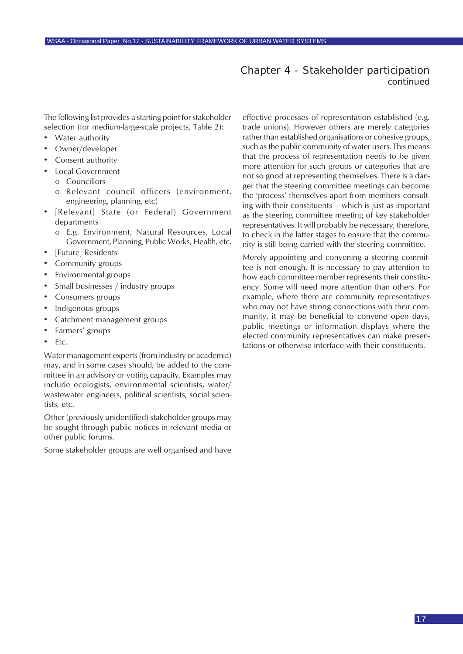### Chapter 4 - Stakeholder participation *continued*

<span id="page-16-0"></span>The following list provides a starting point for stakeholder selection (for medium-large-scale projects, Table 2):

- Water authority
- Owner/developer
- Consent authority
- Local Government
	- o Councillors
	- o Relevant council officers (environment, engineering, planning, etc)
- [Relevant] State (or Federal) Government departments
	- o E.g. Environment, Natural Resources, Local Government, Planning, Public Works, Health, etc.
- [Future] Residents
- Community groups
- Environmental groups
- Small businesses / industry groups
- Consumers groups
- Indigenous groups
- Catchment management groups
- Farmers' groups
- Etc.

Water management experts (from industry or academia) may, and in some cases should, be added to the committee in an advisory or voting capacity. Examples may include ecologists, environmental scientists, water/ wastewater engineers, political scientists, social scientists, etc.

Other (previously unidentified) stakeholder groups may be sought through public notices in relevant media or other public forums.

Some stakeholder groups are well organised and have

effective processes of representation established (e.g. trade unions). However others are merely categories rather than established organisations or cohesive groups, such as the public community of water users. This means that the process of representation needs to be given more attention for such groups or categories that are not so good at representing themselves. There is a danger that the steering committee meetings can become the 'process' themselves apart from members consulting with their constituents – which is just as important as the steering committee meeting of key stakeholder representatives. It will probably be necessary, therefore, to check in the latter stages to ensure that the community is still being carried with the steering committee.

Merely appointing and convening a steering committee is not enough. It is necessary to pay attention to how each committee member represents their constituency. Some will need more attention than others. For example, where there are community representatives who may not have strong connections with their community, it may be beneficial to convene open days, public meetings or information displays where the elected community representatives can make presentations or otherwise interface with their constituents.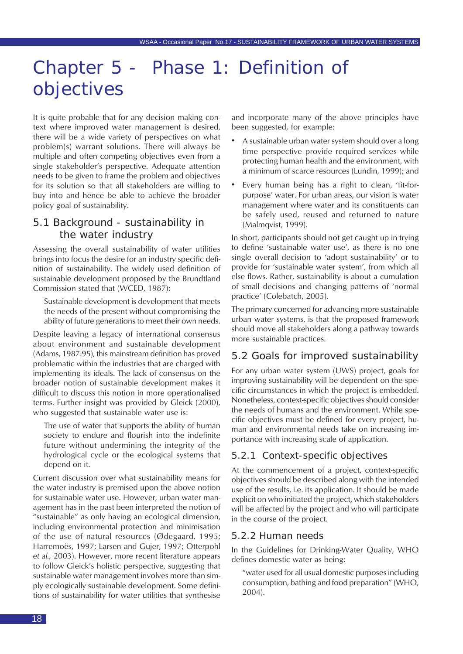## <span id="page-17-0"></span>Chapter 5 - Phase 1: Definition of objectives

It is quite probable that for any decision making context where improved water management is desired, there will be a wide variety of perspectives on what problem(s) warrant solutions. There will always be multiple and often competing objectives even from a single stakeholder's perspective. Adequate attention needs to be given to frame the problem and objectives for its solution so that all stakeholders are willing to buy into and hence be able to achieve the broader policy goal of sustainability.

## 5.1 Background - sustainability in the water industry

Assessing the overall sustainability of water utilities brings into focus the desire for an industry specific definition of sustainability. The widely used definition of sustainable development proposed by the Brundtland Commission stated that (WCED, 1987):

Sustainable development is development that meets the needs of the present without compromising the ability of future generations to meet their own needs.

Despite leaving a legacy of international consensus about environment and sustainable development (Adams, 1987:95), this mainstream definition has proved problematic within the industries that are charged with implementing its ideals. The lack of consensus on the broader notion of sustainable development makes it difficult to discuss this notion in more operationalised terms. Further insight was provided by Gleick (2000), who suggested that sustainable water use is:

The use of water that supports the ability of human society to endure and flourish into the indefinite future without undermining the integrity of the hydrological cycle or the ecological systems that depend on it.

Current discussion over what sustainability means for the water industry is premised upon the above notion for sustainable water use. However, urban water management has in the past been interpreted the notion of "sustainable" as only having an ecological dimension, including environmental protection and minimisation of the use of natural resources (Ødegaard, 1995; Harremoës, 1997; Larsen and Gujer, 1997; Otterpohl *et al.,* 2003). However, more recent literature appears to follow Gleick's holistic perspective, suggesting that sustainable water management involves more than simply ecologically sustainable development. Some definitions of sustainability for water utilities that synthesise

and incorporate many of the above principles have been suggested, for example:

- A sustainable urban water system should over a long time perspective provide required services while protecting human health and the environment, with a minimum of scarce resources (Lundin, 1999); and
- Every human being has a right to clean, 'fit-forpurpose' water. For urban areas, our vision is water management where water and its constituents can be safely used, reused and returned to nature (Malmqvist, 1999).

In short, participants should not get caught up in trying to define 'sustainable water use', as there is no one single overall decision to 'adopt sustainability' or to provide for 'sustainable water system', from which all else flows. Rather, sustainability is about a cumulation of small decisions and changing patterns of 'normal practice' (Colebatch, 2005).

The primary concerned for advancing more sustainable urban water systems, is that the proposed framework should move all stakeholders along a pathway towards more sustainable practices.

## 5.2 Goals for improved sustainability

For any urban water system (UWS) project, goals for improving sustainability will be dependent on the specific circumstances in which the project is embedded. Nonetheless, context-specific objectives should consider the needs of humans and the environment. While specific objectives must be defined for every project, human and environmental needs take on increasing importance with increasing scale of application.

#### 5.2.1 Context-specific objectives

At the commencement of a project, context-specific objectives should be described along with the intended use of the results, i.e. its application. It should be made explicit on who initiated the project, which stakeholders will be affected by the project and who will participate in the course of the project.

#### 5.2.2 Human needs

In the Guidelines for Drinking-Water Quality, WHO defines domestic water as being:

"water used for all usual domestic purposes including consumption, bathing and food preparation" (WHO, 2004).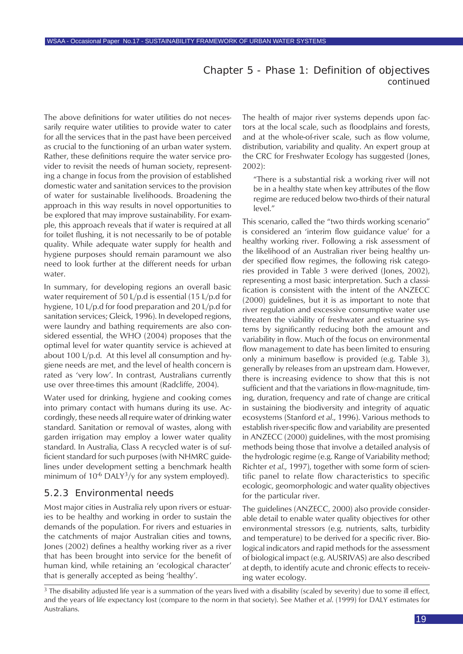### Chapter 5 - Phase 1: Definition of objectives *continued*

The above definitions for water utilities do not necessarily require water utilities to provide water to cater for all the services that in the past have been perceived as crucial to the functioning of an urban water system. Rather, these definitions require the water service provider to revisit the needs of human society, representing a change in focus from the provision of established domestic water and sanitation services to the provision of water for sustainable livelihoods. Broadening the approach in this way results in novel opportunities to be explored that may improve sustainability. For example, this approach reveals that if water is required at all for toilet flushing, it is not necessarily to be of potable quality. While adequate water supply for health and hygiene purposes should remain paramount we also need to look further at the different needs for urban water.

In summary, for developing regions an overall basic water requirement of 50 L/p.d is essential (15 L/p.d for hygiene, 10 L/p.d for food preparation and 20 L/p.d for sanitation services; Gleick, 1996). In developed regions, were laundry and bathing requirements are also considered essential, the WHO (2004) proposes that the optimal level for water quantity service is achieved at about 100 L/p.d. At this level all consumption and hygiene needs are met, and the level of health concern is rated as 'very low'. In contrast, Australians currently use over three-times this amount (Radcliffe, 2004).

Water used for drinking, hygiene and cooking comes into primary contact with humans during its use. Accordingly, these needs all require water of drinking water standard. Sanitation or removal of wastes, along with garden irrigation may employ a lower water quality standard. In Australia, Class A recycled water is of sufficient standard for such purposes (with NHMRC guidelines under development setting a benchmark health minimum of  $10^{-6}$  DALY<sup>3</sup>/y for any system employed).

#### 5.2.3 Environmental needs

Most major cities in Australia rely upon rivers or estuaries to be healthy and working in order to sustain the demands of the population. For rivers and estuaries in the catchments of major Australian cities and towns, Jones (2002) defines a healthy working river as a river that has been brought into service for the benefit of human kind, while retaining an 'ecological character' that is generally accepted as being 'healthy'.

The health of major river systems depends upon factors at the local scale, such as floodplains and forests, and at the whole-of-river scale, such as flow volume, distribution, variability and quality. An expert group at the CRC for Freshwater Ecology has suggested (Jones, 2002):

"There is a substantial risk a working river will not be in a healthy state when key attributes of the flow regime are reduced below two-thirds of their natural level."

This scenario, called the "two thirds working scenario" is considered an 'interim flow guidance value' for a healthy working river. Following a risk assessment of the likelihood of an Australian river being healthy under specified flow regimes, the following risk categories provided in Table 3 were derived (Jones, 2002), representing a most basic interpretation. Such a classification is consistent with the intent of the ANZECC (2000) guidelines, but it is as important to note that river regulation and excessive consumptive water use threaten the viability of freshwater and estuarine systems by significantly reducing both the amount and variability in flow. Much of the focus on environmental flow management to date has been limited to ensuring only a minimum baseflow is provided (e.g. Table 3), generally by releases from an upstream dam. However, there is increasing evidence to show that this is not sufficient and that the variations in flow-magnitude, timing, duration, frequency and rate of change are critical in sustaining the biodiversity and integrity of aquatic ecosystems (Stanford *et al*., 1996). Various methods to establish river-specific flow and variability are presented in ANZECC (2000) guidelines, with the most promising methods being those that involve a detailed analysis of the hydrologic regime (e.g. Range of Variability method; Richter *et al*., 1997), together with some form of scientific panel to relate flow characteristics to specific ecologic, geomorphologic and water quality objectives for the particular river.

The guidelines (ANZECC, 2000) also provide considerable detail to enable water quality objectives for other environmental stressors (e.g. nutrients, salts, turbidity and temperature) to be derived for a specific river. Biological indicators and rapid methods for the assessment of biological impact (e.g. AUSRIVAS) are also described at depth, to identify acute and chronic effects to receiving water ecology.

 $3$  The disability adjusted life year is a summation of the years lived with a disability (scaled by severity) due to some ill effect. and the years of life expectancy lost (compare to the norm in that society). See Mather *et al*. (1999) for DALY estimates for Australians.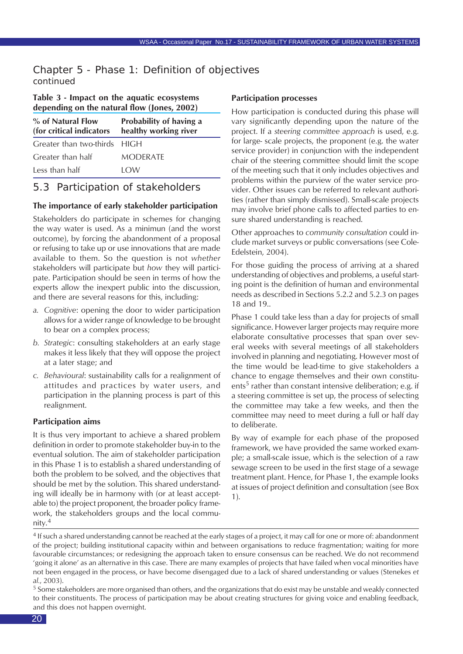## <span id="page-19-0"></span>Chapter 5 - Phase 1: Definition of objectives *continued*

#### **Table 3 - Impact on the aquatic ecosystems depending on the natural flow (Jones, 2002)**

| % of Natural Flow<br>(for critical indicators) | Probability of having a<br>healthy working river |
|------------------------------------------------|--------------------------------------------------|
| Greater than two-thirds HIGH                   |                                                  |
| Greater than half                              | <b>MODERATE</b>                                  |
| Less than half                                 | I OW                                             |

## 5.3 Participation of stakeholders

#### **The importance of early stakeholder participation**

Stakeholders do participate in schemes for changing the way water is used. As a minimun (and the worst outcome), by forcing the abandonment of a proposal or refusing to take up or use innovations that are made available to them. So the question is not *whether* stakeholders will participate but *how* they will participate. Participation should be seen in terms of how the experts allow the inexpert public into the discussion, and there are several reasons for this, including:

- *a. Cognitive*: opening the door to wider participation allows for a wider range of knowledge to be brought to bear on a complex process;
- *b. Strategic*: consulting stakeholders at an early stage makes it less likely that they will oppose the project at a later stage; and
- *c. Behavioural*: sustainability calls for a realignment of attitudes and practices by water users, and participation in the planning process is part of this realignment.

#### **Participation aims**

It is thus very important to achieve a shared problem definition in order to promote stakeholder buy-in to the eventual solution. The aim of stakeholder participation in this Phase 1 is to establish a shared understanding of both the problem to be solved, and the objectives that should be met by the solution. This shared understanding will ideally be in harmony with (or at least acceptable to) the project proponent, the broader policy framework, the stakeholders groups and the local community.<sup>4</sup>

#### **Participation processes**

How participation is conducted during this phase will vary significantly depending upon the nature of the project. If a *steering committee approach* is used, e.g. for large- scale projects, the proponent (e.g. the water service provider) in conjunction with the independent chair of the steering committee should limit the scope of the meeting such that it only includes objectives and problems within the purview of the water service provider. Other issues can be referred to relevant authorities (rather than simply dismissed). Small-scale projects may involve brief phone calls to affected parties to ensure shared understanding is reached.

Other approaches to *community consultation* could include market surveys or public conversations (see Cole-Edelstein, 2004).

For those guiding the process of arriving at a shared understanding of objectives and problems, a useful starting point is the definition of human and environmental needs as described in Sections 5.2.2 and 5.2.3 on pages 18 and 19..

Phase 1 could take less than a day for projects of small significance. However larger projects may require more elaborate consultative processes that span over several weeks with several meetings of all stakeholders involved in planning and negotiating. However most of the time would be lead-time to give stakeholders a chance to engage themselves and their own constituents<sup>5</sup> rather than constant intensive deliberation; e.g. if a steering committee is set up, the process of selecting the committee may take a few weeks, and then the committee may need to meet during a full or half day to deliberate.

By way of example for each phase of the proposed framework, we have provided the same worked example; a small-scale issue, which is the selection of a raw sewage screen to be used in the first stage of a sewage treatment plant. Hence, for Phase 1, the example looks at issues of project definition and consultation (see Box 1).

<sup>4</sup> If such a shared understanding cannot be reached at the early stages of a project, it may call for one or more of: abandonment of the project; building institutional capacity within and between organisations to reduce fragmentation; waiting for more favourable circumstances; or redesigning the approach taken to ensure consensus can be reached. We do not recommend 'going it alone' as an alternative in this case. There are many examples of projects that have failed when vocal minorities have not been engaged in the process, or have become disengaged due to a lack of shared understanding or values (Stenekes *et al.*, 2003).

<sup>&</sup>lt;sup>5</sup> Some stakeholders are more organised than others, and the organizations that do exist may be unstable and weakly connected to their constituents. The process of participation may be about creating structures for giving voice and enabling feedback, and this does not happen overnight.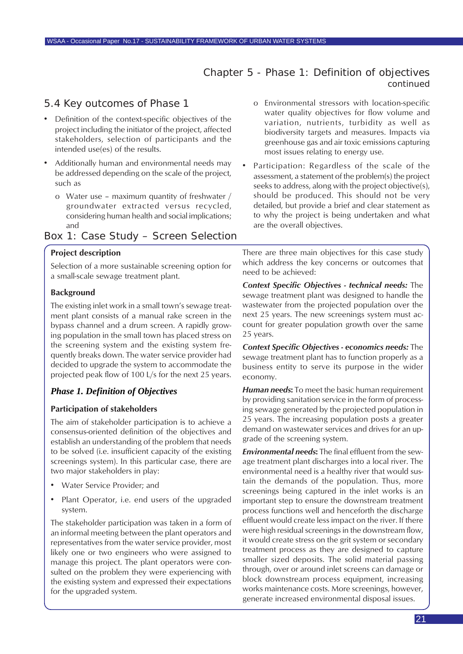## Chapter 5 - Phase 1: Definition of objectives *continued*

## <span id="page-20-0"></span>5.4 Key outcomes of Phase 1

- Definition of the context-specific objectives of the project including the initiator of the project, affected stakeholders, selection of participants and the intended use(es) of the results.
- Additionally human and environmental needs may be addressed depending on the scale of the project, such as
	- o Water use maximum quantity of freshwater / groundwater extracted versus recycled, considering human health and social implications; and

### Box 1: Case Study – Screen Selection

#### **Project description**

Selection of a more sustainable screening option for a small-scale sewage treatment plant.

#### **Background**

The existing inlet work in a small town's sewage treatment plant consists of a manual rake screen in the bypass channel and a drum screen. A rapidly growing population in the small town has placed stress on the screening system and the existing system frequently breaks down. The water service provider had decided to upgrade the system to accommodate the projected peak flow of 100 L/s for the next 25 years.

#### *Phase 1. Definition of Objectives*

#### **Participation of stakeholders**

The aim of stakeholder participation is to achieve a consensus-oriented definition of the objectives and establish an understanding of the problem that needs to be solved (i.e. insufficient capacity of the existing screenings system). In this particular case, there are two major stakeholders in play:

- Water Service Provider; and
- Plant Operator, i.e. end users of the upgraded system.

The stakeholder participation was taken in a form of an informal meeting between the plant operators and representatives from the water service provider, most likely one or two engineers who were assigned to manage this project. The plant operators were consulted on the problem they were experiencing with the existing system and expressed their expectations for the upgraded system.

- o Environmental stressors with location-specific water quality objectives for flow volume and variation, nutrients, turbidity as well as biodiversity targets and measures. Impacts via greenhouse gas and air toxic emissions capturing most issues relating to energy use.
- Participation: Regardless of the scale of the assessment, a statement of the problem(s) the project seeks to address, along with the project objective(s), should be produced. This should not be very detailed, but provide a brief and clear statement as to why the project is being undertaken and what are the overall objectives.

There are three main objectives for this case study which address the key concerns or outcomes that need to be achieved:

*Context Specific Objectives - technical needs:* The sewage treatment plant was designed to handle the wastewater from the projected population over the next 25 years. The new screenings system must account for greater population growth over the same 25 years.

*Context Specific Objectives - economics needs:* The sewage treatment plant has to function properly as a business entity to serve its purpose in the wider economy.

*Human needs***:** To meet the basic human requirement by providing sanitation service in the form of processing sewage generated by the projected population in 25 years. The increasing population posts a greater demand on wastewater services and drives for an upgrade of the screening system.

*Environmental needs***:** The final effluent from the sewage treatment plant discharges into a local river. The environmental need is a healthy river that would sustain the demands of the population. Thus, more screenings being captured in the inlet works is an important step to ensure the downstream treatment process functions well and henceforth the discharge effluent would create less impact on the river. If there were high residual screenings in the downstream flow, it would create stress on the grit system or secondary treatment process as they are designed to capture smaller sized deposits. The solid material passing through, over or around inlet screens can damage or block downstream process equipment, increasing works maintenance costs. More screenings, however, generate increased environmental disposal issues.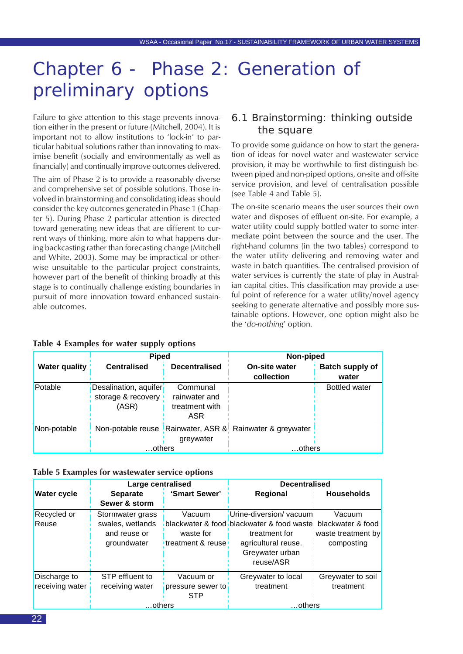## <span id="page-21-0"></span>Chapter 6 - Phase 2: Generation of preliminary options

Failure to give attention to this stage prevents innovation either in the present or future (Mitchell, 2004). It is important not to allow institutions to 'lock-in' to particular habitual solutions rather than innovating to maximise benefit (socially and environmentally as well as financially) and continually improve outcomes delivered.

The aim of Phase 2 is to provide a reasonably diverse and comprehensive set of possible solutions. Those involved in brainstorming and consolidating ideas should consider the key outcomes generated in Phase 1 (Chapter 5). During Phase 2 particular attention is directed toward generating new ideas that are different to current ways of thinking, more akin to what happens during backcasting rather than forecasting change (Mitchell and White, 2003). Some may be impractical or otherwise unsuitable to the particular project constraints, however part of the benefit of thinking broadly at this stage is to continually challenge existing boundaries in pursuit of more innovation toward enhanced sustainable outcomes.

### 6.1 Brainstorming: thinking outside the square

To provide some guidance on how to start the generation of ideas for novel water and wastewater service provision, it may be worthwhile to first distinguish between piped and non-piped options, on-site and off-site service provision, and level of centralisation possible (see Table 4 and Table 5).

The on-site scenario means the user sources their own water and disposes of effluent on-site. For example, a water utility could supply bottled water to some intermediate point between the source and the user. The right-hand columns (in the two tables) correspond to the water utility delivering and removing water and waste in batch quantities. The centralised provision of water services is currently the state of play in Australian capital cities. This classification may provide a useful point of reference for a water utility/novel agency seeking to generate alternative and possibly more sustainable options. However, one option might also be the '*do-nothing*' option.

|                      | <b>Piped</b>                                |                           | Non-piped                                                |                                 |
|----------------------|---------------------------------------------|---------------------------|----------------------------------------------------------|---------------------------------|
| <b>Water quality</b> | <b>Centralised</b>                          | <b>Decentralised</b>      | <b>On-site water</b><br>collection                       | <b>Batch supply of</b><br>water |
| Potable              | Desalination, aquifer<br>storage & recovery | Communal<br>rainwater and |                                                          | <b>Bottled water</b>            |
|                      | (ASR)                                       | treatment with            |                                                          |                                 |
|                      |                                             | ASR                       |                                                          |                                 |
| Non-potable          |                                             |                           | Non-potable reuse Rainwater, ASR & Rainwater & greywater |                                 |
|                      |                                             | greywater                 |                                                          |                                 |
|                      | …others                                     |                           | …others                                                  |                                 |

#### **Table 4 Examples for water supply options**

|  |  |  |  |  |  |  |  |  |  | Table 5 Examples for wastewater service options |
|--|--|--|--|--|--|--|--|--|--|-------------------------------------------------|
|--|--|--|--|--|--|--|--|--|--|-------------------------------------------------|

|                    | Large centralised |                   | <b>Decentralised</b>                                         |                    |
|--------------------|-------------------|-------------------|--------------------------------------------------------------|--------------------|
| <b>Water cycle</b> | <b>Separate</b>   | 'Smart Sewer'     | Regional                                                     | <b>Households</b>  |
|                    | Sewer & storm     |                   |                                                              |                    |
| Recycled or        | Stormwater grass  | Vacuum            | Urine-diversion/vacuum                                       | Vacuum             |
| Reuse              | swales, wetlands  |                   | blackwater & food blackwater & food waste, blackwater & food |                    |
|                    | and reuse or      | waste for         | treatment for                                                | waste treatment by |
|                    | groundwater       | treatment & reuse | agricultural reuse.                                          | composting         |
|                    |                   |                   | Greywater urban                                              |                    |
|                    |                   |                   | reuse/ASR                                                    |                    |
| Discharge to       | STP effluent to   | Vacuum or         | Greywater to local                                           | Greywater to soil  |
| receiving water    | receiving water   | pressure sewer to | treatment                                                    | treatment          |
|                    |                   | <b>STP</b>        |                                                              |                    |
|                    | …others           |                   | .others                                                      |                    |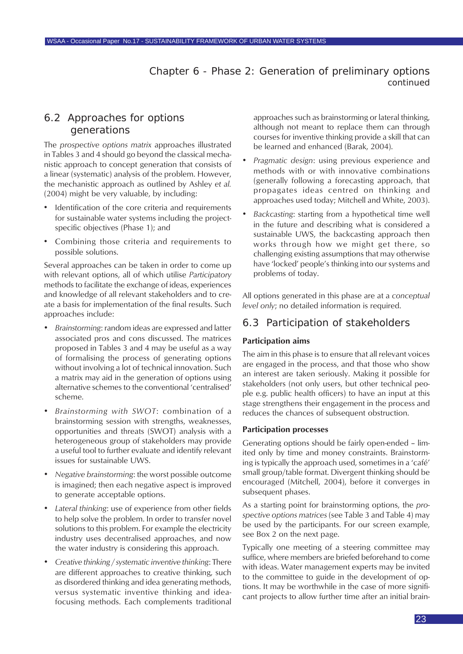Chapter 6 - Phase 2: Generation of preliminary options *continued*

## <span id="page-22-0"></span>6.2 Approaches for options generations

The *prospective options matrix* approaches illustrated in Tables 3 and 4 should go beyond the classical mechanistic approach to concept generation that consists of a linear (systematic) analysis of the problem. However, the mechanistic approach as outlined by Ashley *et al.* (2004) might be very valuable, by including:

- Identification of the core criteria and requirements for sustainable water systems including the projectspecific objectives (Phase 1); and
- Combining those criteria and requirements to possible solutions.

Several approaches can be taken in order to come up with relevant options, all of which utilise *Participatory* methods to facilitate the exchange of ideas, experiences and knowledge of all relevant stakeholders and to create a basis for implementation of the final results. Such approaches include:

- *• Brainstorming*: random ideas are expressed and latter associated pros and cons discussed. The matrices proposed in Tables 3 and 4 may be useful as a way of formalising the process of generating options without involving a lot of technical innovation. Such a matrix may aid in the generation of options using alternative schemes to the conventional 'centralised' scheme.
- *• Brainstorming with SWOT*: combination of a brainstorming session with strengths, weaknesses, opportunities and threats (SWOT) analysis with a heterogeneous group of stakeholders may provide a useful tool to further evaluate and identify relevant issues for sustainable UWS.
- *• Negative brainstorming*: the worst possible outcome is imagined; then each negative aspect is improved to generate acceptable options.
- *• Lateral thinking*: use of experience from other fields to help solve the problem. In order to transfer novel solutions to this problem. For example the electricity industry uses decentralised approaches, and now the water industry is considering this approach.
- *• Creative thinking / systematic inventive thinking*: There are different approaches to creative thinking, such as disordered thinking and idea generating methods, versus systematic inventive thinking and ideafocusing methods. Each complements traditional

approaches such as brainstorming or lateral thinking, although not meant to replace them can through courses for inventive thinking provide a skill that can be learned and enhanced (Barak, 2004).

- *• Pragmatic design*: using previous experience and methods with or with innovative combinations (generally following a forecasting approach, that propagates ideas centred on thinking and approaches used today; Mitchell and White, 2003).
- *• Backcasting*: starting from a hypothetical time well in the future and describing what is considered a sustainable UWS, the backcasting approach then works through how we might get there, so challenging existing assumptions that may otherwise have 'locked' people's thinking into our systems and problems of today.

All options generated in this phase are at a *conceptual level only*; no detailed information is required.

### 6.3 Participation of stakeholders

#### **Participation aims**

The aim in this phase is to ensure that all relevant voices are engaged in the process, and that those who show an interest are taken seriously. Making it possible for stakeholders (not only users, but other technical people e.g. public health officers) to have an input at this stage strengthens their engagement in the process and reduces the chances of subsequent obstruction.

#### **Participation processes**

Generating options should be fairly open-ended – limited only by time and money constraints. Brainstorming is typically the approach used, sometimes in a 'café' small group/table format. Divergent thinking should be encouraged (Mitchell, 2004), before it converges in subsequent phases.

As a starting point for brainstorming options, the *prospective options matrices* (see Table 3 and Table 4) may be used by the participants. For our screen example, see Box 2 on the next page.

Typically one meeting of a steering committee may suffice, where members are briefed beforehand to come with ideas. Water management experts may be invited to the committee to guide in the development of options. It may be worthwhile in the case of more significant projects to allow further time after an initial brain-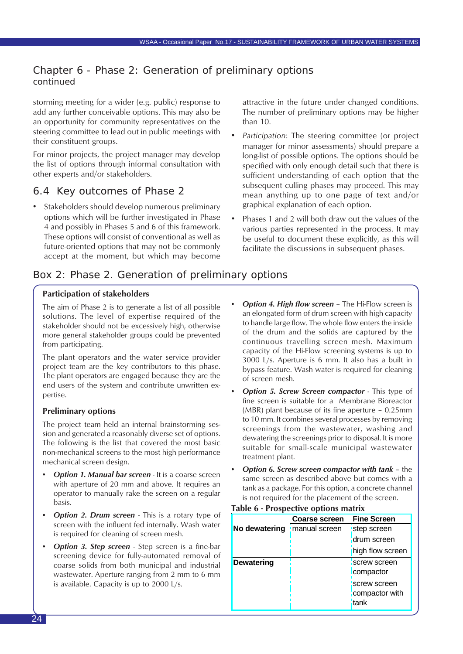## <span id="page-23-0"></span>Chapter 6 - Phase 2: Generation of preliminary options *continued*

storming meeting for a wider (e.g. public) response to add any further conceivable options. This may also be an opportunity for community representatives on the steering committee to lead out in public meetings with their constituent groups.

For minor projects, the project manager may develop the list of options through informal consultation with other experts and/or stakeholders.

## 6.4 Key outcomes of Phase 2

• Stakeholders should develop numerous preliminary options which will be further investigated in Phase 4 and possibly in Phases 5 and 6 of this framework. These options will consist of conventional as well as future-oriented options that may not be commonly accept at the moment, but which may become attractive in the future under changed conditions. The number of preliminary options may be higher than 10.

- *Participation*: The steering committee (or project manager for minor assessments) should prepare a long-list of possible options. The options should be specified with only enough detail such that there is sufficient understanding of each option that the subsequent culling phases may proceed. This may mean anything up to one page of text and/or graphical explanation of each option.
- Phases 1 and 2 will both draw out the values of the various parties represented in the process. It may be useful to document these explicitly, as this will facilitate the discussions in subsequent phases.

## Box 2: Phase 2. Generation of preliminary options

#### **Participation of stakeholders**

The aim of Phase 2 is to generate a list of all possible solutions. The level of expertise required of the stakeholder should not be excessively high, otherwise more general stakeholder groups could be prevented from participating.

The plant operators and the water service provider project team are the key contributors to this phase. The plant operators are engaged because they are the end users of the system and contribute unwritten expertise.

#### **Preliminary options**

The project team held an internal brainstorming session and generated a reasonably diverse set of options. The following is the list that covered the most basic non-mechanical screens to the most high performance mechanical screen design.

- *Option 1. Manual bar screen* It is a coarse screen with aperture of 20 mm and above. It requires an operator to manually rake the screen on a regular basis.
- *Option 2. Drum screen* This is a rotary type of screen with the influent fed internally. Wash water is required for cleaning of screen mesh.
- *Option 3. Step screen* Step screen is a fine-bar screening device for fully-automated removal of coarse solids from both municipal and industrial wastewater. Aperture ranging from 2 mm to 6 mm is available. Capacity is up to 2000 L/s.
- *• Option 4. High flow screen* The Hi-Flow screen is an elongated form of drum screen with high capacity to handle large flow. The whole flow enters the inside of the drum and the solids are captured by the continuous travelling screen mesh. Maximum capacity of the Hi-Flow screening systems is up to 3000 L/s. Aperture is 6 mm. It also has a built in bypass feature. Wash water is required for cleaning of screen mesh.
- *Option 5. Screw Screen compactor* This type of fine screen is suitable for a Membrane Bioreactor (MBR) plant because of its fine aperture – 0.25mm to 10 mm. It combines several processes by removing screenings from the wastewater, washing and dewatering the screenings prior to disposal. It is more suitable for small-scale municipal wastewater treatment plant.
- *• Option 6. Screw screen compactor with tank* the same screen as described above but comes with a tank as a package. For this option, a concrete channel is not required for the placement of the screen.

| Table 6 - Prospective options matrix |                      |                    |  |  |  |
|--------------------------------------|----------------------|--------------------|--|--|--|
|                                      | <b>Coarse screen</b> | <b>Fine Screen</b> |  |  |  |
| No dewatering                        | manual screen        | step screen        |  |  |  |
|                                      |                      | drum screen        |  |  |  |
|                                      |                      | high flow screen   |  |  |  |
| <b>Dewatering</b>                    |                      | screw screen       |  |  |  |
|                                      |                      | compactor          |  |  |  |
|                                      |                      | screw screen       |  |  |  |
|                                      |                      | compactor with     |  |  |  |
|                                      |                      | tank               |  |  |  |
|                                      |                      |                    |  |  |  |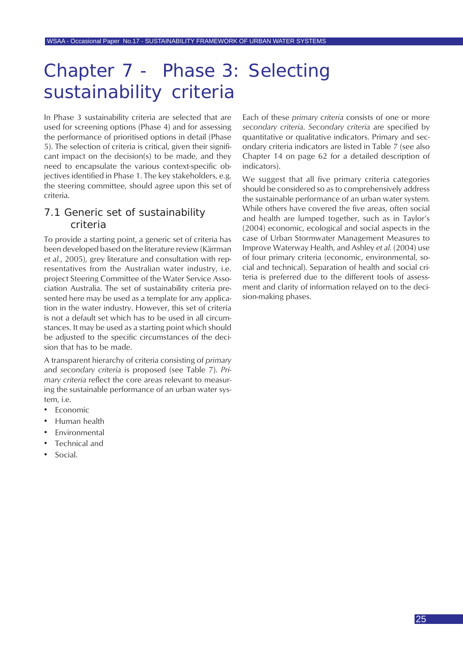<span id="page-24-0"></span>In Phase 3 sustainability criteria are selected that are used for screening options (Phase 4) and for assessing the performance of prioritised options in detail (Phase 5). The selection of criteria is critical, given their significant impact on the decision(s) to be made, and they need to encapsulate the various context-specific objectives identified in Phase 1. The key stakeholders, e.g. the steering committee, should agree upon this set of criteria.

## 7.1 Generic set of sustainability criteria

To provide a starting point, a generic set of criteria has been developed based on the literature review (Kärrman *et al.*, 2005), grey literature and consultation with representatives from the Australian water industry, i.e. project Steering Committee of the Water Service Association Australia. The set of sustainability criteria presented here may be used as a template for any application in the water industry. However, this set of criteria is not a default set which has to be used in all circumstances. It may be used as a starting point which should be adjusted to the specific circumstances of the decision that has to be made.

A transparent hierarchy of criteria consisting of *primary* and *secondary criteria* is proposed (see Table 7). *Primary criteria* reflect the core areas relevant to measuring the sustainable performance of an urban water system, i.e.

- **Economic**
- Human health
- **Fnvironmental**
- Technical and
- Social.

Each of these *primary criteria* consists of one or more *secondary criteria*. *Secondary criteria* are specified by quantitative or qualitative indicators. Primary and secondary criteria indicators are listed in Table 7 (see also Chapter 14 on page 62 for a detailed description of indicators).

We suggest that all five primary criteria categories should be considered so as to comprehensively address the sustainable performance of an urban water system. While others have covered the five areas, often social and health are lumped together, such as in Taylor's (2004) economic, ecological and social aspects in the case of Urban Stormwater Management Measures to Improve Waterway Health, and Ashley *et al.* (2004) use of four primary criteria (economic, environmental, social and technical). Separation of health and social criteria is preferred due to the different tools of assessment and clarity of information relayed on to the decision-making phases.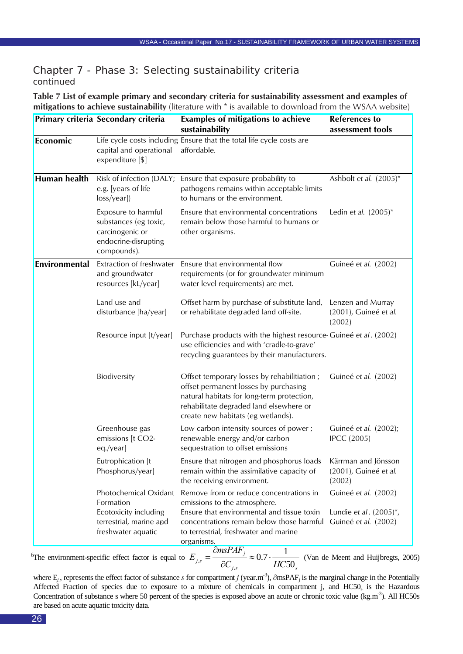**Table 7 List of example primary and secondary criteria for sustainability assessment and examples of mitigations to achieve sustainability** (literature with \* is available to download from the WSAA website)

|                     | Primary criteria Secondary criteria                                                                          | <b>Examples of mitigations to achieve</b><br>sustainability                                                                                                                                                                                    | <b>References to</b><br>assessment tools                                     |
|---------------------|--------------------------------------------------------------------------------------------------------------|------------------------------------------------------------------------------------------------------------------------------------------------------------------------------------------------------------------------------------------------|------------------------------------------------------------------------------|
| Economic            | capital and operational<br>expenditure [\$]                                                                  | Life cycle costs including Ensure that the total life cycle costs are<br>affordable.                                                                                                                                                           |                                                                              |
| <b>Human health</b> | Risk of infection (DALY;<br>e.g. [years of life<br>$loss/year$ )                                             | Ensure that exposure probability to<br>pathogens remains within acceptable limits<br>to humans or the environment.                                                                                                                             | Ashbolt et al. $(2005)^*$                                                    |
|                     | Exposure to harmful<br>substances (eg toxic,<br>carcinogenic or<br>endocrine-disrupting<br>compounds).       | Ensure that environmental concentrations<br>remain below those harmful to humans or<br>other organisms.                                                                                                                                        | Ledin et al. $(2005)^*$                                                      |
| Environmental       | Extraction of freshwater<br>and groundwater<br>resources [kL/year]                                           | Ensure that environmental flow<br>requirements (or for groundwater minimum<br>water level requirements) are met.                                                                                                                               | Guineé et al. (2002)                                                         |
|                     | Land use and<br>disturbance [ha/year]                                                                        | Offset harm by purchase of substitute land,<br>or rehabilitate degraded land off-site.                                                                                                                                                         | Lenzen and Murray<br>(2001), Guineé et al.<br>(2002)                         |
|                     | Resource input [t/year]                                                                                      | Purchase products with the highest resource- Guineé et al. (2002)<br>use efficiencies and with 'cradle-to-grave'<br>recycling guarantees by their manufacturers.                                                                               |                                                                              |
|                     | Biodiversity                                                                                                 | Offset temporary losses by rehabilitiation;<br>offset permanent losses by purchasing<br>natural habitats for long-term protection,<br>rehabilitate degraded land elsewhere or<br>create new habitats (eg wetlands).                            | Guineé et al. (2002)                                                         |
|                     | Greenhouse gas<br>emissions [t CO2-<br>eq./year]                                                             | Low carbon intensity sources of power;<br>renewable energy and/or carbon<br>sequestration to offset emissions                                                                                                                                  | Guineé et al. (2002);<br><b>IPCC</b> (2005)                                  |
|                     | Eutrophication [t<br>Phosphorus/year]                                                                        | Ensure that nitrogen and phosphorus loads  Kärrman and Jönsson<br>remain within the assimilative capacity of<br>the receiving environment.                                                                                                     | (2001), Guineé et al.<br>(2002)                                              |
|                     | Photochemical Oxidant<br>Formation<br>Ecotoxicity including<br>terrestrial, marine and<br>freshwater aquatic | Remove from or reduce concentrations in<br>emissions to the atmosphere.<br>Ensure that environmental and tissue toxin<br>concentrations remain below those harmful<br>to terrestrial, freshwater and marine<br>organisms.<br>$\partial$ msPAF, | Guineé et al. (2002)<br>Lundie et al. $(2005)^{*}$ ,<br>Guineé et al. (2002) |

The environment-specific effect factor is equal to  $\iint_S$  **i**  $\iint_S$   $\iint_S$ *j*  $\partial C_{iS}$   $\sim$  0.1  $\partial$  *HC E* 50  $0.7 \cdot \frac{1}{10.5}$  $_{s} = \frac{\delta m \sin \frac{1}{2}m}{\delta C_{j,s}} \approx 0.7$ <sup>6</sup>The environment-specific effect factor is equal to  $E_{i,s} = \frac{\partial m s P A F_j}{\partial s} \approx 0.7 \cdot \frac{1}{\sqrt{1 - \frac{1}{2}} \sqrt{1 - \frac{1}{2}} \sqrt{1 - \frac{1}{2}} \sqrt{1 - \frac{1}{2}} \sqrt{1 - \frac{1}{2}} \sqrt{1 - \frac{1}{2}} \sqrt{1 - \frac{1}{2}} \sqrt{1 - \frac{1}{2}} \sqrt{1 - \frac{1}{2}} \sqrt{1 - \frac{1}{2}} \sqrt{1 - \frac{1}{2}}$ 

where E<sub>*is*</sub> represents the effect factor of substance *s* for compartment *j* (year.m<sup>-3</sup>), ∂msPAF<sub>i</sub> is the marginal change in the Potentially Affected Fraction of species due to exposure to a mixture of chemicals in compartment j, and HC50<sub>s</sub> is the Hazardous Concentration of substance s where 50 percent of the species is exposed above an acute or chronic toxic value (kg.m<sup>-3</sup>). All HC50s are based on acute aquatic toxicity data.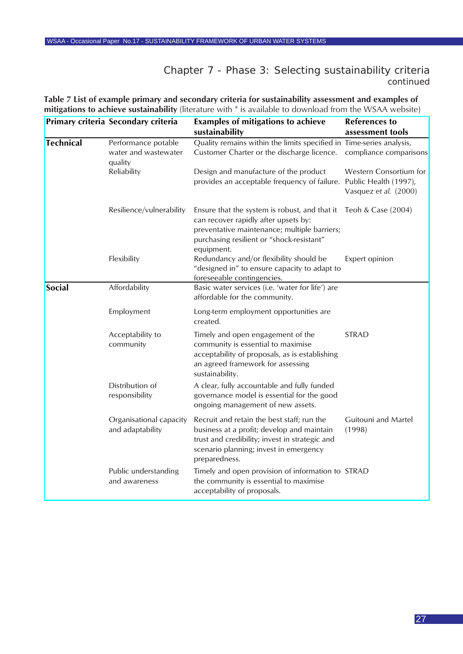**Table 7 List of example primary and secondary criteria for sustainability assessment and examples of mitigations to achieve sustainability** (literature with \* is available to download from the WSAA website)

|                  | Primary criteria Secondary criteria                    | <b>Examples of mitigations to achieve</b><br>sustainability                                                                                                                                                           | <b>References to</b><br>assessment tools        |
|------------------|--------------------------------------------------------|-----------------------------------------------------------------------------------------------------------------------------------------------------------------------------------------------------------------------|-------------------------------------------------|
| <b>Technical</b> | Performance potable<br>water and wastewater<br>quality | Quality remains within the limits specified in Time-series analysis,<br>Customer Charter or the discharge licence.                                                                                                    | compliance comparisons                          |
|                  | Reliability                                            | Design and manufacture of the product<br>provides an acceptable frequency of failure. Public Health (1997),                                                                                                           | Western Consortium for<br>Vasquez et al. (2000) |
|                  | Resilience/vulnerability                               | Ensure that the system is robust, and that it Teoh & Case $(2004)$<br>can recover rapidly after upsets by:<br>preventative maintenance; multiple barriers;<br>purchasing resilient or "shock-resistant"<br>equipment. |                                                 |
|                  | Flexibility                                            | Redundancy and/or flexibility should be<br>"designed in" to ensure capacity to adapt to<br>foreseeable contingencies.                                                                                                 | Expert opinion                                  |
| Social           | Affordability                                          | Basic water services (i.e. 'water for life') are<br>affordable for the community.                                                                                                                                     |                                                 |
|                  | Employment                                             | Long-term employment opportunities are<br>created.                                                                                                                                                                    |                                                 |
|                  | Acceptability to<br>community                          | Timely and open engagement of the<br>community is essential to maximise<br>acceptability of proposals, as is establishing<br>an agreed framework for assessing<br>sustainability.                                     | <b>STRAD</b>                                    |
|                  | Distribution of<br>responsibility                      | A clear, fully accountable and fully funded<br>governance model is essential for the good<br>ongoing management of new assets.                                                                                        |                                                 |
|                  | Organisational capacity<br>and adaptability            | Recruit and retain the best staff; run the<br>business at a profit; develop and maintain<br>trust and credibility; invest in strategic and<br>scenario planning; invest in emergency<br>preparedness.                 | Guitouni and Martel<br>(1998)                   |
|                  | Public understanding<br>and awareness                  | Timely and open provision of information to STRAD<br>the community is essential to maximise<br>acceptability of proposals.                                                                                            |                                                 |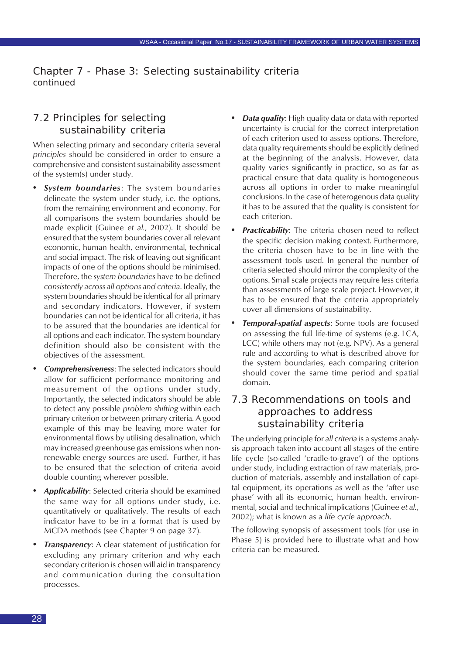## <span id="page-27-0"></span>7.2 Principles for selecting sustainability criteria

When selecting primary and secondary criteria several *principles* should be considered in order to ensure a comprehensive and consistent sustainability assessment of the system(s) under study.

- **System boundaries:** The system boundaries delineate the system under study, i.e. the options, from the remaining environment and economy. For all comparisons the system boundaries should be made explicit (Guinee *et al.*, 2002). It should be ensured that the system boundaries cover all relevant economic, human health, environmental, technical and social impact. The risk of leaving out significant impacts of one of the options should be minimised. Therefore, the *system boundaries* have to be defined *consistently across all options and criteria*. Ideally, the system boundaries should be identical for all primary and secondary indicators. However, if system boundaries can not be identical for all criteria, it has to be assured that the boundaries are identical for all options and each indicator. The system boundary definition should also be consistent with the objectives of the assessment.
- *• Comprehensiveness*: The selected indicators should allow for sufficient performance monitoring and measurement of the options under study. Importantly, the selected indicators should be able to detect any possible *problem shifting* within each primary criterion or between primary criteria. A good example of this may be leaving more water for environmental flows by utilising desalination, which may increased greenhouse gas emissions when nonrenewable energy sources are used. Further, it has to be ensured that the selection of criteria avoid double counting wherever possible.
- *• Applicability*: Selected criteria should be examined the same way for all options under study, i.e. quantitatively or qualitatively. The results of each indicator have to be in a format that is used by MCDA methods (see Chapter 9 on page 37).
- *Transparency:* A clear statement of justification for excluding any primary criterion and why each secondary criterion is chosen will aid in transparency and communication during the consultation processes.
- *• Data quality*: High quality data or data with reported uncertainty is crucial for the correct interpretation of each criterion used to assess options. Therefore, data quality requirements should be explicitly defined at the beginning of the analysis. However, data quality varies significantly in practice, so as far as practical ensure that data quality is homogeneous across all options in order to make meaningful conclusions. In the case of heterogenous data quality it has to be assured that the quality is consistent for each criterion.
- *Practicability*: The criteria chosen need to reflect the specific decision making context. Furthermore, the criteria chosen have to be in line with the assessment tools used. In general the number of criteria selected should mirror the complexity of the options. Small scale projects may require less criteria than assessments of large scale project. However, it has to be ensured that the criteria appropriately cover all dimensions of sustainability.
- *• Temporal-spatial aspects*: Some tools are focused on assessing the full life-time of systems (e.g. LCA, LCC) while others may not (e.g. NPV). As a general rule and according to what is described above for the system boundaries, each comparing criterion should cover the same time period and spatial domain.

## 7.3 Recommendations on tools and approaches to address sustainability criteria

The underlying principle for *all criteria* is a systems analysis approach taken into account all stages of the entire life cycle (so-called 'cradle-to-grave') of the options under study, including extraction of raw materials, production of materials, assembly and installation of capital equipment, its operations as well as the 'after use phase' with all its economic, human health, environmental, social and technical implications (Guinee *et al.*, 2002); what is known as a *life cycle approach*.

The following synopsis of assessment tools (for use in Phase 5) is provided here to illustrate what and how criteria can be measured.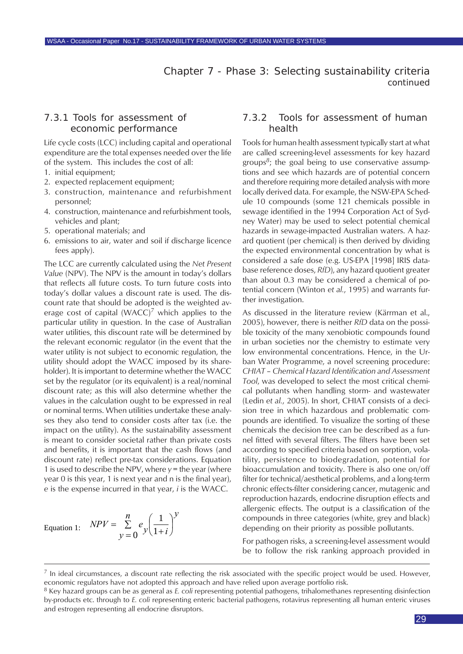#### 7.3.1 Tools for assessment of economic performance

Life cycle costs (LCC) including capital and operational expenditure are the total expenses needed over the life of the system. This includes the cost of all:

- 1. initial equipment;
- 2. expected replacement equipment;
- 3. construction, maintenance and refurbishment personnel;
- 4. construction, maintenance and refurbishment tools, vehicles and plant;
- 5. operational materials; and
- 6. emissions to air, water and soil if discharge licence fees apply).

The LCC are currently calculated using the *Net Present Value* (NPV). The NPV is the amount in today's dollars that reflects all future costs. To turn future costs into today's dollar values a discount rate is used. The discount rate that should be adopted is the weighted average cost of capital (WACC)<sup>7</sup> which applies to the particular utility in question. In the case of Australian water utilities, this discount rate will be determined by the relevant economic regulator (in the event that the water utility is not subject to economic regulation, the utility should adopt the WACC imposed by its shareholder). It is important to determine whether the WACC set by the regulator (or its equivalent) is a real/nominal discount rate; as this will also determine whether the values in the calculation ought to be expressed in real or nominal terms. When utilities undertake these analyses they also tend to consider costs after tax (i.e. the impact on the utility). As the sustainability assessment is meant to consider societal rather than private costs and benefits, it is important that the cash flows (and discount rate) reflect pre-tax considerations. Equation 1 is used to describe the NPV, where *y* = the year (where year 0 is this year, 1 is next year and n is the final year), *e* is the expense incurred in that year, *i* is the WACC.

Equation 1: 
$$
NPV = \sum_{y=0}^{n} e_y \left(\frac{1}{1+i}\right)^y
$$

#### 7.3.2 Tools for assessment of human health

Tools for human health assessment typically start at what are called screening-level assessments for key hazard groups*8*; the goal being to use conservative assumptions and see which hazards are of potential concern and therefore requiring more detailed analysis with more locally derived data. For example, the NSW-EPA Schedule 10 compounds (some 121 chemicals possible in sewage identified in the 1994 Corporation Act of Sydney Water) may be used to select potential chemical hazards in sewage-impacted Australian waters. A hazard quotient (per chemical) is then derived by dividing the expected environmental concentration by what is considered a safe dose (e.g. US-EPA [1998] IRIS database reference doses, *RfD*), any hazard quotient greater than about 0.3 may be considered a chemical of potential concern (Winton *et al.*, 1995) and warrants further investigation.

As discussed in the literature review (Kärrman et al., 2005), however, there is neither *RfD* data on the possible toxicity of the many xenobiotic compounds found in urban societies nor the chemistry to estimate very low environmental concentrations. Hence, in the Urban Water Programme, a novel screening procedure: *CHIAT – Chemical Hazard Identification and Assessment Tool*, was developed to select the most critical chemical pollutants when handling storm- and wastewater (Ledin *et al.*, 2005). In short, CHIAT consists of a decision tree in which hazardous and problematic compounds are identified. To visualize the sorting of these chemicals the decision tree can be described as a funnel fitted with several filters. The filters have been set according to specified criteria based on sorption, volatility, persistence to biodegradation, potential for bioaccumulation and toxicity. There is also one on/off filter for technical/aesthetical problems, and a long-term chronic effects-filter considering cancer, mutagenic and reproduction hazards, endocrine disruption effects and allergenic effects. The output is a classification of the compounds in three categories (white, grey and black) depending on their priority as possible pollutants.

For pathogen risks, a screening-level assessment would be to follow the risk ranking approach provided in

 $<sup>7</sup>$  In ideal circumstances, a discount rate reflecting the risk associated with the specific project would be used. However,</sup> economic regulators have not adopted this approach and have relied upon average portfolio risk.

<sup>8</sup> Key hazard groups can be as general as *E. coli* representing potential pathogens, trihalomethanes representing disinfection by-products etc. through to *E. coli* representing enteric bacterial pathogens, rotavirus representing all human enteric viruses and estrogen representing all endocrine disruptors.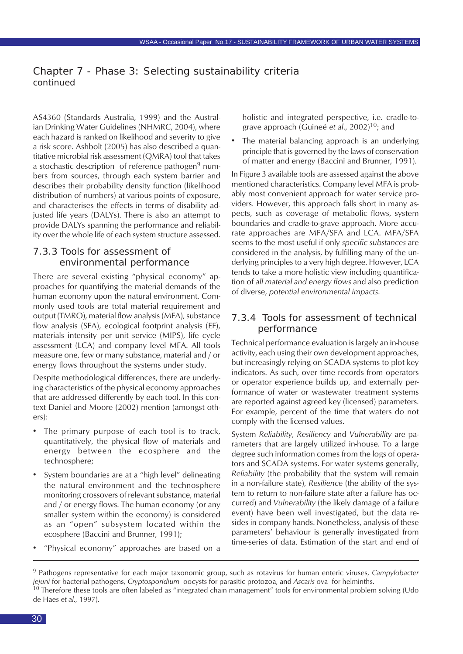AS4360 (Standards Australia, 1999) and the Australian Drinking Water Guidelines (NHMRC, 2004), where each hazard is ranked on likelihood and severity to give a risk score. Ashbolt (2005) has also described a quantitative microbial risk assessment (QMRA) tool that takes a stochastic description of reference pathogen<sup>9</sup> numbers from sources, through each system barrier and describes their probability density function (likelihood distribution of numbers) at various points of exposure, and characterises the effects in terms of disability adjusted life years (DALYs). There is also an attempt to provide DALYs spanning the performance and reliability over the whole life of each system structure assessed.

## 7.3.3 Tools for assessment of environmental performance

There are several existing "physical economy" approaches for quantifying the material demands of the human economy upon the natural environment. Commonly used tools are total material requirement and output (TMRO), material flow analysis (MFA), substance flow analysis (SFA), ecological footprint analysis (EF), materials intensity per unit service (MIPS), life cycle assessment (LCA) and company level MFA. All tools measure one, few or many substance, material and / or energy flows throughout the systems under study.

Despite methodological differences, there are underlying characteristics of the physical economy approaches that are addressed differently by each tool. In this context Daniel and Moore (2002) mention (amongst others):

- The primary purpose of each tool is to track, quantitatively, the physical flow of materials and energy between the ecosphere and the technosphere;
- System boundaries are at a "high level" delineating the natural environment and the technosphere monitoring crossovers of relevant substance, material and / or energy flows. The human economy (or any smaller system within the economy) is considered as an "open" subsystem located within the ecosphere (Baccini and Brunner, 1991);
- "Physical economy" approaches are based on a

holistic and integrated perspective, i.e. cradle-tograve approach (Guineé *et al*., 2002)10; and

The material balancing approach is an underlying principle that is governed by the laws of conservation of matter and energy (Baccini and Brunner, 1991).

In Figure 3 available tools are assessed against the above mentioned characteristics. Company level MFA is probably most convenient approach for water service providers. However, this approach falls short in many aspects, such as coverage of metabolic flows, system boundaries and cradle-to-grave approach. More accurate approaches are MFA/SFA and LCA. MFA/SFA seems to the most useful if only *specific substances* are considered in the analysis, by fulfilling many of the underlying principles to a very high degree. However, LCA tends to take a more holistic view including quantification of *all material and energy flows* and also prediction of diverse, *potential environmental impacts*.

#### 7.3.4 Tools for assessment of technical performance

Technical performance evaluation is largely an in-house activity, each using their own development approaches, but increasingly relying on SCADA systems to plot key indicators. As such, over time records from operators or operator experience builds up, and externally performance of water or wastewater treatment systems are reported against agreed key (licensed) parameters. For example, percent of the time that waters do not comply with the licensed values.

System *Reliability*, *Resiliency* and *Vulnerability* are parameters that are largely utilized in-house. To a large degree such information comes from the logs of operators and SCADA systems. For water systems generally, *Reliability* (the probability that the system will remain in a non-failure state), *Resilience* (the ability of the system to return to non-failure state after a failure has occurred) and *Vulnerability* (the likely damage of a failure event) have been well investigated, but the data resides in company hands. Nonetheless, analysis of these parameters' behaviour is generally investigated from time-series of data. Estimation of the start and end of

<sup>9</sup> Pathogens representative for each major taxonomic group, such as rotavirus for human enteric viruses, *Campylobacter jejuni* for bacterial pathogens, *Cryptosporidium* oocysts for parasitic protozoa, and *Ascaris* ova for helminths.  $10$  Therefore these tools are often labeled as "integrated chain management" tools for environmental problem solving (Udo de Haes *et al*., 1997).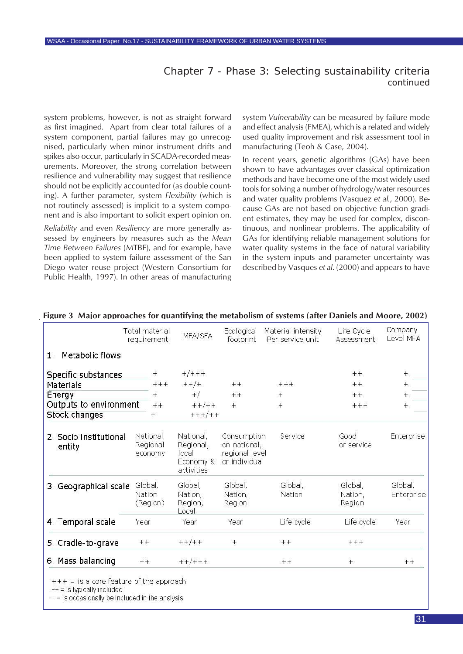system problems, however, is not as straight forward as first imagined. Apart from clear total failures of a system component, partial failures may go unrecognised, particularly when minor instrument drifts and spikes also occur, particularly in SCADA-recorded measurements. Moreover, the strong correlation between resilience and vulnerability may suggest that resilience should not be explicitly accounted for (as double counting). A further parameter, system *Flexibility* (which is not routinely assessed) is implicit to a system component and is also important to solicit expert opinion on.

*Reliability* and even *Resiliency* are more generally assessed by engineers by measures such as the *Mean Time Between Failures* (MTBF), and for example, have been applied to system failure assessment of the San Diego water reuse project (Western Consortium for Public Health, 1997). In other areas of manufacturing system *Vulnerability* can be measured by failure mode and effect analysis (FMEA), which is a related and widely used quality improvement and risk assessment tool in manufacturing (Teoh & Case, 2004).

In recent years, genetic algorithms (GAs) have been shown to have advantages over classical optimization methods and have become one of the most widely used tools for solving a number of hydrology/water resources and water quality problems (Vasquez *et al.*, 2000). Because GAs are not based on objective function gradient estimates, they may be used for complex, discontinuous, and nonlinear problems. The applicability of GAs for identifying reliable management solutions for water quality systems in the face of natural variability in the system inputs and parameter uncertainty was described by Vasques *et al*. (2000) and appears to have

|                                          | Total material<br>requirement    | MFA/SFA                                                    | Ecological<br>footprint                                        | Material intensity<br>Per service unit | Life Cycle<br><b>Assessment</b> | Company<br>Level MFA  |
|------------------------------------------|----------------------------------|------------------------------------------------------------|----------------------------------------------------------------|----------------------------------------|---------------------------------|-----------------------|
| Metabolic flows<br>$1 -$                 |                                  |                                                            |                                                                |                                        |                                 |                       |
| Specific substances                      | $^{+}$                           | $+/+++$                                                    |                                                                |                                        | $++$                            | $+$                   |
| Materials                                | $+++$                            | $++/+$                                                     | $++$                                                           | $+++$                                  | $++$                            | $+$                   |
| Energy                                   | $+$                              | $+$ /                                                      | $+ +$                                                          | $+$                                    | $++$                            | $+$                   |
| Outputs to environment<br>Stock changes  | $++$<br>$+$                      | $+ +/ + +$<br>$+ + +/ + +$                                 | $+$                                                            | $^{+}$                                 | $+++$                           | $^{+}$                |
| 2. Socio institutional<br>entity         | National,<br>Regional<br>economy | National,<br>Regional,<br>local<br>Economy &<br>activities | Consumption<br>on national,<br>regional level<br>or individual | Service                                | Good<br>or service              | Enterprise            |
| 3. Geographical scale                    | Global,<br>Nation<br>(Region)    | Global,<br>Nation,<br>Region,<br>$_{\text{local}}$         | Global,<br>Nation,<br>Region                                   | Global,<br>Nation                      | Global,<br>Nation,<br>Region    | Global,<br>Enterprise |
| 4. Temporal scale                        | Year                             | Year                                                       | Year                                                           | Life cycle                             | Life cycle                      | Year                  |
| 5. Cradle-to-grave                       | $++$                             | $+$ + $/$ + +                                              | $+$                                                            | $+ +$                                  | $+++$                           |                       |
| 6. Mass balancing                        | $++$                             | $++/++$                                                    |                                                                | $++$                                   | $+$                             | $++$                  |
| $++$ = is a core feature of the approach |                                  |                                                            |                                                                |                                        |                                 |                       |

#### **Figure 3 Major approaches for quantifying the metabolism of systems (after Daniels and Moore, 2002)**

++ = is typically included

+ = is occasionally be included in the analysis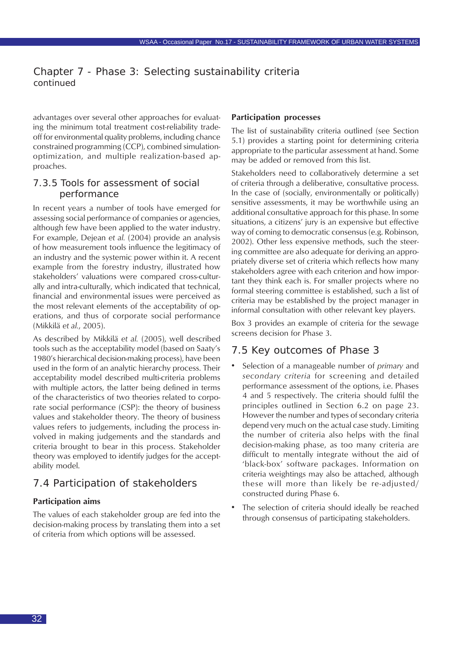<span id="page-31-0"></span>advantages over several other approaches for evaluating the minimum total treatment cost-reliability tradeoff for environmental quality problems, including chance constrained programming (CCP), combined simulationoptimization, and multiple realization-based approaches.

### 7.3.5 Tools for assessment of social performance

In recent years a number of tools have emerged for assessing social performance of companies or agencies, although few have been applied to the water industry. For example, Dejean *et al.* (2004) provide an analysis of how measurement tools influence the legitimacy of an industry and the systemic power within it. A recent example from the forestry industry, illustrated how stakeholders' valuations were compared cross-culturally and intra-culturally, which indicated that technical, financial and environmental issues were perceived as the most relevant elements of the acceptability of operations, and thus of corporate social performance (Mikkilä *et al.*, 2005).

As described by Mikkilä *et al.* (2005), well described tools such as the acceptability model (based on Saaty's 1980's hierarchical decision-making process), have been used in the form of an analytic hierarchy process. Their acceptability model described multi-criteria problems with multiple actors, the latter being defined in terms of the characteristics of two theories related to corporate social performance (CSP): the theory of business values and stakeholder theory. The theory of business values refers to judgements, including the process involved in making judgements and the standards and criteria brought to bear in this process. Stakeholder theory was employed to identify judges for the acceptability model.

## 7.4 Participation of stakeholders

#### **Participation aims**

The values of each stakeholder group are fed into the decision-making process by translating them into a set of criteria from which options will be assessed.

#### **Participation processes**

The list of sustainability criteria outlined (see Section 5.1) provides a starting point for determining criteria appropriate to the particular assessment at hand. Some may be added or removed from this list.

Stakeholders need to collaboratively determine a set of criteria through a deliberative, consultative process. In the case of (socially, environmentally or politically) sensitive assessments, it may be worthwhile using an additional consultative approach for this phase. In some situations, a citizens' jury is an expensive but effective way of coming to democratic consensus (e.g. Robinson, 2002). Other less expensive methods, such the steering committee are also adequate for deriving an appropriately diverse set of criteria which reflects how many stakeholders agree with each criterion and how important they think each is. For smaller projects where no formal steering committee is established, such a list of criteria may be established by the project manager in informal consultation with other relevant key players.

Box 3 provides an example of criteria for the sewage screens decision for Phase 3.

#### 7.5 Key outcomes of Phase 3

- Selection of a manageable number of *primary* and *secondary criteria* for screening and detailed performance assessment of the options, i.e. Phases 4 and 5 respectively. The criteria should fulfil the principles outlined in Section 6.2 on page 23. However the number and types of secondary criteria depend very much on the actual case study. Limiting the number of criteria also helps with the final decision-making phase, as too many criteria are difficult to mentally integrate without the aid of 'black-box' software packages. Information on criteria weightings may also be attached, although these will more than likely be re-adjusted/ constructed during Phase 6.
- The selection of criteria should ideally be reached through consensus of participating stakeholders.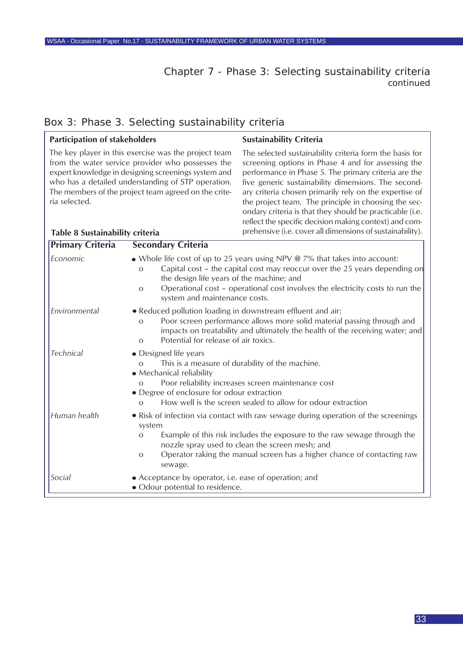**Sustainability Criteria**

## Box 3: Phase 3. Selecting sustainability criteria

**Participation of stakeholders**

| ria selected.<br>Table 8 Sustainability criteria | The key player in this exercise was the project team<br>from the water service provider who possesses the<br>expert knowledge in designing screenings system and<br>who has a detailed understanding of STP operation.<br>The members of the project team agreed on the crite-                                                                         | The selected sustainability criteria form the basis for<br>screening options in Phase 4 and for assessing the<br>performance in Phase 5. The primary criteria are the<br>five generic sustainability dimensions. The second-<br>ary criteria chosen primarily rely on the expertise of<br>the project team. The principle in choosing the sec-<br>ondary criteria is that they should be practicable (i.e.<br>reflect the specific decision making context) and com-<br>prehensive (i.e. cover all dimensions of sustainability). |  |  |  |
|--------------------------------------------------|--------------------------------------------------------------------------------------------------------------------------------------------------------------------------------------------------------------------------------------------------------------------------------------------------------------------------------------------------------|-----------------------------------------------------------------------------------------------------------------------------------------------------------------------------------------------------------------------------------------------------------------------------------------------------------------------------------------------------------------------------------------------------------------------------------------------------------------------------------------------------------------------------------|--|--|--|
| <b>Primary Criteria</b>                          | <b>Secondary Criteria</b>                                                                                                                                                                                                                                                                                                                              |                                                                                                                                                                                                                                                                                                                                                                                                                                                                                                                                   |  |  |  |
| Economic                                         | • Whole life cost of up to 25 years using NPV $\omega$ 7% that takes into account:<br>Capital cost - the capital cost may reoccur over the 25 years depending on<br>$\Omega$<br>the design life years of the machine; and<br>Operational cost - operational cost involves the electricity costs to run the<br>$\circ$<br>system and maintenance costs. |                                                                                                                                                                                                                                                                                                                                                                                                                                                                                                                                   |  |  |  |
| Environmental                                    | • Reduced pollution loading in downstream effluent and air:<br>Poor screen performance allows more solid material passing through and<br>$\circ$<br>impacts on treatability and ultimately the health of the receiving water; and<br>Potential for release of air toxics.<br>$\circ$                                                                   |                                                                                                                                                                                                                                                                                                                                                                                                                                                                                                                                   |  |  |  |
| <b>Technical</b>                                 | • Designed life years<br>$\Omega$<br>• Mechanical reliability<br>$\Omega$<br>• Degree of enclosure for odour extraction<br>$\Omega$                                                                                                                                                                                                                    | This is a measure of durability of the machine.<br>Poor reliability increases screen maintenance cost<br>How well is the screen sealed to allow for odour extraction                                                                                                                                                                                                                                                                                                                                                              |  |  |  |
| Human health                                     | system<br>$\mathbf O$<br>$\circ$<br>sewage.                                                                                                                                                                                                                                                                                                            | • Risk of infection via contact with raw sewage during operation of the screenings<br>Example of this risk includes the exposure to the raw sewage through the<br>nozzle spray used to clean the screen mesh; and<br>Operator raking the manual screen has a higher chance of contacting raw                                                                                                                                                                                                                                      |  |  |  |
| Social                                           | • Acceptance by operator, i.e. ease of operation; and<br>· Odour potential to residence.                                                                                                                                                                                                                                                               |                                                                                                                                                                                                                                                                                                                                                                                                                                                                                                                                   |  |  |  |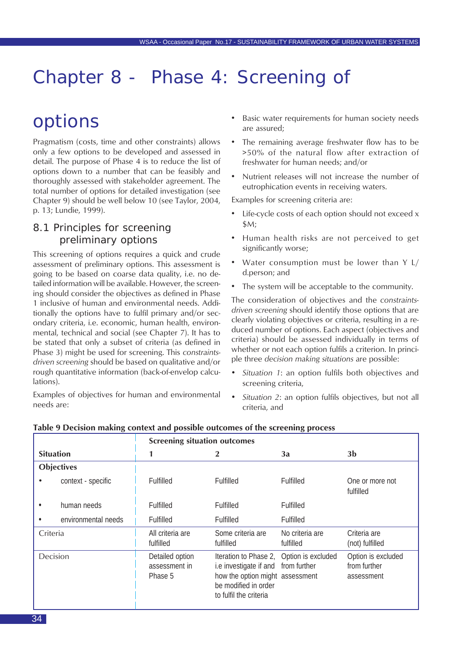## <span id="page-33-0"></span>Chapter 8 - Phase 4: Screening of

## options

Pragmatism (costs, time and other constraints) allows only a few options to be developed and assessed in detail. The purpose of Phase 4 is to reduce the list of options down to a number that can be feasibly and thoroughly assessed with stakeholder agreement. The total number of options for detailed investigation (see Chapter 9) should be well below 10 (see Taylor, 2004, p. 13; Lundie, 1999).

## 8.1 Principles for screening preliminary options

This screening of options requires a quick and crude assessment of preliminary options. This assessment is going to be based on coarse data quality, i.e. no detailed information will be available. However, the screening should consider the objectives as defined in Phase 1 inclusive of human and environmental needs. Additionally the options have to fulfil primary and/or secondary criteria, i.e. economic, human health, environmental, technical and social (see Chapter 7). It has to be stated that only a subset of criteria (as defined in Phase 3) might be used for screening. This *constraintsdriven screening* should be based on qualitative and/or rough quantitative information (back-of-envelop calculations).

Examples of objectives for human and environmental needs are:

- Basic water requirements for human society needs are assured;
- The remaining average freshwater flow has to be >50% of the natural flow after extraction of freshwater for human needs; and/or
- Nutrient releases will not increase the number of eutrophication events in receiving waters.

Examples for screening criteria are:

- Life-cycle costs of each option should not exceed x \$M;
- Human health risks are not perceived to get significantly worse;
- Water consumption must be lower than  $Y L/$ d.person; and
- The system will be acceptable to the community.

The consideration of objectives and the *constraintsdriven screening* should identify those options that are clearly violating objectives or criteria, resulting in a reduced number of options. Each aspect (objectives and criteria) should be assessed individually in terms of whether or not each option fulfils a criterion. In principle three *decision making situations* are possible:

- *• Situation 1*: an option fulfils both objectives and screening criteria,
- *• Situation 2*: an option fulfils objectives, but not all criteria, and

|                   |                     | <b>Screening situation outcomes</b>         |                                                                                                                                                                      |                              |                                                  |  |
|-------------------|---------------------|---------------------------------------------|----------------------------------------------------------------------------------------------------------------------------------------------------------------------|------------------------------|--------------------------------------------------|--|
| <b>Situation</b>  |                     |                                             |                                                                                                                                                                      | 3a                           | 3 <sub>b</sub>                                   |  |
| <b>Objectives</b> |                     |                                             |                                                                                                                                                                      |                              |                                                  |  |
|                   | context - specific  | Fulfilled                                   | Fulfilled                                                                                                                                                            | Fulfilled                    | One or more not<br>fulfilled                     |  |
|                   | human needs         | Fulfilled                                   | Fulfilled                                                                                                                                                            | Fulfilled                    |                                                  |  |
|                   | environmental needs | Fulfilled                                   | Fulfilled                                                                                                                                                            | Fulfilled                    |                                                  |  |
| Criteria          |                     | All criteria are<br>fulfilled               | Some criteria are<br>fulfilled                                                                                                                                       | No criteria are<br>fulfilled | Criteria are<br>(not) fulfilled                  |  |
| Decision          |                     | Detailed option<br>assessment in<br>Phase 5 | Iteration to Phase 2, Option is excluded<br>i.e investigate if and from further<br>how the option might assessment<br>be modified in order<br>to fulfil the criteria |                              | Option is excluded<br>from further<br>assessment |  |

#### **Table 9 Decision making context and possible outcomes of the screening process**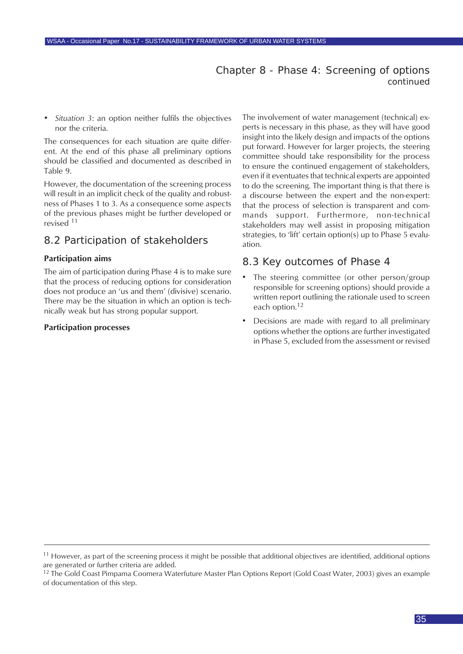### Chapter 8 - Phase 4: Screening of options *continued*

<span id="page-34-0"></span>*• Situation 3*: an option neither fulfils the objectives nor the criteria.

The consequences for each situation are quite different. At the end of this phase all preliminary options should be classified and documented as described in Table 9.

However, the documentation of the screening process will result in an implicit check of the quality and robustness of Phases 1 to 3. As a consequence some aspects of the previous phases might be further developed or revised <sup>11</sup>

## 8.2 Participation of stakeholders

#### **Participation aims**

The aim of participation during Phase 4 is to make sure that the process of reducing options for consideration does not produce an 'us and them' (divisive) scenario. There may be the situation in which an option is technically weak but has strong popular support.

#### **Participation processes**

The involvement of water management (technical) experts is necessary in this phase, as they will have good insight into the likely design and impacts of the options put forward. However for larger projects, the steering committee should take responsibility for the process to ensure the continued engagement of stakeholders, even if it eventuates that technical experts are appointed to do the screening. The important thing is that there is a discourse between the expert and the non-expert: that the process of selection is transparent and commands support. Furthermore, non-technical stakeholders may well assist in proposing mitigation strategies, to 'lift' certain option(s) up to Phase 5 evaluation.

#### 8.3 Key outcomes of Phase 4

- The steering committee (or other person/group responsible for screening options) should provide a written report outlining the rationale used to screen each option.<sup>12</sup>
- Decisions are made with regard to all preliminary options whether the options are further investigated in Phase 5, excluded from the assessment or revised

 $11$  However, as part of the screening process it might be possible that additional objectives are identified, additional options are generated or further criteria are added.

<sup>&</sup>lt;sup>12</sup> The Gold Coast Pimpama Coomera Waterfuture Master Plan Options Report (Gold Coast Water, 2003) gives an example of documentation of this step.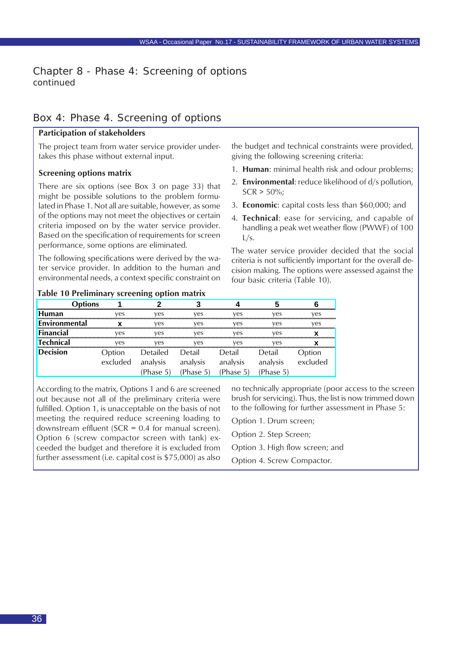### Chapter 8 - Phase 4: Screening of options *continued*

### Box 4: Phase 4. Screening of options

#### **Participation of stakeholders**

The project team from water service provider undertakes this phase without external input.

#### **Screening options matrix**

There are six options (see Box 3 on page 33) that might be possible solutions to the problem formulated in Phase 1. Not all are suitable, however, as some of the options may not meet the objectives or certain criteria imposed on by the water service provider. Based on the specification of requirements for screen performance, some options are eliminated.

The following specifications were derived by the water service provider. In addition to the human and environmental needs, a context specific constraint on

the budget and technical constraints were provided, giving the following screening criteria:

- 1. **Human**: minimal health risk and odour problems;
- 2. **Environmental**: reduce likelihood of d/s pollution,  $SCR > 50\%$ ;
- 3. **Economic**: capital costs less than \$60,000; and
- 4. **Technical**: ease for servicing, and capable of handling a peak wet weather flow (PWWF) of 100  $L/s$ .

The water service provider decided that the social criteria is not sufficiently important for the overall decision making. The options were assessed against the four basic criteria (Table 10).

#### **Table 10 Preliminary screening option matrix**

| tions         |          |                 |           |           |           |          |
|---------------|----------|-----------------|-----------|-----------|-----------|----------|
| <b>Human</b>  | ves      | ves             | ves       | ves       | ves       | ves      |
| Environmental |          | ves             | ves       | ves       | ves       | ves      |
| Financial     | ves      | ves             | ves       | ves       | ves       |          |
| Technical     | ves      | ves             | ves       | ves       | ves       |          |
| Decision      | Option   | Detailed Detail |           | Detail    | Detail    | ption    |
|               | excluded | analysis        | analysis  | analysis  | analysis  | excluded |
|               |          | (Phase 5)       | (Phase 5) | (Phase 5) | (Phase 5) |          |

According to the matrix, Options 1 and 6 are screened out because not all of the preliminary criteria were fulfilled. Option 1, is unacceptable on the basis of not meeting the required reduce screening loading to downstream effluent (SCR =  $0.4$  for manual screen). Option 6 (screw compactor screen with tank) exceeded the budget and therefore it is excluded from further assessment (i.e. capital cost is \$75,000) as also no technically appropriate (poor access to the screen brush for servicing). Thus, the list is now trimmed down to the following for further assessment in Phase 5:

Option 1. Drum screen;

Option 2. Step Screen;

Option 3. High flow screen; and

Option 4. Screw Compactor.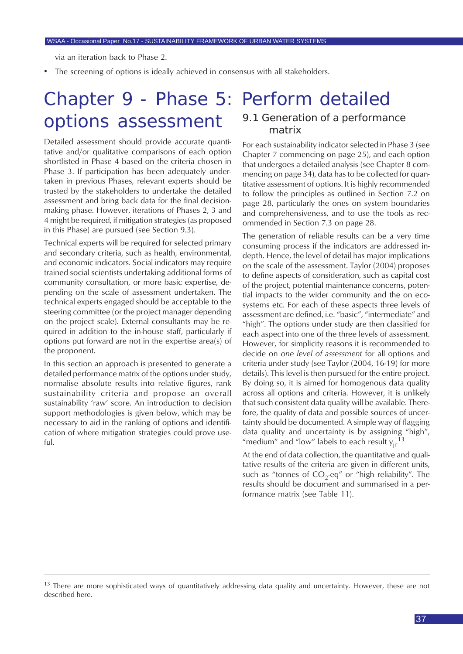via an iteration back to Phase 2.

The screening of options is ideally achieved in consensus with all stakeholders.

## Chapter 9 - Phase 5: Perform detailed options assessment

Detailed assessment should provide accurate quantitative and/or qualitative comparisons of each option shortlisted in Phase 4 based on the criteria chosen in Phase 3. If participation has been adequately undertaken in previous Phases, relevant experts should be trusted by the stakeholders to undertake the detailed assessment and bring back data for the final decisionmaking phase. However, iterations of Phases 2, 3 and 4 might be required, if mitigation strategies (as proposed in this Phase) are pursued (see Section 9.3).

Technical experts will be required for selected primary and secondary criteria, such as health, environmental, and economic indicators. Social indicators may require trained social scientists undertaking additional forms of community consultation, or more basic expertise, depending on the scale of assessment undertaken. The technical experts engaged should be acceptable to the steering committee (or the project manager depending on the project scale). External consultants may be required in addition to the in-house staff, particularly if options put forward are not in the expertise area(s) of the proponent.

In this section an approach is presented to generate a detailed performance matrix of the options under study, normalise absolute results into relative figures, rank sustainability criteria and propose an overall sustainability 'raw' score. An introduction to decision support methodologies is given below, which may be necessary to aid in the ranking of options and identification of where mitigation strategies could prove useful.

#### 9.1 Generation of a performance matrix

For each sustainability indicator selected in Phase 3 (see Chapter 7 commencing on page 25), and each option that undergoes a detailed analysis (see Chapter 8 commencing on page 34), data has to be collected for quantitative assessment of options. It is highly recommended to follow the principles as outlined in Section 7.2 on page 28, particularly the ones on system boundaries and comprehensiveness, and to use the tools as recommended in Section 7.3 on page 28.

The generation of reliable results can be a very time consuming process if the indicators are addressed indepth. Hence, the level of detail has major implications on the scale of the assessment. Taylor (2004) proposes to define aspects of consideration, such as capital cost of the project, potential maintenance concerns, potential impacts to the wider community and the on ecosystems etc. For each of these aspects three levels of assessment are defined, i.e. "basic", "intermediate" and "high". The options under study are then classified for each aspect into one of the three levels of assessment. However, for simplicity reasons it is recommended to decide on *one level of assessment* for all options and criteria under study (see Taylor (2004, 16-19) for more details). This level is then pursued for the entire project. By doing so, it is aimed for homogenous data quality across all options and criteria. However, it is unlikely that such consistent data quality will be available. Therefore, the quality of data and possible sources of uncertainty should be documented. A simple way of flagging data quality and uncertainty is by assigning "high", "medium" and "low" labels to each result  $y_{ji}^{-13}$ 

At the end of data collection, the quantitative and qualitative results of the criteria are given in different units, such as "tonnes of  $CO_2$ -eq" or "high reliability". The results should be document and summarised in a performance matrix (see Table 11).

 $13$  There are more sophisticated ways of quantitatively addressing data quality and uncertainty. However, these are not described here.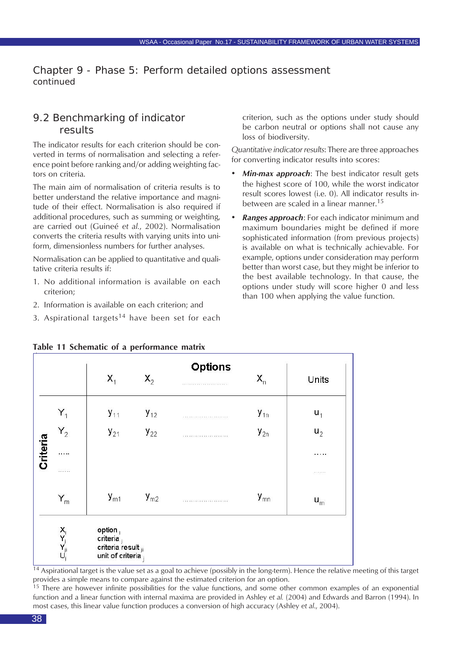### 9.2 Benchmarking of indicator results

The indicator results for each criterion should be converted in terms of normalisation and selecting a reference point before ranking and/or adding weighting factors on criteria.

The main aim of normalisation of criteria results is to better understand the relative importance and magnitude of their effect. Normalisation is also required if additional procedures, such as summing or weighting, are carried out (Guineé *et al.*, 2002). Normalisation converts the criteria results with varying units into uniform, dimensionless numbers for further analyses.

Normalisation can be applied to quantitative and qualitative criteria results if:

- 1. No additional information is available on each criterion;
- 2. Information is available on each criterion; and
- 3. Aspirational targets<sup>14</sup> have been set for each

criterion, such as the options under study should be carbon neutral or options shall not cause any loss of biodiversity.

*Quantitative indicator results*: There are three approaches for converting indicator results into scores:

- *• Min-max approach*: The best indicator result gets the highest score of 100, while the worst indicator result scores lowest (i.e. 0). All indicator results inbetween are scaled in a linear manner.<sup>15</sup>
- *• Ranges approach*: For each indicator minimum and maximum boundaries might be defined if more sophisticated information (from previous projects) is available on what is technically achievable. For example, options under consideration may perform better than worst case, but they might be inferior to the best available technology. In that cause, the options under study will score higher 0 and less than 100 when applying the value function.

|                 |                      | $X_1$                                                             | $X_2$    | <b>Options</b><br>. | $X_{n}$  | Units |
|-----------------|----------------------|-------------------------------------------------------------------|----------|---------------------|----------|-------|
|                 | $\mathsf{Y}_1$       | $y_{11}$                                                          | $y_{12}$ | .                   | $y_{1n}$ | $u_1$ |
|                 | $Y_2$                | $y_{21}$                                                          | $y_{22}$ |                     | $y_{2n}$ | $u_2$ |
| <b>Criteria</b> | .                    |                                                                   |          |                     |          | .     |
|                 | .                    |                                                                   |          |                     |          |       |
|                 | $Y_{m}$              | $y_{m1}$                                                          | $y_{m2}$ |                     | $y_{mn}$ | $u_m$ |
|                 | $C_j^{\mathbf{X}_j}$ | option<br>criteria<br>criteria result $_{ji}$<br>unit of criteria |          |                     |          |       |

#### **Table 11 Schematic of a performance matrix**

 $14$  Aspirational target is the value set as a goal to achieve (possibly in the long-term). Hence the relative meeting of this target provides a simple means to compare against the estimated criterion for an option.

<sup>15</sup> There are however infinite possibilities for the value functions, and some other common examples of an exponential function and a linear function with internal maxima are provided in Ashley *et al.* (2004) and Edwards and Barron (1994). In most cases, this linear value function produces a conversion of high accuracy (Ashley *et al*., 2004).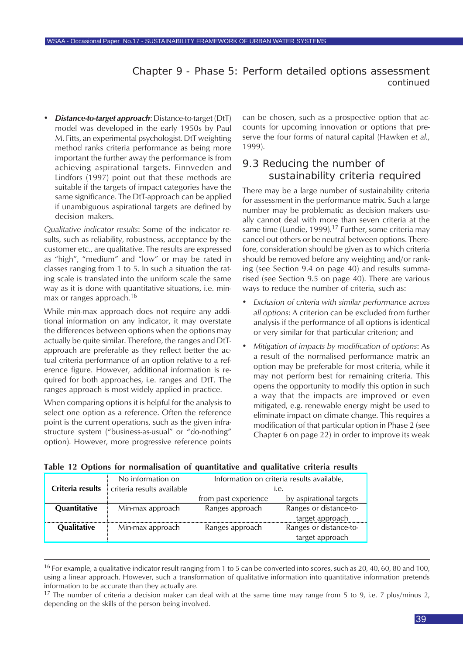*• Distance-to-target approach*: Distance-to-target (DtT) model was developed in the early 1950s by Paul M. Fitts, an experimental psychologist. DtT weighting method ranks criteria performance as being more important the further away the performance is from achieving aspirational targets. Finnveden and Lindfors (1997) point out that these methods are suitable if the targets of impact categories have the same significance. The DtT-approach can be applied if unambiguous aspirational targets are defined by decision makers.

*Qualitative indicator results*: Some of the indicator results, such as reliability, robustness, acceptance by the customer etc., are qualitative. The results are expressed as "high", "medium" and "low" or may be rated in classes ranging from 1 to 5. In such a situation the rating scale is translated into the uniform scale the same way as it is done with quantitative situations, i.e. minmax or ranges approach.<sup>16</sup>

While min-max approach does not require any additional information on any indicator, it may overstate the differences between options when the options may actually be quite similar. Therefore, the ranges and DtTapproach are preferable as they reflect better the actual criteria performance of an option relative to a reference figure. However, additional information is required for both approaches, i.e. ranges and DtT. The ranges approach is most widely applied in practice.

When comparing options it is helpful for the analysis to select one option as a reference. Often the reference point is the current operations, such as the given infrastructure system ("business-as-usual" or "do-nothing" option). However, more progressive reference points can be chosen, such as a prospective option that accounts for upcoming innovation or options that preserve the four forms of natural capital (Hawken *et al.*, 1999).

### 9.3 Reducing the number of sustainability criteria required

There may be a large number of sustainability criteria for assessment in the performance matrix. Such a large number may be problematic as decision makers usually cannot deal with more than seven criteria at the same time (Lundie, 1999).<sup>17</sup> Further, some criteria may cancel out others or be neutral between options. Therefore, consideration should be given as to which criteria should be removed before any weighting and/or ranking (see Section 9.4 on page 40) and results summarised (see Section 9.5 on page 40). There are various ways to reduce the number of criteria, such as:

- *• Exclusion of criteria with similar performance across all options*: A criterion can be excluded from further analysis if the performance of all options is identical or very similar for that particular criterion; and
- *• Mitigation of impacts by modification of options*: As a result of the normalised performance matrix an option may be preferable for most criteria, while it may not perform best for remaining criteria. This opens the opportunity to modify this option in such a way that the impacts are improved or even mitigated, e.g. renewable energy might be used to eliminate impact on climate change. This requires a modification of that particular option in Phase 2 (see Chapter 6 on page 22) in order to improve its weak

|  |  |  |  | Table 12 Options for normalisation of quantitative and qualitative criteria results |  |  |  |  |  |  |
|--|--|--|--|-------------------------------------------------------------------------------------|--|--|--|--|--|--|
|--|--|--|--|-------------------------------------------------------------------------------------|--|--|--|--|--|--|

| Criteria results | No information on<br>criteria results available |                      | Information on criteria results available,<br>ı.e. |
|------------------|-------------------------------------------------|----------------------|----------------------------------------------------|
|                  |                                                 | from past experience | by aspirational targets                            |
| Quantitative     | Min-max approach                                | Ranges approach      | Ranges or distance-to-                             |
|                  |                                                 |                      | target approach                                    |
| Qualitative      | Min-max approach                                | Ranges approach      | Ranges or distance-to-                             |
|                  |                                                 |                      | target approach                                    |

<sup>16</sup> For example, a qualitative indicator result ranging from 1 to 5 can be converted into scores, such as 20, 40, 60, 80 and 100, using a linear approach. However, such a transformation of qualitative information into quantitative information pretends information to be accurate than they actually are.

 $17$  The number of criteria a decision maker can deal with at the same time may range from 5 to 9, i.e. 7 plus/minus 2, depending on the skills of the person being involved.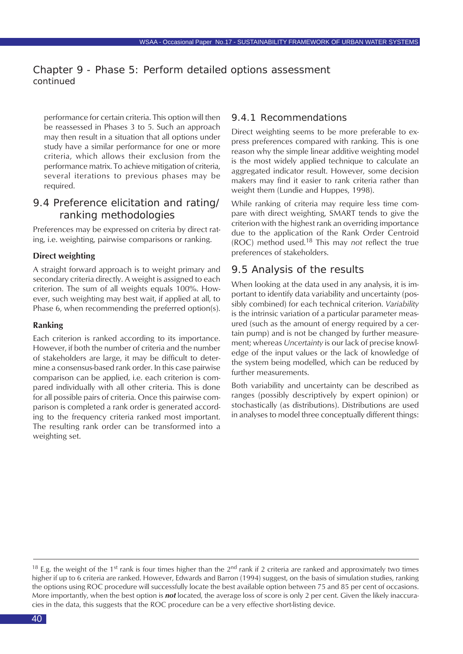performance for certain criteria. This option will then be reassessed in Phases 3 to 5. Such an approach may then result in a situation that all options under study have a similar performance for one or more criteria, which allows their exclusion from the performance matrix. To achieve mitigation of criteria, several iterations to previous phases may be required.

#### 9.4 Preference elicitation and rating/ ranking methodologies

Preferences may be expressed on criteria by direct rating, i.e. weighting, pairwise comparisons or ranking.

#### **Direct weighting**

A straight forward approach is to weight primary and secondary criteria directly. A weight is assigned to each criterion. The sum of all weights equals 100%. However, such weighting may best wait, if applied at all, to Phase 6, when recommending the preferred option(s).

#### **Ranking**

Each criterion is ranked according to its importance. However, if both the number of criteria and the number of stakeholders are large, it may be difficult to determine a consensus-based rank order. In this case pairwise comparison can be applied, i.e. each criterion is compared individually with all other criteria. This is done for all possible pairs of criteria. Once this pairwise comparison is completed a rank order is generated according to the frequency criteria ranked most important. The resulting rank order can be transformed into a weighting set.

#### 9.4.1 Recommendations

Direct weighting seems to be more preferable to express preferences compared with ranking. This is one reason why the simple linear additive weighting model is the most widely applied technique to calculate an aggregated indicator result. However, some decision makers may find it easier to rank criteria rather than weight them (Lundie and Huppes, 1998).

While ranking of criteria may require less time compare with direct weighting, SMART tends to give the criterion with the highest rank an overriding importance due to the application of the Rank Order Centroid (ROC) method used.18 This may *not* reflect the true preferences of stakeholders.

#### 9.5 Analysis of the results

When looking at the data used in any analysis, it is important to identify data variability and uncertainty (possibly combined) for each technical criterion. *Variability* is the intrinsic variation of a particular parameter measured (such as the amount of energy required by a certain pump) and is not be changed by further measurement; whereas *Uncertainty* is our lack of precise knowledge of the input values or the lack of knowledge of the system being modelled, which can be reduced by further measurements.

Both variability and uncertainty can be described as ranges (possibly descriptively by expert opinion) or stochastically (as distributions). Distributions are used in analyses to model three conceptually different things:

<sup>&</sup>lt;sup>18</sup> E.g. the weight of the 1<sup>st</sup> rank is four times higher than the 2<sup>nd</sup> rank if 2 criteria are ranked and approximately two times higher if up to 6 criteria are ranked. However, Edwards and Barron (1994) suggest, on the basis of simulation studies, ranking the options using ROC procedure will successfully locate the best available option between 75 and 85 per cent of occasions. More importantly, when the best option is *not* located, the average loss of score is only 2 per cent. Given the likely inaccuracies in the data, this suggests that the ROC procedure can be a very effective short-listing device.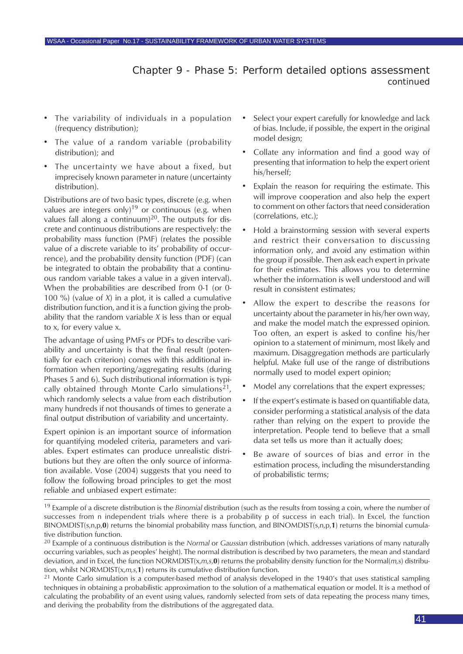- The variability of individuals in a population (frequency distribution);
- The value of a random variable (probability distribution); and
- The uncertainty we have about a fixed, but imprecisely known parameter in nature (uncertainty distribution).

Distributions are of two basic types, discrete (e.g. when values are integers only)<sup>19</sup> or continuous (e.g. when values fall along a continuum)<sup>20</sup>. The outputs for discrete and continuous distributions are respectively: the probability mass function (PMF) (relates the possible value of a discrete variable to its' probability of occurrence), and the probability density function (PDF) (can be integrated to obtain the probability that a continuous random variable takes a value in a given interval). When the probabilities are described from 0-1 (or 0- 100 %) (value of *X*) in a plot, it is called a cumulative distribution function, and it is a function giving the probability that the random variable *X* is less than or equal to x, for every value x.

The advantage of using PMFs or PDFs to describe variability and uncertainty is that the final result (potentially for each criterion) comes with this additional information when reporting/aggregating results (during Phases 5 and 6). Such distributional information is typically obtained through Monte Carlo simulations<sup>21</sup>, which randomly selects a value from each distribution many hundreds if not thousands of times to generate a final output distribution of variability and uncertainty.

Expert opinion is an important source of information for quantifying modeled criteria, parameters and variables. Expert estimates can produce unrealistic distributions but they are often the only source of information available. Vose (2004) suggests that you need to follow the following broad principles to get the most reliable and unbiased expert estimate:

- Select your expert carefully for knowledge and lack of bias. Include, if possible, the expert in the original model design;
- Collate any information and find a good way of presenting that information to help the expert orient his/herself;
- Explain the reason for requiring the estimate. This will improve cooperation and also help the expert to comment on other factors that need consideration (correlations, etc.);
- Hold a brainstorming session with several experts and restrict their conversation to discussing information only, and avoid any estimation within the group if possible. Then ask each expert in private for their estimates. This allows you to determine whether the information is well understood and will result in consistent estimates;
- Allow the expert to describe the reasons for uncertainty about the parameter in his/her own way, and make the model match the expressed opinion. Too often, an expert is asked to confine his/her opinion to a statement of minimum, most likely and maximum. Disaggregation methods are particularly helpful. Make full use of the range of distributions normally used to model expert opinion;
- Model any correlations that the expert expresses;
- If the expert's estimate is based on quantifiable data, consider performing a statistical analysis of the data rather than relying on the expert to provide the interpretation. People tend to believe that a small data set tells us more than it actually does;
- Be aware of sources of bias and error in the estimation process, including the misunderstanding of probabilistic terms;

<sup>19</sup> Example of a discrete distribution is the *Binomial* distribution (such as the results from tossing a coin, where the number of successes from n independent trials where there is a probability p of success in each trial). In Excel, the function BINOMDIST(s,n,p,**0**) returns the binomial probability mass function, and BINOMDIST(s,n,p,**1**) returns the binomial cumulative distribution function.

<sup>20</sup> Example of a continuous distribution is the *Normal* or *Gaussian* distribution (which. addresses variations of many naturally occurring variables, such as peoples' height). The normal distribution is described by two parameters, the mean and standard deviation, and in Excel, the function NORMDIST(x,*m,s*,**0**) returns the probability density function for the Normal(*m,s*) distribution, whilst NORMDIST(x,*m,s*,**1**) returns its cumulative distribution function.

 $21$  Monte Carlo simulation is a computer-based method of analysis developed in the 1940's that uses statistical sampling techniques in obtaining a probabilistic approximation to the solution of a mathematical equation or model. It is a method of calculating the probability of an event using values, randomly selected from sets of data repeating the process many times, and deriving the probability from the distributions of the aggregated data.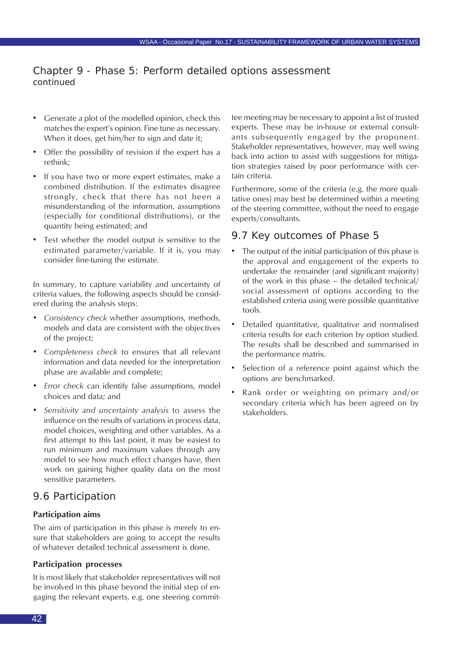- Generate a plot of the modelled opinion, check this matches the expert's opinion. Fine tune as necessary. When it does, get him/her to sign and date it;
- Offer the possibility of revision if the expert has a rethink;
- If you have two or more expert estimates, make a combined distribution. If the estimates disagree strongly, check that there has not been a misunderstanding of the information, assumptions (especially for conditional distributions), or the quantity being estimated; and
- Test whether the model output is sensitive to the estimated parameter/variable. If it is, you may consider fine-tuning the estimate.

In summary, to capture variability and uncertainty of criteria values, the following aspects should be considered during the analysis steps:

- *• Consistency check* whether assumptions, methods, models and data are consistent with the objectives of the project;
- *• Completeness check* to ensures that all relevant information and data needed for the interpretation phase are available and complete;
- *• Error check* can identify false assumptions, model choices and data; and
- *• Sensitivity and uncertainty analysis* to assess the influence on the results of variations in process data, model choices, weighting and other variables. As a first attempt to this last point, it may be easiest to run minimum and maximum values through any model to see how much effect changes have, then work on gaining higher quality data on the most sensitive parameters.

### 9.6 Participation

#### **Participation aims**

The aim of participation in this phase is merely to ensure that stakeholders are going to accept the results of whatever detailed technical assessment is done.

#### **Participation processes**

It is most likely that stakeholder representatives will not be involved in this phase beyond the initial step of engaging the relevant experts, e.g. one steering committee meeting may be necessary to appoint a list of trusted experts. These may be in-house or external consultants subsequently engaged by the proponent. Stakeholder representatives, however, may well swing back into action to assist with suggestions for mitigation strategies raised by poor performance with certain criteria.

Furthermore, some of the criteria (e.g. the more qualitative ones) may best be determined within a meeting of the steering committee, without the need to engage experts/consultants.

#### 9.7 Key outcomes of Phase 5

- The output of the initial participation of this phase is the approval and engagement of the experts to undertake the remainder (and significant majority) of the work in this phase – the detailed technical/ social assessment of options according to the established criteria using were possible quantitative tools.
- Detailed quantitative, qualitative and normalised criteria results for each criterion by option studied. The results shall be described and summarised in the performance matrix.
- Selection of a reference point against which the options are benchmarked.
- Rank order or weighting on primary and/or secondary criteria which has been agreed on by stakeholders.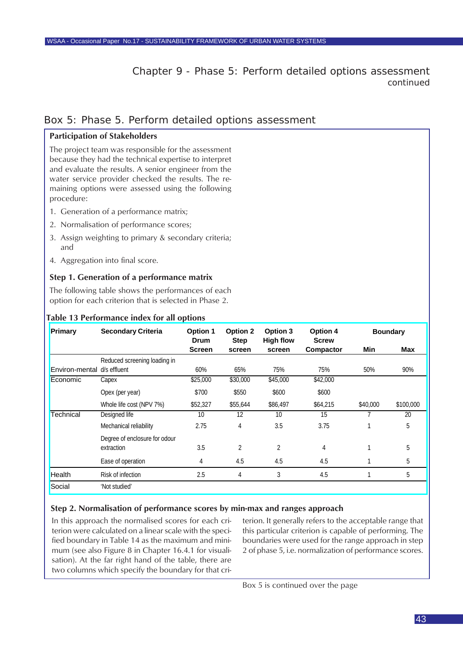#### Box 5: Phase 5. Perform detailed options assessment

#### **Participation of Stakeholders**

The project team was responsible for the assessment because they had the technical expertise to interpret and evaluate the results. A senior engineer from the water service provider checked the results. The remaining options were assessed using the following procedure:

- 1. Generation of a performance matrix;
- 2. Normalisation of performance scores;
- 3. Assign weighting to primary & secondary criteria; and
- 4. Aggregation into final score.

#### **Step 1. Generation of a performance matrix**

The following table shows the performances of each option for each criterion that is selected in Phase 2.

#### **Primary Secondary Criteria Option 1 Option 2 Option 3 Option 4 Drum Screen Step screen High flow screen Screw Compactor Min Max** Environ-mental d/s effluent Reduced screening loading in d/s effluent 60% 65% 75% 75% 50% 90% Economic Capex \$25,000 \$30,000 \$45,000 \$42,000 Opex (per year) \$700 \$550 \$600 \$600 Whole life cost (NPV 7%)  $$52,327$   $$55,644$   $$86,497$   $$64,215$   $$40,000$   $$100,000$ **Technical** Designed life 10 12 10 15 7 20 Mechanical reliability **2.75** 4 3.5 3.75 1 5 Degree of enclosure for odour extraction 3.5 2 2 4 1 5 Ease of operation 1 4 4.5 4.5 4.5 1 5 Health Risk of infection 2.5 4 3 4.5 1 5 Social 'Not studied' **Boundary**

#### **Table 13 Performance index for all options**

#### **Step 2. Normalisation of performance scores by min-max and ranges approach**

In this approach the normalised scores for each criterion were calculated on a linear scale with the specified boundary in Table 14 as the maximum and minimum (see also Figure 8 in Chapter 16.4.1 for visualisation). At the far right hand of the table, there are two columns which specify the boundary for that criterion. It generally refers to the acceptable range that this particular criterion is capable of performing. The boundaries were used for the range approach in step 2 of phase 5, i.e. normalization of performance scores.

Box 5 is continued over the page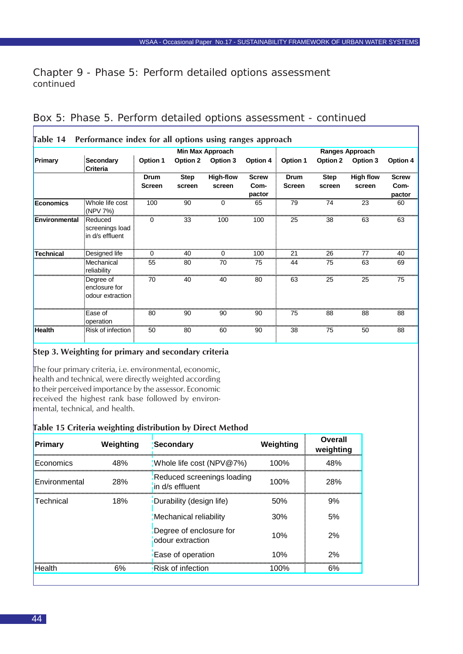|                      |                                                | <b>Min Max Approach</b> |                       |                            |                                |                       |                       | <b>Ranges Approach</b>     |                                |
|----------------------|------------------------------------------------|-------------------------|-----------------------|----------------------------|--------------------------------|-----------------------|-----------------------|----------------------------|--------------------------------|
| Primary              | Secondary<br><b>Criteria</b>                   | Option 1                | <b>Option 2</b>       | Option 3                   | Option 4                       | Option 1              | Option 2              | Option 3                   | Option 4                       |
|                      |                                                | Drum<br><b>Screen</b>   | <b>Step</b><br>screen | <b>High-flow</b><br>screen | <b>Screw</b><br>Com-<br>pactor | Drum<br><b>Screen</b> | <b>Step</b><br>screen | <b>High flow</b><br>screen | <b>Screw</b><br>Com-<br>pactor |
| Economics            | Whole life cost<br>(NPV 7%)                    | 100                     | 90                    | $\Omega$                   | 65                             | 79                    | 74                    | 23                         | 60                             |
| <b>Environmental</b> | Reduced<br>screenings load<br>in d/s effluent  |                         | 33                    | 100                        | 100                            | 25                    | 38                    | 63                         | 63                             |
| Technical            | Designed life                                  |                         | 40                    |                            | 100                            | 21                    | 26                    |                            | 40                             |
|                      | Mechanical<br>reliability                      | 55                      | 80                    | 70                         | 75                             | 44                    | 75                    | 63                         | 69                             |
|                      | Degree of<br>enclosure for<br>odour extraction | 70                      | 40                    | 40                         | 80                             | 63                    | 25                    | 25                         | 75                             |
|                      | Ease of<br>operation                           | 80                      | 90                    | 90                         | 90                             | 75                    | 88                    | 88                         | 88                             |
| <b>Health</b>        | Risk of infection                              | 50                      | 80                    | 60                         | 90                             | 38                    | 75                    | 50                         | 88                             |

### Box 5: Phase 5. Perform detailed options assessment - *continued*

#### **Step 3. Weighting for primary and secondary criteria**

The four primary criteria, i.e. environmental, economic, health and technical, were directly weighted according to their perceived importance by the assessor. Economic received the highest rank base followed by environmental, technical, and health.

#### **Table 15 Criteria weighting distribution by Direct Method**

| Weighting |                                             | Weighting                                                                                                                 | Overall<br>weighting |
|-----------|---------------------------------------------|---------------------------------------------------------------------------------------------------------------------------|----------------------|
| 48%       |                                             | 100%                                                                                                                      | 48%                  |
| 28%       | in d/s effluent                             | 100%                                                                                                                      | 28%                  |
| 18%       |                                             | .50%                                                                                                                      | 9%                   |
|           |                                             | 30%                                                                                                                       | 5%                   |
|           | Degree of enclosure for<br>odour extraction | 10%                                                                                                                       | 2%                   |
|           | Ease of operation                           | 10%                                                                                                                       | 2%                   |
| 6%        | Risk of infection                           | 100%                                                                                                                      | 6%                   |
|           |                                             | Secondary<br>Whole life cost (NPV@7%)<br>Reduced screenings loading<br>Durability (design life)<br>Mechanical reliability |                      |

Г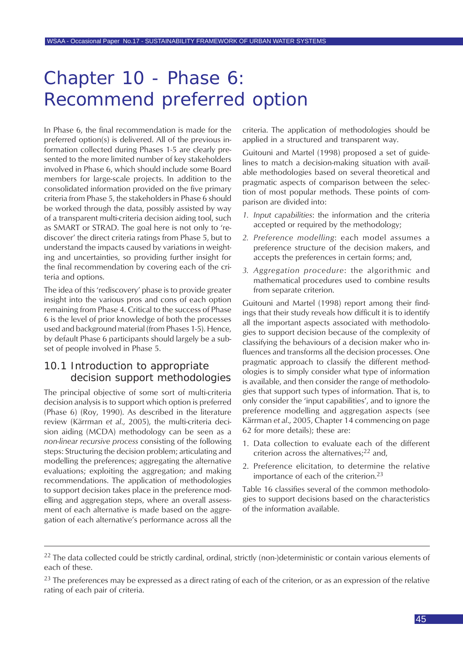In Phase 6, the final recommendation is made for the preferred option(s) is delivered. All of the previous information collected during Phases 1-5 are clearly presented to the more limited number of key stakeholders involved in Phase 6, which should include some Board members for large-scale projects. In addition to the consolidated information provided on the five primary criteria from Phase 5, the stakeholders in Phase 6 should be worked through the data, possibly assisted by way of a transparent multi-criteria decision aiding tool, such as SMART or STRAD. The goal here is not only to 'rediscover' the direct criteria ratings from Phase 5, but to understand the impacts caused by variations in weighting and uncertainties, so providing further insight for the final recommendation by covering each of the criteria and options.

The idea of this 'rediscovery' phase is to provide greater insight into the various pros and cons of each option remaining from Phase 4. Critical to the success of Phase 6 is the level of prior knowledge of both the processes used and background material (from Phases 1-5). Hence, by default Phase 6 participants should largely be a subset of people involved in Phase 5.

#### 10.1 Introduction to appropriate decision support methodologies

The principal objective of some sort of multi-criteria decision analysis is to support which option is preferred (Phase 6) (Roy, 1990). As described in the literature review (Kärrman *et al*., 2005), the multi-criteria decision aiding (MCDA) methodology can be seen as a *non-linear recursive process* consisting of the following steps: Structuring the decision problem; articulating and modelling the preferences; aggregating the alternative evaluations; exploiting the aggregation; and making recommendations. The application of methodologies to support decision takes place in the preference modelling and aggregation steps, where an overall assessment of each alternative is made based on the aggregation of each alternative's performance across all the

criteria. The application of methodologies should be applied in a structured and transparent way.

Guitouni and Martel (1998) proposed a set of guidelines to match a decision-making situation with available methodologies based on several theoretical and pragmatic aspects of comparison between the selection of most popular methods. These points of comparison are divided into:

- *1. Input capabilities*: the information and the criteria accepted or required by the methodology;
- *2. Preference modelling*: each model assumes a preference structure of the decision makers, and accepts the preferences in certain forms; and,
- *3. Aggregation procedure*: the algorithmic and mathematical procedures used to combine results from separate criterion.

Guitouni and Martel (1998) report among their findings that their study reveals how difficult it is to identify all the important aspects associated with methodologies to support decision because of the complexity of classifying the behaviours of a decision maker who influences and transforms all the decision processes. One pragmatic approach to classify the different methodologies is to simply consider what type of information is available, and then consider the range of methodologies that support such types of information. That is, to only consider the 'input capabilities', and to ignore the preference modelling and aggregation aspects (see Kärrman *et al*., 2005, Chapter 14 commencing on page 62 for more details); these are:

- 1. Data collection to evaluate each of the different criterion across the alternatives; $^{22}$  and,
- 2. Preference elicitation, to determine the relative importance of each of the criterion. $^{23}$

Table 16 classifies several of the common methodologies to support decisions based on the characteristics of the information available.

 $^{22}$  The data collected could be strictly cardinal, ordinal, strictly (non-)deterministic or contain various elements of each of these.

 $23$  The preferences may be expressed as a direct rating of each of the criterion, or as an expression of the relative rating of each pair of criteria.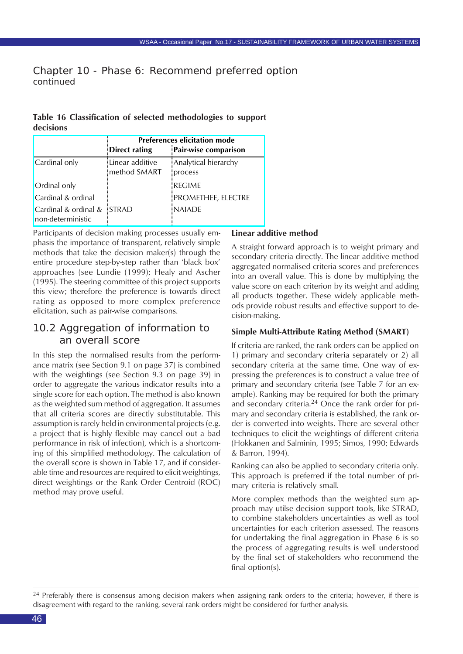|           |  |  | Table 16 Classification of selected methodologies to support |  |
|-----------|--|--|--------------------------------------------------------------|--|
| decisions |  |  |                                                              |  |

|                                             | <b>Preferences elicitation mode</b> |                      |  |  |  |  |
|---------------------------------------------|-------------------------------------|----------------------|--|--|--|--|
|                                             | Direct rating                       | Pair-wise comparison |  |  |  |  |
| Cardinal only                               | Linear additive                     | Analytical hierarchy |  |  |  |  |
|                                             | method SMART                        | process              |  |  |  |  |
| <b>Ordinal only</b>                         |                                     | <b>REGIME</b>        |  |  |  |  |
| Cardinal & ordinal                          |                                     | PROMETHEE, ELECTRE   |  |  |  |  |
| Cardinal & ordinal $&$<br>non-deterministic | <b>STRAD</b>                        | <b>NAIADE</b>        |  |  |  |  |

Participants of decision making processes usually emphasis the importance of transparent, relatively simple methods that take the decision maker(s) through the entire procedure step-by-step rather than 'black box' approaches (see Lundie (1999); Healy and Ascher (1995). The steering committee of this project supports this view; therefore the preference is towards direct rating as opposed to more complex preference elicitation, such as pair-wise comparisons.

#### 10.2 Aggregation of information to an overall score

In this step the normalised results from the performance matrix (see Section 9.1 on page 37) is combined with the weightings (see Section 9.3 on page 39) in order to aggregate the various indicator results into a single score for each option. The method is also known as the weighted sum method of aggregation. It assumes that all criteria scores are directly substitutable. This assumption is rarely held in environmental projects (e.g. a project that is highly flexible may cancel out a bad performance in risk of infection), which is a shortcoming of this simplified methodology. The calculation of the overall score is shown in Table 17, and if considerable time and resources are required to elicit weightings, direct weightings or the Rank Order Centroid (ROC) method may prove useful.

#### **Linear additive method**

A straight forward approach is to weight primary and secondary criteria directly. The linear additive method aggregated normalised criteria scores and preferences into an overall value. This is done by multiplying the value score on each criterion by its weight and adding all products together. These widely applicable methods provide robust results and effective support to decision-making.

#### **Simple Multi-Attribute Rating Method (SMART)**

If criteria are ranked, the rank orders can be applied on 1) primary and secondary criteria separately or 2) all secondary criteria at the same time. One way of expressing the preferences is to construct a value tree of primary and secondary criteria (see Table 7 for an example). Ranking may be required for both the primary and secondary criteria. $24$  Once the rank order for primary and secondary criteria is established, the rank order is converted into weights. There are several other techniques to elicit the weightings of different criteria (Hokkanen and Salminin, 1995; Simos, 1990; Edwards & Barron, 1994).

Ranking can also be applied to secondary criteria only. This approach is preferred if the total number of primary criteria is relatively small.

More complex methods than the weighted sum approach may utilse decision support tools, like STRAD, to combine stakeholders uncertainties as well as tool uncertainties for each criterion assessed. The reasons for undertaking the final aggregation in Phase 6 is so the process of aggregating results is well understood by the final set of stakeholders who recommend the final option(s).

 $24$  Preferably there is consensus among decision makers when assigning rank orders to the criteria; however, if there is disagreement with regard to the ranking, several rank orders might be considered for further analysis.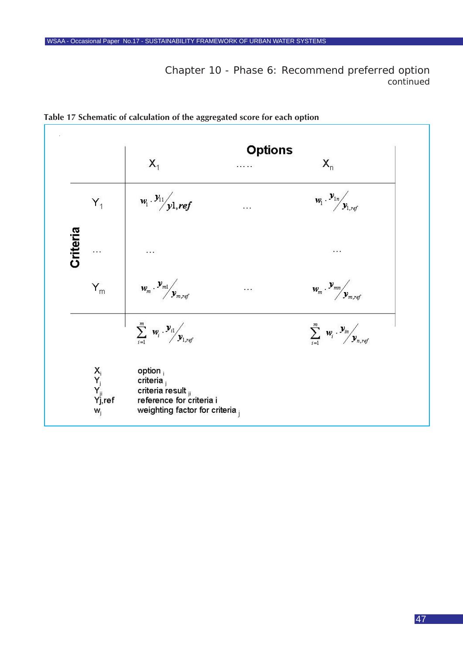

**Table 17 Schematic of calculation of the aggregated score for each option**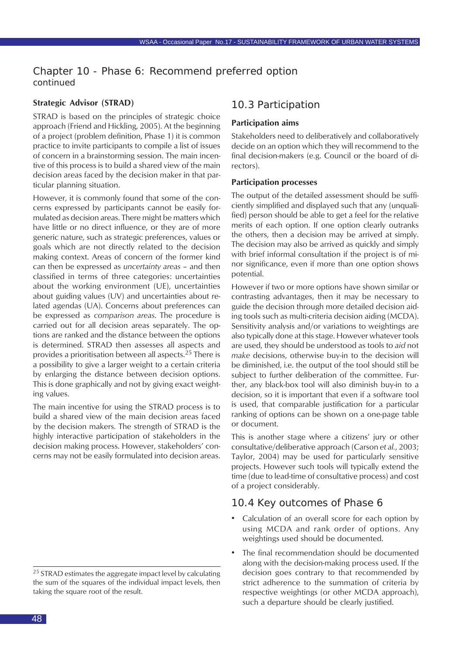#### **Strategic Advisor (STRAD)**

STRAD is based on the principles of strategic choice approach (Friend and Hickling, 2005). At the beginning of a project (problem definition, Phase 1) it is common practice to invite participants to compile a list of issues of concern in a brainstorming session. The main incentive of this process is to build a shared view of the main decision areas faced by the decision maker in that particular planning situation.

However, it is commonly found that some of the concerns expressed by participants cannot be easily formulated as decision areas. There might be matters which have little or no direct influence, or they are of more generic nature, such as strategic preferences, values or goals which are not directly related to the decision making context. Areas of concern of the former kind can then be expressed as *uncertainty areas* – and then classified in terms of three categories: uncertainties about the working environment (UE), uncertainties about guiding values (UV) and uncertainties about related agendas (UA). Concerns about preferences can be expressed as *comparison areas*. The procedure is carried out for all decision areas separately. The options are ranked and the distance between the options is determined. STRAD then assesses all aspects and provides a prioritisation between all aspects.25 There is a possibility to give a larger weight to a certain criteria by enlarging the distance between decision options. This is done graphically and not by giving exact weighting values.

The main incentive for using the STRAD process is to build a shared view of the main decision areas faced by the decision makers. The strength of STRAD is the highly interactive participation of stakeholders in the decision making process. However, stakeholders' concerns may not be easily formulated into decision areas.

#### 10.3 Participation

#### **Participation aims**

Stakeholders need to deliberatively and collaboratively decide on an option which they will recommend to the final decision-makers (e.g. Council or the board of directors).

#### **Participation processes**

The output of the detailed assessment should be sufficiently simplified and displayed such that any (unqualified) person should be able to get a feel for the relative merits of each option. If one option clearly outranks the others, then a decision may be arrived at simply. The decision may also be arrived as quickly and simply with brief informal consultation if the project is of minor significance, even if more than one option shows potential.

However if two or more options have shown similar or contrasting advantages, then it may be necessary to guide the decision through more detailed decision aiding tools such as multi-criteria decision aiding (MCDA). Sensitivity analysis and/or variations to weightings are also typically done at this stage. However whatever tools are used, they should be understood as tools to *aid* not *make* decisions, otherwise buy-in to the decision will be diminished, i.e. the output of the tool should still be subject to further deliberation of the committee. Further, any black-box tool will also diminish buy-in to a decision, so it is important that even if a software tool is used, that comparable justification for a particular ranking of options can be shown on a one-page table or document.

This is another stage where a citizens' jury or other consultative/deliberative approach (Carson *et al.*, 2003; Taylor, 2004) may be used for particularly sensitive projects. However such tools will typically extend the time (due to lead-time of consultative process) and cost of a project considerably.

#### 10.4 Key outcomes of Phase 6

- Calculation of an overall score for each option by using MCDA and rank order of options. Any weightings used should be documented.
- The final recommendation should be documented along with the decision-making process used. If the decision goes contrary to that recommended by strict adherence to the summation of criteria by respective weightings (or other MCDA approach), such a departure should be clearly justified.

<sup>&</sup>lt;sup>25</sup> STRAD estimates the aggregate impact level by calculating the sum of the squares of the individual impact levels, then taking the square root of the result.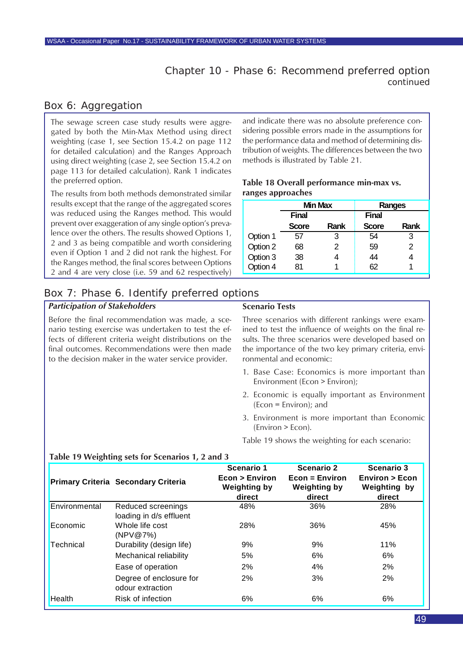#### Box 6: Aggregation

The sewage screen case study results were aggregated by both the Min-Max Method using direct weighting (case 1, see Section 15.4.2 on page 112 for detailed calculation) and the Ranges Approach using direct weighting (case 2, see Section 15.4.2 on page 113 for detailed calculation). Rank 1 indicates the preferred option.

The results from both methods demonstrated similar results except that the range of the aggregated scores was reduced using the Ranges method. This would prevent over exaggeration of any single option's prevalence over the others. The results showed Options 1, 2 and 3 as being compatible and worth considering even if Option 1 and 2 did not rank the highest. For the Ranges method, the final scores between Options 2 and 4 are very close (i.e. 59 and 62 respectively)

and indicate there was no absolute preference considering possible errors made in the assumptions for the performance data and method of determining distribution of weights. The differences between the two methods is illustrated by Table 21.

#### **Table 18 Overall performance min-max vs. ranges approaches**

|          |              | <b>Min Max</b> | Ranges       |      |  |
|----------|--------------|----------------|--------------|------|--|
|          | <b>Final</b> |                | <b>Final</b> |      |  |
|          | <b>Score</b> | Rank           | <b>Score</b> | Rank |  |
| Option 1 | 57           | 3              | 54           | 3    |  |
| Option 2 | 68           | 2              | 59           | 2    |  |
| Option 3 | 38           |                | 44           |      |  |
| Option 4 | 81           |                | 62           |      |  |

### Box 7: Phase 6. Identify preferred options

fects of different criteria weight distributions on the final outcomes. Recommendations were then made to the decision maker in the water service provider.

#### *Participation of Stakeholders* Before the final recommendation was made, a scenario testing exercise was undertaken to test the ef-**Scenario Tests** Three scenarios with different rankings were exam-

ined to test the influence of weights on the final results. The three scenarios were developed based on the importance of the two key primary criteria, environmental and economic:

- 1. Base Case: Economics is more important than Environment (Econ > Environ);
- 2. Economic is equally important as Environment (Econ = Environ); and
- 3. Environment is more important than Economic (Environ > Econ).

Table 19 shows the weighting for each scenario:

|               | <b>Primary Criteria Secondary Criteria</b>    | Scenario 1<br>Econ > Environ<br><b>Weighting by</b><br>direct | <b>Scenario 2</b><br>$Econ = Environ$<br><b>Weighting by</b><br>direct | Scenario 3<br>Environ > Econ<br><b>Weighting by</b><br>direct |
|---------------|-----------------------------------------------|---------------------------------------------------------------|------------------------------------------------------------------------|---------------------------------------------------------------|
| Environmental | Reduced screenings<br>loading in d/s effluent | 48%                                                           | 36%                                                                    | 28%                                                           |
| Economic      | Whole life cost<br>(NPV@7%)                   | 28%                                                           | 36%                                                                    | 45%                                                           |
| Technical     | Durability (design life)                      | 9%                                                            | 9%                                                                     | 11%                                                           |
|               | Mechanical reliability                        | 5%                                                            | 6%                                                                     | 6%                                                            |
|               | Ease of operation                             | 2%                                                            | 4%                                                                     | 2%                                                            |
|               | Degree of enclosure for<br>odour extraction   | 2%                                                            | 3%                                                                     | 2%                                                            |
| <b>Health</b> | Risk of infection                             | 6%                                                            | 6%                                                                     | 6%                                                            |

#### **Table 19 Weighting sets for Scenarios 1, 2 and 3**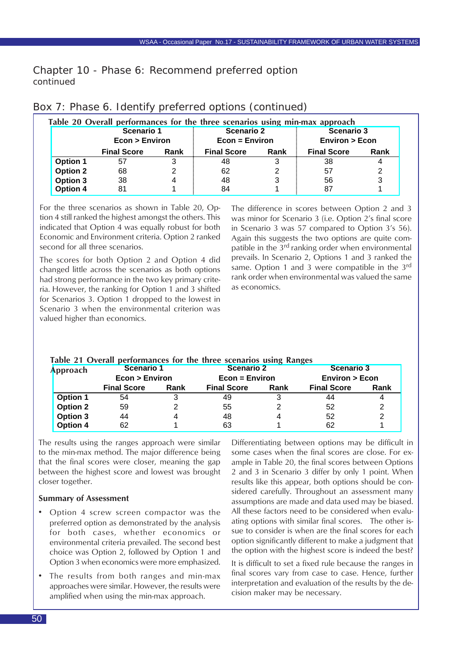| Table 20 Overall performances for the three scenarios using min-max approach |                              |      |                                     |      |                                               |      |  |
|------------------------------------------------------------------------------|------------------------------|------|-------------------------------------|------|-----------------------------------------------|------|--|
|                                                                              | Scenario 1<br>Econ > Environ |      | <b>Scenario 2</b><br>Econ = Environ |      | <b>Scenario 3</b><br><b>Environ &gt; Econ</b> |      |  |
|                                                                              | <b>Final Score</b>           | Rank | <b>Final Score</b>                  | Rank | <b>Final Score</b>                            | Rank |  |
| <b>Option 1</b>                                                              | 57                           | 3    | 48                                  | 3    | 38                                            |      |  |
| <b>Option 2</b>                                                              | 68                           | 2    | 62                                  |      | 57                                            |      |  |
| Option 3                                                                     | 38                           | 4    | 48                                  |      | 56                                            |      |  |
| Option 4                                                                     | 81                           |      | 84                                  |      | 87                                            |      |  |

#### Box 7: Phase 6. Identify preferred options (continued)

For the three scenarios as shown in Table 20, Option 4 still ranked the highest amongst the others. This indicated that Option 4 was equally robust for both Economic and Environment criteria. Option 2 ranked second for all three scenarios.

The scores for both Option 2 and Option 4 did changed little across the scenarios as both options had strong performance in the two key primary criteria. However, the ranking for Option 1 and 3 shifted for Scenarios 3. Option 1 dropped to the lowest in Scenario 3 when the environmental criterion was valued higher than economics.

The difference in scores between Option 2 and 3 was minor for Scenario 3 (i.e. Option 2's final score in Scenario 3 was 57 compared to Option 3's 56). Again this suggests the two options are quite compatible in the 3<sup>rd</sup> ranking order when environmental prevails. In Scenario 2, Options 1 and 3 ranked the same. Option 1 and 3 were compatible in the 3rd rank order when environmental was valued the same as economics.

| Approach        | Scenario 1         |      | Scenario 2         |      | <b>Scenario 3</b>        |      |  |
|-----------------|--------------------|------|--------------------|------|--------------------------|------|--|
|                 | Econ > Environ     |      | $Econ = Environ$   |      | <b>Environ &gt; Econ</b> |      |  |
|                 | <b>Final Score</b> | Rank | <b>Final Score</b> | Rank | <b>Final Score</b>       | Rank |  |
| <b>Option 1</b> | 54                 |      | 49                 |      | 44                       |      |  |
| <b>Option 2</b> | 59                 |      | 55                 |      | 52                       |      |  |
| <b>Option 3</b> | 44                 |      | 48                 |      | 52                       |      |  |
| <b>Option 4</b> | 62                 |      | 63                 |      | 62                       |      |  |

#### **Table 21 Overall performances for the three scenarios using Ranges**

The results using the ranges approach were similar to the min-max method. The major difference being that the final scores were closer, meaning the gap between the highest score and lowest was brought closer together.

#### **Summary of Assessment**

- Option 4 screw screen compactor was the preferred option as demonstrated by the analysis for both cases, whether economics or environmental criteria prevailed. The second best choice was Option 2, followed by Option 1 and Option 3 when economics were more emphasized.
- The results from both ranges and min-max approaches were similar. However, the results were amplified when using the min-max approach.

Differentiating between options may be difficult in some cases when the final scores are close. For example in Table 20, the final scores between Options 2 and 3 in Scenario 3 differ by only 1 point. When results like this appear, both options should be considered carefully. Throughout an assessment many assumptions are made and data used may be biased. All these factors need to be considered when evaluating options with similar final scores. The other issue to consider is when are the final scores for each option significantly different to make a judgment that the option with the highest score is indeed the best?

It is difficult to set a fixed rule because the ranges in final scores vary from case to case. Hence, further interpretation and evaluation of the results by the decision maker may be necessary.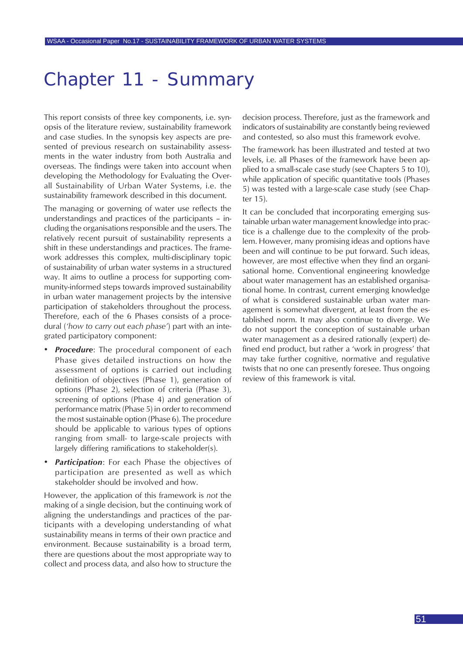## Chapter 11 - Summary

This report consists of three key components, i.e. synopsis of the literature review, sustainability framework and case studies. In the synopsis key aspects are presented of previous research on sustainability assessments in the water industry from both Australia and overseas. The findings were taken into account when developing the Methodology for Evaluating the Overall Sustainability of Urban Water Systems, i.e. the sustainability framework described in this document.

The managing or governing of water use reflects the understandings and practices of the participants – including the organisations responsible and the users. The relatively recent pursuit of sustainability represents a shift in these understandings and practices. The framework addresses this complex, multi-disciplinary topic of sustainability of urban water systems in a structured way. It aims to outline a process for supporting community-informed steps towards improved sustainability in urban water management projects by the intensive participation of stakeholders throughout the process. Therefore, each of the 6 Phases consists of a procedural (*'how to carry out each phase'*) part with an integrated participatory component:

- *• Procedure*: The procedural component of each Phase gives detailed instructions on how the assessment of options is carried out including definition of objectives (Phase 1), generation of options (Phase 2), selection of criteria (Phase 3), screening of options (Phase 4) and generation of performance matrix (Phase 5) in order to recommend the most sustainable option (Phase 6). The procedure should be applicable to various types of options ranging from small- to large-scale projects with largely differing ramifications to stakeholder(s).
- *• Participation*: For each Phase the objectives of participation are presented as well as which stakeholder should be involved and how.

However, the application of this framework is *not* the making of a single decision, but the continuing work of aligning the understandings and practices of the participants with a developing understanding of what sustainability means in terms of their own practice and environment. Because sustainability is a broad term, there are questions about the most appropriate way to collect and process data, and also how to structure the

decision process. Therefore, just as the framework and indicators of sustainability are constantly being reviewed and contested, so also must this framework evolve.

The framework has been illustrated and tested at two levels, i.e. all Phases of the framework have been applied to a small-scale case study (see Chapters 5 to 10), while application of specific quantitative tools (Phases 5) was tested with a large-scale case study (see Chapter 15).

It can be concluded that incorporating emerging sustainable urban water management knowledge into practice is a challenge due to the complexity of the problem. However, many promising ideas and options have been and will continue to be put forward. Such ideas, however, are most effective when they find an organisational home. Conventional engineering knowledge about water management has an established organisational home. In contrast, current emerging knowledge of what is considered sustainable urban water management is somewhat divergent, at least from the established norm. It may also continue to diverge. We do not support the conception of sustainable urban water management as a desired rationally (expert) defined end product, but rather a 'work in progress' that may take further cognitive, normative and regulative twists that no one can presently foresee. Thus ongoing review of this framework is vital.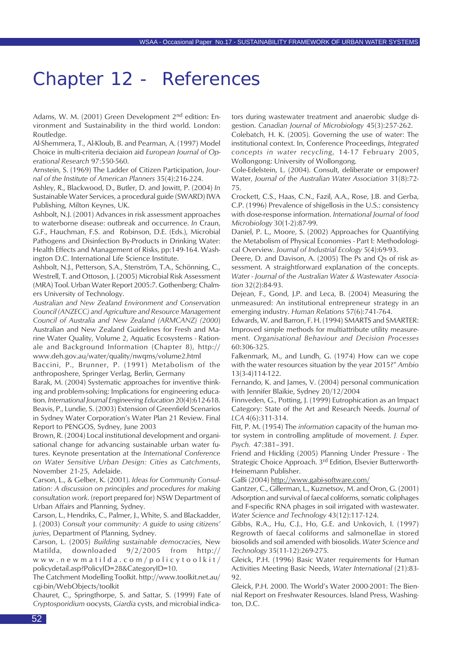## Chapter 12 - References

Adams, W. M. (2001) Green Development  $2<sup>nd</sup>$  edition: Environment and Sustainability in the third world. London: Routledge.

Al-Shemmera, T., Al-Kloub, B. and Pearman, A. (1997) Model Choice in multi-criteria deciaion aid *European Journal of Operational Research* 97:550-560.

Arnstein, S. (1969) The Ladder of Citizen Participation, *Journal of the Institute of American Planners* 35(4):216-224.

Ashley, R., Blackwood, D., Butler, D. and Jowitt, P. (2004) *In* Sustainable Water Services, a procedural guide (SWARD) IWA Publishing, Milton Keynes, UK.

Ashbolt, N.J. (2001) Advances in risk assessment approaches to waterborne disease: outbreak and occurrence. *In* Craun, G.F., Hauchman, F.S. and Robinson, D.E. (Eds.), Microbial Pathogens and Disinfection By-Products in Drinking Water: Health Effects and Management of Risks, pp:149-164. Washington D.C. International Life Science Institute.

Ashbolt, N.J., Petterson, S.A., Stenström, T.A., Schönning, C., Westrell, T. and Ottoson, J. (2005) Microbial Risk Assessment (MRA) Tool. Urban Water Report 2005:7. Gothenberg: Chalmers University of Technology.

*Australian and New Zealand Environment and Conservation Council (ANZECC) and Agriculture and Resource Management Council of Australia and New Zealand (ARMCANZ) (2000*) Australian and New Zealand Guidelines for Fresh and Marine Water Quality, Volume 2, Aquatic Ecosystems - Rationale and Background Information (Chapter 8), http:// www.deh.gov.au/water/quality/nwqms/volume2.html

Baccini, P., Brunner, P. (1991) Metabolism of the anthroposhere, Springer Verlag, Berlin, Germany

Barak, M. (2004) Systematic approaches for inventive thinking and problem-solving: Implications for engineering education. *International Journal Engineering Education* 20(4):612-618. Beavis, P., Lundie, S. (2003) Extension of Greenfield Scenarios in Sydney Water Corporation's Water Plan 21 Review. Final Report to PENGOS, Sydney, June 2003

Brown, R. (2004) Local institutional development and organisational change for advancing sustainable urban water futures. Keynote presentation at the *International Conference on Water Sensitive Urban Design: Cities as Catchments*, November 21-25, Adelaide.

Carson, L., & Gelber, K. (2001). *Ideas for Community Consultation: A discussion on principles and procedures for making consultation work*. (report prepared for) NSW Department of Urban Affairs and Planning, Sydney.

Carson, L., Hendriks, C., Palmer, J., White, S. and Blackadder, J. (2003) *Consult your community: A guide to using citizens' juries*, Department of Planning, Sydney.

Carson, L. (2005) *Building sustainable democracies*, New Matilda, downloaded 9/2/2005 from http:// www.newmatilda.com/policytoolkit/ policydetail.asp?PolicyID=28&CategoryID=10.

The Catchment Modelling Toolkit. http://www.toolkit.net.au/ cgi-bin/WebObjects/toolkit

Chauret, C., Springthorpe, S. and Sattar, S. (1999) Fate of *Cryptosporidium* oocysts, *Giardia* cysts, and microbial indicators during wastewater treatment and anaerobic sludge digestion. *Canadian Journal of Microbiology* 45(3):257-262.

Colebatch, H. K. (2005). Governing the use of water: The institutional context. In, Conference Proceedings, *Integrated concepts in water recycling*, 14-17 February 2005, Wollongong: University of Wollongong.

Cole-Edelstein, L. (2004). Consult, deliberate or empower? Water, *Journal of the Australian Water Association* 31(8):72- 75.

Crockett, C.S., Haas, C.N., Fazil, A.A., Rose, J.B. and Gerba, C.P. (1996) Prevalence of shigellosis in the U.S.: consistency with dose-response information. *International Journal of food Microbiology* 30(1-2):87-99.

Daniel, P. L., Moore, S. (2002) Approaches for Quantifying the Metabolism of Physical Economies - Part I: Methodological Overview. *Journal of Industrial Ecology* 5(4):69-93.

Deere, D. and Davison, A. (2005) The Ps and Qs of risk assessment. A straightforward explanation of the concepts. *Water - Journal of the Australian Water & Wastewater Association* 32(2):84-93.

Dejean, F., Gond, J.P. and Leca, B. (2004) Measuring the unmeasured: An institutional entrepreneur strategy in an emerging industry. *Human Relations* 57(6):741-764.

Edwards, W. and Barron, F. H. (1994) SMARTS and SMARTER: Improved simple methods for multiattribute utility measurement. *Organisational Behaviour and Decision Processes* 60:306-325.

Falkenmark, M., and Lundh, G. (1974) How can we cope with the water resources situation by the year 2015?" *Ambio* 13(3-4)114-122.

Fernando, K. and James, V. (2004) personal communication with Jennifer Blaikie, Sydney 20/12/2004

Finnveden, G., Potting, J. (1999) Eutrophication as an Impact Category: State of the Art and Research Needs. *Journal of LCA* 4(6):311-314.

Fitt, P. M. (1954) The *information* capacity of the human motor system in controlling amplitude of movement. *J. Exper. Psych.* 47:381–391.

Friend and Hickling (2005) Planning Under Pressure - The Strategic Choice Approach. 3rd Edition, Elsevier Butterworth-Heinemann Publisher.

GaBi (2004) http://www.gabi-software.com/

Gantzer, C., Gillerman, L., Kuznetsov, M. and Oron, G. (2001) Adsorption and survival of faecal coliforms, somatic coliphages and F-specific RNA phages in soil irrigated with wastewater. *Water Science and Technology* 43(12):117-124.

Gibbs, R.A., Hu, C.J., Ho, G.E. and Unkovich, I. (1997) Regrowth of faecal coliforms and salmonellae in stored biosolids and soil amended with biosolids. *Water Science and Technology* 35(11-12):269-275.

Gleick, P.H. (1996) Basic Water requirements for Human Activities Meeting Basic Needs, *Water International* (21):83- 92.

Gleick, P.H. 2000. The World's Water 2000-2001: The Biennial Report on Freshwater Resources. Island Press, Washington, D.C.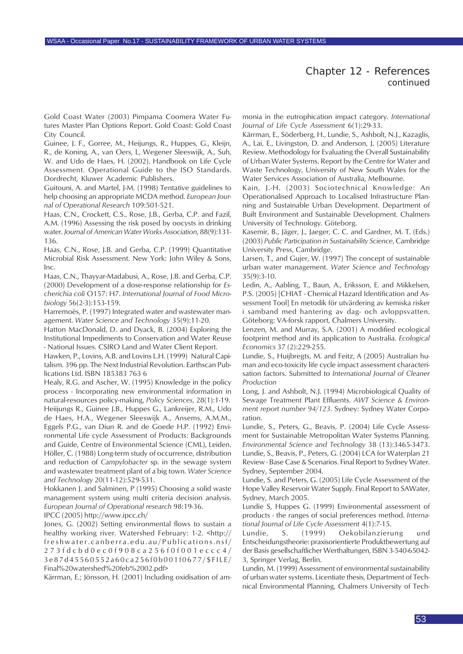#### Chapter 12 - References *continued*

Gold Coast Water (2003) Pimpama Coomera Water Futures Master Plan Options Report. Gold Coast: Gold Coast City Council.

Guinee, J. F., Gorree, M., Heijungs, R., Huppes, G., Kleijn, R., de Koning, A., van Oers, L, Wegener Sleeswijk, A., Suh, W. and Udo de Haes, H. (2002). Handbook on Life Cycle Assessment. Operational Guide to the ISO Standards. Dordrecht, Kluwer Academic Publishers.

Guitouni, A. and Martel, J-M. (1998) Tentative guidelines to help choosing an appropriate MCDA method. *European Journal of Operational Research* 109:501-521.

Haas, C.N., Crockett, C.S., Rose, J.B., Gerba, C.P. and Fazil, A.M. (1996) Assessing the risk posed by oocysts in drinking water. *Journal of American Water Works Association*, 88(9):131- 136.

Haas, C.N., Rose, J.B. and Gerba, C.P. (1999) Quantitative Microbial Risk Assessment. New York: John Wiley & Sons, Inc.

Haas, C.N., Thayyar-Madabusi, A., Rose, J.B. and Gerba, C.P. (2000) Development of a dose-response relationship for *Escherichia coli* O157: H7. *International Journal of Food Microbiology* 56(2-3):153-159.

Harremoës, P. (1997) Integrated water and wastewater management. *Water Science and Technology* 35(9):11-20.

Hatton MacDonald, D. and Dyack, B. (2004) Exploring the Institutional Impediments to Conservation and Water Reuse - National Issues. CSIRO Land and Water Client Report.

Hawken, P., Lovins, A.B. and Lovins L.H. (1999) Natural Capitalism. 396 pp. The Next Industrial Revolution. Earthscan Publications Ltd. ISBN 185383 763 6

Healy, R.G. and Ascher, W. (1995) Knowledge in the policy process - Incorporating new environmental information in natural-resources policy-making, *Policy Sciences*, 28(1):1-19. Heiijungs R., Guinee J.B., Huppes G., Lankreijer, R.M., Udo de Haes, H.A., Wegener Sleeswijk A., Ansems, A.M.M., Eggels P.G., van Diun R. and de Goede H.P. (1992) Environmental Life cycle Assessment of Products: Backgrounds and Guide, Centre of Environmental Science (CML), Leiden. Höller, C. (1988) Long-term study of occurrence, distribution and reduction of *Campylobacter* sp. in the sewage system and wastewater treatment plant of a big town. *Water Science and Technology* 20(11-12):529-531.

Hokkanen J. and Salminen, P (1995) Choosing a solid waste management system using multi criteria decision analysis. *European Journal of Operational research* 98:19-36.

IPCC (2005) http://www.ipcc.ch/

Jones, G. (2002) Setting environmental flows to sustain a healthy working river. Watershed February: 1-2. <http:// freshwater.canberra.edu.au/Publications.nsf/ 273fdcbd0ec0f908ca256f0f001eccc4/ 3e87d45560552a60ca256f0b001f0677/\$FILE/ Final%20watershed%20feb%2002.pdf>

Kärrman, E.; Jönsson, H. (2001) Including oxidisation of am-

monia in the eutrophication impact category. *International Journal of Life Cycle Assessment* 6(1):29-33.

Kärrman, E., Söderberg, H., Lundie, S., Ashbolt, N.J., Kazaglis, A., Lai, E., Livingston, D. and Anderson, J. (2005) Literature Review. Methodology for Evaluating the Overall Sustainability of Urban Water Systems. Report by the Centre for Water and Waste Technology, University of New South Wales for the Water Services Association of Australia, Melbourne.

Kain, J.-H. (2003) Sociotechnical Knowledge: An Operationalised Approach to Localised Infrastructure Planning and Sustainable Urban Development. Department of Built Environment and Sustainable Development. Chalmers University of Technology. Göteborg.

Kasemir, B., Jäger, J., Jaeger, C. C. and Gardner, M. T. (Eds.) (2003) *Public Participation in Sustainability Science*, Cambridge University Press, Cambridge.

Larsen, T., and Gujer, W. (1997) The concept of sustainable urban water management. *Water Science and Technology* 35(9):3-10.

Ledin, A., Aabling, T., Baun, A., Eriksson, E. and Mikkelsen, P.S. (2005) [CHIAT - Chemical Hazard Identification and Assessment Tool] En metodik för utvärdering av kemiska risker i samband med hantering av dag- och avloppsvatten. Göteborg: VA-forsk rapport, Chalmers University.

Lenzen, M. and Murray, S.A. (2001) A modified ecological footprint method and its application to Australia. *Ecological Economics* 37 (2):229-255.

Lundie, S., Huijbregts, M. and Feitz, A (2005) Australian human and eco-toxicity life cycle impact assessment characterisation factors. Submitted to *International Journal of Cleaner Production*

Long, J. and Ashbolt, N.J. (1994) Microbiological Quality of Sewage Treatment Plant Effluents. *AWT Science & Environment report number 94/123*. Sydney: Sydney Water Corporation.

Lundie, S., Peters, G., Beavis, P. (2004) Life Cycle Assessment for Sustainable Metropolitan Water Systems Planning. *Environmental Science and Technology* 38 (13):3465-3473. Lundie, S., Beavis, P., Peters, G. (2004) LCA for Waterplan 21 Review - Base Case & Scenarios. Final Report to Sydney Water. Sydney, September 2004.

Lundie, S. and Peters, G. (2005) Life Cycle Assessment of the Hope Valley Reservoir Water Supply. Final Report to SAWater, Sydney, March 2005.

Lundie S, Huppes G. (1999) Environmental assessment of products - the ranges of social preferences method. *International Journal of Life Cycle Assessment* 4(1):7-15.

Lundie, S. (1999) Oekobilanzierung und Entscheidungstheorie: praxisorientierte Produktbewertung auf der Basis gesellschaftlicher Werthaltungen, ISBN 3-540-65042- 3, Springer Verlag, Berlin.

Lundin, M. (1999) Assessment of environmental sustainability of urban water systems. Licentiate thesis, Department of Technical Environmental Planning, Chalmers University of Tech-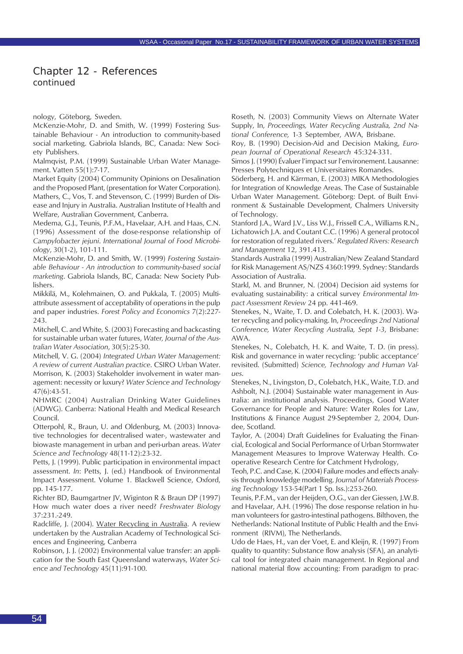#### Chapter 12 - References *continued*

nology, Göteborg, Sweden.

McKenzie-Mohr, D. and Smith, W. (1999) Fostering Sustainable Behaviour - An introduction to community-based social marketing. Gabriola Islands, BC, Canada: New Society Publishers.

Malmqvist, P.M. (1999) Sustainable Urban Water Management. Vatten 55(1):7-17.

Market Equity (2004) Community Opinions on Desalination and the Proposed Plant, (presentation for Water Corporation). Mathers, C., Vos, T. and Stevenson, C. (1999) Burden of Disease and Injury in Australia. Australian Institute of Health and Welfare, Australian Government, Canberra.

Medema, G.J., Teunis, P.F.M., Havelaar, A.H. and Haas, C.N. (1996) Assessment of the dose-response relationship of *Campylobacter jejuni*. *International Journal of Food Microbiology*, 30(1-2), 101-111.

McKenzie-Mohr, D. and Smith, W. (1999) *Fostering Sustainable Behaviour - An introduction to community-based social marketing*. Gabriola Islands, BC, Canada: New Society Publishers.

Mikkilä, M., Kolehmainen, O. and Pukkala, T. (2005) Multiattribute assessment of acceptability of operations in the pulp and paper industries. *Forest Policy and Economics* 7(2):227- 243.

Mitchell, C. and White, S. (2003) Forecasting and backcasting for sustainable urban water futures, *Water, Journal of the Australian Water Association*, 30(5):25-30.

Mitchell, V. G. (2004) *Integrated Urban Water Management: A review of current Australian practice*. CSIRO Urban Water. Morrison, K. (2003) Stakeholder involvement in water management: necessity or luxury? *Water Science and Technology* 47(6):43-51.

NHMRC (2004) Australian Drinking Water Guidelines (ADWG). Canberra: National Health and Medical Research Council.

Otterpohl, R., Braun, U. and Oldenburg, M. (2003) Innovative technologies for decentralised water-, wastewater and biowaste management in urban and peri-urban areas. *Water Science and Technology* 48(11-12):23-32.

Petts, J. (1999). Public participation in environmental impact assessment. *In*: Petts, J. (ed.) Handbook of Environmental Impact Assessment. Volume 1*.* Blackwell Science, Oxford, pp. 145-177.

Richter BD, Baumgartner JV, Wiginton R & Braun DP (1997) How much water does a river need? *Freshwater Biology* 37:231.-249.

Radcliffe, J. (2004). Water Recycling in Australia. A review undertaken by the Australian Academy of Technological Sciences and Engineering, Canberra

Robinson, J. J. (2002) Environmental value transfer: an application for the South East Queensland waterways, *Water Science and Technology* 45(11):91-100.

Roseth, N. (2003) Community Views on Alternate Water Supply, In, *Proceedings, Water Recycling Australia, 2nd National Conference,* 1-3 September, AWA, Brisbane.

Roy, B. (1990) Decision-Aid and Decision Making, *European Journal of Operational Research* 45:324-331.

Simos J. (1990) Évaluer l'impact sur l'environement. Lausanne: Presses Polytechniques et Universitaires Romandes.

Söderberg, H. and Kärrman, E. (2003) MIKA Methodologies for Integration of Knowledge Areas. The Case of Sustainable Urban Water Management. Göteborg: Dept. of Built Environment & Sustainable Development, Chalmers University of Technology.

Stanford J.A., Ward J.V., Liss W.J., Frissell C.A., Williams R.N., Lichatowich J.A. and Coutant C.C. (1996) A general protocol for restoration of regulated rivers.' *Regulated Rivers: Research and Management* 12, 391.413.

Standards Australia (1999) Australian/New Zealand Standard for Risk Management AS/NZS 4360:1999. Sydney: Standards Association of Australia.

Starkl, M. and Brunner, N. (2004) Decision aid systems for evaluating sustainability: a critical survey *Environmental Impact Assessment Review* 24 pp. 441-469.

Stenekes, N., Waite, T. D. and Colebatch, H. K. (2003). Water recycling and policy-making. In, *Proceedings 2nd National Conference, Water Recycling Australia, Sept 1-3*, Brisbane: AWA.

Stenekes, N., Colebatch, H. K. and Waite, T. D. (in press). Risk and governance in water recycling: 'public acceptance' revisited. (Submitted) *Science, Technology and Human Values*.

Stenekes, N., Livingston, D., Colebatch, H.K., Waite, T.D. and Ashbolt, N.J. (2004) Sustainable water management in Australia: an institutional analysis. Proceedings, Good Water Governance for People and Nature: Water Roles for Law, Institutions & Finance August 29-September 2, 2004, Dundee, Scotland.

Taylor, A. (2004) Draft Guidelines for Evaluating the Financial, Ecological and Social Performance of Urban Stormwater Management Measures to Improve Waterway Health. Cooperative Research Centre for Catchment Hydrology,

Teoh, P.C. and Case, K. (2004) Failure modes and effects analysis through knowledge modelling. *Journal of Materials Processing Technology* 153-54(Part 1 Sp. Iss.):253-260.

Teunis, P.F.M., van der Heijden, O.G., van der Giessen, J.W.B. and Havelaar, A.H. (1996) The dose response relation in human volunteers for gastro-intestinal pathogens. Bilthoven, the Netherlands: National Institute of Public Health and the Environment (RIVM), The Netherlands.

Udo de Haes, H., van der Voet, E. and Kleijn, R. (1997) From quality to quantity: Substance flow analysis (SFA), an analytical tool for integrated chain management. In Regional and national material flow accounting: From paradigm to prac-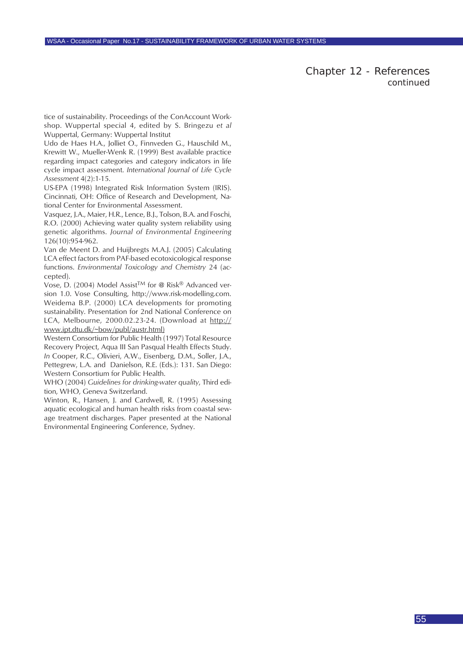Chapter 12 - References *continued*

tice of sustainability. Proceedings of the ConAccount Workshop. Wuppertal special 4, edited by S. Bringezu *et al* Wuppertal, Germany: Wuppertal Institut

Udo de Haes H.A., Jolliet O., Finnveden G., Hauschild M., Krewitt W., Mueller-Wenk R. (1999) Best available practice regarding impact categories and category indicators in life cycle impact assessment. *International Journal of Life Cycle Assessment* 4(2):1-15.

US-EPA (1998) Integrated Risk Information System (IRIS). Cincinnati, OH: Office of Research and Development, National Center for Environmental Assessment.

Vasquez, J.A., Maier, H.R., Lence, B.J., Tolson, B.A. and Foschi, R.O. (2000) Achieving water quality system reliability using genetic algorithms. *Journal of Environmental Engineering* 126(10):954-962.

Van de Meent D. and Huijbregts M.A.J. (2005) Calculating LCA effect factors from PAF-based ecotoxicological response functions. *Environmental Toxicology and Chemistry* 24 (accepted).

Vose, D. (2004) Model Assist<sup>TM</sup> for @ Risk® Advanced version 1.0. Vose Consulting, http://www.risk-modelling.com. Weidema B.P. (2000) LCA developments for promoting sustainability. Presentation for 2nd National Conference on LCA, Melbourne, 2000.02.23-24. (Download at http:// www.ipt.dtu.dk/~bow/publ/austr.html)

Western Consortium for Public Health (1997) Total Resource Recovery Project, Aqua III San Pasqual Health Effects Study. *In* Cooper, R.C., Olivieri, A.W., Eisenberg, D.M., Soller, J.A., Pettegrew, L.A. and Danielson, R.E. (Eds.): 131. San Diego: Western Consortium for Public Health.

WHO (2004) *Guidelines for drinking-water quality*, Third edition, WHO, Geneva Switzerland.

Winton, R., Hansen, J. and Cardwell, R. (1995) Assessing aquatic ecological and human health risks from coastal sewage treatment discharges. Paper presented at the National Environmental Engineering Conference, Sydney.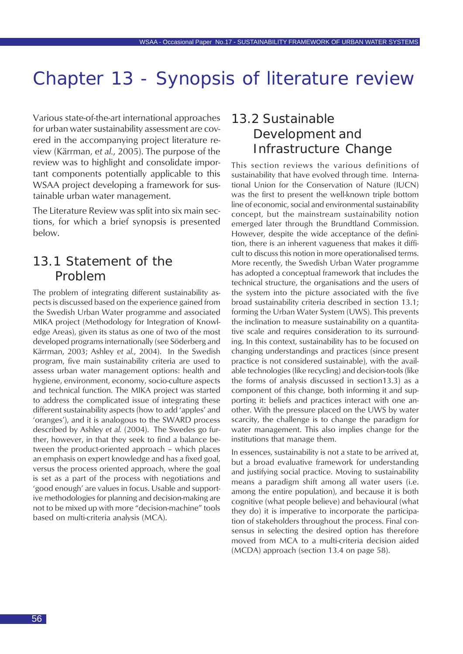Various state-of-the-art international approaches for urban water sustainability assessment are covered in the accompanying project literature review (Kärrman, e*t al.*, 2005). The purpose of the review was to highlight and consolidate important components potentially applicable to this WSAA project developing a framework for sustainable urban water management.

The Literature Review was split into six main sections, for which a brief synopsis is presented below.

## 13.1 Statement of the Problem

The problem of integrating different sustainability aspects is discussed based on the experience gained from the Swedish Urban Water programme and associated MIKA project (Methodology for Integration of Knowledge Areas), given its status as one of two of the most developed programs internationally (see Söderberg and Kärrman, 2003; Ashley *et al.*, 2004). In the Swedish program, five main sustainability criteria are used to assess urban water management options: health and hygiene, environment, economy, socio-culture aspects and technical function. The MIKA project was started to address the complicated issue of integrating these different sustainability aspects (how to add 'apples' and 'oranges'), and it is analogous to the SWARD process described by Ashley *et al.* (2004). The Swedes go further, however, in that they seek to find a balance between the product-oriented approach – which places an emphasis on expert knowledge and has a fixed goal, versus the process oriented approach, where the goal is set as a part of the process with negotiations and 'good enough' are values in focus. Usable and supportive methodologies for planning and decision-making are not to be mixed up with more "decision-machine" tools based on multi-criteria analysis (MCA).

## 13.2 Sustainable Development and Infrastructure Change

This section reviews the various definitions of sustainability that have evolved through time. International Union for the Conservation of Nature (IUCN) was the first to present the well-known triple bottom line of economic, social and environmental sustainability concept, but the mainstream sustainability notion emerged later through the Brundtland Commission. However, despite the wide acceptance of the definition, there is an inherent vagueness that makes it difficult to discuss this notion in more operationalised terms. More recently, the Swedish Urban Water programme has adopted a conceptual framework that includes the technical structure, the organisations and the users of the system into the picture associated with the five broad sustainability criteria described in section 13.1; forming the Urban Water System (UWS). This prevents the inclination to measure sustainability on a quantitative scale and requires consideration to its surrounding. In this context, sustainability has to be focused on changing understandings and practices (since present practice is not considered sustainable), with the available technologies (like recycling) and decision-tools (like the forms of analysis discussed in section13.3) as a component of this change, both informing it and supporting it: beliefs and practices interact with one another. With the pressure placed on the UWS by water scarcity, the challenge is to change the paradigm for water management. This also implies change for the institutions that manage them.

In essences, sustainability is not a state to be arrived at, but a broad evaluative framework for understanding and justifying social practice. Moving to sustainability means a paradigm shift among all water users (i.e. among the entire population), and because it is both cognitive (what people believe) and behavioural (what they do) it is imperative to incorporate the participation of stakeholders throughout the process. Final consensus in selecting the desired option has therefore moved from MCA to a multi-criteria decision aided (MCDA) approach (section 13.4 on page 58).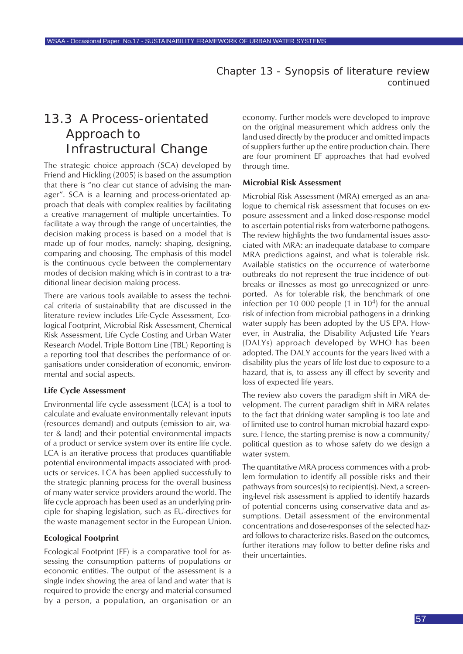## 13.3 A Process-orientated Approach to Infrastructural Change

The strategic choice approach (SCA) developed by Friend and Hickling (2005) is based on the assumption that there is "no clear cut stance of advising the manager". SCA is a learning and process-orientated approach that deals with complex realities by facilitating a creative management of multiple uncertainties. To facilitate a way through the range of uncertainties, the decision making process is based on a model that is made up of four modes, namely: shaping, designing, comparing and choosing. The emphasis of this model is the continuous cycle between the complementary modes of decision making which is in contrast to a traditional linear decision making process.

There are various tools available to assess the technical criteria of sustainability that are discussed in the literature review includes Life-Cycle Assessment, Ecological Footprint, Microbial Risk Assessment, Chemical Risk Assessment, Life Cycle Costing and Urban Water Research Model. Triple Bottom Line (TBL) Reporting is a reporting tool that describes the performance of organisations under consideration of economic, environmental and social aspects.

#### **Life Cycle Assessment**

Environmental life cycle assessment (LCA) is a tool to calculate and evaluate environmentally relevant inputs (resources demand) and outputs (emission to air, water & land) and their potential environmental impacts of a product or service system over its entire life cycle. LCA is an iterative process that produces quantifiable potential environmental impacts associated with products or services. LCA has been applied successfully to the strategic planning process for the overall business of many water service providers around the world. The life cycle approach has been used as an underlying principle for shaping legislation, such as EU-directives for the waste management sector in the European Union.

#### **Ecological Footprint**

Ecological Footprint (EF) is a comparative tool for assessing the consumption patterns of populations or economic entities. The output of the assessment is a single index showing the area of land and water that is required to provide the energy and material consumed by a person, a population, an organisation or an

economy. Further models were developed to improve on the original measurement which address only the land used directly by the producer and omitted impacts of suppliers further up the entire production chain. There are four prominent EF approaches that had evolved through time.

#### **Microbial Risk Assessment**

Microbial Risk Assessment (MRA) emerged as an analogue to chemical risk assessment that focuses on exposure assessment and a linked dose-response model to ascertain potential risks from waterborne pathogens. The review highlights the two fundamental issues associated with MRA: an inadequate database to compare MRA predictions against, and what is tolerable risk. Available statistics on the occurrence of waterborne outbreaks do not represent the true incidence of outbreaks or illnesses as most go unrecognized or unreported. As for tolerable risk, the benchmark of one infection per 10 000 people  $(1 \text{ in } 10^4)$  for the annual risk of infection from microbial pathogens in a drinking water supply has been adopted by the US EPA. However, in Australia, the Disability Adjusted Life Years (DALYs) approach developed by WHO has been adopted. The DALY accounts for the years lived with a disability plus the years of life lost due to exposure to a hazard, that is, to assess any ill effect by severity and loss of expected life years.

The review also covers the paradigm shift in MRA development. The current paradigm shift in MRA relates to the fact that drinking water sampling is too late and of limited use to control human microbial hazard exposure. Hence, the starting premise is now a community/ political question as to whose safety do we design a water system.

The quantitative MRA process commences with a problem formulation to identify all possible risks and their pathways from sources(s) to recipient(s). Next, a screening-level risk assessment is applied to identify hazards of potential concerns using conservative data and assumptions. Detail assessment of the environmental concentrations and dose-responses of the selected hazard follows to characterize risks. Based on the outcomes, further iterations may follow to better define risks and their uncertainties.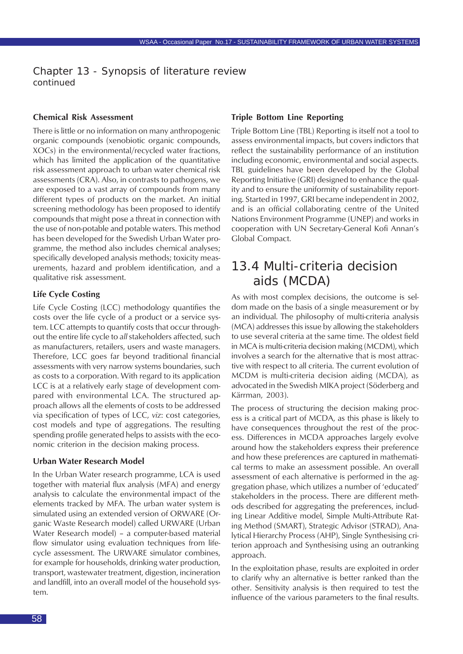#### **Chemical Risk Assessment**

There is little or no information on many anthropogenic organic compounds (xenobiotic organic compounds, XOCs) in the environmental/recycled water fractions, which has limited the application of the quantitative risk assessment approach to urban water chemical risk assessments (CRA). Also, in contrasts to pathogens, we are exposed to a vast array of compounds from many different types of products on the market. An initial screening methodology has been proposed to identify compounds that might pose a threat in connection with the use of non-potable and potable waters. This method has been developed for the Swedish Urban Water programme, the method also includes chemical analyses; specifically developed analysis methods; toxicity measurements, hazard and problem identification, and a qualitative risk assessment.

#### **Life Cycle Costing**

Life Cycle Costing (LCC) methodology quantifies the costs over the life cycle of a product or a service system. LCC attempts to quantify costs that occur throughout the entire life cycle to *all* stakeholders affected, such as manufacturers, retailers, users and waste managers. Therefore, LCC goes far beyond traditional financial assessments with very narrow systems boundaries, such as costs to a corporation. With regard to its application LCC is at a relatively early stage of development compared with environmental LCA. The structured approach allows all the elements of costs to be addressed via specification of types of LCC, *viz*: cost categories, cost models and type of aggregations. The resulting spending profile generated helps to assists with the economic criterion in the decision making process.

#### **Urban Water Research Model**

In the Urban Water research programme, LCA is used together with material flux analysis (MFA) and energy analysis to calculate the environmental impact of the elements tracked by MFA. The urban water system is simulated using an extended version of ORWARE (Organic Waste Research model) called URWARE (Urban Water Research model) – a computer-based material flow simulator using evaluation techniques from lifecycle assessment. The URWARE simulator combines, for example for households, drinking water production, transport, wastewater treatment, digestion, incineration and landfill, into an overall model of the household system.

#### **Triple Bottom Line Reporting**

Triple Bottom Line (TBL) Reporting is itself not a tool to assess environmental impacts, but covers indictors that reflect the sustainability performance of an institution including economic, environmental and social aspects. TBL guidelines have been developed by the Global Reporting Initiative (GRI) designed to enhance the quality and to ensure the uniformity of sustainability reporting. Started in 1997, GRI became independent in 2002, and is an official collaborating centre of the United Nations Environment Programme (UNEP) and works in cooperation with UN Secretary-General Kofi Annan's Global Compact.

## 13.4 Multi-criteria decision aids (MCDA)

As with most complex decisions, the outcome is seldom made on the basis of a single measurement or by an individual. The philosophy of multi-criteria analysis (MCA) addresses this issue by allowing the stakeholders to use several criteria at the same time. The oldest field in MCA is multi-criteria decision making (MCDM), which involves a search for the alternative that is most attractive with respect to all criteria. The current evolution of MCDM is multi-criteria decision aiding (MCDA), as advocated in the Swedish MIKA project (Söderberg and Kärrman, 2003).

The process of structuring the decision making process is a critical part of MCDA, as this phase is likely to have consequences throughout the rest of the process. Differences in MCDA approaches largely evolve around how the stakeholders express their preference and how these preferences are captured in mathematical terms to make an assessment possible. An overall assessment of each alternative is performed in the aggregation phase, which utilizes a number of 'educated' stakeholders in the process. There are different methods described for aggregating the preferences, including Linear Additive model, Simple Multi-Attribute Rating Method (SMART), Strategic Advisor (STRAD), Analytical Hierarchy Process (AHP), Single Synthesising criterion approach and Synthesising using an outranking approach.

In the exploitation phase, results are exploited in order to clarify why an alternative is better ranked than the other. Sensitivity analysis is then required to test the influence of the various parameters to the final results.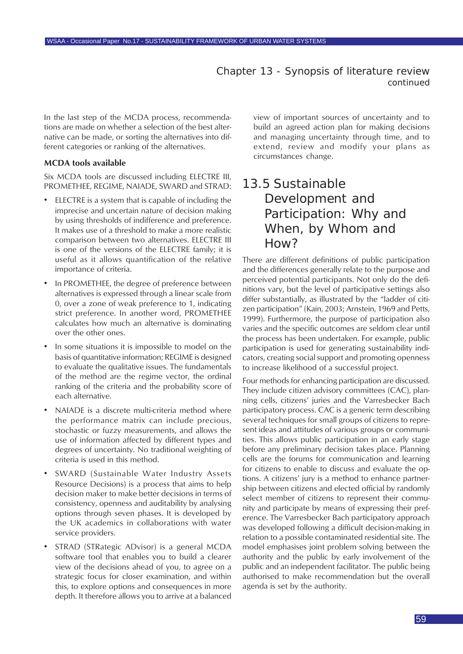In the last step of the MCDA process, recommendations are made on whether a selection of the best alternative can be made, or sorting the alternatives into different categories or ranking of the alternatives.

#### **MCDA tools available**

Six MCDA tools are discussed including ELECTRE III, PROMETHEE, REGIME, NAIADE, SWARD and STRAD:

- ELECTRE is a system that is capable of including the imprecise and uncertain nature of decision making by using thresholds of indifference and preference. It makes use of a threshold to make a more realistic comparison between two alternatives. ELECTRE III is one of the versions of the ELECTRE family; it is useful as it allows quantification of the relative importance of criteria.
- In PROMETHEE, the degree of preference between alternatives is expressed through a linear scale from 0, over a zone of weak preference to 1, indicating strict preference. In another word, PROMETHEE calculates how much an alternative is dominating over the other ones.
- In some situations it is impossible to model on the basis of quantitative information; REGIME is designed to evaluate the qualitative issues. The fundamentals of the method are the regime vector, the ordinal ranking of the criteria and the probability score of each alternative.
- NAIADE is a discrete multi-criteria method where the performance matrix can include precious, stochastic or fuzzy measurements, and allows the use of information affected by different types and degrees of uncertainty. No traditional weighting of criteria is used in this method.
- SWARD (Sustainable Water Industry Assets Resource Decisions) is a process that aims to help decision maker to make better decisions in terms of consistency, openness and auditability by analysing options through seven phases. It is developed by the UK academics in collaborations with water service providers.
- STRAD (STRategic ADvisor) is a general MCDA software tool that enables you to build a clearer view of the decisions ahead of you, to agree on a strategic focus for closer examination, and within this, to explore options and consequences in more depth. It therefore allows you to arrive at a balanced

view of important sources of uncertainty and to build an agreed action plan for making decisions and managing uncertainty through time, and to extend, review and modify your plans as circumstances change.

## 13.5 Sustainable Development and Participation: Why and When, by Whom and How?

There are different definitions of public participation and the differences generally relate to the purpose and perceived potential participants. Not only do the definitions vary, but the level of participative settings also differ substantially, as illustrated by the "ladder of citizen participation" (Kain, 2003; Arnstein, 1969 and Petts, 1999). Furthermore, the purpose of participation also varies and the specific outcomes are seldom clear until the process has been undertaken. For example, public participation is used for generating sustainability indicators, creating social support and promoting openness to increase likelihood of a successful project.

Four methods for enhancing participation are discussed. They include citizen advisory committees (CAC), planning cells, citizens' juries and the Varresbecker Bach participatory process. CAC is a generic term describing several techniques for small groups of citizens to represent ideas and attitudes of various groups or communities. This allows public participation in an early stage before any preliminary decision takes place. Planning cells are the forums for communication and learning for citizens to enable to discuss and evaluate the options. A citizens' jury is a method to enhance partnership between citizens and elected official by randomly select member of citizens to represent their community and participate by means of expressing their preference. The Varresbecker Bach participatory approach was developed following a difficult decision-making in relation to a possible contaminated residential site. The model emphasises joint problem solving between the authority and the public by early involvement of the public and an independent facilitator. The public being authorised to make recommendation but the overall agenda is set by the authority.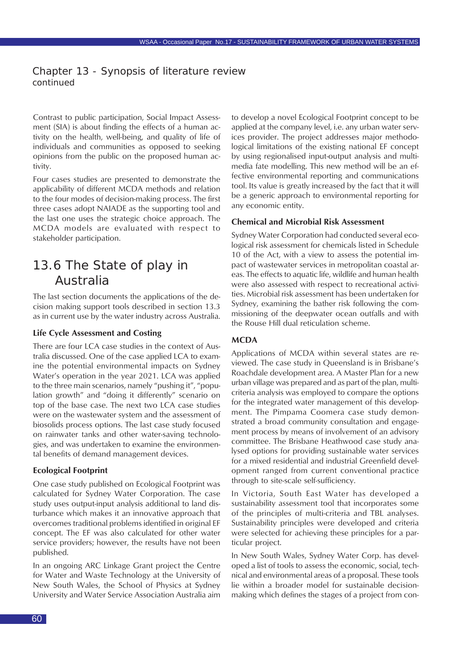Contrast to public participation, Social Impact Assessment (SIA) is about finding the effects of a human activity on the health, well-being, and quality of life of individuals and communities as opposed to seeking opinions from the public on the proposed human activity.

Four cases studies are presented to demonstrate the applicability of different MCDA methods and relation to the four modes of decision-making process. The first three cases adopt NAIADE as the supporting tool and the last one uses the strategic choice approach. The MCDA models are evaluated with respect to stakeholder participation.

## 13.6 The State of play in Australia

The last section documents the applications of the decision making support tools described in section 13.3 as in current use by the water industry across Australia.

#### **Life Cycle Assessment and Costing**

There are four LCA case studies in the context of Australia discussed. One of the case applied LCA to examine the potential environmental impacts on Sydney Water's operation in the year 2021. LCA was applied to the three main scenarios, namely "pushing it", "population growth" and "doing it differently" scenario on top of the base case. The next two LCA case studies were on the wastewater system and the assessment of biosolids process options. The last case study focused on rainwater tanks and other water-saving technologies, and was undertaken to examine the environmental benefits of demand management devices.

#### **Ecological Footprint**

One case study published on Ecological Footprint was calculated for Sydney Water Corporation. The case study uses output-input analysis additional to land disturbance which makes it an innovative approach that overcomes traditional problems identified in original EF concept. The EF was also calculated for other water service providers; however, the results have not been published.

In an ongoing ARC Linkage Grant project the Centre for Water and Waste Technology at the University of New South Wales, the School of Physics at Sydney University and Water Service Association Australia aim to develop a novel Ecological Footprint concept to be applied at the company level, i.e. any urban water services provider. The project addresses major methodological limitations of the existing national EF concept by using regionalised input-output analysis and multimedia fate modelling. This new method will be an effective environmental reporting and communications tool. Its value is greatly increased by the fact that it will be a generic approach to environmental reporting for any economic entity.

#### **Chemical and Microbial Risk Assessment**

Sydney Water Corporation had conducted several ecological risk assessment for chemicals listed in Schedule 10 of the Act, with a view to assess the potential impact of wastewater services in metropolitan coastal areas. The effects to aquatic life, wildlife and human health were also assessed with respect to recreational activities. Microbial risk assessment has been undertaken for Sydney, examining the bather risk following the commissioning of the deepwater ocean outfalls and with the Rouse Hill dual reticulation scheme.

#### **MCDA**

Applications of MCDA within several states are reviewed. The case study in Queensland is in Brisbane's Roachdale development area. A Master Plan for a new urban village was prepared and as part of the plan, multicriteria analysis was employed to compare the options for the integrated water management of this development. The Pimpama Coomera case study demonstrated a broad community consultation and engagement process by means of involvement of an advisory committee. The Brisbane Heathwood case study analysed options for providing sustainable water services for a mixed residential and industrial Greenfield development ranged from current conventional practice through to site-scale self-sufficiency.

In Victoria, South East Water has developed a sustainability assessment tool that incorporates some of the principles of multi-criteria and TBL analyses. Sustainability principles were developed and criteria were selected for achieving these principles for a particular project.

In New South Wales, Sydney Water Corp. has developed a list of tools to assess the economic, social, technical and environmental areas of a proposal. These tools lie within a broader model for sustainable decisionmaking which defines the stages of a project from con-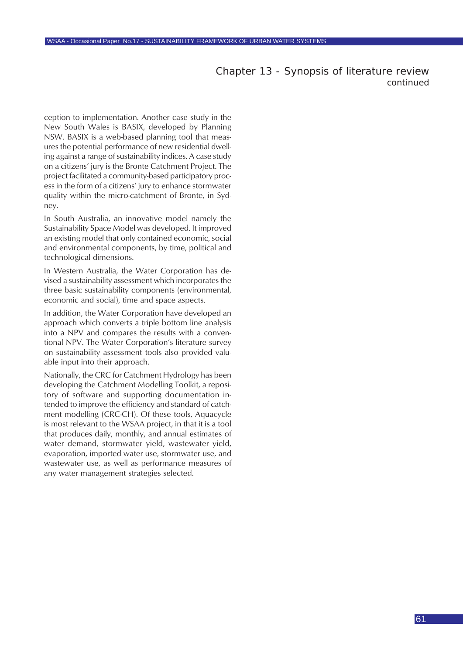ception to implementation. Another case study in the New South Wales is BASIX, developed by Planning NSW. BASIX is a web-based planning tool that measures the potential performance of new residential dwelling against a range of sustainability indices. A case study on a citizens' jury is the Bronte Catchment Project. The project facilitated a community-based participatory process in the form of a citizens' jury to enhance stormwater quality within the micro-catchment of Bronte, in Sydney.

In South Australia, an innovative model namely the Sustainability Space Model was developed. It improved an existing model that only contained economic, social and environmental components, by time, political and technological dimensions.

In Western Australia, the Water Corporation has devised a sustainability assessment which incorporates the three basic sustainability components (environmental, economic and social), time and space aspects.

In addition, the Water Corporation have developed an approach which converts a triple bottom line analysis into a NPV and compares the results with a conventional NPV. The Water Corporation's literature survey on sustainability assessment tools also provided valuable input into their approach.

Nationally, the CRC for Catchment Hydrology has been developing the Catchment Modelling Toolkit, a repository of software and supporting documentation intended to improve the efficiency and standard of catchment modelling (CRC-CH). Of these tools, Aquacycle is most relevant to the WSAA project, in that it is a tool that produces daily, monthly, and annual estimates of water demand, stormwater yield, wastewater yield, evaporation, imported water use, stormwater use, and wastewater use, as well as performance measures of any water management strategies selected.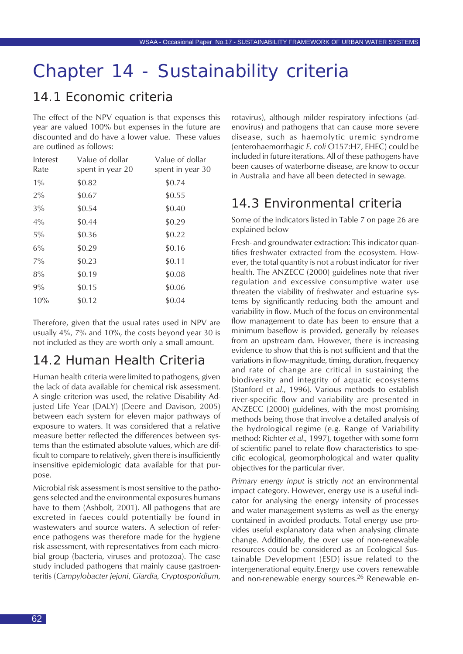# Chapter 14 - Sustainability criteria

## 14.1 Economic criteria

The effect of the NPV equation is that expenses this year are valued 100% but expenses in the future are discounted and do have a lower value. These values are outlined as follows:

| Interest<br>Rate | Value of dollar<br>spent in year 20 | Value of dollar<br>spent in year 30 |
|------------------|-------------------------------------|-------------------------------------|
| $1\%$            | \$0.82                              | \$0.74                              |
| $2\%$            | \$0.67                              | \$0.55                              |
| $3\%$            | \$0.54                              | \$0.40                              |
| $4\%$            | \$0.44                              | \$0.29                              |
| $5\%$            | \$0.36                              | \$0.22                              |
| $6\%$            | \$0.29                              | \$0.16                              |
| $7\%$            | \$0.23                              | \$0.11                              |
| 8%               | \$0.19                              | \$0.08                              |
| $9\%$            | \$0.15                              | \$0.06                              |
| 10%              | \$0.12                              | \$0.04                              |

Therefore, given that the usual rates used in NPV are usually 4%, 7% and 10%, the costs beyond year 30 is not included as they are worth only a small amount.

## 14.2 Human Health Criteria

Human health criteria were limited to pathogens, given the lack of data available for chemical risk assessment. A single criterion was used, the relative Disability Adjusted Life Year (DALY) (Deere and Davison, 2005) between each system for eleven major pathways of exposure to waters. It was considered that a relative measure better reflected the differences between systems than the estimated absolute values, which are difficult to compare to relatively, given there is insufficiently insensitive epidemiologic data available for that purpose.

Microbial risk assessment is most sensitive to the pathogens selected and the environmental exposures humans have to them (Ashbolt, 2001). All pathogens that are excreted in faeces could potentially be found in wastewaters and source waters. A selection of reference pathogens was therefore made for the hygiene risk assessment, with representatives from each microbial group (bacteria, viruses and protozoa). The case study included pathogens that mainly cause gastroenteritis (*Campylobacter jejuni*, *Giardia*, *Cryptosporidium*, rotavirus), although milder respiratory infections (adenovirus) and pathogens that can cause more severe disease, such as haemolytic uremic syndrome (enterohaemorrhagic *E. coli* O157:H7, EHEC) could be included in future iterations. All of these pathogens have been causes of waterborne disease, are know to occur in Australia and have all been detected in sewage.

## 14.3 Environmental criteria

Some of the indicators listed in Table 7 on page 26 are explained below

Fresh- and groundwater extraction: This indicator quantifies freshwater extracted from the ecosystem. However, the total quantity is not a robust indicator for river health. The ANZECC (2000) guidelines note that river regulation and excessive consumptive water use threaten the viability of freshwater and estuarine systems by significantly reducing both the amount and variability in flow. Much of the focus on environmental flow management to date has been to ensure that a minimum baseflow is provided, generally by releases from an upstream dam. However, there is increasing evidence to show that this is not sufficient and that the variations in flow-magnitude, timing, duration, frequency and rate of change are critical in sustaining the biodiversity and integrity of aquatic ecosystems (Stanford *et al*., 1996). Various methods to establish river-specific flow and variability are presented in ANZECC (2000) guidelines, with the most promising methods being those that involve a detailed analysis of the hydrological regime (e.g. Range of Variability method; Richter *et al*., 1997), together with some form of scientific panel to relate flow characteristics to specific ecological, geomorphological and water quality objectives for the particular river.

*Primary energy input* is strictly *not* an environmental impact category. However, energy use is a useful indicator for analysing the energy intensity of processes and water management systems as well as the energy contained in avoided products. Total energy use provides useful explanatory data when analysing climate change. Additionally, the over use of non-renewable resources could be considered as an Ecological Sustainable Development (ESD) issue related to the intergenerational equity.Energy use covers renewable and non-renewable energy sources.<sup>26</sup> Renewable en-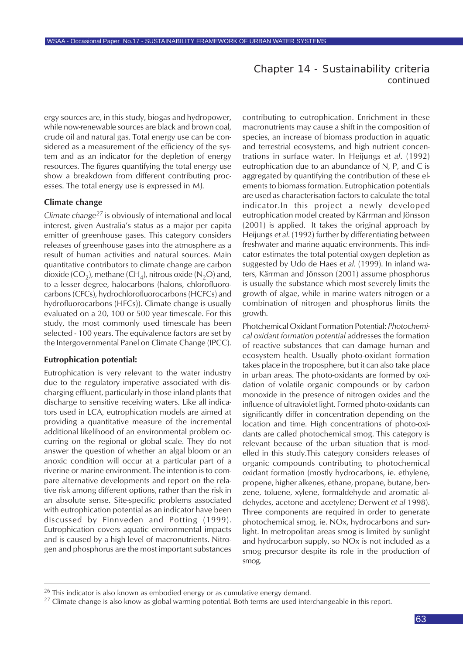#### Chapter 14 - Sustainability criteria *continued*

ergy sources are, in this study, biogas and hydropower, while now-renewable sources are black and brown coal, crude oil and natural gas. Total energy use can be considered as a measurement of the efficiency of the system and as an indicator for the depletion of energy resources. The figures quantifying the total energy use show a breakdown from different contributing processes. The total energy use is expressed in MJ.

#### **Climate change**

*Climate change<sup>27</sup>* is obviously of international and local interest, given Australia's status as a major per capita emitter of greenhouse gases. This category considers releases of greenhouse gases into the atmosphere as a result of human activities and natural sources. Main quantitative contributors to climate change are carbon dioxide (CO<sub>2</sub>), methane (CH<sub>4</sub>), nitrous oxide (N<sub>2</sub>O) and, to a lesser degree, halocarbons (halons, chlorofluorocarbons (CFCs), hydrochlorofluorocarbons (HCFCs) and hydrofluorocarbons (HFCs)). Climate change is usually evaluated on a 20, 100 or 500 year timescale. For this study, the most commonly used timescale has been selected - 100 years. The equivalence factors are set by the Intergovernmental Panel on Climate Change (IPCC).

#### **Eutrophication potential:**

Eutrophication is very relevant to the water industry due to the regulatory imperative associated with discharging effluent, particularly in those inland plants that discharge to sensitive receiving waters. Like all indicators used in LCA, eutrophication models are aimed at providing a quantitative measure of the incremental additional likelihood of an environmental problem occurring on the regional or global scale. They do not answer the question of whether an algal bloom or an anoxic condition will occur at a particular part of a riverine or marine environment. The intention is to compare alternative developments and report on the relative risk among different options, rather than the risk in an absolute sense. Site-specific problems associated with eutrophication potential as an indicator have been discussed by Finnveden and Potting (1999). Eutrophication covers aquatic environmental impacts and is caused by a high level of macronutrients. Nitrogen and phosphorus are the most important substances

contributing to eutrophication. Enrichment in these macronutrients may cause a shift in the composition of species, an increase of biomass production in aquatic and terrestrial ecosystems, and high nutrient concentrations in surface water. In Heijungs *et al*. (1992) eutrophication due to an abundance of N, P, and C is aggregated by quantifying the contribution of these elements to biomass formation. Eutrophication potentials are used as characterisation factors to calculate the total indicator.In this project a newly developed eutrophication model created by Kärrman and Jönsson (2001) is applied. It takes the original approach by Heijungs *et al*. (1992) further by differentiating between freshwater and marine aquatic environments. This indicator estimates the total potential oxygen depletion as suggested by Udo de Haes *et al.* (1999). In inland waters, Kärrman and Jönsson (2001) assume phosphorus is usually the substance which most severely limits the growth of algae, while in marine waters nitrogen or a combination of nitrogen and phosphorus limits the growth.

Photchemical Oxidant Formation Potential: *Photochemical oxidant formation potential* addresses the formation of reactive substances that can damage human and ecosystem health. Usually photo-oxidant formation takes place in the troposphere, but it can also take place in urban areas. The photo-oxidants are formed by oxidation of volatile organic compounds or by carbon monoxide in the presence of nitrogen oxides and the influence of ultraviolet light. Formed photo-oxidants can significantly differ in concentration depending on the location and time. High concentrations of photo-oxidants are called photochemical smog. This category is relevant because of the urban situation that is modelled in this study.This category considers releases of organic compounds contributing to photochemical oxidant formation (mostly hydrocarbons, ie. ethylene, propene, higher alkenes, ethane, propane, butane, benzene, toluene, xylene, formaldehyde and aromatic aldehydes, acetone and acetylene; Derwent *et al* 1998). Three components are required in order to generate photochemical smog, ie. NOx, hydrocarbons and sunlight. In metropolitan areas smog is limited by sunlight and hydrocarbon supply, so NOx is not included as a smog precursor despite its role in the production of smog.

 $^{26}$  This indicator is also known as embodied energy or as cumulative energy demand.

 $^{27}$  Climate change is also know as global warming potential. Both terms are used interchangeable in this report.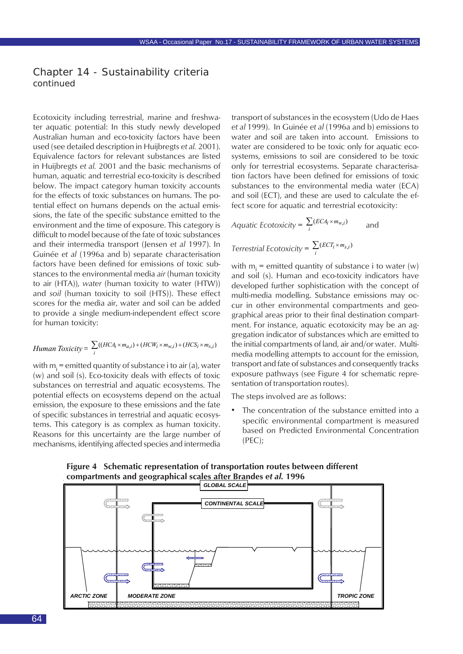#### Chapter 14 - Sustainability criteria *continued*

Ecotoxicity including terrestrial, marine and freshwater aquatic potential: In this study newly developed Australian human and eco-toxicity factors have been used (see detailed description in Huijbregts *et al.* 2001). Equivalence factors for relevant substances are listed in Huijbregts *et al.* 2001 and the basic mechanisms of human, aquatic and terrestrial eco-toxicity is described below. The impact category human toxicity accounts for the effects of toxic substances on humans. The potential effect on humans depends on the actual emissions, the fate of the specific substance emitted to the environment and the time of exposure. This category is difficult to model because of the fate of toxic substances and their intermedia transport (Jensen *et al* 1997). In Guinée *et al* (1996a and b) separate characterisation factors have been defined for emissions of toxic substances to the environmental media *air* (human toxicity to air (HTA)), *water* (human toxicity to water (HTW)) and *soil* (human toxicity to soil (HTS)). These effect scores for the media air, water and soil can be added to provide a single medium-independent effect score for human toxicity:

*Human Toxicity* = 
$$
\sum_{i} ((HCA_i \times m_{a,i}) + (HCW_i \times m_{w,i}) + (HCS_i \times m_{s,i})
$$

with m<sub>i</sub> = emitted quantity of substance i to air (a), water (w) and soil (s). Eco-toxicity deals with effects of toxic substances on terrestrial and aquatic ecosystems. The potential effects on ecosystems depend on the actual emission, the exposure to these emissions and the fate of specific substances in terrestrial and aquatic ecosystems. This category is as complex as human toxicity. Reasons for this uncertainty are the large number of mechanisms, identifying affected species and intermedia

transport of substances in the ecosystem (Udo de Haes *et al* 1999). In Guinée *et al* (1996a and b) emissions to water and soil are taken into account. Emissions to water are considered to be toxic only for aquatic ecosystems, emissions to soil are considered to be toxic only for terrestrial ecosystems. Separate characterisation factors have been defined for emissions of toxic substances to the environmental media water (ECA) and soil (ECT), and these are used to calculate the effect score for aquatic and terrestrial ecotoxicity:

Acquatic Ecotoxicity = 
$$
\sum_{i} (ECA_i \times m_{w,i})
$$

\nand

\nTerrestrial Ecotoxicity = 
$$
\sum_{i} (ECT_i \times m_{s,i})
$$

with  $m_{\mathsf{i}}^{}$  = emitted quantity of substance i to water (w) and soil (s). Human and eco-toxicity indicators have developed further sophistication with the concept of multi-media modelling. Substance emissions may occur in other environmental compartments and geographical areas prior to their final destination compartment. For instance, aquatic ecotoxicity may be an aggregation indicator of substances which are emitted to the initial compartments of land, air and/or water. Multimedia modelling attempts to account for the emission, transport and fate of substances and consequently tracks exposure pathways (see Figure 4 for schematic representation of transportation routes).

The steps involved are as follows:

The concentration of the substance emitted into a specific environmental compartment is measured based on Predicted Environmental Concentration (PEC);



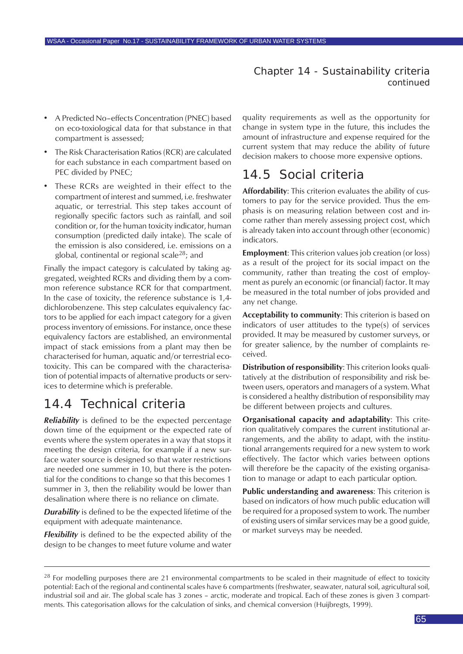Chapter 14 - Sustainability criteria *continued*

- A Predicted No–effects Concentration (PNEC) based on eco-toxiological data for that substance in that compartment is assessed;
- The Risk Characterisation Ratios (RCR) are calculated for each substance in each compartment based on PEC divided by PNEC;
- These RCRs are weighted in their effect to the compartment of interest and summed, i.e. freshwater aquatic, or terrestrial. This step takes account of regionally specific factors such as rainfall, and soil condition or, for the human toxicity indicator, human consumption (predicted daily intake). The scale of the emission is also considered, i.e. emissions on a global, continental or regional scale<sup>28</sup>; and

Finally the impact category is calculated by taking aggregated, weighted RCRs and dividing them by a common reference substance RCR for that compartment. In the case of toxicity, the reference substance is 1,4 dichlorobenzene. This step calculates equivalency factors to be applied for each impact category for a given process inventory of emissions. For instance, once these equivalency factors are established, an environmental impact of stack emissions from a plant may then be characterised for human, aquatic and/or terrestrial ecotoxicity. This can be compared with the characterisation of potential impacts of alternative products or services to determine which is preferable.

## 14.4 Technical criteria

*Reliability* is defined to be the expected percentage down time of the equipment or the expected rate of events where the system operates in a way that stops it meeting the design criteria, for example if a new surface water source is designed so that water restrictions are needed one summer in 10, but there is the potential for the conditions to change so that this becomes 1 summer in 3, then the reliability would be lower than desalination where there is no reliance on climate.

*Durability* is defined to be the expected lifetime of the equipment with adequate maintenance.

*Flexibility* is defined to be the expected ability of the design to be changes to meet future volume and water quality requirements as well as the opportunity for change in system type in the future, this includes the amount of infrastructure and expense required for the current system that may reduce the ability of future decision makers to choose more expensive options.

## 14.5 Social criteria

**Affordability**: This criterion evaluates the ability of customers to pay for the service provided. Thus the emphasis is on measuring relation between cost and income rather than merely assessing project cost, which is already taken into account through other (economic) indicators.

**Employment**: This criterion values job creation (or loss) as a result of the project for its social impact on the community, rather than treating the cost of employment as purely an economic (or financial) factor. It may be measured in the total number of jobs provided and any net change.

**Acceptability to community**: This criterion is based on indicators of user attitudes to the type(s) of services provided. It may be measured by customer surveys, or for greater salience, by the number of complaints received.

**Distribution of responsibility**: This criterion looks qualitatively at the distribution of responsibility and risk between users, operators and managers of a system. What is considered a healthy distribution of responsibility may be different between projects and cultures.

**Organisational capacity and adaptability**: This criterion qualitatively compares the current institutional arrangements, and the ability to adapt, with the institutional arrangements required for a new system to work effectively. The factor which varies between options will therefore be the capacity of the existing organisation to manage or adapt to each particular option.

**Public understanding and awareness**: This criterion is based on indicators of how much public education will be required for a proposed system to work. The number of existing users of similar services may be a good guide, or market surveys may be needed.

<sup>&</sup>lt;sup>28</sup> For modelling purposes there are 21 environmental compartments to be scaled in their magnitude of effect to toxicity potential: Each of the regional and continental scales have 6 compartments (freshwater, seawater, natural soil, agricultural soil, industrial soil and air. The global scale has 3 zones – arctic, moderate and tropical. Each of these zones is given 3 compartments. This categorisation allows for the calculation of sinks, and chemical conversion (Huijbregts, 1999).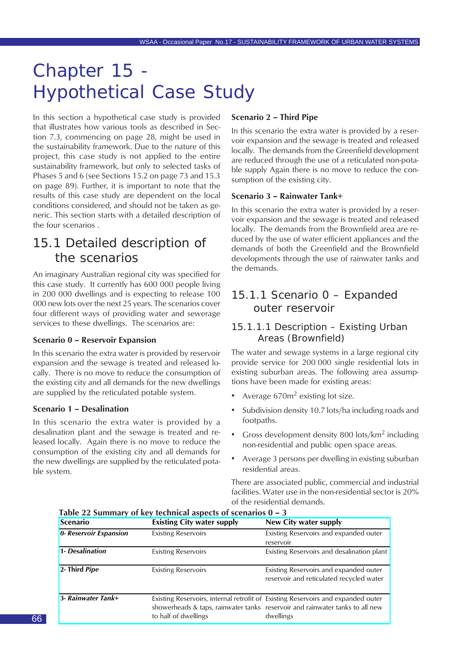## Chapter 15 - Hypothetical Case Study

In this section a hypothetical case study is provided that illustrates how various tools as described in Section 7.3, commencing on page 28, might be used in the sustainability framework. Due to the nature of this project, this case study is not applied to the entire sustainability framework, but only to selected tasks of Phases 5 and 6 (see Sections 15.2 on page 73 and 15.3 on page 89). Further, it is important to note that the results of this case study are dependent on the local conditions considered, and should not be taken as generic. This section starts with a detailed description of the four scenarios .

## 15.1 Detailed description of the scenarios

An imaginary Australian regional city was specified for this case study. It currently has 600 000 people living in 200 000 dwellings and is expecting to release 100 000 new lots over the next 25 years. The scenarios cover four different ways of providing water and sewerage services to these dwellings. The scenarios are:

#### **Scenario 0 – Reservoir Expansion**

In this scenario the extra water is provided by reservoir expansion and the sewage is treated and released locally. There is no move to reduce the consumption of the existing city and all demands for the new dwellings are supplied by the reticulated potable system.

#### **Scenario 1 – Desalination**

In this scenario the extra water is provided by a desalination plant and the sewage is treated and released locally. Again there is no move to reduce the consumption of the existing city and all demands for the new dwellings are supplied by the reticulated potable system.

#### **Scenario 2 – Third Pipe**

In this scenario the extra water is provided by a reservoir expansion and the sewage is treated and released locally. The demands from the Greenfield development are reduced through the use of a reticulated non-potable supply Again there is no move to reduce the consumption of the existing city.

#### **Scenario 3 – Rainwater Tank+**

In this scenario the extra water is provided by a reservoir expansion and the sewage is treated and released locally. The demands from the Brownfield area are reduced by the use of water efficient appliances and the demands of both the Greenfield and the Brownfield developments through the use of rainwater tanks and the demands.

## 15.1.1 Scenario 0 – Expanded outer reservoir

#### 15.1.1.1 Description – Existing Urban Areas (Brownfield)

The water and sewage systems in a large regional city provide service for 200 000 single residential lots in existing suburban areas. The following area assumptions have been made for existing areas:

- Average 670m<sup>2</sup> existing lot size.
- Subdivision density 10.7 lots/ha including roads and footpaths.
- Gross development density 800 lots/ $km^2$  including non-residential and public open space areas.
- Average 3 persons per dwelling in existing suburban residential areas.

There are associated public, commercial and industrial facilities. Water use in the non-residential sector is 20% of the residential demands.

| <b>Scenario</b>        | <b>Existing City water supply</b> | New City water supply                                                                                                                                                         |
|------------------------|-----------------------------------|-------------------------------------------------------------------------------------------------------------------------------------------------------------------------------|
| 0- Reservoir Expansion | <b>Existing Reservoirs</b>        | Existing Reservoirs and expanded outer<br>reservoir                                                                                                                           |
| 1- Desalination        | <b>Existing Reservoirs</b>        | Existing Reservoirs and desalination plant                                                                                                                                    |
| 2- Third Pipe          | <b>Existing Reservoirs</b>        | Existing Reservoirs and expanded outer<br>reservoir and reticulated recycled water                                                                                            |
| 3- Rainwater Tank+     | to half of dwellings              | Existing Reservoirs, internal retrofit of Existing Reservoirs and expanded outer<br>showerheads & taps, rainwater tanks reservoir and rainwater tanks to all new<br>dwellings |

**Table 22 Summary of key technical aspects of scenarios 0 – 3**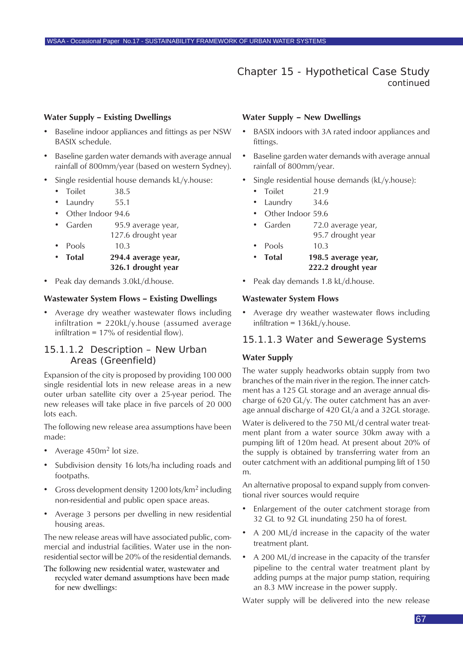#### **Water Supply – Existing Dwellings**

- Baseline indoor appliances and fittings as per NSW BASIX schedule.
- Baseline garden water demands with average annual rainfall of 800mm/year (based on western Sydney).
- Single residential house demands kL/y.house:
	- Toilet 38.5
	- Laundry 55.1
	- Other Indoor 94.6
	- Garden 95.9 average year, 127.6 drought year
	- Pools 10.3
	- **Total 294.4 average year, 326.1 drought year**
- Peak day demands 3.0kL/d.house.

#### **Wastewater System Flows – Existing Dwellings**

• Average dry weather wastewater flows including infiltration = 220kL/y.house (assumed average infiltration =  $17\%$  of residential flow).

#### 15.1.1.2 Description – New Urban Areas (Greenfield)

Expansion of the city is proposed by providing 100 000 single residential lots in new release areas in a new outer urban satellite city over a 25-year period. The new releases will take place in five parcels of 20 000 lots each.

The following new release area assumptions have been made:

- Average 450m<sup>2</sup> lot size.
- Subdivision density 16 lots/ha including roads and footpaths.
- Gross development density 1200 lots/ $km^2$  including non-residential and public open space areas.
- Average 3 persons per dwelling in new residential housing areas.

The new release areas will have associated public, commercial and industrial facilities. Water use in the nonresidential sector will be 20% of the residential demands.

The following new residential water, wastewater and recycled water demand assumptions have been made for new dwellings:

#### **Water Supply – New Dwellings**

- BASIX indoors with 3A rated indoor appliances and fittings.
- Baseline garden water demands with average annual rainfall of 800mm/year.
- Single residential house demands (kL/y.house):
	- Toilet 21.9
	- Laundry 34.6
	- Other Indoor 59.6
	- Garden 72.0 average year,
		- 95.7 drought year
	- Pools 10.3 • **Total 198.5 average year,**
		- **222.2 drought year**
- Peak day demands 1.8 kL/d.house.

#### **Wastewater System Flows**

• Average dry weather wastewater flows including infiltration = 136kL/y.house.

#### 15.1.1.3 Water and Sewerage Systems

#### **Water Supply**

The water supply headworks obtain supply from two branches of the main river in the region. The inner catchment has a 125 GL storage and an average annual discharge of 620 GL/y. The outer catchment has an average annual discharge of 420 GL/a and a 32GL storage.

Water is delivered to the 750 ML/d central water treatment plant from a water source 30km away with a pumping lift of 120m head. At present about 20% of the supply is obtained by transferring water from an outer catchment with an additional pumping lift of 150 m.

An alternative proposal to expand supply from conventional river sources would require

- Enlargement of the outer catchment storage from 32 GL to 92 GL inundating 250 ha of forest.
- A 200 ML/d increase in the capacity of the water treatment plant.
- A 200 ML/d increase in the capacity of the transfer pipeline to the central water treatment plant by adding pumps at the major pump station, requiring an 8.3 MW increase in the power supply.

Water supply will be delivered into the new release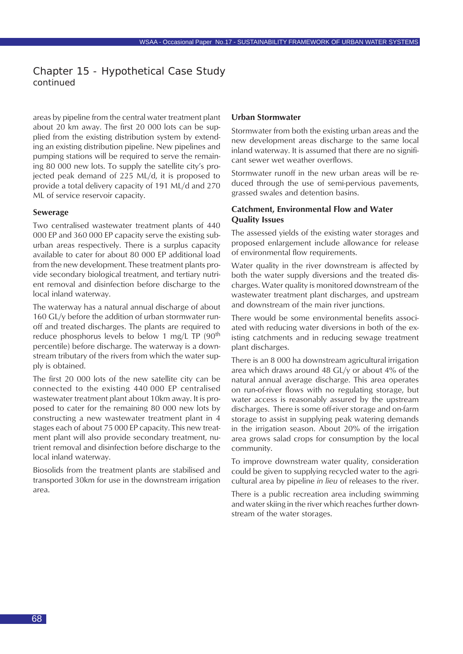areas by pipeline from the central water treatment plant about 20 km away. The first 20 000 lots can be supplied from the existing distribution system by extending an existing distribution pipeline. New pipelines and pumping stations will be required to serve the remaining 80 000 new lots. To supply the satellite city's projected peak demand of 225 ML/d, it is proposed to provide a total delivery capacity of 191 ML/d and 270 ML of service reservoir capacity.

#### **Sewerage**

Two centralised wastewater treatment plants of 440 000 EP and 360 000 EP capacity serve the existing suburban areas respectively. There is a surplus capacity available to cater for about 80 000 EP additional load from the new development. These treatment plants provide secondary biological treatment, and tertiary nutrient removal and disinfection before discharge to the local inland waterway.

The waterway has a natural annual discharge of about 160 GL/y before the addition of urban stormwater runoff and treated discharges. The plants are required to reduce phosphorus levels to below 1 mg/L TP  $(90<sup>th</sup>$ percentile) before discharge. The waterway is a downstream tributary of the rivers from which the water supply is obtained.

The first 20 000 lots of the new satellite city can be connected to the existing 440 000 EP centralised wastewater treatment plant about 10km away. It is proposed to cater for the remaining 80 000 new lots by constructing a new wastewater treatment plant in 4 stages each of about 75 000 EP capacity. This new treatment plant will also provide secondary treatment, nutrient removal and disinfection before discharge to the local inland waterway.

Biosolids from the treatment plants are stabilised and transported 30km for use in the downstream irrigation area.

#### **Urban Stormwater**

Stormwater from both the existing urban areas and the new development areas discharge to the same local inland waterway. It is assumed that there are no significant sewer wet weather overflows.

Stormwater runoff in the new urban areas will be reduced through the use of semi-pervious pavements, grassed swales and detention basins.

#### **Catchment, Environmental Flow and Water Quality Issues**

The assessed yields of the existing water storages and proposed enlargement include allowance for release of environmental flow requirements.

Water quality in the river downstream is affected by both the water supply diversions and the treated discharges. Water quality is monitored downstream of the wastewater treatment plant discharges, and upstream and downstream of the main river junctions.

There would be some environmental benefits associated with reducing water diversions in both of the existing catchments and in reducing sewage treatment plant discharges.

There is an 8 000 ha downstream agricultural irrigation area which draws around 48 GL/y or about 4% of the natural annual average discharge. This area operates on run-of-river flows with no regulating storage, but water access is reasonably assured by the upstream discharges. There is some off-river storage and on-farm storage to assist in supplying peak watering demands in the irrigation season. About 20% of the irrigation area grows salad crops for consumption by the local community.

To improve downstream water quality, consideration could be given to supplying recycled water to the agricultural area by pipeline *in lieu* of releases to the river.

There is a public recreation area including swimming and water skiing in the river which reaches further downstream of the water storages.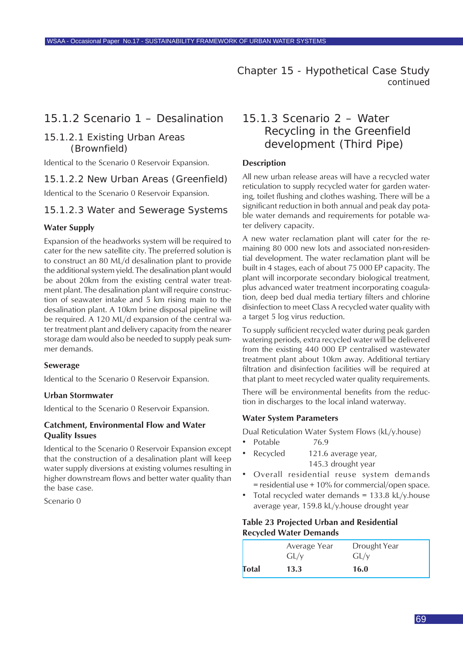#### 15.1.2 Scenario 1 – Desalination

#### 15.1.2.1 Existing Urban Areas (Brownfield)

Identical to the Scenario 0 Reservoir Expansion.

#### 15.1.2.2 New Urban Areas (Greenfield)

Identical to the Scenario 0 Reservoir Expansion.

#### 15.1.2.3 Water and Sewerage Systems

#### **Water Supply**

Expansion of the headworks system will be required to cater for the new satellite city. The preferred solution is to construct an 80 ML/d desalination plant to provide the additional system yield. The desalination plant would be about 20km from the existing central water treatment plant. The desalination plant will require construction of seawater intake and 5 km rising main to the desalination plant. A 10km brine disposal pipeline will be required. A 120 ML/d expansion of the central water treatment plant and delivery capacity from the nearer storage dam would also be needed to supply peak summer demands.

#### **Sewerage**

Identical to the Scenario 0 Reservoir Expansion.

#### **Urban Stormwater**

Identical to the Scenario 0 Reservoir Expansion.

#### **Catchment, Environmental Flow and Water Quality Issues**

Identical to the Scenario 0 Reservoir Expansion except that the construction of a desalination plant will keep water supply diversions at existing volumes resulting in higher downstream flows and better water quality than the base case.

Scenario 0

### 15.1.3 Scenario 2 – Water Recycling in the Greenfield development (Third Pipe)

#### **Description**

All new urban release areas will have a recycled water reticulation to supply recycled water for garden watering, toilet flushing and clothes washing. There will be a significant reduction in both annual and peak day potable water demands and requirements for potable water delivery capacity.

A new water reclamation plant will cater for the remaining 80 000 new lots and associated non-residential development. The water reclamation plant will be built in 4 stages, each of about 75 000 EP capacity. The plant will incorporate secondary biological treatment, plus advanced water treatment incorporating coagulation, deep bed dual media tertiary filters and chlorine disinfection to meet Class A recycled water quality with a target 5 log virus reduction.

To supply sufficient recycled water during peak garden watering periods, extra recycled water will be delivered from the existing 440 000 EP centralised wastewater treatment plant about 10km away. Additional tertiary filtration and disinfection facilities will be required at that plant to meet recycled water quality requirements.

There will be environmental benefits from the reduction in discharges to the local inland waterway.

#### **Water System Parameters**

Dual Reticulation Water System Flows (kL/y.house)

- Potable 76.9
- Recycled 121.6 average year, 145.3 drought year
- Overall residential reuse system demands  $=$  residential use  $+10\%$  for commercial/open space.
- Total recycled water demands =  $133.8$  kL/y.house average year, 159.8 kL/y.house drought year

#### **Table 23 Projected Urban and Residential Recycled Water Demands**

|       | Average Year<br>GL/y | Drought Year<br>GL/v |  |
|-------|----------------------|----------------------|--|
| Total | 13.3                 | 16.0                 |  |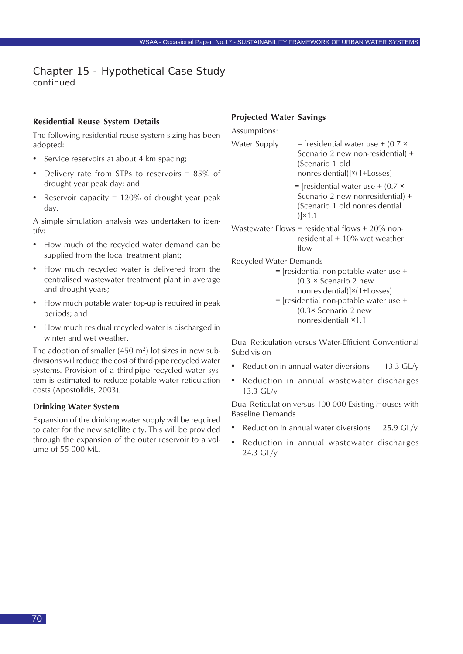#### **Residential Reuse System Details**

The following residential reuse system sizing has been adopted:

- Service reservoirs at about 4 km spacing;
- Delivery rate from STPs to reservoirs =  $85\%$  of drought year peak day; and
- Reservoir capacity =  $120\%$  of drought year peak day.

A simple simulation analysis was undertaken to identify:

- How much of the recycled water demand can be supplied from the local treatment plant;
- How much recycled water is delivered from the centralised wastewater treatment plant in average and drought years;
- How much potable water top-up is required in peak periods; and
- How much residual recycled water is discharged in winter and wet weather.

The adoption of smaller  $(450 \text{ m}^2)$  lot sizes in new subdivisions will reduce the cost of third-pipe recycled water systems. Provision of a third-pipe recycled water system is estimated to reduce potable water reticulation costs (Apostolidis, 2003).

#### **Drinking Water System**

Expansion of the drinking water supply will be required to cater for the new satellite city. This will be provided through the expansion of the outer reservoir to a volume of 55 000 ML.

#### **Projected Water Savings**

Assumptions:

Water Supply  $=$  [residential water use +  $(0.7 \times$ 

Scenario 2 new non-residential) + (Scenario 1 old nonresidential)]×(1+Losses)

 $=$  [residential water use  $+$  (0.7  $\times$ Scenario 2 new nonresidential) + (Scenario 1 old nonresidential )]×1.1

- Wastewater Flows = residential flows + 20% nonresidential + 10% wet weather flow
- Recycled Water Demands

= [residential non-potable water use + (0.3 × Scenario 2 new nonresidential)]×(1+Losses) = [residential non-potable water use + (0.3× Scenario 2 new nonresidential)]×1.1

Dual Reticulation versus Water-Efficient Conventional Subdivision

- Reduction in annual water diversions  $13.3 \text{ GL}/v$
- Reduction in annual wastewater discharges 13.3 GL/y

Dual Reticulation versus 100 000 Existing Houses with Baseline Demands

- Reduction in annual water diversions  $25.9$  GL/y
- Reduction in annual wastewater discharges 24.3 GL/y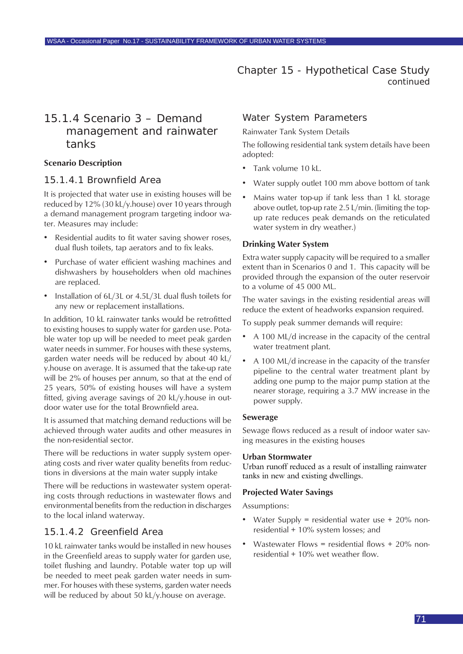### 15.1.4 Scenario 3 – Demand management and rainwater tanks

#### **Scenario Description**

#### 15.1.4.1 Brownfield Area

It is projected that water use in existing houses will be reduced by 12% (30 kL/y.house) over 10 years through a demand management program targeting indoor water. Measures may include:

- Residential audits to fit water saving shower roses, dual flush toilets, tap aerators and to fix leaks.
- Purchase of water efficient washing machines and dishwashers by householders when old machines are replaced.
- Installation of 6L/3L or 4.5L/3L dual flush toilets for any new or replacement installations.

In addition, 10 kL rainwater tanks would be retrofitted to existing houses to supply water for garden use. Potable water top up will be needed to meet peak garden water needs in summer. For houses with these systems, garden water needs will be reduced by about 40 kL/ y.house on average. It is assumed that the take-up rate will be 2% of houses per annum, so that at the end of 25 years, 50% of existing houses will have a system fitted, giving average savings of 20 kL/y.house in outdoor water use for the total Brownfield area.

It is assumed that matching demand reductions will be achieved through water audits and other measures in the non-residential sector.

There will be reductions in water supply system operating costs and river water quality benefits from reductions in diversions at the main water supply intake

There will be reductions in wastewater system operating costs through reductions in wastewater flows and environmental benefits from the reduction in discharges to the local inland waterway.

#### 15.1.4.2 Greenfield Area

10 kL rainwater tanks would be installed in new houses in the Greenfield areas to supply water for garden use, toilet flushing and laundry. Potable water top up will be needed to meet peak garden water needs in summer. For houses with these systems, garden water needs will be reduced by about 50 kL/y.house on average.

#### Water System Parameters

Rainwater Tank System Details

The following residential tank system details have been adopted:

- Tank volume 10 kL.
- Water supply outlet 100 mm above bottom of tank
- Mains water top-up if tank less than 1 kL storage above outlet, top-up rate 2.5 L/min. (limiting the topup rate reduces peak demands on the reticulated water system in dry weather.)

#### **Drinking Water System**

Extra water supply capacity will be required to a smaller extent than in Scenarios 0 and 1. This capacity will be provided through the expansion of the outer reservoir to a volume of 45 000 ML.

The water savings in the existing residential areas will reduce the extent of headworks expansion required.

To supply peak summer demands will require:

- A 100 ML/d increase in the capacity of the central water treatment plant.
- A 100 ML/d increase in the capacity of the transfer pipeline to the central water treatment plant by adding one pump to the major pump station at the nearer storage, requiring a 3.7 MW increase in the power supply.

#### **Sewerage**

Sewage flows reduced as a result of indoor water saving measures in the existing houses

#### **Urban Stormwater**

Urban runoff reduced as a result of installing rainwater tanks in new and existing dwellings.

#### **Projected Water Savings**

Assumptions:

- Water Supply = residential water use  $+20\%$  nonresidential + 10% system losses; and
- Wastewater Flows = residential flows + 20% nonresidential + 10% wet weather flow.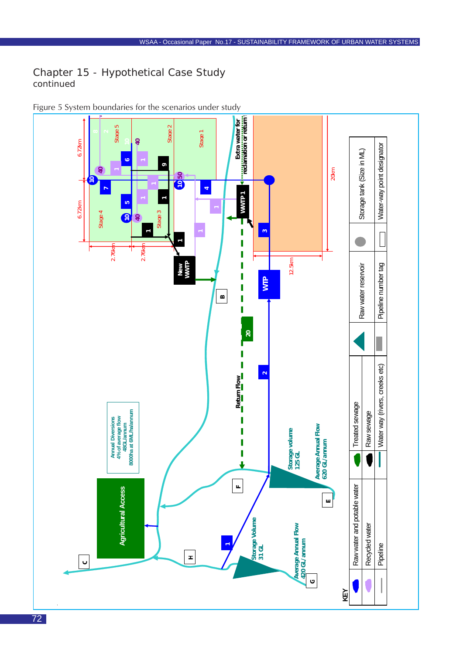

Figure 5 System boundaries for the scenarios under study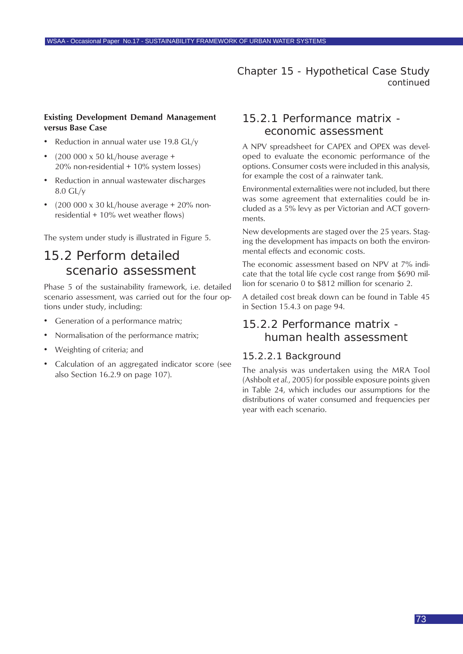#### **Existing Development Demand Management versus Base Case**

- Reduction in annual water use 19.8 GL/v
- (200 000 x 50 kL/house average + 20% non-residential + 10% system losses)
- Reduction in annual wastewater discharges 8.0 GL/y
- $(200\,000 \times 30 \, \text{kL}/\text{house average} + 20\% \, \text{non-}$ residential  $+10\%$  wet weather flows)

The system under study is illustrated in Figure 5.

# 15.2 Perform detailed scenario assessment

Phase 5 of the sustainability framework, i.e. detailed scenario assessment, was carried out for the four options under study, including:

- Generation of a performance matrix;
- Normalisation of the performance matrix;
- Weighting of criteria; and
- Calculation of an aggregated indicator score (see also Section 16.2.9 on page 107).

# 15.2.1 Performance matrix economic assessment

A NPV spreadsheet for CAPEX and OPEX was developed to evaluate the economic performance of the options. Consumer costs were included in this analysis, for example the cost of a rainwater tank.

Environmental externalities were not included, but there was some agreement that externalities could be included as a 5% levy as per Victorian and ACT governments.

New developments are staged over the 25 years. Staging the development has impacts on both the environmental effects and economic costs.

The economic assessment based on NPV at 7% indicate that the total life cycle cost range from \$690 million for scenario 0 to \$812 million for scenario 2.

A detailed cost break down can be found in Table 45 in Section 15.4.3 on page 94.

# 15.2.2 Performance matrix human health assessment

#### 15.2.2.1 Background

The analysis was undertaken using the MRA Tool (Ashbolt *et al.*, 2005) for possible exposure points given in Table 24, which includes our assumptions for the distributions of water consumed and frequencies per year with each scenario.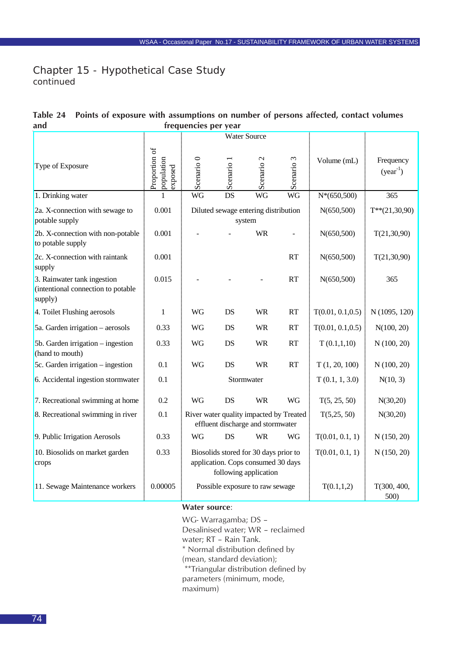| ang                                                                          |                                        | rrequencies per year                                                                                 |            |                                                |                                         |                   |                            |
|------------------------------------------------------------------------------|----------------------------------------|------------------------------------------------------------------------------------------------------|------------|------------------------------------------------|-----------------------------------------|-------------------|----------------------------|
|                                                                              |                                        |                                                                                                      |            | <b>Water Source</b>                            |                                         |                   |                            |
| Type of Exposure                                                             | Proportion of<br>population<br>exposed | Scenario <sub>0</sub>                                                                                | Scenario 1 | Scenario <sub>2</sub>                          | Scenario 3                              | Volume (mL)       | Frequency<br>$(year^{-1})$ |
| 1. Drinking water                                                            | 1                                      | <b>WG</b>                                                                                            | <b>DS</b>  | <b>WG</b>                                      | <b>WG</b>                               | $N*(650,500)$     | 365                        |
| 2a. X-connection with sewage to<br>potable supply                            | 0.001                                  |                                                                                                      |            | Diluted sewage entering distribution<br>system |                                         | N(650, 500)       | $T^{**}(21,30,90)$         |
| 2b. X-connection with non-potable<br>to potable supply                       | 0.001                                  |                                                                                                      |            | <b>WR</b>                                      |                                         | N(650, 500)       | T(21, 30, 90)              |
| 2c. X-connection with raintank<br>supply                                     | 0.001                                  |                                                                                                      |            |                                                | <b>RT</b>                               | N(650, 500)       | T(21, 30, 90)              |
| 3. Rainwater tank ingestion<br>(intentional connection to potable<br>supply) | 0.015                                  |                                                                                                      |            |                                                | <b>RT</b>                               | N(650, 500)       | 365                        |
| 4. Toilet Flushing aerosols                                                  | $\mathbf{1}$                           | WG                                                                                                   | DS         | <b>WR</b>                                      | <b>RT</b>                               | T(0.01, 0.1, 0.5) | N (1095, 120)              |
| 5a. Garden irrigation – aerosols                                             | 0.33                                   | <b>WG</b>                                                                                            | DS         | <b>WR</b>                                      | <b>RT</b>                               | T(0.01, 0.1, 0.5) | N(100, 20)                 |
| 5b. Garden irrigation $-$ ingestion<br>(hand to mouth)                       | 0.33                                   | <b>WG</b>                                                                                            | DS         | <b>WR</b>                                      | <b>RT</b>                               | T(0.1, 1, 10)     | N(100, 20)                 |
| 5c. Garden irrigation - ingestion                                            | 0.1                                    | <b>WG</b>                                                                                            | DS         | <b>WR</b>                                      | <b>RT</b>                               | T(1, 20, 100)     | N(100, 20)                 |
| 6. Accidental ingestion stormwater                                           | 0.1                                    |                                                                                                      |            | Stormwater                                     |                                         | T(0.1, 1, 3.0)    | N(10, 3)                   |
| 7. Recreational swimming at home                                             | 0.2                                    | <b>WG</b>                                                                                            | DS         | <b>WR</b>                                      | <b>WG</b>                               | T(5, 25, 50)      | N(30,20)                   |
| 8. Recreational swimming in river                                            | 0.1                                    |                                                                                                      |            | effluent discharge and stormwater              | River water quality impacted by Treated | T(5, 25, 50)      | N(30,20)                   |
| 9. Public Irrigation Aerosols                                                | 0.33                                   | WG                                                                                                   | DS         | <b>WR</b>                                      | WG                                      | T(0.01, 0.1, 1)   | N(150, 20)                 |
| 10. Biosolids on market garden<br>crops                                      | 0.33                                   | Biosolids stored for 30 days prior to<br>application. Cops consumed 30 days<br>following application |            |                                                |                                         | T(0.01, 0.1, 1)   | N(150, 20)                 |
| 11. Sewage Maintenance workers                                               | 0.00005                                |                                                                                                      |            | Possible exposure to raw sewage                |                                         | T(0.1, 1, 2)      | T(300, 400,<br>500)        |

#### <span id="page-73-0"></span>Table 24 Points of exposure with assumptions on number of persons affected, contact volumes<br>frequencies per vear **and frequencies per year**

#### **Water source**:

WG- Warragamba; DS –

Desalinised water; WR – reclaimed

water; RT – Rain Tank.

\* Normal distribution defined by

(mean, standard deviation);

\*\*Triangular distribution defined by

parameters (minimum, mode,

maximum)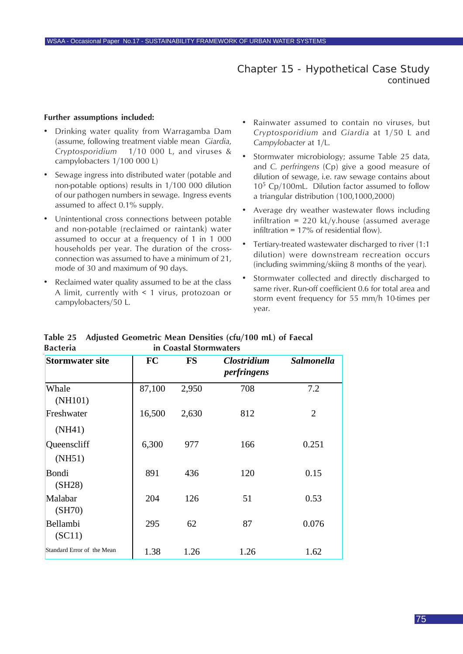#### **Further assumptions included:**

- Drinking water quality from Warragamba Dam (assume, following treatment viable mean *Giardia*, *Cryptosporidium* 1/10 000 L, and viruses & campylobacters 1/100 000 L)
- Sewage ingress into distributed water (potable and non-potable options) results in 1/100 000 dilution of our pathogen numbers in sewage. Ingress events assumed to affect 0.1% supply.
- Unintentional cross connections between potable and non-potable (reclaimed or raintank) water assumed to occur at a frequency of 1 in 1 000 households per year. The duration of the crossconnection was assumed to have a minimum of 21, mode of 30 and maximum of 90 days.
- Reclaimed water quality assumed to be at the class A limit, currently with < 1 virus, protozoan or campylobacters/50 L.
- Rainwater assumed to contain no viruses, but *Cryptosporidium* and *Giardia* at 1/50 L and *Campylobacter* at 1/L.
- Stormwater microbiology; assume Table 25 data, and *C. perfringens* (Cp) give a good measure of dilution of sewage, i.e. raw sewage contains about  $10<sup>5</sup>$  Cp/100mL. Dilution factor assumed to follow a triangular distribution (100,1000,2000)
- Average dry weather wastewater flows including infiltration = 220 kL/y.house (assumed average infiltration =  $17\%$  of residential flow).
- Tertiary-treated wastewater discharged to river (1:1 dilution) were downstream recreation occurs (including swimming/skiing 8 months of the year).
- Stormwater collected and directly discharged to same river. Run-off coefficient 0.6 for total area and storm event frequency for 55 mm/h 10-times per year.

| <b>Stormwater site</b>     | <b>FC</b> | <b>FS</b> | <b>Clostridium</b><br>perfringens | <b>Salmonella</b> |
|----------------------------|-----------|-----------|-----------------------------------|-------------------|
| Whale<br>(NH101)           | 87,100    | 2,950     | 708                               | 7.2               |
| Freshwater<br>(NH41)       | 16,500    | 2,630     | 812                               | $\overline{2}$    |
| Queenscliff<br>(NH51)      | 6,300     | 977       | 166                               | 0.251             |
| Bondi<br>(SH28)            | 891       | 436       | 120                               | 0.15              |
| Malabar<br>(SH70)          | 204       | 126       | 51                                | 0.53              |
| Bellambi<br>(SC11)         | 295       | 62        | 87                                | 0.076             |
| Standard Error of the Mean | 1.38      | 1.26      | 1.26                              | 1.62              |

#### **Table 25 Adjusted Geometric Mean Densities (cfu/100 mL) of Faecal Bacteria in Coastal Stormwaters**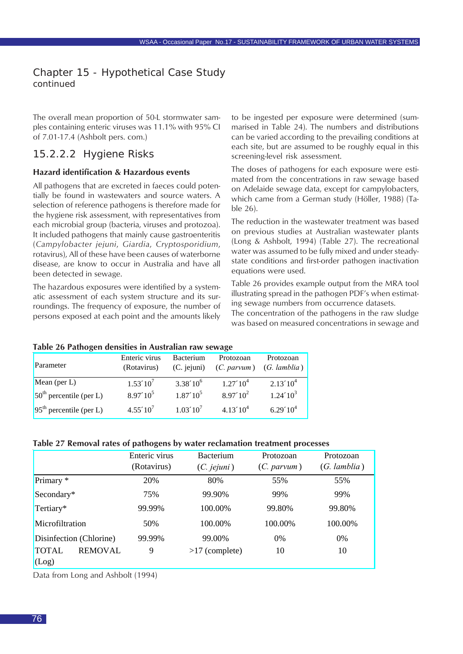<span id="page-75-0"></span>The overall mean proportion of 50-L stormwater samples containing enteric viruses was 11.1% with 95% CI of 7.01-17.4 (Ashbolt pers. com.)

## 15.2.2.2 Hygiene Risks

#### **Hazard identification & Hazardous events**

All pathogens that are excreted in faeces could potentially be found in wastewaters and source waters. A selection of reference pathogens is therefore made for the hygiene risk assessment, with representatives from each microbial group (bacteria, viruses and protozoa). It included pathogens that mainly cause gastroenteritis (*Campylobacter jejuni*, *Giardia*, *Cryptosporidium*, rotavirus), All of these have been causes of waterborne disease, are know to occur in Australia and have all been detected in sewage.

The hazardous exposures were identified by a systematic assessment of each system structure and its surroundings. The frequency of exposure, the number of persons exposed at each point and the amounts likely

to be ingested per exposure were determined (summarised in Table 24). The numbers and distributions can be varied according to the prevailing conditions at each site, but are assumed to be roughly equal in this screening-level risk assessment.

The doses of pathogens for each exposure were estimated from the concentrations in raw sewage based on Adelaide sewage data, except for campylobacters, which came from a German study (Höller, 1988) (Table 26).

The reduction in the wastewater treatment was based on previous studies at Australian wastewater plants (Long & Ashbolt, 1994) (Table 27). The recreational water was assumed to be fully mixed and under steadystate conditions and first-order pathogen inactivation equations were used.

Table 26 provides example output from the MRA tool illustrating spread in the pathogen PDF's when estimating sewage numbers from occurrence datasets.

The concentration of the pathogens in the raw sludge was based on measured concentrations in sewage and

#### **Table 26 Pathogen densities in Australian raw sewage**

| Parameter                 | Enteric virus<br>(Rotavirus) | <b>Bacterium</b><br>$(C.$ jejuni $)$ | Protozoan<br>(C. parvum) | Protozoan<br>$(G.$ lamblia) |
|---------------------------|------------------------------|--------------------------------------|--------------------------|-----------------------------|
| Mean (per $L$ )           | $1.53'10^7$                  | $3.38'10^6$                          | 1.27'10 <sup>4</sup>     | 2.13'10 <sup>4</sup>        |
| $50th$ percentile (per L) | $8.97'10^5$                  | $1.87'10^5$                          | $8.97'10^2$              | $1.24'10^3$                 |
| $95th$ percentile (per L) | $4.55'10^{7}$                | 1.03'10'                             | $4.13'10^4$              | 6.29'10 <sup>4</sup>        |

#### **Table 27 Removal rates of pathogens by water reclamation treatment processes**

|                                         | Enteric virus<br>(Rotavirus) | <b>Bacterium</b><br>(C. jejuni) | Protozoan<br>$(C.$ parvum $)$ | Protozoan<br>$(G.$ lamblia) |
|-----------------------------------------|------------------------------|---------------------------------|-------------------------------|-----------------------------|
| Primary *                               | 20%                          | 80%                             | 55%                           | 55%                         |
| Secondary*                              | 75%                          | 99.90%                          | 99%                           | 99%                         |
| Tertiary*                               | 99.99%                       | 100.00%                         | 99.80%                        | 99.80%                      |
| Microfiltration                         | 50%                          | 100.00%                         | 100.00%                       | 100.00%                     |
| Disinfection (Chlorine)                 | 99.99%                       | 99.00%                          | $0\%$                         | 0%                          |
| <b>REMOVAL</b><br><b>TOTAL</b><br>(Log) | 9                            | $>17$ (complete)                | 10                            | 10                          |

Data from Long and Ashbolt (1994)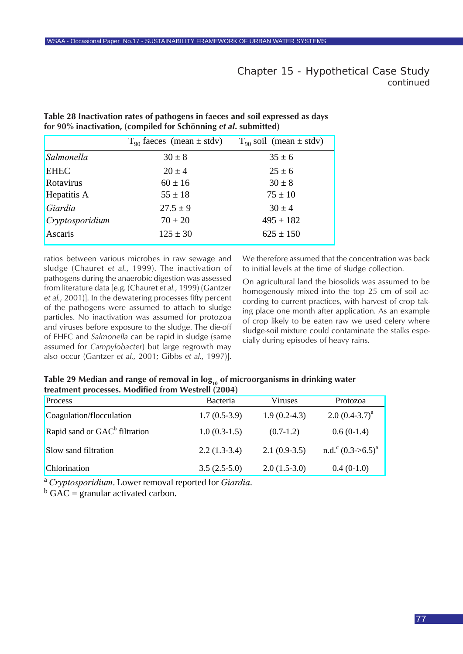|                 | $T_{90}$ faeces (mean $\pm$ stdv) | $T_{90}$ soil (mean $\pm$ stdv) |
|-----------------|-----------------------------------|---------------------------------|
| Salmonella      | $30 \pm 8$                        | $35 \pm 6$                      |
| <b>EHEC</b>     | $20 \pm 4$                        | $25 \pm 6$                      |
| Rotavirus       | $60 \pm 16$                       | $30 \pm 8$                      |
| Hepatitis A     | $55 \pm 18$                       | $75 \pm 10$                     |
| Giardia         | $27.5 \pm 9$                      | $30 \pm 4$                      |
| Cryptosporidium | $70 \pm 20$                       | $495 \pm 182$                   |
| Ascaris         | $125 \pm 30$                      | $625 \pm 150$                   |

<span id="page-76-0"></span>**Table 28 Inactivation rates of pathogens in faeces and soil expressed as days for 90% inactivation, (compiled for Schönning** *et al***. submitted)**

ratios between various microbes in raw sewage and sludge (Chauret *et al.*, 1999). The inactivation of pathogens during the anaerobic digestion was assessed from literature data [e.g. (Chauret *et al.*, 1999) (Gantzer *et al.*, 2001)]. In the dewatering processes fifty percent of the pathogens were assumed to attach to sludge particles. No inactivation was assumed for protozoa and viruses before exposure to the sludge. The die-off of EHEC and *Salmonella* can be rapid in sludge (same assumed for *Campylobacter*) but large regrowth may also occur (Gantzer *et al.*, 2001; Gibbs *et al.*, 1997)].

We therefore assumed that the concentration was back to initial levels at the time of sludge collection.

On agricultural land the biosolids was assumed to be homogenously mixed into the top 25 cm of soil according to current practices, with harvest of crop taking place one month after application. As an example of crop likely to be eaten raw we used celery where sludge-soil mixture could contaminate the stalks especially during episodes of heavy rains.

| Table 29 Median and range of removal in $log_{10}$ of microorganisms in drinking water |  |
|----------------------------------------------------------------------------------------|--|
| treatment processes. Modified from Westrell (2004)                                     |  |

| Process                                   | Bacteria       | Viruses        | Protozoa                          |
|-------------------------------------------|----------------|----------------|-----------------------------------|
| Coagulation/flocculation                  | $1.7(0.5-3.9)$ | $1.9(0.2-4.3)$ | $2.0 (0.4 - 3.7)^a$               |
| Rapid sand or GAC <sup>b</sup> filtration | $1.0(0.3-1.5)$ | $(0.7-1.2)$    | $0.6(0-1.4)$                      |
| Slow sand filtration                      | $2.2(1.3-3.4)$ | $2.1(0.9-3.5)$ | n.d. <sup>c</sup> $(0.3 - 5.5)^a$ |
| Chlorination                              | $3.5(2.5-5.0)$ | $2.0(1.5-3.0)$ | $0.4(0-1.0)$                      |

<sup>a</sup> *Cryptosporidium*. Lower removal reported for *Giardia*.

 $b$  GAC = granular activated carbon.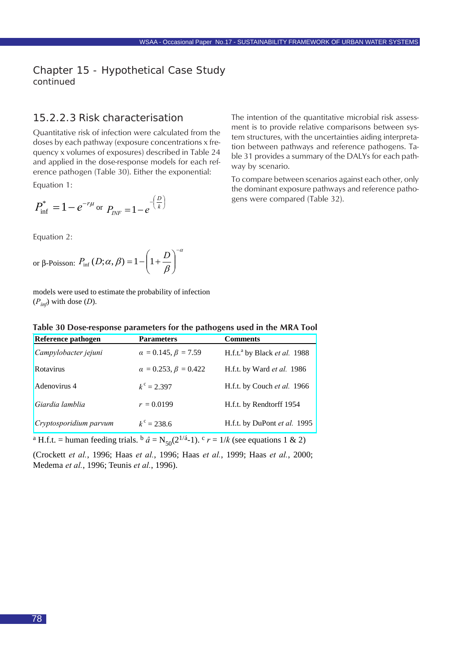## <span id="page-77-0"></span>15.2.2.3 Risk characterisation

Quantitative risk of infection were calculated from the doses by each pathway (exposure concentrations x frequency x volumes of exposures) described in Table 24 and applied in the dose-response models for each reference pathogen (Table 30). Either the exponential: Equation 1:

$$
P_{\text{inf}}^* = 1 - e^{-r\mu}
$$
 or  $P_{\text{INF}} = 1 - e^{-\left(\frac{D}{k}\right)}$ 

Equation 2:

or 
$$
\beta
$$
-Poisson:  $P_{\text{inf}}(D; \alpha, \beta) = 1 - \left(1 + \frac{D}{\beta}\right)^{-\alpha}$ 

models were used to estimate the probability of infection  $(P_{in}$ ) with dose  $(D)$ .

| Table 30 Dose-response parameters for the pathogens used in the MRA Tool |  |  |  |  |
|--------------------------------------------------------------------------|--|--|--|--|
|--------------------------------------------------------------------------|--|--|--|--|

| <b>Reference pathogen</b> | <b>Parameters</b>               | <b>Comments</b>                                 |
|---------------------------|---------------------------------|-------------------------------------------------|
| Campylobacter jejuni      | $\alpha = 0.145, \beta = 7.59$  | H.f.t. <sup>a</sup> by Black <i>et al.</i> 1988 |
| Rotavirus                 | $\alpha = 0.253, \beta = 0.422$ | H.f.t. by Ward et al. 1986                      |
| Adenovirus 4              | $k^{\rm c} = 2.397$             | H.f.t. by Couch et al. 1966                     |
| Giardia lamblia           | $r = 0.0199$                    | H.f.t. by Rendtorff 1954                        |
| Cryptosporidium parvum    | $k^{\circ} = 238.6$             | H.f.t. by DuPont et al. 1995                    |

<sup>a</sup> H.f.t. = human feeding trials.  $\frac{d}{dt} = N_{50}(2^{1/4}-1)$ .  $\frac{d}{dt}r = 1/k$  (see equations 1 & 2)

(Crockett *et al.*, 1996; Haas *et al.*, 1996; Haas *et al.*, 1999; Haas *et al.*, 2000; Medema *et al.*, 1996; Teunis *et al.*, 1996).

The intention of the quantitative microbial risk assessment is to provide relative comparisons between system structures, with the uncertainties aiding interpretation between pathways and reference pathogens. Table 31 provides a summary of the DALYs for each pathway by scenario.

To compare between scenarios against each other, only the dominant exposure pathways and reference pathogens were compared (Table 32).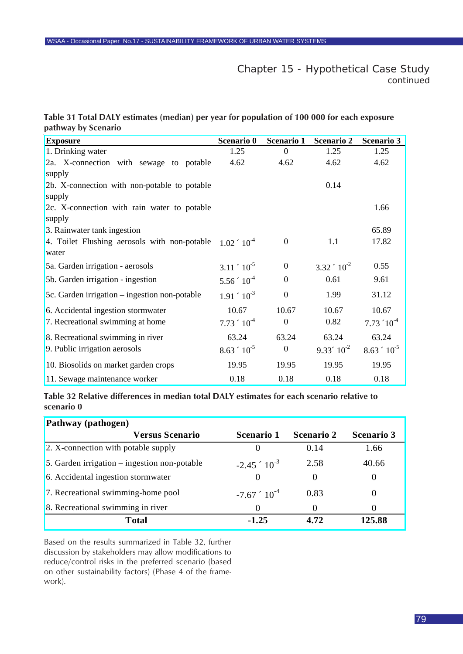<span id="page-78-0"></span>

|                     | Table 31 Total DALY estimates (median) per year for population of 100 000 for each exposure |  |  |
|---------------------|---------------------------------------------------------------------------------------------|--|--|
| pathway by Scenario |                                                                                             |  |  |

| <b>Exposure</b>                               | Scenario 0            | Scenario 1       | <b>Scenario 2</b>   | <b>Scenario 3</b>       |
|-----------------------------------------------|-----------------------|------------------|---------------------|-------------------------|
| 1. Drinking water                             | 1.25                  | $\overline{0}$   | 1.25                | 1.25                    |
| 2a. X-connection with sewage to potable       | 4.62                  | 4.62             | 4.62                | 4.62                    |
| supply                                        |                       |                  |                     |                         |
| 2b. X-connection with non-potable to potable  |                       |                  | 0.14                |                         |
| supply                                        |                       |                  |                     |                         |
| 2c. X-connection with rain water to potable   |                       |                  |                     | 1.66                    |
| supply                                        |                       |                  |                     |                         |
| 3. Rainwater tank ingestion                   |                       |                  |                     | 65.89                   |
| 4. Toilet Flushing aerosols with non-potable  | $1.02 \times 10^{-4}$ | $\mathbf{0}$     | 1.1                 | 17.82                   |
| water                                         |                       |                  |                     |                         |
| 5a. Garden irrigation - aerosols              | $3.11 \cdot 10^{-5}$  | $\overline{0}$   | $3.32 \div 10^{-2}$ | 0.55                    |
| 5b. Garden irrigation - ingestion             | $5.56 \div 10^{-4}$   | $\mathbf{0}$     | 0.61                | 9.61                    |
| 5c. Garden irrigation – ingestion non-potable | $1.91 \div 10^{-3}$   | $\mathbf{0}$     | 1.99                | 31.12                   |
| 6. Accidental ingestion stormwater            | 10.67                 | 10.67            | 10.67               | 10.67                   |
| 7. Recreational swimming at home              | $7.73 \div 10^{-4}$   | $\mathbf{0}$     | 0.82                | $7.73 \text{ } 10^{-4}$ |
| 8. Recreational swimming in river             | 63.24                 | 63.24            | 63.24               | 63.24                   |
| 9. Public irrigation aerosols                 | $8.63 \div 10^{-5}$   | $\boldsymbol{0}$ | $9.33'10^{2}$       | $8.63 \div 10^{-5}$     |
| 10. Biosolids on market garden crops          | 19.95                 | 19.95            | 19.95               | 19.95                   |
| 11. Sewage maintenance worker                 | 0.18                  | 0.18             | 0.18                | 0.18                    |

**Table 32 Relative differences in median total DALY estimates for each scenario relative to scenario 0**

| Pathway (pathogen)                             |                      |                   |                   |  |  |  |  |
|------------------------------------------------|----------------------|-------------------|-------------------|--|--|--|--|
| <b>Versus Scenario</b>                         | <b>Scenario 1</b>    | <b>Scenario 2</b> | <b>Scenario 3</b> |  |  |  |  |
| 2. X-connection with potable supply            |                      | 0.14              | 1.66              |  |  |  |  |
| 5. Garden irrigation $-$ ingestion non-potable | $-2.45 \div 10^{-3}$ | 2.58              | 40.66             |  |  |  |  |
| 6. Accidental ingestion stormwater             | $\Omega$             | $\theta$          |                   |  |  |  |  |
| 7. Recreational swimming-home pool             | $-7.67$ $10^{-4}$    | 0.83              |                   |  |  |  |  |
| 8. Recreational swimming in river              | $_{0}$               | $\theta$          |                   |  |  |  |  |
| <b>Total</b>                                   | $-1.25$              | 4.72              | 125.88            |  |  |  |  |

Based on the results summarized in Table 32, further discussion by stakeholders may allow modifications to reduce/control risks in the preferred scenario (based on other sustainability factors) (Phase 4 of the framework).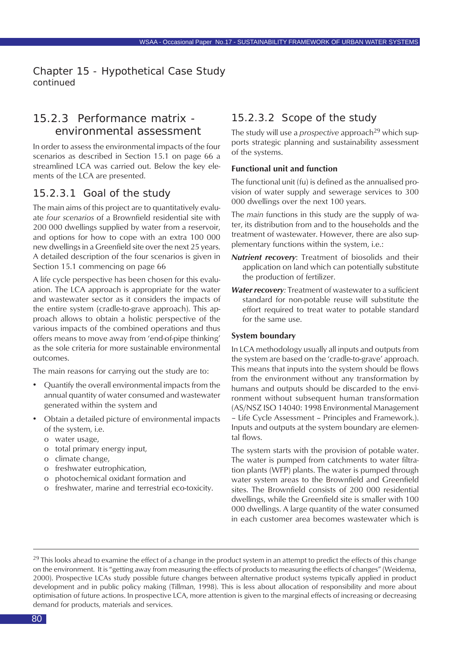# 15.2.3 Performance matrix environmental assessment

In order to assess the environmental impacts of the four scenarios as described in Section 15.1 on page 66 a streamlined LCA was carried out. Below the key elements of the LCA are presented.

## 15.2.3.1 Goal of the study

The main aims of this project are to quantitatively evaluate *four scenarios* of a Brownfield residential site with 200 000 dwellings supplied by water from a reservoir, and options for how to cope with an extra 100 000 new dwellings in a Greenfield site over the next 25 years. A detailed description of the four scenarios is given in Section 15.1 commencing on page 66

A life cycle perspective has been chosen for this evaluation. The LCA approach is appropriate for the water and wastewater sector as it considers the impacts of the entire system (cradle-to-grave approach). This approach allows to obtain a holistic perspective of the various impacts of the combined operations and thus offers means to move away from 'end-of-pipe thinking' as the sole criteria for more sustainable environmental outcomes.

The main reasons for carrying out the study are to:

- Quantify the overall environmental impacts from the annual quantity of water consumed and wastewater generated within the system and
- Obtain a detailed picture of environmental impacts of the system, i.e.
	- o water usage,
	- o total primary energy input,
	- o climate change,
	- o freshwater eutrophication,
	- o photochemical oxidant formation and
	- o freshwater, marine and terrestrial eco-toxicity.

## 15.2.3.2 Scope of the study

The study will use a *prospective* approach<sup>29</sup> which supports strategic planning and sustainability assessment of the systems.

#### **Functional unit and function**

The functional unit (fu) is defined as the annualised provision of water supply and sewerage services to 300 000 dwellings over the next 100 years.

The *main* functions in this study are the supply of water, its distribution from and to the households and the treatment of wastewater. However, there are also supplementary functions within the system, i.e.:

- *Nutrient recovery*: Treatment of biosolids and their application on land which can potentially substitute the production of fertilizer.
- *Water recovery:* Treatment of wastewater to a sufficient standard for non-potable reuse will substitute the effort required to treat water to potable standard for the same use.

#### **System boundary**

In LCA methodology usually all inputs and outputs from the system are based on the 'cradle-to-grave' approach. This means that inputs into the system should be flows from the environment without any transformation by humans and outputs should be discarded to the environment without subsequent human transformation (AS/NSZ ISO 14040: 1998 Environmental Management – Life Cycle Assessment – Principles and Framework.). Inputs and outputs at the system boundary are elemental flows.

The system starts with the provision of potable water. The water is pumped from catchments to water filtration plants (WFP) plants. The water is pumped through water system areas to the Brownfield and Greenfield sites. The Brownfield consists of 200 000 residential dwellings, while the Greenfield site is smaller with 100 000 dwellings. A large quantity of the water consumed in each customer area becomes wastewater which is

 $^{29}$  This looks ahead to examine the effect of a change in the product system in an attempt to predict the effects of this change on the environment. It is "getting away from measuring the effects of products to measuring the effects of changes" (Weidema, 2000). Prospective LCAs study possible future changes between alternative product systems typically applied in product development and in public policy making (Tillman, 1998). This is less about allocation of responsibility and more about optimisation of future actions. In prospective LCA, more attention is given to the marginal effects of increasing or decreasing demand for products, materials and services.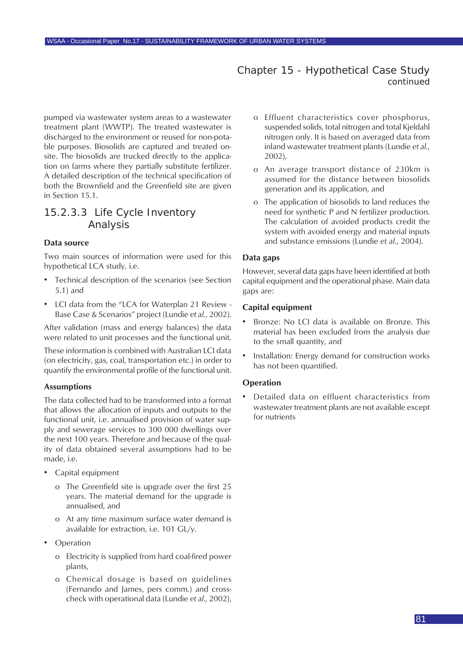pumped via wastewater system areas to a wastewater treatment plant (WWTP). The treated wastewater is discharged to the environment or reused for non-potable purposes. Biosolids are captured and treated onsite. The biosolids are trucked directly to the application on farms where they partially substitute fertilizer. A detailed description of the technical specification of both the Brownfield and the Greenfield site are given in Section 15.1.

## 15.2.3.3 Life Cycle Inventory Analysis

#### **Data source**

Two main sources of information were used for this hypothetical LCA study, i.e.

- Technical description of the scenarios (see Section 5.1) and
- LCI data from the "LCA for Waterplan 21 Review Base Case & Scenarios" project (Lundie *et al.*, 2002).

After validation (mass and energy balances) the data were related to unit processes and the functional unit.

These information is combined with Australian LCI data (on electricity, gas, coal, transportation etc.) in order to quantify the environmental profile of the functional unit.

#### **Assumptions**

The data collected had to be transformed into a format that allows the allocation of inputs and outputs to the functional unit, i.e. annualised provision of water supply and sewerage services to 300 000 dwellings over the next 100 years. Therefore and because of the quality of data obtained several assumptions had to be made, i.e.

- Capital equipment
	- o The Greenfield site is upgrade over the first 25 years. The material demand for the upgrade is annualised, and
	- o At any time maximum surface water demand is available for extraction, i.e. 101 GL/y.
- **Operation** 
	- o Electricity is supplied from hard coal-fired power plants,
	- o Chemical dosage is based on guidelines (Fernando and James, pers comm.) and crosscheck with operational data (Lundie *et al.,* 2002),
- o Effluent characteristics cover phosphorus, suspended solids, total nitrogen and total Kjeldahl nitrogen only. It is based on averaged data from inland wastewater treatment plants (Lundie *et al.*, 2002),
- o An average transport distance of 230km is assumed for the distance between biosolids generation and its application, and
- o The application of biosolids to land reduces the need for synthetic P and N fertilizer production. The calculation of avoided products credit the system with avoided energy and material inputs and substance emissions (Lundie *et al.*, 2004).

#### **Data gaps**

However, several data gaps have been identified at both capital equipment and the operational phase. Main data gaps are:

#### **Capital equipment**

- Bronze: No LCI data is available on Bronze. This material has been excluded from the analysis due to the small quantity, and
- Installation: Energy demand for construction works has not been quantified.

#### **Operation**

• Detailed data on effluent characteristics from wastewater treatment plants are not available except for nutrients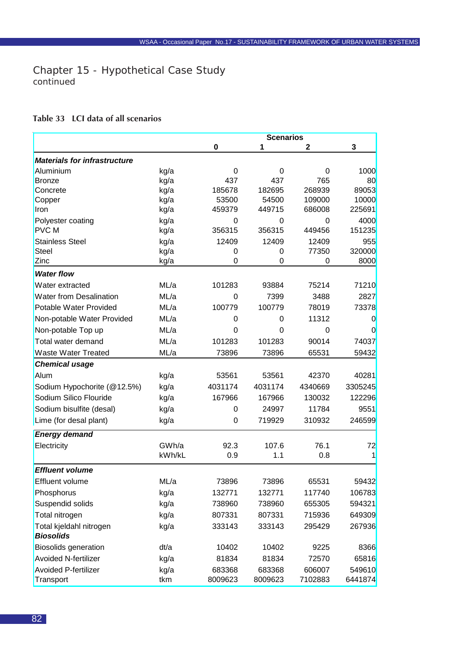### <span id="page-81-0"></span>**Table 33 LCI data of all scenarios**

|                                     |        |         | <b>Scenarios</b> |         |              |
|-------------------------------------|--------|---------|------------------|---------|--------------|
|                                     |        | 0       | 1                | 2       | 3            |
| <b>Materials for infrastructure</b> |        |         |                  |         |              |
| Aluminium                           | kg/a   | 0       | 0                | 0       | 1000         |
| <b>Bronze</b>                       | kg/a   | 437     | 437              | 765     | 80           |
| Concrete                            | kg/a   | 185678  | 182695           | 268939  | 89053        |
| Copper                              | kg/a   | 53500   | 54500            | 109000  | 10000        |
| Iron                                | kg/a   | 459379  | 449715           | 686008  | 225691       |
| Polyester coating                   | kg/a   | 0       | 0                | 0       | 4000         |
| <b>PVCM</b>                         | kg/a   | 356315  | 356315           | 449456  | 151235       |
| <b>Stainless Steel</b>              | kg/a   | 12409   | 12409            | 12409   | 955          |
| <b>Steel</b>                        | kg/a   | 0       | 0                | 77350   | 320000       |
| Zinc                                | kg/a   | 0       | 0                | 0       | 8000         |
| <b>Water flow</b>                   |        |         |                  |         |              |
| Water extracted                     | ML/a   | 101283  | 93884            | 75214   | 71210        |
| <b>Water from Desalination</b>      | ML/a   | 0       | 7399             | 3488    | 2827         |
| Potable Water Provided              | ML/a   | 100779  | 100779           | 78019   | 73378        |
| Non-potable Water Provided          | ML/a   | 0       | 0                | 11312   | 0            |
| Non-potable Top up                  | ML/a   | 0       | 0                | 0       | 0            |
| Total water demand                  | ML/a   | 101283  | 101283           | 90014   | 74037        |
| <b>Waste Water Treated</b>          | ML/a   | 73896   | 73896            | 65531   | 59432        |
| <b>Chemical usage</b>               |        |         |                  |         |              |
| Alum                                | kg/a   | 53561   | 53561            | 42370   | 40281        |
| Sodium Hypochorite (@12.5%)         | kg/a   | 4031174 | 4031174          | 4340669 | 3305245      |
| Sodium Silico Flouride              | kg/a   | 167966  | 167966           | 130032  | 122296       |
| Sodium bisulfite (desal)            | kg/a   | 0       | 24997            | 11784   | 9551         |
| Lime (for desal plant)              | kg/a   | 0       | 719929           | 310932  | 246599       |
| <b>Energy demand</b>                |        |         |                  |         |              |
| Electricity                         | GWh/a  | 92.3    | 107.6            | 76.1    | 72           |
|                                     | kWh/kL | 0.9     | 1.1              | 0.8     | $\mathbf{1}$ |
| <b>Effluent volume</b>              |        |         |                  |         |              |
| Effluent volume                     | ML/a   | 73896   | 73896            | 65531   | 59432        |
| Phosphorus                          | kg/a   | 132771  | 132771           | 117740  | 106783       |
| Suspendid solids                    | kg/a   | 738960  | 738960           | 655305  | 594321       |
| Total nitrogen                      | kg/a   | 807331  | 807331           | 715936  | 649309       |
| Total kjeldahl nitrogen             | kg/a   | 333143  | 333143           | 295429  | 267936       |
| <b>Biosolids</b>                    |        |         |                  |         |              |
| <b>Biosolids generation</b>         | dt/a   | 10402   | 10402            | 9225    | 8366         |
| <b>Avoided N-fertilizer</b>         | kg/a   | 81834   | 81834            | 72570   | 65816        |
| <b>Avoided P-fertilizer</b>         | kg/a   | 683368  | 683368           | 606007  | 549610       |
| Transport                           | tkm    | 8009623 | 8009623          | 7102883 | 6441874      |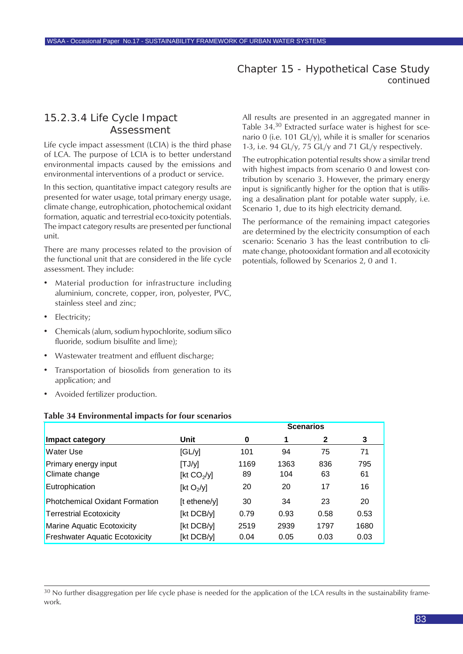# <span id="page-82-0"></span>15.2.3.4 Life Cycle Impact Assessment

Life cycle impact assessment (LCIA) is the third phase of LCA. The purpose of LCIA is to better understand environmental impacts caused by the emissions and environmental interventions of a product or service.

In this section, quantitative impact category results are presented for water usage, total primary energy usage, climate change, eutrophication, photochemical oxidant formation, aquatic and terrestrial eco-toxicity potentials. The impact category results are presented per functional unit.

There are many processes related to the provision of the functional unit that are considered in the life cycle assessment. They include:

- Material production for infrastructure including aluminium, concrete, copper, iron, polyester, PVC, stainless steel and zinc;
- Electricity;
- Chemicals (alum, sodium hypochlorite, sodium silico fluoride, sodium bisulfite and lime);
- Wastewater treatment and effluent discharge;
- Transportation of biosolids from generation to its application; and
- Avoided fertilizer production.

#### **Table 34 Environmental impacts for four scenarios**

|                                       |                | <b>Scenarios</b> |      |      |      |  |
|---------------------------------------|----------------|------------------|------|------|------|--|
| Impact category                       | Unit           | 0                | 1    | 2    | 3    |  |
| <b>Water Use</b>                      | GLYI           | 101              | 94   | 75   | 71   |  |
| Primary energy input                  | [TJ/y]         | 1169             | 1363 | 836  | 795  |  |
| Climate change                        | [kt $CO2/y$ ]  | 89               | 104  | 63   | 61   |  |
| Eutrophication                        | [kt $O_2$ /y]  | 20               | 20   | 17   | 16   |  |
| <b>Photchemical Oxidant Formation</b> | $[t$ ethene/y] | 30               | 34   | 23   | 20   |  |
| <b>Terrestrial Ecotoxicity</b>        | [kt DCB/y]     | 0.79             | 0.93 | 0.58 | 0.53 |  |
| <b>Marine Aquatic Ecotoxicity</b>     | [kt DCB/y]     | 2519             | 2939 | 1797 | 1680 |  |
| <b>Freshwater Aquatic Ecotoxicity</b> | [kt DCB/y]     | 0.04             | 0.05 | 0.03 | 0.03 |  |

<sup>30</sup> No further disaggregation per life cycle phase is needed for the application of the LCA results in the sustainability framework.

All results are presented in an aggregated manner in Table 34.<sup>30</sup> Extracted surface water is highest for scenario 0 (i.e. 101 GL/y), while it is smaller for scenarios 1-3, i.e. 94 GL/y, 75 GL/y and 71 GL/y respectively.

The eutrophication potential results show a similar trend with highest impacts from scenario 0 and lowest contribution by scenario 3. However, the primary energy input is significantly higher for the option that is utilising a desalination plant for potable water supply, i.e. Scenario 1, due to its high electricity demand.

The performance of the remaining impact categories are determined by the electricity consumption of each scenario: Scenario 3 has the least contribution to climate change, photooxidant formation and all ecotoxicity potentials, followed by Scenarios 2, 0 and 1.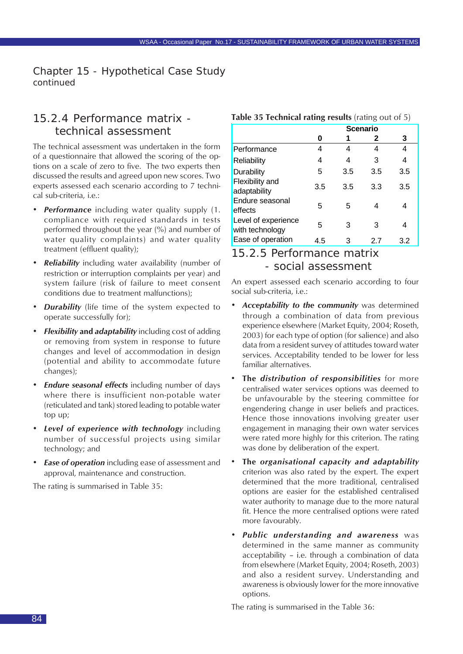# 15.2.4 Performance matrix technical assessment

The technical assessment was undertaken in the form of a questionnaire that allowed the scoring of the options on a scale of zero to five. The two experts then discussed the results and agreed upon new scores. Two experts assessed each scenario according to 7 technical sub-criteria, i.e.:

- *• Performance* including water quality supply (1. compliance with required standards in tests performed throughout the year (%) and number of water quality complaints) and water quality treatment (effluent quality);
- *• Reliability* including water availability (number of restriction or interruption complaints per year) and system failure (risk of failure to meet consent conditions due to treatment malfunctions);
- *Durability* (life time of the system expected to operate successfully for);
- *• Flexibility* **and** *adaptability* including cost of adding or removing from system in response to future changes and level of accommodation in design (potential and ability to accommodate future changes);
- *• Endure seasonal effects* including number of days where there is insufficient non-potable water (reticulated and tank) stored leading to potable water top up;
- *• Level of experience with technology* including number of successful projects using similar technology; and
- *• Ease of operation* including ease of assessment and approval, maintenance and construction.

The rating is summarised in Table 35:

# **Table 35 Technical rating results** (rating out of 5)

|                                        | <b>Scenario</b> |     |     |     |  |  |  |
|----------------------------------------|-----------------|-----|-----|-----|--|--|--|
|                                        | O               |     | 2   | 3   |  |  |  |
| Performance                            | 4               | 4   | 4   | 4   |  |  |  |
| Reliability                            | 4               | 4   | 3   | 4   |  |  |  |
| Durability                             | 5               | 3.5 | 3.5 | 3.5 |  |  |  |
| <b>Flexibility and</b><br>adaptability | 3.5             | 3.5 | 3.3 | 3.5 |  |  |  |
| Endure seasonal<br>effects             | 5               | 5   | 4   | 4   |  |  |  |
| Level of experience<br>with technology | 5               | З   | 3   | 4   |  |  |  |
| Ease of operation                      | 4.5             | 3   | 2.7 | 3.2 |  |  |  |

# 15.2.5 Performance matrix - social assessment

An expert assessed each scenario according to four social sub-criteria, i.e.:

- *• Acceptability to the community* was determined through a combination of data from previous experience elsewhere (Market Equity, 2004; Roseth, 2003) for each type of option (for salience) and also data from a resident survey of attitudes toward water services. Acceptability tended to be lower for less familiar alternatives.
- **The** *distribution of responsibilities* for more centralised water services options was deemed to be unfavourable by the steering committee for engendering change in user beliefs and practices. Hence those innovations involving greater user engagement in managing their own water services were rated more highly for this criterion. The rating was done by deliberation of the expert.
- **The** *organisational capacity and adaptability* criterion was also rated by the expert. The expert determined that the more traditional, centralised options are easier for the established centralised water authority to manage due to the more natural fit. Hence the more centralised options were rated more favourably.
- *• Public understanding and awareness* was determined in the same manner as community acceptability – i.e. through a combination of data from elsewhere (Market Equity, 2004; Roseth, 2003) and also a resident survey. Understanding and awareness is obviously lower for the more innovative options.

The rating is summarised in the Table 36: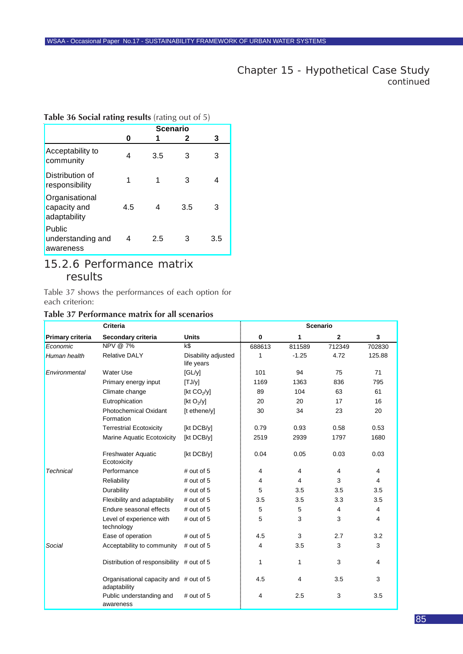#### <span id="page-84-0"></span>**Table 36 Social rating results** (rating out of 5)

|                                                | <b>Scenario</b> |     |     |     |  |  |
|------------------------------------------------|-----------------|-----|-----|-----|--|--|
|                                                | 0               |     | 2   | 3   |  |  |
| Acceptability to<br>community                  | 4               | 3.5 | 3   | 3   |  |  |
| Distribution of<br>responsibility              |                 |     | 3   |     |  |  |
| Organisational<br>capacity and<br>adaptability | 4.5             | 4   | 3.5 | З   |  |  |
| Public<br>understanding and<br>awareness       | 4               | 2.5 | З   | 3.5 |  |  |

# 15.2.6 Performance matrix results

Table 37 shows the performances of each option for each criterion:

#### **Table 37 Performance matrix for all scenarios**

|                         | <b>Criteria</b>                                        |                                   |             |         | <b>Scenario</b> |        |
|-------------------------|--------------------------------------------------------|-----------------------------------|-------------|---------|-----------------|--------|
| <b>Primary criteria</b> | Secondary criteria                                     | <b>Units</b>                      | $\mathbf 0$ | 1       | $\mathbf{2}$    | 3      |
| Economic                | NPV @ 7%                                               | k\$                               | 688613      | 811589  | 712349          | 702830 |
| Human health            | <b>Relative DALY</b>                                   | Disability adjusted<br>life years | 1           | $-1.25$ | 4.72            | 125.88 |
| Environmental           | Water Use                                              | [GL/y]                            | 101         | 94      | 75              | 71     |
|                         | Primary energy input                                   | [TJ/y]                            | 1169        | 1363    | 836             | 795    |
|                         | Climate change                                         | [kt $CO2/y$ ]                     | 89          | 104     | 63              | 61     |
|                         | Eutrophication                                         | [kt $O_2$ /y]                     | 20          | 20      | 17              | 16     |
|                         | <b>Photochemical Oxidant</b><br>Formation              | [t ethene/y]                      | 30          | 34      | 23              | 20     |
|                         | <b>Terrestrial Ecotoxicity</b>                         | [kt DCB/y]                        | 0.79        | 0.93    | 0.58            | 0.53   |
|                         | Marine Aquatic Ecotoxicity                             | [kt DCB/y]                        | 2519        | 2939    | 1797            | 1680   |
|                         | <b>Freshwater Aquatic</b><br>Ecotoxicity               | [kt DCB/y]                        | 0.04        | 0.05    | 0.03            | 0.03   |
| <b>Technical</b>        | Performance                                            | $#$ out of 5                      | 4           | 4       | $\overline{4}$  | 4      |
|                         | Reliability                                            | $#$ out of 5                      | 4           | 4       | 3               | 4      |
|                         | Durability                                             | $#$ out of 5                      | 5           | 3.5     | 3.5             | 3.5    |
|                         | Flexibility and adaptability                           | $#$ out of 5                      | 3.5         | 3.5     | 3.3             | 3.5    |
|                         | Endure seasonal effects                                | $#$ out of 5                      | 5           | 5       | 4               | 4      |
|                         | Level of experience with<br>technology                 | $#$ out of 5                      | 5           | 3       | 3               | 4      |
|                         | Ease of operation                                      | $#$ out of 5                      | 4.5         | 3       | 2.7             | 3.2    |
| Social                  | Acceptability to community                             | # out of 5                        | 4           | 3.5     | 3               | 3      |
|                         | Distribution of responsibility # out of 5              |                                   | 1           | 1       | 3               | 4      |
|                         | Organisational capacity and # out of 5<br>adaptability |                                   | 4.5         | 4       | 3.5             | 3      |
|                         | Public understanding and<br>awareness                  | # out of $5$                      | 4           | 2.5     | 3               | 3.5    |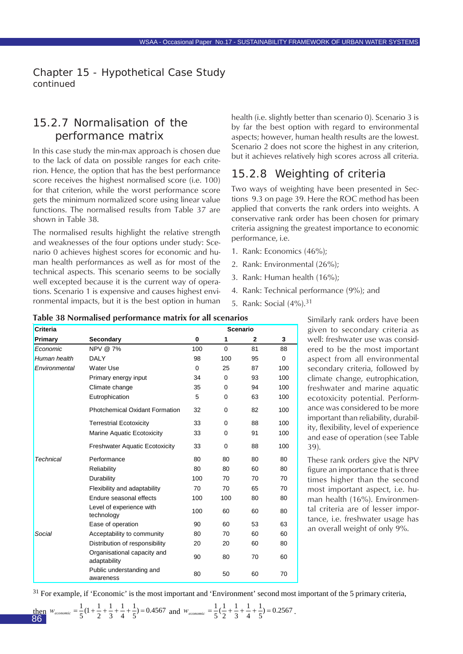# 15.2.7 Normalisation of the performance matrix

In this case study the min-max approach is chosen due to the lack of data on possible ranges for each criterion. Hence, the option that has the best performance score receives the highest normalised score (i.e. 100) for that criterion, while the worst performance score gets the minimum normalized score using linear value functions. The normalised results from Table 37 are shown in Table 38.

The normalised results highlight the relative strength and weaknesses of the four options under study: Scenario 0 achieves highest scores for economic and human health performances as well as for most of the technical aspects. This scenario seems to be socially well excepted because it is the current way of operations. Scenario 1 is expensive and causes highest environmental impacts, but it is the best option in human

health (i.e. slightly better than scenario 0). Scenario 3 is by far the best option with regard to environmental aspects; however, human health results are the lowest. Scenario 2 does not score the highest in any criterion, but it achieves relatively high scores across all criteria.

# 15.2.8 Weighting of criteria

Two ways of weighting have been presented in Sections 9.3 on page 39. Here the ROC method has been applied that converts the rank orders into weights. A conservative rank order has been chosen for primary criteria assigning the greatest importance to economic performance, i.e.

- 1. Rank: Economics (46%);
- 2. Rank: Environmental (26%);
- 3. Rank: Human health (16%);
- 4. Rank: Technical performance (9%); and
- 5. Rank: Social (4%).<sup>31</sup>

| <b>Criteria</b> |                                             | <b>Scenario</b> |          |              |     |
|-----------------|---------------------------------------------|-----------------|----------|--------------|-----|
| Primary         | Secondary                                   | $\bf{0}$        | 1        | $\mathbf{2}$ | 3   |
| Economic        | NPV @ 7%                                    | 100             | $\Omega$ | 81           | 88  |
| Human health    | DALY                                        | 98              | 100      | 95           | 0   |
| Environmental   | Water Use                                   | $\Omega$        | 25       | 87           | 100 |
|                 | Primary energy input                        | 34              | $\Omega$ | 93           | 100 |
|                 | Climate change                              | 35              | $\Omega$ | 94           | 100 |
|                 | Eutrophication                              | 5               | 0        | 63           | 100 |
|                 | <b>Photchemical Oxidant Formation</b>       | 32              | $\Omega$ | 82           | 100 |
|                 | <b>Terrestrial Ecotoxicity</b>              | 33              | $\Omega$ | 88           | 100 |
|                 | Marine Aquatic Ecotoxicity                  | 33              | 0        | 91           | 100 |
|                 | <b>Freshwater Aquatic Ecotoxicity</b>       | 33              | 0        | 88           | 100 |
| Technical       | Performance                                 | 80              | 80       | 80           | 80  |
|                 | Reliability                                 | 80              | 80       | 60           | 80  |
|                 | Durability                                  | 100             | 70       | 70           | 70  |
|                 | Flexibility and adaptability                | 70              | 70       | 65           | 70  |
|                 | Endure seasonal effects                     | 100             | 100      | 80           | 80  |
|                 | Level of experience with<br>technology      | 100             | 60       | 60           | 80  |
|                 | Ease of operation                           | 90              | 60       | 53           | 63  |
| Social          | Acceptability to community                  | 80              | 70       | 60           | 60  |
|                 | Distribution of responsibility              | 20              | 20       | 60           | 80  |
|                 | Organisational capacity and<br>adaptability | 90              | 80       | 70           | 60  |
|                 | Public understanding and<br>awareness       | 80              | 50       | 60           | 70  |

#### **Table 38 Normalised performance matrix for all scenarios**

Similarly rank orders have been given to secondary criteria as well: freshwater use was considered to be the most important aspect from all environmental secondary criteria, followed by climate change, eutrophication, freshwater and marine aquatic ecotoxicity potential. Performance was considered to be more important than reliability, durability, flexibility, level of experience and ease of operation (see Table 39).

These rank orders give the NPV figure an importance that is three times higher than the second most important aspect, i.e. human health (16%). Environmental criteria are of lesser importance, i.e. freshwater usage has an overall weight of only 9%.

 $31$  For example, if 'Economic' is the most important and 'Environment' second most important of the 5 primary criteria,

then 
$$
w_{economic} = \frac{1}{5}(1 + \frac{1}{2} + \frac{1}{3} + \frac{1}{4} + \frac{1}{5}) = 0.4567
$$
 and  $w_{economic} = \frac{1}{5}(\frac{1}{2} + \frac{1}{3} + \frac{1}{4} + \frac{1}{5}) = 0.2567$ .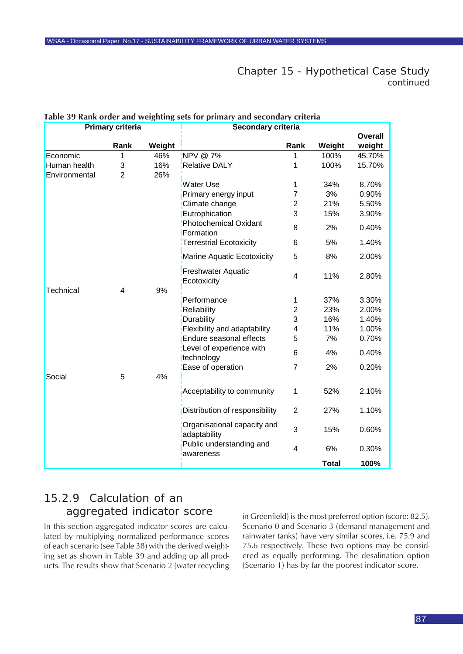|               | Primary criteria |        | Secondary criteria                       |                |              |                |
|---------------|------------------|--------|------------------------------------------|----------------|--------------|----------------|
|               |                  |        |                                          |                |              | <b>Overall</b> |
|               | Rank             | Weight |                                          | Rank           | Weight       | weight         |
| Economic      | 1                | 46%    | NPV @ 7%                                 | 1              | 100%         | 45.70%         |
| Human health  | 3                | 16%    | <b>Relative DALY</b>                     | 1              | 100%         | 15.70%         |
| Environmental | $\overline{2}$   | 26%    |                                          |                |              |                |
|               |                  |        | <b>Water Use</b>                         | 1              | 34%          | 8.70%          |
|               |                  |        | Primary energy input                     | $\overline{7}$ | 3%           | 0.90%          |
|               |                  |        | Climate change                           | $\overline{2}$ | 21%          | 5.50%          |
|               |                  |        | Eutrophication                           | 3              | 15%          | 3.90%          |
|               |                  |        | <b>Photochemical Oxidant</b>             | 8              | 2%           | 0.40%          |
|               |                  |        | Formation                                |                |              |                |
|               |                  |        | Terrestrial Ecotoxicity                  | 6              | 5%           | 1.40%          |
|               |                  |        | Marine Aquatic Ecotoxicity               | 5              | 8%           | 2.00%          |
|               |                  |        | <b>Freshwater Aquatic</b><br>Ecotoxicity | 4              | 11%          | 2.80%          |
| Technical     | 4                | 9%     |                                          |                |              |                |
|               |                  |        | Performance                              | 1              | 37%          | 3.30%          |
|               |                  |        | Reliability                              | $\overline{2}$ | 23%          | 2.00%          |
|               |                  |        | Durability                               | 3              | 16%          | 1.40%          |
|               |                  |        | Flexibility and adaptability             | 4              | 11%          | 1.00%          |
|               |                  |        | Endure seasonal effects                  | 5              | 7%           | 0.70%          |
|               |                  |        | Level of experience with<br>technology   | 6              | 4%           | 0.40%          |
|               |                  |        | Ease of operation                        | $\overline{7}$ | 2%           | 0.20%          |
| Social        | 5                | 4%     |                                          |                |              |                |
|               |                  |        | Acceptability to community               | $\mathbf{1}$   | 52%          | 2.10%          |
|               |                  |        | Distribution of responsibility           | $\overline{2}$ | 27%          | 1.10%          |
|               |                  |        | Organisational capacity and              | 3              | 15%          | 0.60%          |
|               |                  |        | adaptability                             |                |              |                |
|               |                  |        | Public understanding and<br>awareness    | $\overline{4}$ | 6%           | 0.30%          |
|               |                  |        |                                          |                | <b>Total</b> | 100%           |

# <span id="page-86-0"></span>**Table 39 Rank order and weighting sets for primary and secondary criteria**

# 15.2.9 Calculation of an aggregated indicator score

In this section aggregated indicator scores are calculated by multiplying normalized performance scores of each scenario (see Table 38) with the derived weighting set as shown in Table 39 and adding up all products. The results show that Scenario 2 (water recycling in Greenfield) is the most preferred option (score: 82.5). Scenario 0 and Scenario 3 (demand management and rainwater tanks) have very similar scores, i.e. 75.9 and 75.6 respectively. These two options may be considered as equally performing. The desalination option (Scenario 1) has by far the poorest indicator score.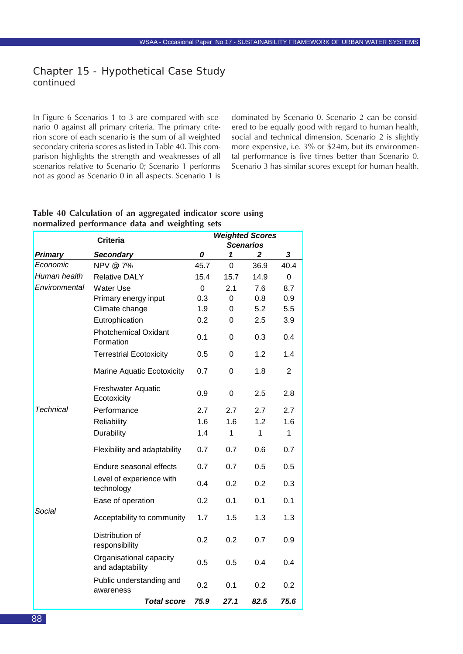<span id="page-87-0"></span>In Figure 6 Scenarios 1 to 3 are compared with scenario 0 against all primary criteria. The primary criterion score of each scenario is the sum of all weighted secondary criteria scores as listed in Table 40. This comparison highlights the strength and weaknesses of all scenarios relative to Scenario 0; Scenario 1 performs not as good as Scenario 0 in all aspects. Scenario 1 is

dominated by Scenario 0. Scenario 2 can be considered to be equally good with regard to human health, social and technical dimension. Scenario 2 is slightly more expensive, i.e. 3% or \$24m, but its environmental performance is five times better than Scenario 0. Scenario 3 has similar scores except for human health.

#### **Table 40 Calculation of an aggregated indicator score using normalized performance data and weighting sets**

|                  | <b>Criteria</b>                             | <b>Weighted Scores</b> |      |                  |                |  |
|------------------|---------------------------------------------|------------------------|------|------------------|----------------|--|
|                  |                                             |                        |      | <b>Scenarios</b> |                |  |
| <b>Primary</b>   | <b>Secondary</b>                            | 0                      | 1    | 2                | 3              |  |
| Economic         | NPV @ 7%                                    | 45.7                   | 0    | 36.9             | 40.4           |  |
| Human health     | <b>Relative DALY</b>                        | 15.4                   | 15.7 | 14.9             | $\Omega$       |  |
| Environmental    | <b>Water Use</b>                            | 0                      | 2.1  | 7.6              | 8.7            |  |
|                  | Primary energy input                        | 0.3                    | 0    | 0.8              | 0.9            |  |
|                  | Climate change                              | 1.9                    | 0    | 5.2              | 5.5            |  |
|                  | Eutrophication                              | 0.2                    | 0    | 2.5              | 3.9            |  |
|                  | <b>Photchemical Oxidant</b><br>Formation    | 0.1                    | 0    | 0.3              | 0.4            |  |
|                  | <b>Terrestrial Ecotoxicity</b>              | 0.5                    | 0    | 1.2              | 1.4            |  |
|                  | <b>Marine Aquatic Ecotoxicity</b>           | 0.7                    | 0    | 1.8              | $\overline{2}$ |  |
|                  | <b>Freshwater Aquatic</b><br>Ecotoxicity    | 0.9                    | 0    | 2.5              | 2.8            |  |
| <b>Technical</b> | Performance                                 | 2.7                    | 2.7  | 2.7              | 2.7            |  |
|                  | Reliability                                 | 1.6                    | 1.6  | 1.2              | 1.6            |  |
|                  | Durability                                  | 1.4                    | 1    | 1                | $\mathbf{1}$   |  |
|                  | Flexibility and adaptability                | 0.7                    | 0.7  | 0.6              | 0.7            |  |
|                  | Endure seasonal effects                     | 0.7                    | 0.7  | 0.5              | 0.5            |  |
|                  | Level of experience with<br>technology      | 0.4                    | 0.2  | 0.2              | 0.3            |  |
|                  | Ease of operation                           | 0.2                    | 0.1  | 0.1              | 0.1            |  |
| Social           | Acceptability to community                  | 1.7                    | 1.5  | 1.3              | 1.3            |  |
|                  | Distribution of<br>responsibility           | 0.2                    | 0.2  | 0.7              | 0.9            |  |
|                  | Organisational capacity<br>and adaptability | 0.5                    | 0.5  | 0.4              | 0.4            |  |
|                  | Public understanding and<br>awareness       | 0.2                    | 0.1  | 0.2              | 0.2            |  |
|                  | <b>Total score</b>                          | 75.9                   | 27.1 | 82.5             | 75.6           |  |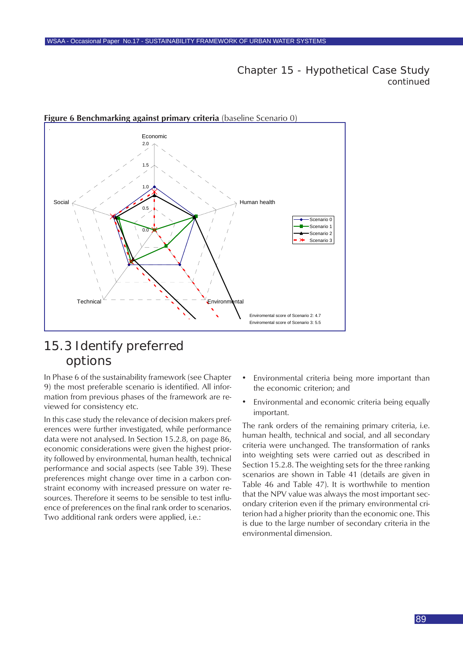

#### **Figure 6 Benchmarking against primary criteria** (baseline Scenario 0)

# 15.3 Identify preferred options

In Phase 6 of the sustainability framework (see Chapter 9) the most preferable scenario is identified. All information from previous phases of the framework are reviewed for consistency etc.

In this case study the relevance of decision makers preferences were further investigated, while performance data were not analysed. In Section 15.2.8, on page 86, economic considerations were given the highest priority followed by environmental, human health, technical performance and social aspects (see Table 39). These preferences might change over time in a carbon constraint economy with increased pressure on water resources. Therefore it seems to be sensible to test influence of preferences on the final rank order to scenarios. Two additional rank orders were applied, i.e.:

- Environmental criteria being more important than the economic criterion; and
- Environmental and economic criteria being equally important.

The rank orders of the remaining primary criteria, i.e. human health, technical and social, and all secondary criteria were unchanged. The transformation of ranks into weighting sets were carried out as described in Section 15.2.8. The weighting sets for the three ranking scenarios are shown in Table 41 (details are given in Table 46 and Table 47). It is worthwhile to mention that the NPV value was always the most important secondary criterion even if the primary environmental criterion had a higher priority than the economic one. This is due to the large number of secondary criteria in the environmental dimension.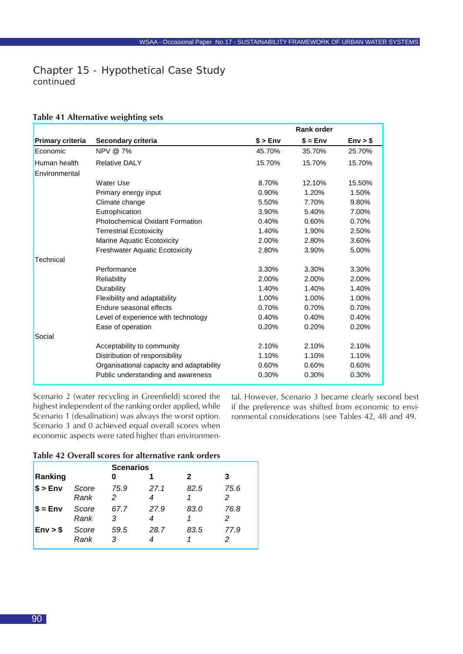#### <span id="page-89-0"></span>**Table 41 Alternative weighting sets**

|                         |                                          |        | <b>Rank order</b> |          |
|-------------------------|------------------------------------------|--------|-------------------|----------|
| <b>Primary criteria</b> | Secondary criteria                       | \$>Env | $$ = Env$         | Env > \$ |
| Economic                | NPV @ 7%                                 | 45.70% | 35.70%            | 25.70%   |
| Human health            | <b>Relative DALY</b>                     | 15.70% | 15.70%            | 15.70%   |
| Environmental           |                                          |        |                   |          |
|                         | Water Use                                | 8.70%  | 12.10%            | 15.50%   |
|                         | Primary energy input                     | 0.90%  | 1.20%             | 1.50%    |
|                         | Climate change                           | 5.50%  | 7.70%             | 9.80%    |
|                         | Eutrophication                           | 3.90%  | 5.40%             | 7.00%    |
|                         | <b>Photochemical Oxidant Formation</b>   | 0.40%  | 0.60%             | 0.70%    |
|                         | <b>Terrestrial Ecotoxicity</b>           | 1.40%  | 1.90%             | 2.50%    |
|                         | Marine Aquatic Ecotoxicity               | 2.00%  | 2.80%             | 3.60%    |
|                         | <b>Freshwater Aquatic Ecotoxicity</b>    | 2.80%  | 3.90%             | 5.00%    |
| Technical               |                                          |        |                   |          |
|                         | Performance                              | 3.30%  | 3.30%             | 3.30%    |
|                         | Reliability                              | 2.00%  | 2.00%             | 2.00%    |
|                         | Durability                               | 1.40%  | 1.40%             | 1.40%    |
|                         | Flexibility and adaptability             | 1.00%  | 1.00%             | 1.00%    |
|                         | Endure seasonal effects                  | 0.70%  | 0.70%             | 0.70%    |
|                         | Level of experience with technology      | 0.40%  | 0.40%             | 0.40%    |
|                         | Ease of operation                        | 0.20%  | 0.20%             | 0.20%    |
| Social                  |                                          |        |                   |          |
|                         | Acceptability to community               | 2.10%  | 2.10%             | 2.10%    |
|                         | Distribution of responsibility           | 1.10%  | 1.10%             | 1.10%    |
|                         | Organisational capacity and adaptability | 0.60%  | 0.60%             | 0.60%    |
|                         | Public understanding and awareness       | 0.30%  | 0.30%             | 0.30%    |

Scenario 2 (water recycling in Greenfield) scored the highest independent of the ranking order applied, while Scenario 1 (desalination) was always the worst option. Scenario 3 and 0 achieved equal overall scores when economic aspects were rated higher than environmental. However, Scenario 3 became clearly second best if the preference was shifted from economic to environmental considerations (see Tables 42, 48 and 49.

#### **Table 42 Overall scores for alternative rank orders**

|                  | <b>Scenarios</b> |           |           |      |           |  |  |  |
|------------------|------------------|-----------|-----------|------|-----------|--|--|--|
| Ranking          |                  |           |           | 2    | 3         |  |  |  |
| $\$\text{>Env}$  | Score<br>Rank    | 75.9<br>2 | 27.1<br>4 | 82.5 | 75.6<br>2 |  |  |  |
| $\sqrt{2}$ = Env | Score<br>Rank    | 67.7<br>3 | 27.9      | 83.0 | 76.8      |  |  |  |
| Env > \$         | Score<br>Rank    | 59.5<br>3 | 28.7      | 83.5 | 77.9      |  |  |  |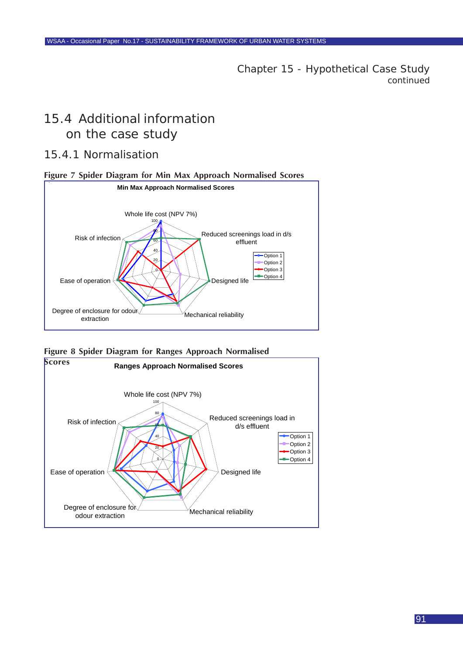# 15.4 Additional information on the case study

## 15.4.1 Normalisation





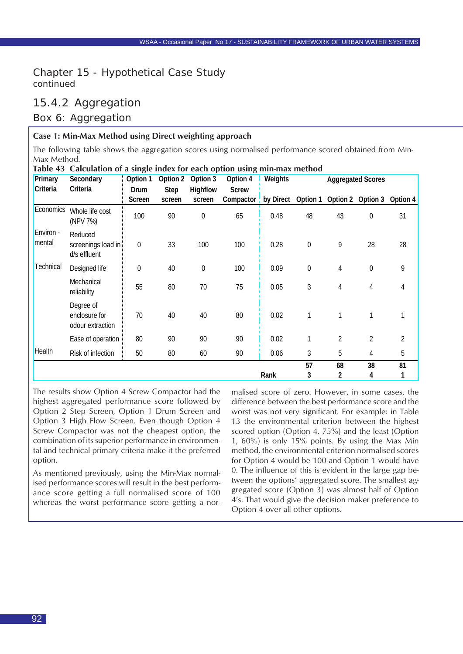# 15.4.2 Aggregation

### Box 6: Aggregation

#### **Case 1: Min-Max Method using Direct weighting approach**

The following table shows the aggregation scores using normalised performance scored obtained from Min-Max Method.

| Primary<br>Criteria | Secondary<br>Criteria                          | Option 1<br>Drum | Option 2<br><b>Step</b> | Option 3<br>Highflow | Option 4<br><b>Screw</b> | <b>Weights</b> |                  |                | <b>Aggregated Scores</b> |                |
|---------------------|------------------------------------------------|------------------|-------------------------|----------------------|--------------------------|----------------|------------------|----------------|--------------------------|----------------|
|                     |                                                | Screen           | screen                  | screen               | Compactor                | by Direct      | Option 1         |                | Option 2 Option 3        | Option 4       |
| Economics           | Whole life cost<br>(NPV 7%)                    | 100              | 90                      | 0                    | 65                       | 0.48           | 48               | 43             | $\boldsymbol{0}$         | 31             |
| Environ -<br>mental | Reduced<br>screenings load in:<br>d/s effluent | 0                | 33                      | 100                  | 100                      | 0.28           | $\boldsymbol{0}$ | 9              | 28                       | 28             |
| Technical           | Designed life                                  | $\mathbf 0$      | 40                      | 0                    | 100                      | 0.09           | $\boldsymbol{0}$ | 4              | $\mathbf 0$              | 9              |
|                     | Mechanical<br>reliability                      | 55               | 80                      | 70                   | 75                       | 0.05           | $\mathfrak{Z}$   | 4              | 4                        | 4              |
|                     | Degree of<br>enclosure for<br>odour extraction | 70               | 40                      | 40                   | 80                       | 0.02           | 1                | 1              | 1                        |                |
|                     | Ease of operation                              | 80               | 90                      | 90                   | 90                       | 0.02           | 1                | $\overline{2}$ | 2                        | $\overline{2}$ |
| <b>Health</b>       | Risk of infection                              | 50               | 80                      | 60                   | 90                       | 0.06           | 3                | 5              | 4                        | 5              |
|                     |                                                |                  |                         |                      |                          | Rank           | 57<br>3          | 68<br>2        | 38<br>4                  | 81<br>1        |

**Table 43 Calculation of a single index for each option using min-max method**

The results show Option 4 Screw Compactor had the highest aggregated performance score followed by Option 2 Step Screen, Option 1 Drum Screen and Option 3 High Flow Screen. Even though Option 4 Screw Compactor was not the cheapest option, the combination of its superior performance in environmental and technical primary criteria make it the preferred option.

As mentioned previously, using the Min-Max normalised performance scores will result in the best performance score getting a full normalised score of 100 whereas the worst performance score getting a normalised score of zero. However, in some cases, the difference between the best performance score and the worst was not very significant. For example: in Table 13 the environmental criterion between the highest scored option (Option 4, 75%) and the least (Option 1, 60%) is only 15% points. By using the Max Min method, the environmental criterion normalised scores for Option 4 would be 100 and Option 1 would have 0. The influence of this is evident in the large gap between the options' aggregated score. The smallest aggregated score (Option 3) was almost half of Option 4's. That would give the decision maker preference to Option 4 over all other options.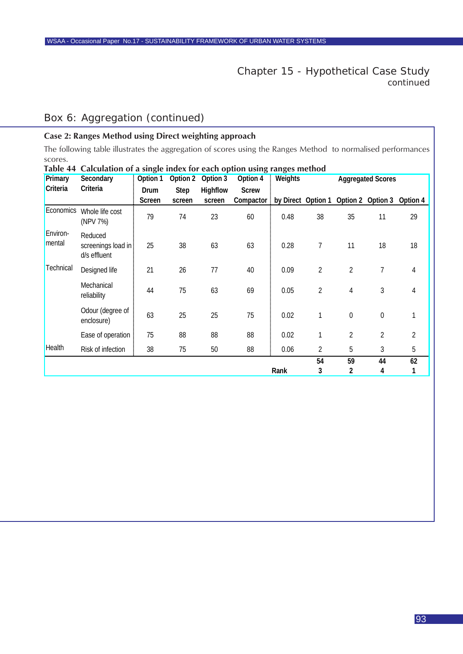# <span id="page-92-0"></span>Box 6: Aggregation (continued)

#### **Case 2: Ranges Method using Direct weighting approach**

The following table illustrates the aggregation of scores using the Ranges Method to normalised performances scores.

| Primary            | Secondary                                      | Option 1 | Option 2    | Option 3 | Option 4     | Weights |                    | <b>Aggregated Scores</b> |                |          |
|--------------------|------------------------------------------------|----------|-------------|----------|--------------|---------|--------------------|--------------------------|----------------|----------|
| Criteria           | Criteria                                       | Drum     | <b>Step</b> | Highflow | <b>Screw</b> |         |                    |                          |                |          |
|                    |                                                | Screen   | screen      | screen   | Compactor    |         | by Direct Option 1 | Option 2 Option 3        |                | Option 4 |
| Economics          | Whole life cost<br>(NPV 7%)                    | 79       | 74          | 23       | 60           | 0.48    | 38                 | 35                       | 11             | 29       |
| Environ-<br>mental | Reduced<br>screenings load in:<br>d/s effluent | 25       | 38          | 63       | 63           | 0.28    | 7                  | 11                       | 18             | 18       |
| Technical          | Designed life                                  | 21       | 26          | 77       | 40           | 0.09    | $\overline{2}$     | $\overline{2}$           | $\overline{7}$ | 4        |
|                    | Mechanical<br>reliability                      | 44       | 75          | 63       | 69           | 0.05    | $\overline{2}$     | 4                        | 3              | 4        |
|                    | Odour (degree of<br>enclosure)                 | 63       | 25          | 25       | 75           | 0.02    | 1                  | 0                        | $\mathbf 0$    |          |
|                    | Ease of operation                              | 75       | 88          | 88       | 88           | 0.02    | 1                  | $\overline{2}$           | $\overline{2}$ | 2        |
| <b>Health</b>      | Risk of infection                              | 38       | 75          | 50       | 88           | 0.06    | 2                  | 5                        | 3              | 5        |
|                    |                                                |          |             |          |              |         | 54                 | 59                       | 44             | 62       |
|                    |                                                |          |             |          |              | Rank    | 3                  | 2                        | 4              |          |

**Table 44 Calculation of a single index for each option using ranges method**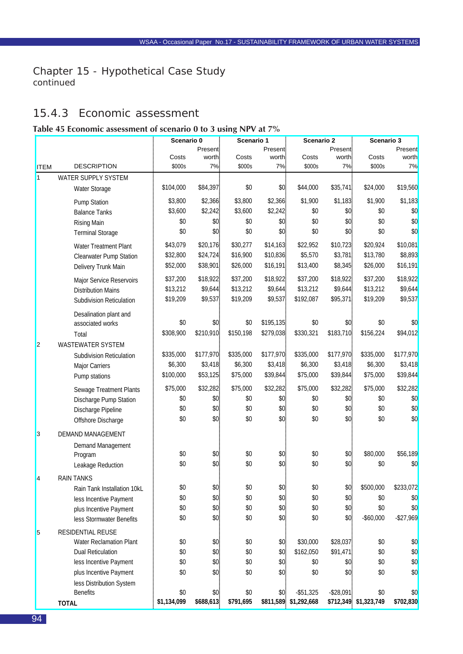# <span id="page-93-0"></span>15.4.3 Economic assessment

#### **Table 45 Economic assessment of scenario 0 to 3 using NPV at 7%**

|                |                                            | Scenario 0<br>Scenario 1 |               | Scenario 2 |           | Scenario 3            |                  |                       |              |
|----------------|--------------------------------------------|--------------------------|---------------|------------|-----------|-----------------------|------------------|-----------------------|--------------|
|                |                                            |                          | Present:      |            | Present:  |                       | Present:         |                       | Present      |
|                |                                            | Costs                    | worth.        | Costs      | worth.    | Costs                 | worth.           | Costs                 | worth        |
| <b>ITEM</b>    | <b>DESCRIPTION</b>                         | \$000s                   | 7%            | \$000s     | 7%        | \$000s                | 7%               | \$000s                | 7%           |
| $\overline{1}$ | WATER SUPPLY SYSTEM                        |                          |               |            |           |                       |                  |                       |              |
|                | Water Storage                              | \$104,000                | \$84,397.     | \$0        | \$0.      | \$44,000              | \$35,741.        | \$24,000              | \$19,560     |
|                | Pump Station                               | \$3,800                  | \$2,366       | \$3,800    | \$2,366   | \$1,900               | \$1,183          | \$1,900               | \$1,183      |
|                | <b>Balance Tanks</b>                       | \$3,600                  | \$2,242       | \$3,600    | \$2,242   | \$0                   | \$0              | \$0                   | \$0          |
|                | <b>Rising Main</b>                         | \$0                      | \$0           | \$0        | \$0       | \$0                   | \$0              | \$0                   | \$0          |
|                | <b>Terminal Storage</b>                    | \$0                      | \$0\$         | \$0        | \$0       | \$0                   | \$0              | \$0                   | \$0          |
|                | Water Treatment Plant                      | \$43,079                 | \$20,176      | \$30,277   | \$14,163  | \$22,952              | \$10,723         | \$20,924              | \$10,081     |
|                | Clearwater Pump Station                    | \$32,800                 | \$24,724      | \$16,900   | \$10,836  | \$5,570               | \$3,781          | \$13,780              | \$8,893      |
|                | Delivery Trunk Main                        | \$52,000                 | \$38,901      | \$26,000   | \$16,191  | \$13,400              | \$8,345          | \$26,000              | \$16,191     |
|                | Major Service Reservoirs                   | \$37,200                 | \$18,922      | \$37,200   | \$18,922  | \$37,200              | \$18,922         | \$37,200              | \$18,922     |
|                | <b>Distribution Mains</b>                  | \$13,212                 | \$9,644       | \$13,212   | \$9,644   | \$13,212              | \$9,644          | \$13,212              | \$9,644      |
|                | Subdivision Reticulation                   | \$19,209                 | \$9,537       | \$19,209   | \$9,537   | \$192,087             | \$95,371         | \$19,209              | \$9,537      |
|                |                                            |                          |               |            |           |                       |                  |                       |              |
|                | Desalination plant and<br>associated works | \$0                      | \$0           | \$0        | \$195,135 | \$0                   | \$0-             | \$0                   | \$0          |
|                |                                            | \$308,900                | \$210,910     | \$150,198  | \$279,038 | \$330,321             | \$183,710        | \$156,224             | \$94,012     |
|                | Total                                      |                          |               |            |           |                       |                  |                       |              |
| $\overline{2}$ | WASTEWATER SYSTEM                          | \$335,000                | \$177,970     | \$335,000  | \$177,970 | \$335,000             | \$177,970        | \$335,000             | \$177,970    |
|                | Subdivision Reticulation                   | \$6,300                  | \$3,418       | \$6,300    | \$3,418   | \$6,300               | \$3,418          | \$6,300               | \$3,418      |
|                | Major Carriers                             | \$100,000                | \$53,125      | \$75,000   | \$39,844  | \$75,000              | \$39,844         | \$75,000              | \$39,844     |
|                | Pump stations                              |                          |               |            |           |                       |                  |                       |              |
|                | Sewage Treatment Plants                    | \$75,000                 | \$32,282      | \$75,000   | \$32,282  | \$75,000              | \$32,282         | \$75,000              | \$32,282     |
|                | Discharge Pump Station                     | \$0                      | \$0           | \$0        | \$0       | \$0                   | $$0-$            | \$0                   | \$0          |
|                | Discharge Pipeline                         | \$0                      | \$0.          | \$0        | \$0.      | \$0                   | \$0.             | \$0                   | \$0          |
|                | Offshore Discharge                         | \$0                      | \$0.          | \$0        | \$0       | \$0                   | \$0              | \$0                   | \$0          |
| 3              | DEMAND MANAGEMENT                          |                          |               |            |           |                       |                  |                       |              |
|                | Demand Management                          |                          |               |            |           |                       |                  |                       |              |
|                | Program                                    | \$0                      | \$0           | \$0        | \$0       | \$0                   | \$0              | \$80,000              | \$56,189     |
|                | Leakage Reduction                          | \$0                      | \$0           | \$0        | \$0       | \$0                   | \$0              | \$0                   | \$0          |
| 4              | <b>RAIN TANKS</b>                          |                          |               |            |           |                       |                  |                       |              |
|                | Rain Tank Installation 10kL                | \$0                      | $\$0$         | \$0        | $$0$$     | \$0                   | \$0              | \$500,000             | \$233,072    |
|                | less Incentive Payment                     | \$0                      | $$0^{\circ}$$ | \$0        | \$0       | \$0                   | \$0              | \$0                   | \$0          |
|                | plus Incentive Payment                     | \$0                      | $$0^{\circ}$$ | \$0        | \$0       | \$0                   | $$0^{\circ}$$    | \$0                   | \$0          |
|                | less Stormwater Benefits                   | \$0                      | \$0           | \$0        | \$0       | \$0                   | \$0.             | $-$ \$60,000          | $-$ \$27,969 |
| 5              | RESIDENTIAL REUSE                          |                          |               |            |           |                       |                  |                       |              |
|                | Water Reclamation Plant                    | \$0                      | \$0.          | \$0        | \$0.      | \$30,000              | \$28,037.        | \$0                   | \$0          |
|                | <b>Dual Reticulation</b>                   | \$0                      | \$0           | \$0        | \$0       | \$162,050             | \$91,471         | \$0                   | \$0          |
|                | less Incentive Payment                     | \$0                      | \$0           | \$0        | \$0       | \$0                   | \$0              | \$0                   | \$0          |
|                | plus Incentive Payment                     | \$0                      | \$0           | \$0        | \$0       | \$0                   | \$0              | \$0                   | \$0          |
|                | less Distribution System                   |                          |               |            |           |                       |                  |                       |              |
|                | <b>Benefits</b>                            | \$0                      | \$0.          | \$0        | \$0.      | $-$ \$51,325          | $-$ \$28,091 $-$ | \$0                   | \$0          |
|                | <b>TOTAL</b>                               | \$1,134,099              | \$688,613     | \$791,695  |           | \$811,589 \$1,292,668 |                  | \$712,349 \$1,323,749 | \$702,830    |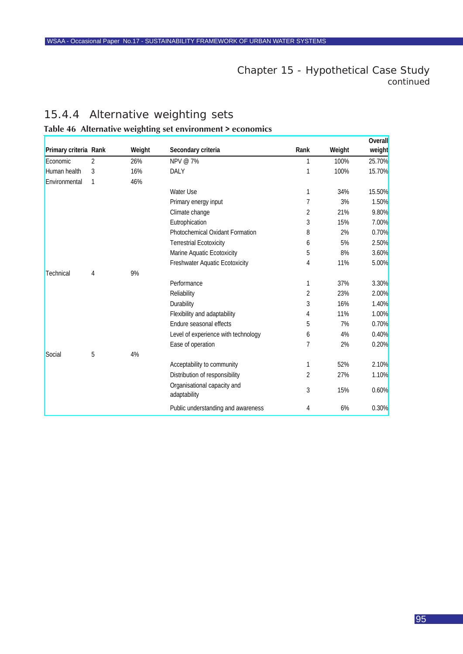# 15.4.4 Alternative weighting sets

# **Table 46 Alternative weighting set environment > economics**

|                       |                |        |                                             |                |        | <b>Overall</b> |
|-----------------------|----------------|--------|---------------------------------------------|----------------|--------|----------------|
| Primary criteria Rank |                | Weight | Secondary criteria                          | Rank           | Weight | weight         |
| Economic              | $\overline{2}$ | 26%    | NPV @ 7%                                    | 1              | 100%   | 25.70%         |
| Human health          | 3              | 16%    | DALY                                        | 1              | 100%   | <b>15.70%</b>  |
| Environmental         | 1              | 46%    |                                             |                |        |                |
|                       |                |        | Water Use                                   | 1              | 34%    | 15.50%         |
|                       |                |        | Primary energy input                        | 7              | 3%     | 1.50%          |
|                       |                |        | Climate change                              | 2              | 21%    | 9.80%          |
|                       |                |        | Eutrophication                              | 3              | 15%    | 7.00%          |
|                       |                |        | Photochemical Oxidant Formation             | 8              | 2%     | 0.70%          |
|                       |                |        | <b>Terrestrial Ecotoxicity</b>              | 6              | 5%     | 2.50%          |
|                       |                |        | Marine Aquatic Ecotoxicity                  | 5              | 8%     | 3.60%          |
|                       |                |        | <b>Freshwater Aquatic Ecotoxicity</b>       | 4              | 11%    | 5.00%          |
| Technical             | 4              | 9%     |                                             |                |        |                |
|                       |                |        | Performance                                 | 1              | 37%    | 3.30%          |
|                       |                |        | Reliability                                 | $\overline{2}$ | 23%    | 2.00%          |
|                       |                |        | Durability                                  | 3              | 16%    | 1.40%          |
|                       |                |        | Flexibility and adaptability                | 4              | 11%    | 1.00%          |
|                       |                |        | Endure seasonal effects                     | 5              | 7%     | 0.70%          |
|                       |                |        | Level of experience with technology         | 6              | 4%     | 0.40%          |
|                       |                |        | Ease of operation                           | 7              | 2%     | 0.20%          |
| Social                | 5              | 4%     |                                             |                |        |                |
|                       |                |        | Acceptability to community                  | 1              | 52%    | 2.10%          |
|                       |                |        | Distribution of responsibility              | 2              | 27%    | 1.10%          |
|                       |                |        | Organisational capacity and<br>adaptability | 3              | 15%    | 0.60%          |
|                       |                |        | Public understanding and awareness          | 4              | 6%     | 0.30%          |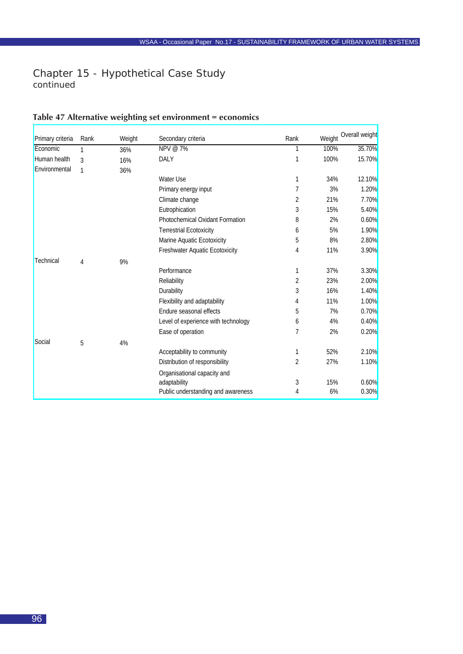# <span id="page-95-0"></span>Chapter 15 - Hypothetical Case Study

*continued*

Г

| Primary criteria | Rank         | Weight | Secondary criteria                     | Rank           | Weight | Overall weight |
|------------------|--------------|--------|----------------------------------------|----------------|--------|----------------|
| Economic         | 1            | 36%    | NPV @ 7%                               | 1              | 100%   | 35.70%         |
| Human health     | 3            | 16%    | <b>DALY</b>                            | 1              | 100%   | <b>15.70%</b>  |
| Environmental    | $\mathbf{1}$ | 36%    |                                        |                |        |                |
|                  |              |        | Water Use                              | 1              | 34%    | 12.10%         |
|                  |              |        | Primary energy input                   | 7              | 3%     | 1.20%          |
|                  |              |        | Climate change                         | 2              | 21%    | 7.70%          |
|                  |              |        | Eutrophication                         | 3              | 15%    | 5.40%          |
|                  |              |        | <b>Photochemical Oxidant Formation</b> | 8              | 2%     | 0.60%          |
|                  |              |        | <b>Terrestrial Ecotoxicity</b>         | 6              | 5%     | 1.90%          |
|                  |              |        | Marine Aquatic Ecotoxicity             | 5              | 8%     | 2.80%          |
|                  |              |        | Freshwater Aquatic Ecotoxicity         | 4              | 11%    | 3.90%          |
| Technical        | 4            | 9%     |                                        |                |        |                |
|                  |              |        | Performance                            | 1              | 37%    | 3.30%          |
|                  |              |        | Reliability                            | $\overline{2}$ | 23%    | 2.00%          |
|                  |              |        | Durability                             | 3              | 16%    | 1.40%          |
|                  |              |        | Flexibility and adaptability           | 4              | 11%    | 1.00%          |
|                  |              |        | Endure seasonal effects                | 5              | 7%     | 0.70%          |
|                  |              |        | Level of experience with technology    | 6              | 4%     | 0.40%          |
|                  |              |        | Ease of operation                      | 7              | 2%     | 0.20%          |
| Social           | 5            | 4%     |                                        |                |        |                |
|                  |              |        | Acceptability to community             | 1              | 52%    | 2.10%          |
|                  |              |        | Distribution of responsibility         | 2              | 27%    | <b>1.10%</b>   |
|                  |              |        | Organisational capacity and            |                |        |                |
|                  |              |        | adaptability                           | 3              | 15%    | 0.60%          |
|                  |              |        | Public understanding and awareness     | 4              | 6%     | 0.30%          |

# **Table 47 Alternative weighting set environment = economics**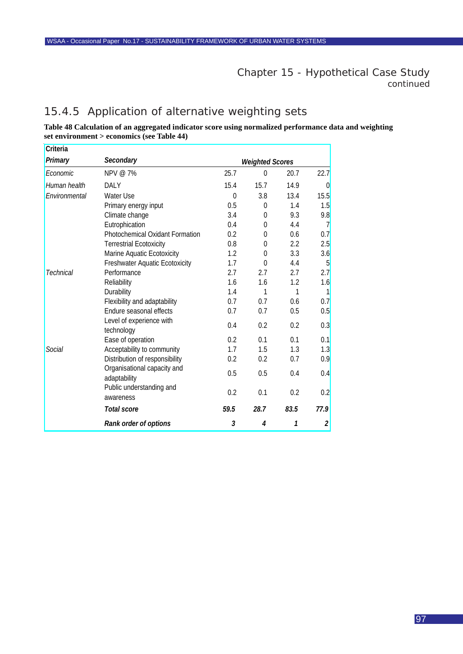# 15.4.5 Application of alternative weighting sets

#### **Table 48 Calculation of an aggregated indicator score using normalized performance data and weighting set environment > economics (see Table 44)**

| Criteria         |                                             |                        |          |      |                |
|------------------|---------------------------------------------|------------------------|----------|------|----------------|
| Primary          | Secondary                                   | <b>Weighted Scores</b> |          |      |                |
| Economic         | NPV @ 7%                                    | 25.7                   | $\theta$ | 20.7 | 22.7           |
| Human health     | <b>DALY</b>                                 | 15.4                   | 15.7     | 14.9 | $\overline{0}$ |
| Environmental    | <b>Water Use</b>                            | $\theta$               | 3.8      | 13.4 | 15.5           |
|                  | Primary energy input                        | 0.5                    | 0        | 1.4  | 1.5            |
|                  | Climate change                              | 3.4                    | $\theta$ | 9.3  | 9.8            |
|                  | Eutrophication                              | 0.4                    | $\theta$ | 4.4  | $\overline{7}$ |
|                  | <b>Photochemical Oxidant Formation</b>      | 0.2                    | $\theta$ | 0.6  | 0.7            |
|                  | <b>Terrestrial Ecotoxicity</b>              | 0.8                    | $\theta$ | 2.2  | 2.5            |
|                  | Marine Aquatic Ecotoxicity                  | 1.2                    | $\theta$ | 3.3  | 3.6            |
|                  | Freshwater Aquatic Ecotoxicity              | 1.7                    | $\Omega$ | 4.4  | 5              |
| <b>Technical</b> | Performance                                 | 2.7                    | 2.7      | 2.7  | 2.7            |
|                  | Reliability                                 | 1.6                    | 1.6      | 1.2  | 1.6            |
|                  | Durability                                  | 1.4                    | 1        | 1    | $\mathbf{1}$   |
|                  | Flexibility and adaptability                | 0.7                    | 0.7      | 0.6  | 0.7            |
|                  | Endure seasonal effects                     | 0.7                    | 0.7      | 0.5  | 0.5            |
|                  | Level of experience with<br>technology      | 0.4                    | 0.2      | 0.2  | 0.3            |
|                  | Ease of operation                           | 0.2                    | 0.1      | 0.1  | 0.1            |
| Social           | Acceptability to community                  | 1.7                    | 1.5      | 1.3  | 1.3            |
|                  | Distribution of responsibility              | 0.2                    | 0.2      | 0.7  | 0.9            |
|                  | Organisational capacity and<br>adaptability | 0.5                    | 0.5      | 0.4  | 0.4            |
|                  | Public understanding and<br>awareness       | 0.2                    | 0.1      | 0.2  | 0.2            |
|                  | Total score                                 | 59.5                   | 28.7     | 83.5 | 77.9           |
|                  | Rank order of options                       | 3                      | 4        | 1    | $\overline{2}$ |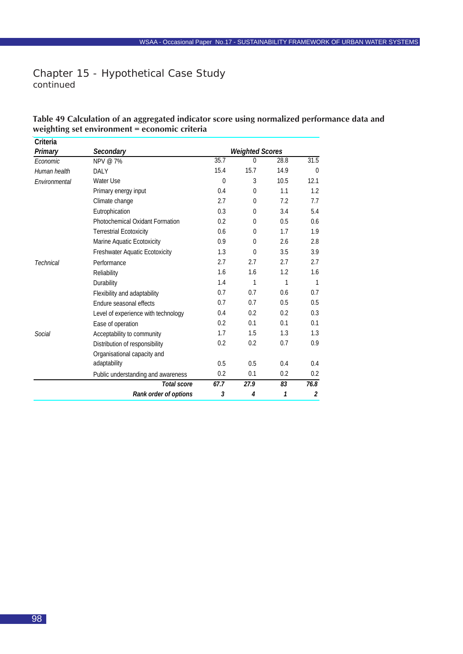## **Table 49 Calculation of an aggregated indicator score using normalized performance data and weighting set environment = economic criteria**

| Criteria      |                                        |                        |                |      |                   |
|---------------|----------------------------------------|------------------------|----------------|------|-------------------|
| Primary       | Secondary                              | <b>Weighted Scores</b> |                |      |                   |
| Economic      | NPV @ 7%                               | 35.7                   | $\Omega$       | 28.8 | $\overline{31.5}$ |
| Human health  | <b>DALY</b>                            | 15.4                   | 15.7           | 14.9 | $\Omega$          |
| Environmental | Water Use                              | $\theta$               | 3              | 10.5 | 12.1              |
|               | Primary energy input                   | 0.4                    | $\Omega$       | 1.1  | 1.2               |
|               | Climate change                         | 2.7                    | $\theta$       | 7.2  | 7.7               |
|               | Eutrophication                         | 0.3                    | $\Omega$       | 3.4  | 5.4               |
|               | <b>Photochemical Oxidant Formation</b> | 0.2                    | $\Omega$       | 0.5  | 0.6               |
|               | <b>Terrestrial Ecotoxicity</b>         | 0.6                    | $\Omega$       | 1.7  | 1.9               |
|               | Marine Aquatic Ecotoxicity             | 0.9                    | $\Omega$       | 2.6  | 2.8               |
|               | <b>Freshwater Aquatic Ecotoxicity</b>  | 1.3                    | $\Omega$       | 3.5  | 3.9               |
| Technical     | Performance                            | 2.7                    | 2.7            | 2.7  | 2.7               |
|               | Reliability                            | 1.6                    | 1.6            | 1.2  | 1.6               |
|               | Durability                             | 1.4                    | 1              | 1    | $\mathbf{1}$      |
|               | Flexibility and adaptability           | 0.7                    | 0.7            | 0.6  | 0.7               |
|               | Endure seasonal effects                | 0.7                    | 0.7            | 0.5  | 0.5               |
|               | Level of experience with technology    | 0.4                    | 0.2            | 0.2  | 0.3               |
|               | Ease of operation                      | 0.2                    | 0.1            | 0.1  | 0.1               |
| Social        | Acceptability to community             | 1.7                    | 1.5            | 1.3  | 1.3               |
|               | Distribution of responsibility         | 0.2                    | 0.2            | 0.7  | 0.9               |
|               | Organisational capacity and            |                        |                |      |                   |
|               | adaptability                           | 0.5                    | 0.5            | 0.4  | 0.4               |
|               | Public understanding and awareness     | 0.2                    | 0.1            | 0.2  | 0.2               |
|               | Total score                            | 67.7                   | 27.9           | 83   | 76.8              |
|               | Rank order of options                  | 3                      | $\overline{4}$ | 1    | $\overline{2}$    |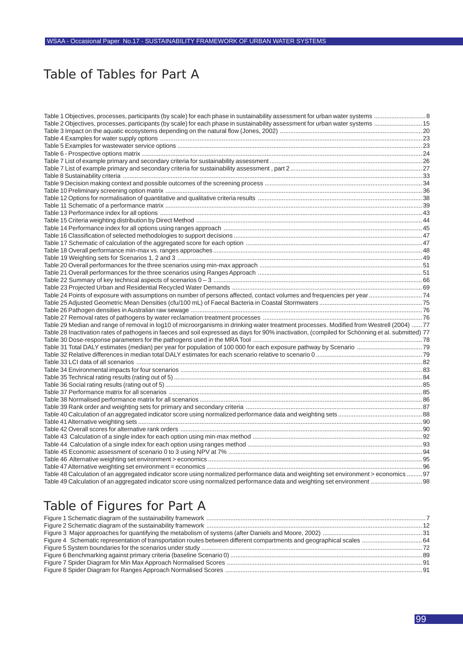# Table of Tables for Part A

| Table 2 Objectives, processes, participants (by scale) for each phase in sustainability assessment for urban water systems  15                                                                                                 |  |
|--------------------------------------------------------------------------------------------------------------------------------------------------------------------------------------------------------------------------------|--|
|                                                                                                                                                                                                                                |  |
|                                                                                                                                                                                                                                |  |
|                                                                                                                                                                                                                                |  |
|                                                                                                                                                                                                                                |  |
|                                                                                                                                                                                                                                |  |
|                                                                                                                                                                                                                                |  |
|                                                                                                                                                                                                                                |  |
|                                                                                                                                                                                                                                |  |
|                                                                                                                                                                                                                                |  |
|                                                                                                                                                                                                                                |  |
|                                                                                                                                                                                                                                |  |
|                                                                                                                                                                                                                                |  |
|                                                                                                                                                                                                                                |  |
|                                                                                                                                                                                                                                |  |
|                                                                                                                                                                                                                                |  |
|                                                                                                                                                                                                                                |  |
|                                                                                                                                                                                                                                |  |
| Table 19 Weighting sets for Scenarios 1, 2 and 3 minimum manuscription and the manuscription and the term and the term and the term and the term and the term and the term and the term and the term and the term and the term |  |
|                                                                                                                                                                                                                                |  |
|                                                                                                                                                                                                                                |  |
|                                                                                                                                                                                                                                |  |
|                                                                                                                                                                                                                                |  |
|                                                                                                                                                                                                                                |  |
|                                                                                                                                                                                                                                |  |
|                                                                                                                                                                                                                                |  |
|                                                                                                                                                                                                                                |  |
| Table 29 Median and range of removal in log10 of microorganisms in drinking water treatment processes. Modified from Westrell (2004)  77                                                                                       |  |
| Table 28 Inactivation rates of pathogens in faeces and soil expressed as days for 90% inactivation, (compiled for Schönning et al. submitted) 77                                                                               |  |
|                                                                                                                                                                                                                                |  |
|                                                                                                                                                                                                                                |  |
|                                                                                                                                                                                                                                |  |
|                                                                                                                                                                                                                                |  |
|                                                                                                                                                                                                                                |  |
|                                                                                                                                                                                                                                |  |
|                                                                                                                                                                                                                                |  |
|                                                                                                                                                                                                                                |  |
|                                                                                                                                                                                                                                |  |
|                                                                                                                                                                                                                                |  |
|                                                                                                                                                                                                                                |  |
|                                                                                                                                                                                                                                |  |
|                                                                                                                                                                                                                                |  |
|                                                                                                                                                                                                                                |  |
|                                                                                                                                                                                                                                |  |
|                                                                                                                                                                                                                                |  |
|                                                                                                                                                                                                                                |  |
|                                                                                                                                                                                                                                |  |
| Table 48 Calculation of an aggregated indicator score using normalized performance data and weighting set environment > economics  97                                                                                          |  |
|                                                                                                                                                                                                                                |  |
|                                                                                                                                                                                                                                |  |

# Table of Figures for Part A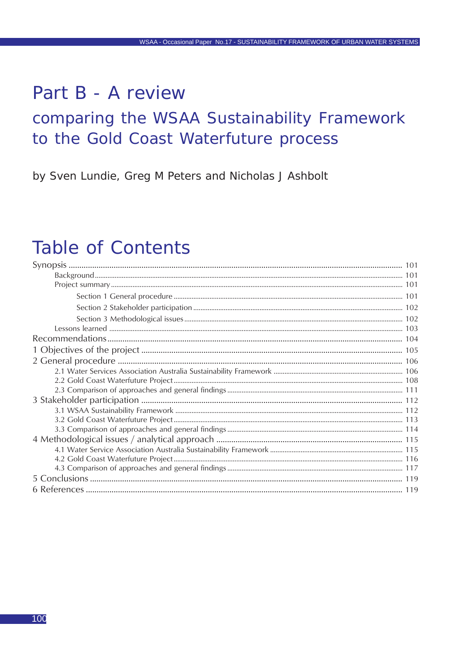# Part B - A review

# comparing the WSAA Sustainability Framework to the Gold Coast Waterfuture process

by Sven Lundie, Greg M Peters and Nicholas J Ashbolt

# **Table of Contents**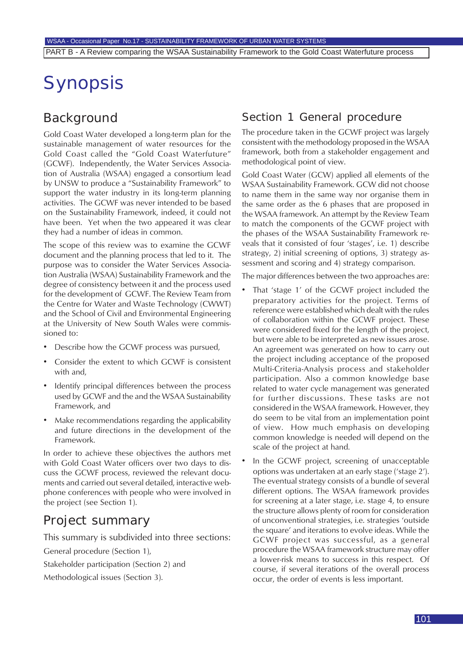# Synopsis

# Background

Gold Coast Water developed a long-term plan for the sustainable management of water resources for the Gold Coast called the "Gold Coast Waterfuture" (GCWF). Independently, the Water Services Association of Australia (WSAA) engaged a consortium lead by UNSW to produce a "Sustainability Framework" to support the water industry in its long-term planning activities. The GCWF was never intended to be based on the Sustainability Framework, indeed, it could not have been. Yet when the two appeared it was clear they had a number of ideas in common.

The scope of this review was to examine the GCWF document and the planning process that led to it. The purpose was to consider the Water Services Association Australia (WSAA) Sustainability Framework and the degree of consistency between it and the process used for the development of GCWF. The Review Team from the Centre for Water and Waste Technology (CWWT) and the School of Civil and Environmental Engineering at the University of New South Wales were commissioned to:

- Describe how the GCWF process was pursued,
- Consider the extent to which GCWF is consistent with and,
- Identify principal differences between the process used by GCWF and the and the WSAA Sustainability Framework, and
- Make recommendations regarding the applicability and future directions in the development of the Framework.

In order to achieve these objectives the authors met with Gold Coast Water officers over two days to discuss the GCWF process, reviewed the relevant documents and carried out several detailed, interactive webphone conferences with people who were involved in the project (see Section 1).

# Project summary

This summary is subdivided into three sections:

General procedure (Section 1),

Stakeholder participation (Section 2) and

Methodological issues (Section 3).

# Section 1 General procedure

The procedure taken in the GCWF project was largely consistent with the methodology proposed in the WSAA framework, both from a stakeholder engagement and methodological point of view.

Gold Coast Water (GCW) applied all elements of the WSAA Sustainability Framework. GCW did not choose to name them in the same way nor organise them in the same order as the 6 phases that are proposed in the WSAA framework. An attempt by the Review Team to match the components of the GCWF project with the phases of the WSAA Sustainability Framework reveals that it consisted of four 'stages', i.e. 1) describe strategy, 2) initial screening of options, 3) strategy assessment and scoring and 4) strategy comparison.

The major differences between the two approaches are:

- That 'stage 1' of the GCWF project included the preparatory activities for the project. Terms of reference were established which dealt with the rules of collaboration within the GCWF project. These were considered fixed for the length of the project, but were able to be interpreted as new issues arose. An agreement was generated on how to carry out the project including acceptance of the proposed Multi-Criteria-Analysis process and stakeholder participation. Also a common knowledge base related to water cycle management was generated for further discussions. These tasks are not considered in the WSAA framework. However, they do seem to be vital from an implementation point of view. How much emphasis on developing common knowledge is needed will depend on the scale of the project at hand.
- In the GCWF project, screening of unacceptable options was undertaken at an early stage ('stage 2'). The eventual strategy consists of a bundle of several different options. The WSAA framework provides for screening at a later stage, i.e. stage 4, to ensure the structure allows plenty of room for consideration of unconventional strategies, i.e. strategies 'outside the square' and iterations to evolve ideas. While the GCWF project was successful, as a general procedure the WSAA framework structure may offer a lower-risk means to success in this respect. Of course, if several iterations of the overall process occur, the order of events is less important.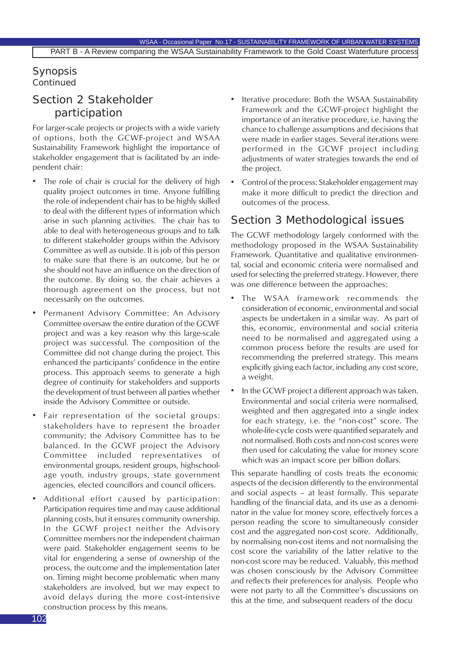## Synopsis *Continued*

# Section 2 Stakeholder participation

For larger-scale projects or projects with a wide variety of options, both the GCWF-project and WSAA Sustainability Framework highlight the importance of stakeholder engagement that is facilitated by an independent chair:

- The role of chair is crucial for the delivery of high quality project outcomes in time. Anyone fulfilling the role of independent chair has to be highly skilled to deal with the different types of information which arise in such planning activities. The chair has to able to deal with heterogeneous groups and to talk to different stakeholder groups within the Advisory Committee as well as outside. It is job of this person to make sure that there is an outcome, but he or she should not have an influence on the direction of the outcome. By doing so, the chair achieves a thorough agreement on the process, but not necessarily on the outcomes.
- Permanent Advisory Committee: An Advisory Committee oversaw the entire duration of the GCWF project and was a key reason why this large-scale project was successful. The composition of the Committee did not change during the project. This enhanced the participants' confidence in the entire process. This approach seems to generate a high degree of continuity for stakeholders and supports the development of trust between all parties whether inside the Advisory Committee or outside.
- Fair representation of the societal groups: stakeholders have to represent the broader community; the Advisory Committee has to be balanced. In the GCWF project the Advisory Committee included representatives of environmental groups, resident groups, highschoolage youth, industry groups, state government agencies, elected councillors and council officers.
- Additional effort caused by participation: Participation requires time and may cause additional planning costs, but it ensures community ownership. In the GCWF project neither the Advisory Committee members nor the independent chairman were paid. Stakeholder engagement seems to be vital for engendering a sense of ownership of the process, the outcome and the implementation later on. Timing might become problematic when many stakeholders are involved, but we may expect to avoid delays during the more cost-intensive construction process by this means.
- Iterative procedure: Both the WSAA Sustainability Framework and the GCWF-project highlight the importance of an iterative procedure, i.e. having the chance to challenge assumptions and decisions that were made in earlier stages. Several iterations were performed in the GCWF project including adjustments of water strategies towards the end of the project.
- Control of the process: Stakeholder engagement may make it more difficult to predict the direction and outcomes of the process.

# Section 3 Methodological issues

The GCWF methodology largely conformed with the methodology proposed in the WSAA Sustainability Framework. Quantitative and qualitative environmental, social and economic criteria were normalised and used for selecting the preferred strategy. However, there was one difference between the approaches:

- The WSAA framework recommends the consideration of economic, environmental and social aspects be undertaken in a similar way. As part of this, economic, environmental and social criteria need to be normalised and aggregated using a common process before the results are used for recommending the preferred strategy. This means explicitly giving each factor, including any cost score, a weight.
- In the GCWF project a different approach was taken. Environmental and social criteria were normalised, weighted and then aggregated into a single index for each strategy, i.e. the "non-cost" score. The whole-life-cycle costs were quantified separately and not normalised. Both costs and non-cost scores were then used for calculating the value for money score which was an impact score per billion dollars.

This separate handling of costs treats the economic aspects of the decision differently to the environmental and social aspects – at least formally. This separate handling of the financial data, and its use as a denominator in the value for money score, effectively forces a person reading the score to simultaneously consider cost and the aggregated non-cost score. Additionally, by normalising non-cost items and not normalising the cost score the variability of the latter relative to the non-cost score may be reduced. Valuably, this method was chosen consciously by the Advisory Committee and reflects their preferences for analysis. People who were not party to all the Committee's discussions on this at the time, and subsequent readers of the docu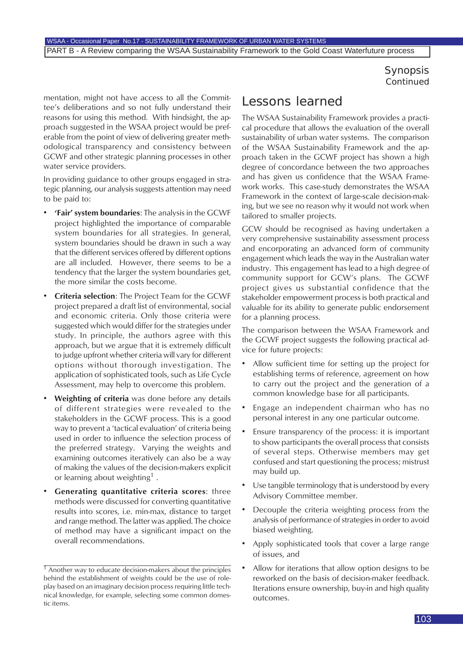## Synopsis *Continued*

mentation, might not have access to all the Committee's deliberations and so not fully understand their reasons for using this method. With hindsight, the approach suggested in the WSAA project would be preferable from the point of view of delivering greater methodological transparency and consistency between GCWF and other strategic planning processes in other water service providers.

In providing guidance to other groups engaged in strategic planning, our analysis suggests attention may need to be paid to:

- **'Fair' system boundaries**: The analysis in the GCWF project highlighted the importance of comparable system boundaries for all strategies. In general, system boundaries should be drawn in such a way that the different services offered by different options are all included. However, there seems to be a tendency that the larger the system boundaries get, the more similar the costs become.
- **Criteria selection**: The Project Team for the GCWF project prepared a draft list of environmental, social and economic criteria. Only those criteria were suggested which would differ for the strategies under study. In principle, the authors agree with this approach, but we argue that it is extremely difficult to judge upfront whether criteria will vary for different options without thorough investigation. The application of sophisticated tools, such as Life Cycle Assessment, may help to overcome this problem.
- **Weighting of criteria** was done before any details of different strategies were revealed to the stakeholders in the GCWF process. This is a good way to prevent a 'tactical evaluation' of criteria being used in order to influence the selection process of the preferred strategy. Varying the weights and examining outcomes iteratively can also be a way of making the values of the decision-makers explicit or learning about weighting<sup>1</sup>.
- **Generating quantitative criteria scores**: three methods were discussed for converting quantitative results into scores, i.e. min-max, distance to target and range method. The latter was applied. The choice of method may have a significant impact on the overall recommendations.

# Lessons learned

The WSAA Sustainability Framework provides a practical procedure that allows the evaluation of the overall sustainability of urban water systems. The comparison of the WSAA Sustainability Framework and the approach taken in the GCWF project has shown a high degree of concordance between the two approaches and has given us confidence that the WSAA Framework works. This case-study demonstrates the WSAA Framework in the context of large-scale decision-making, but we see no reason why it would not work when tailored to smaller projects.

GCW should be recognised as having undertaken a very comprehensive sustainability assessment process and encorporating an advanced form of community engagement which leads the way in the Australian water industry. This engagement has lead to a high degree of community support for GCW's plans. The GCWF project gives us substantial confidence that the stakeholder empowerment process is both practical and valuable for its ability to generate public endorsement for a planning process.

The comparison between the WSAA Framework and the GCWF project suggests the following practical advice for future projects:

- Allow sufficient time for setting up the project for establishing terms of reference, agreement on how to carry out the project and the generation of a common knowledge base for all participants.
- Engage an independent chairman who has no personal interest in any one particular outcome.
- Ensure transparency of the process: it is important to show participants the overall process that consists of several steps. Otherwise members may get confused and start questioning the process; mistrust may build up.
- Use tangible terminology that is understood by every Advisory Committee member.
- Decouple the criteria weighting process from the analysis of performance of strategies in order to avoid biased weighting.
- Apply sophisticated tools that cover a large range of issues, and
- Allow for iterations that allow option designs to be reworked on the basis of decision-maker feedback. Iterations ensure ownership, buy-in and high quality outcomes.

 $\frac{1}{1}$  Another way to educate decision-makers about the principles behind the establishment of weights could be the use of roleplay based on an imaginary decision process requiring little technical knowledge, for example, selecting some common domestic items.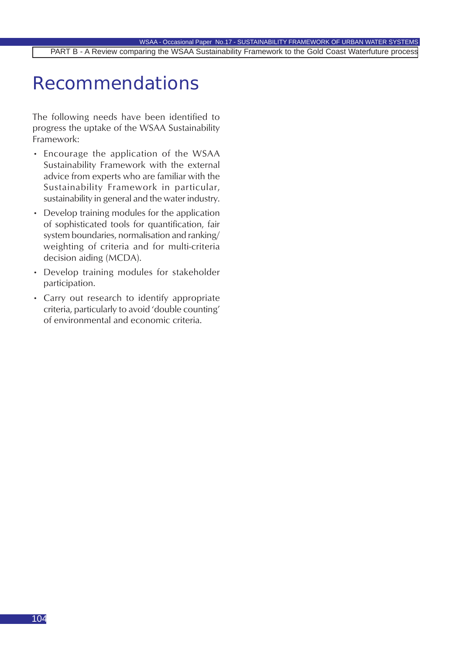# Recommendations

The following needs have been identified to progress the uptake of the WSAA Sustainability Framework:

- Encourage the application of the WSAA Sustainability Framework with the external advice from experts who are familiar with the Sustainability Framework in particular, sustainability in general and the water industry.
- Develop training modules for the application of sophisticated tools for quantification, fair system boundaries, normalisation and ranking/ weighting of criteria and for multi-criteria decision aiding (MCDA).
- Develop training modules for stakeholder participation.
- Carry out research to identify appropriate criteria, particularly to avoid 'double counting' of environmental and economic criteria.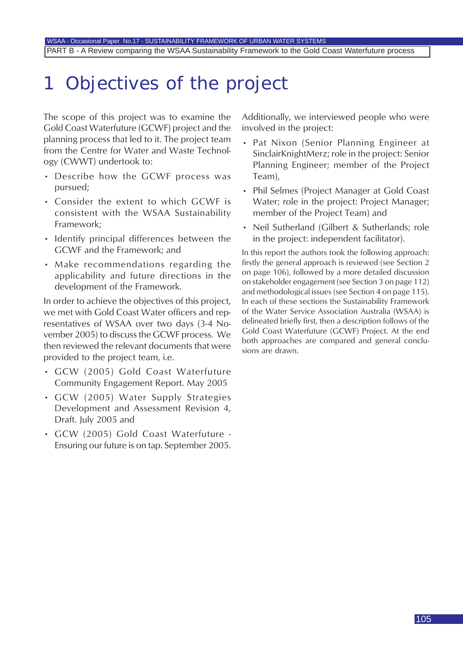# 1 Objectives of the project

The scope of this project was to examine the Gold Coast Waterfuture (GCWF) project and the planning process that led to it. The project team from the Centre for Water and Waste Technology (CWWT) undertook to:

- Describe how the GCWF process was pursued;
- Consider the extent to which GCWF is consistent with the WSAA Sustainability Framework;
- Identify principal differences between the GCWF and the Framework; and
- Make recommendations regarding the applicability and future directions in the development of the Framework.

In order to achieve the objectives of this project, we met with Gold Coast Water officers and representatives of WSAA over two days (3-4 November 2005) to discuss the GCWF process. We then reviewed the relevant documents that were provided to the project team, i.e.

- GCW (2005) Gold Coast Waterfuture Community Engagement Report. May 2005
- GCW (2005) Water Supply Strategies Development and Assessment Revision 4, Draft. July 2005 and
- GCW (2005) Gold Coast Waterfuture Ensuring our future is on tap. September 2005.

Additionally, we interviewed people who were involved in the project:

- Pat Nixon (Senior Planning Engineer at SinclairKnightMerz; role in the project: Senior Planning Engineer; member of the Project Team),
- Phil Selmes (Project Manager at Gold Coast Water; role in the project: Project Manager; member of the Project Team) and
- Neil Sutherland (Gilbert & Sutherlands; role in the project: independent facilitator).

In this report the authors took the following approach: firstly the general approach is reviewed (see Section 2 on page 106), followed by a more detailed discussion on stakeholder engagement (see Section 3 on page 112) and methodological issues (see Section 4 on page 115). In each of these sections the Sustainability Framework of the Water Service Association Australia (WSAA) is delineated briefly first, then a description follows of the Gold Coast Waterfuture (GCWF) Project. At the end both approaches are compared and general conclusions are drawn.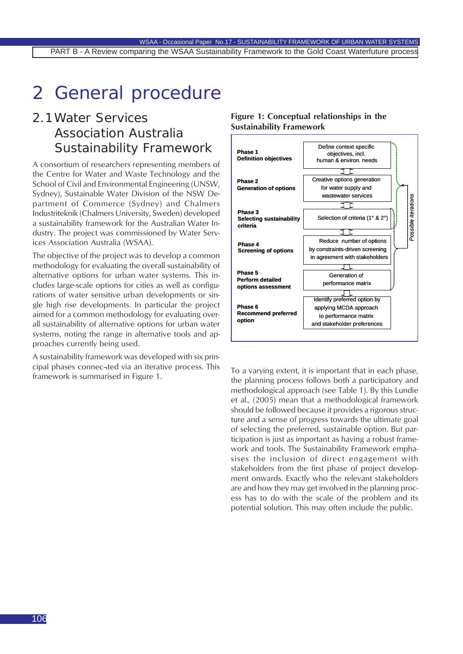# 2 General procedure

# 2.1Water Services Association Australia Sustainability Framework

A consortium of researchers representing members of the Centre for Water and Waste Technology and the School of Civil and Environmental Engineering (UNSW, Sydney), Sustainable Water Division of the NSW Department of Commerce (Sydney) and Chalmers Industriteknik (Chalmers University, Sweden) developed a sustainability framework for the Australian Water Industry. The project was commissioned by Water Services Association Australia (WSAA).

The objective of the project was to develop a common methodology for evaluating the overall sustainability of alternative options for urban water systems. This includes large-scale options for cities as well as configurations of water sensitive urban developments or single high rise developments. In particular the project aimed for a common methodology for evaluating overall sustainability of alternative options for urban water systems, noting the range in alternative tools and approaches currently being used.

A sustainability framework was developed with six principal phases connec¬ted via an iterative process. This framework is summarised in Figure 1.



**Figure 1: Conceptual relationships in the Sustainability Framework**

To a varying extent, it is important that in each phase, the planning process follows both a participatory and methodological approach (see Table 1). By this Lundie et al., (2005) mean that a methodological framework should be followed because it provides a rigorous structure and a sense of progress towards the ultimate goal of selecting the preferred, sustainable option. But participation is just as important as having a robust framework and tools. The Sustainability Framework emphasises the inclusion of direct engagement with stakeholders from the first phase of project development onwards. Exactly who the relevant stakeholders are and how they may get involved in the planning process has to do with the scale of the problem and its potential solution. This may often include the public.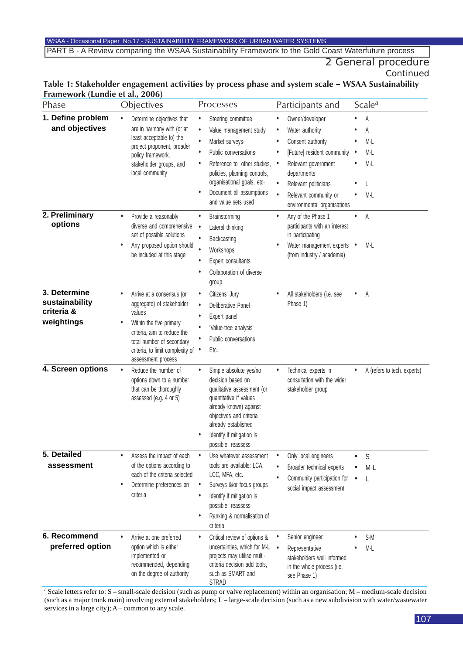#### WSAA - Occasional Paper No.17 - SUSTAINABILITY FRAMEWORK OF URBAN WATER SYSTEMS PART B - A Review comparing the WSAA Sustainability Framework to the Gold Coast Waterfuture process

# 2 General procedure

*Continued*

#### **Table 1: Stakeholder engagement activities by process phase and system scale – WSAA Sustainability Framework (Lundie et al., 2006)**

| Phase                                                      | Objectives                                                                                                                                                                                                                            | Processes                                                                                                                                                                                                                                                                                       | Participants and                                                                                                                                                                                                                                                 | Scale <sup>a</sup>                                  |
|------------------------------------------------------------|---------------------------------------------------------------------------------------------------------------------------------------------------------------------------------------------------------------------------------------|-------------------------------------------------------------------------------------------------------------------------------------------------------------------------------------------------------------------------------------------------------------------------------------------------|------------------------------------------------------------------------------------------------------------------------------------------------------------------------------------------------------------------------------------------------------------------|-----------------------------------------------------|
| 1. Define problem<br>and objectives                        | Determine objectives that<br>$\bullet$<br>are in harmony with (or at<br>least acceptable to) the<br>project proponent, broader<br>policy framework,<br>stakeholder groups, and<br>local community                                     | Steering committee-<br>$\bullet$<br>Value management study<br>$\bullet$<br>$\bullet$<br>Market surveys-<br>Public conversations.<br>٠<br>Reference to other studies,<br>٠<br>policies, planning controls,<br>organisational goals, etc-<br>Document all assumptions<br>٠<br>and value sets used | Owner/developer<br>Water authority<br>$\bullet$<br>Consent authority<br>[Future] resident community<br>Relevant government<br>$\bullet$<br>departments<br>Relevant politicians<br>$\bullet$<br>$\bullet$<br>Relevant community or<br>environmental organisations | А<br>А<br>M-L<br>M-L<br>$\bullet$<br>$M-L$<br>$M-L$ |
| 2. Preliminary<br>options                                  | Provide a reasonably<br>$\bullet$<br>diverse and comprehensive<br>set of possible solutions<br>Any proposed option should<br>$\bullet$<br>be included at this stage                                                                   | Brainstorming<br>٠<br>Lateral thinking<br>$\bullet$<br>$\bullet$<br>Backcasting<br>$\bullet$<br>Workshops<br>Expert consultants<br>٠<br>Collaboration of diverse<br>$\bullet$<br>group                                                                                                          | Any of the Phase 1<br>participants with an interest<br>in participating<br>Water management experts •<br>(from industry / academia)                                                                                                                              | А<br>M-L                                            |
| 3. Determine<br>sustainability<br>criteria &<br>weightings | $\bullet$<br>Arrive at a consensus (or<br>aggregate) of stakeholder<br>values<br>Within the five primary<br>٠<br>criteria, aim to reduce the<br>total number of secondary<br>criteria, to limit complexity of •<br>assessment process | Citizens' Jury<br>$\bullet$<br>Deliberative Panel<br>$\bullet$<br>Expert panel<br>٠<br>'Value-tree analysis'<br>$\bullet$<br>Public conversations<br>Etc.                                                                                                                                       | All stakeholders (i.e. see<br>Phase 1)                                                                                                                                                                                                                           | A                                                   |
| 4. Screen options                                          | Reduce the number of<br>$\bullet$<br>options down to a number<br>that can be thoroughly<br>assessed (e.g. 4 or 5)                                                                                                                     | Simple absolute yes/no<br>$\bullet$<br>decision based on<br>qualitative assessment (or<br>quantitative if values<br>already known) against<br>objectives and criteria<br>already established<br>Identify if mitigation is<br>possible, reassess                                                 | Technical experts in<br>consultation with the wider<br>stakeholder group                                                                                                                                                                                         | A (refers to tech. experts)                         |
| 5. Detailed<br>assessment                                  | Assess the impact of each<br>$\bullet$<br>of the options according to<br>each of the criteria selected<br>Determine preferences on<br>٠<br>criteria                                                                                   | Use whatever assessment<br>$\bullet$<br>tools are available: LCA,<br>LCC, MFA, etc.<br>Surveys &/or focus groups<br>$\bullet$<br>Identify if mitigation is<br>$\bullet$<br>possible, reassess<br>Ranking & normalisation of<br>$\bullet$<br>criteria                                            | Only local engineers<br>$\bullet$<br>Broader technical experts<br>Community participation for<br>social impact assessment                                                                                                                                        | S<br>M-L<br>$\bullet$<br>L                          |
| 6. Recommend<br>preferred option                           | Arrive at one preferred<br>option which is either<br>implemented or<br>recommended, depending<br>on the degree of authority                                                                                                           | Critical review of options &<br>٠<br>uncertainties, which for M-L<br>projects may utilise multi-<br>criteria decision add tools,<br>such as SMART and<br><b>STRAD</b>                                                                                                                           | Senior engineer<br>Representative<br>$\bullet$<br>stakeholders well informed<br>in the whole process (i.e.<br>see Phase 1)                                                                                                                                       | S-M<br>M-L                                          |

a Scale letters refer to: S – small-scale decision (such as pump or valve replacement) within an organisation; M – medium-scale decision (such as a major trunk main) involving external stakeholders; L – large-scale decision (such as a new subdivision with water/wastewater services in a large city); A – common to any scale.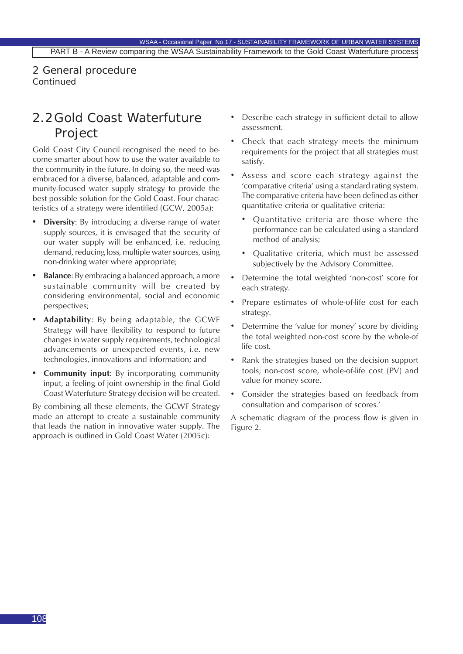2 General procedure *Continued*

# 2.2 Gold Coast Waterfuture Project

Gold Coast City Council recognised the need to become smarter about how to use the water available to the community in the future. In doing so, the need was embraced for a diverse, balanced, adaptable and community-focused water supply strategy to provide the best possible solution for the Gold Coast. Four characteristics of a strategy were identified (GCW, 2005a):

- **• Diversity**: By introducing a diverse range of water supply sources, it is envisaged that the security of our water supply will be enhanced, i.e. reducing demand, reducing loss, multiple water sources, using non-drinking water where appropriate;
- **• Balance**: By embracing a balanced approach, a more sustainable community will be created by considering environmental, social and economic perspectives;
- **• Adaptability**: By being adaptable, the GCWF Strategy will have flexibility to respond to future changes in water supply requirements, technological advancements or unexpected events, i.e. new technologies, innovations and information; and
- **Community input:** By incorporating community input, a feeling of joint ownership in the final Gold Coast Waterfuture Strategy decision will be created.

By combining all these elements, the GCWF Strategy made an attempt to create a sustainable community that leads the nation in innovative water supply. The approach is outlined in Gold Coast Water (2005c):

- Describe each strategy in sufficient detail to allow assessment.
- Check that each strategy meets the minimum requirements for the project that all strategies must satisfy.
- Assess and score each strategy against the 'comparative criteria' using a standard rating system. The comparative criteria have been defined as either quantitative criteria or qualitative criteria:
	- Quantitative criteria are those where the performance can be calculated using a standard method of analysis;
	- Qualitative criteria, which must be assessed subjectively by the Advisory Committee.
- Determine the total weighted 'non-cost' score for each strategy.
- Prepare estimates of whole-of-life cost for each strategy.
- Determine the 'value for money' score by dividing the total weighted non-cost score by the whole-of life cost.
- Rank the strategies based on the decision support tools; non-cost score, whole-of-life cost (PV) and value for money score.
- Consider the strategies based on feedback from consultation and comparison of scores.'

A schematic diagram of the process flow is given in Figure 2.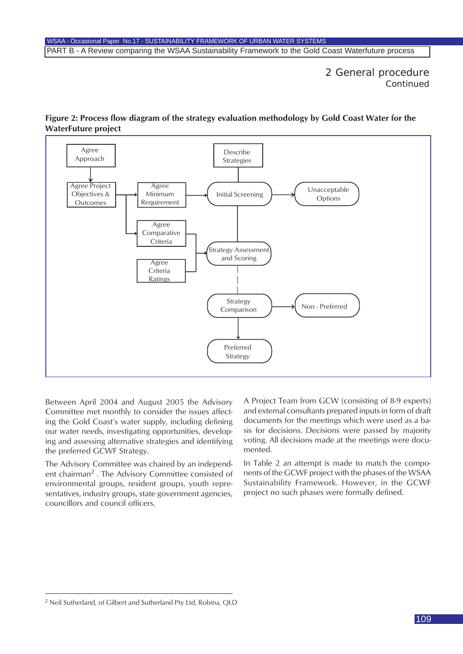2 General procedure *Continued*



#### **Figure 2: Process flow diagram of the strategy evaluation methodology by Gold Coast Water for the WaterFuture project**

Between April 2004 and August 2005 the Advisory Committee met monthly to consider the issues affecting the Gold Coast's water supply, including defining our water needs, investigating opportunities, developing and assessing alternative strategies and identifying the preferred GCWF Strategy.

The Advisory Committee was chaired by an independent chairman<sup>2</sup>. The Advisory Committee consisted of environmental groups, resident groups, youth representatives, industry groups, state government agencies, councillors and council officers.

A Project Team from GCW (consisting of 8-9 experts) and external consultants prepared inputs in form of draft documents for the meetings which were used as a basis for decisions. Decisions were passed by majority voting. All decisions made at the meetings were documented.

In Table 2 an attempt is made to match the components of the GCWF project with the phases of the WSAA Sustainability Framework. However, in the GCWF project no such phases were formally defined.

<sup>2</sup> Neil Sutherland, of Gilbert and Sutherland Pty Ltd, Robina, QLD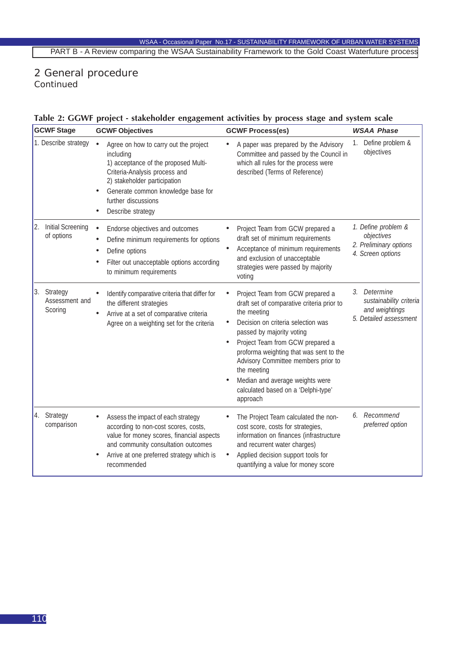## 2 General procedure

*Continued*

#### **Table 2: GGWF project - stakeholder engagement activities by process stage and system scale**

| <b>GCWF Stage</b> |                                          | <b>GCWF Objectives</b>                                                                                                                                                                                                                        | <b>GCWF Process(es)</b>                                                                                                                                                                                                                                                                                                                                                                                               |    | <b>WSAA Phase</b>                                                                   |  |
|-------------------|------------------------------------------|-----------------------------------------------------------------------------------------------------------------------------------------------------------------------------------------------------------------------------------------------|-----------------------------------------------------------------------------------------------------------------------------------------------------------------------------------------------------------------------------------------------------------------------------------------------------------------------------------------------------------------------------------------------------------------------|----|-------------------------------------------------------------------------------------|--|
|                   | 1. Describe strategy                     | Agree on how to carry out the project<br>including<br>1) acceptance of the proposed Multi-<br>Criteria-Analysis process and<br>2) stakeholder participation<br>Generate common knowledge base for<br>further discussions<br>Describe strategy | A paper was prepared by the Advisory<br>Committee and passed by the Council in<br>which all rules for the process were<br>described (Terms of Reference)                                                                                                                                                                                                                                                              | 1. | Define problem &<br>objectives                                                      |  |
| $\vert 2. \vert$  | Initial Screening<br>of options          | Endorse objectives and outcomes<br>$\bullet$<br>Define minimum requirements for options<br>Define options<br>$\bullet$<br>Filter out unacceptable options according<br>to minimum requirements                                                | Project Team from GCW prepared a<br>draft set of minimum requirements<br>Acceptance of minimum requirements<br>$\bullet$<br>and exclusion of unacceptable<br>strategies were passed by majority<br>voting                                                                                                                                                                                                             |    | 1. Define problem &<br>objectives<br>2. Preliminary options<br>4. Screen options    |  |
|                   | 3. Strategy<br>Assessment and<br>Scoring | Identify comparative criteria that differ for<br>the different strategies<br>Arrive at a set of comparative criteria<br>$\bullet$<br>Agree on a weighting set for the criteria                                                                | Project Team from GCW prepared a<br>draft set of comparative criteria prior to<br>the meeting<br>Decision on criteria selection was<br>$\bullet$<br>passed by majority voting<br>Project Team from GCW prepared a<br>$\bullet$<br>proforma weighting that was sent to the<br>Advisory Committee members prior to<br>the meeting<br>Median and average weights were<br>calculated based on a 'Delphi-type'<br>approach |    | 3. Determine<br>sustainability criteria<br>and weightings<br>5. Detailed assessment |  |
| 4.                | Strategy<br>comparison                   | Assess the impact of each strategy<br>according to non-cost scores, costs,<br>value for money scores, financial aspects<br>and community consultation outcomes<br>Arrive at one preferred strategy which is<br>recommended                    | The Project Team calculated the non-<br>cost score, costs for strategies,<br>information on finances (infrastructure<br>and recurrent water charges)<br>Applied decision support tools for<br>quantifying a value for money score                                                                                                                                                                                     |    | 6. Recommend<br>preferred option                                                    |  |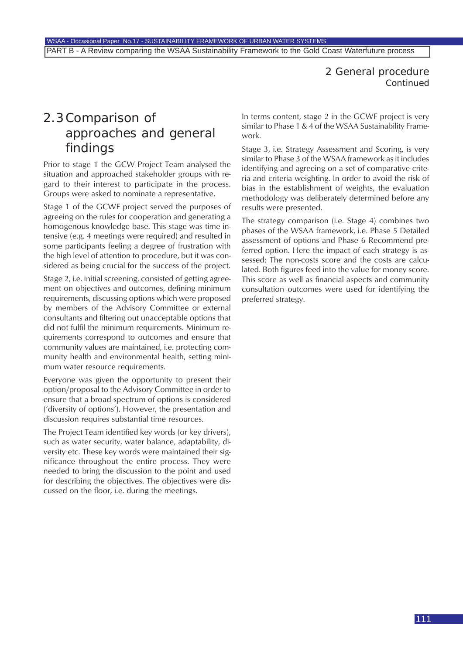### 2 General procedure *Continued*

## 2.3Comparison of approaches and general findings

Prior to stage 1 the GCW Project Team analysed the situation and approached stakeholder groups with regard to their interest to participate in the process. Groups were asked to nominate a representative.

Stage 1 of the GCWF project served the purposes of agreeing on the rules for cooperation and generating a homogenous knowledge base. This stage was time intensive (e.g. 4 meetings were required) and resulted in some participants feeling a degree of frustration with the high level of attention to procedure, but it was considered as being crucial for the success of the project.

Stage 2, i.e. initial screening, consisted of getting agreement on objectives and outcomes, defining minimum requirements, discussing options which were proposed by members of the Advisory Committee or external consultants and filtering out unacceptable options that did not fulfil the minimum requirements. Minimum requirements correspond to outcomes and ensure that community values are maintained, i.e. protecting community health and environmental health, setting minimum water resource requirements.

Everyone was given the opportunity to present their option/proposal to the Advisory Committee in order to ensure that a broad spectrum of options is considered ('diversity of options'). However, the presentation and discussion requires substantial time resources.

The Project Team identified key words (or key drivers), such as water security, water balance, adaptability, diversity etc. These key words were maintained their significance throughout the entire process. They were needed to bring the discussion to the point and used for describing the objectives. The objectives were discussed on the floor, i.e. during the meetings.

In terms content, stage 2 in the GCWF project is very similar to Phase 1 & 4 of the WSAA Sustainability Framework.

Stage 3, i.e. Strategy Assessment and Scoring, is very similar to Phase 3 of the WSAA framework as it includes identifying and agreeing on a set of comparative criteria and criteria weighting. In order to avoid the risk of bias in the establishment of weights, the evaluation methodology was deliberately determined before any results were presented.

The strategy comparison (i.e. Stage 4) combines two phases of the WSAA framework, i.e. Phase 5 Detailed assessment of options and Phase 6 Recommend preferred option. Here the impact of each strategy is assessed: The non-costs score and the costs are calculated. Both figures feed into the value for money score. This score as well as financial aspects and community consultation outcomes were used for identifying the preferred strategy.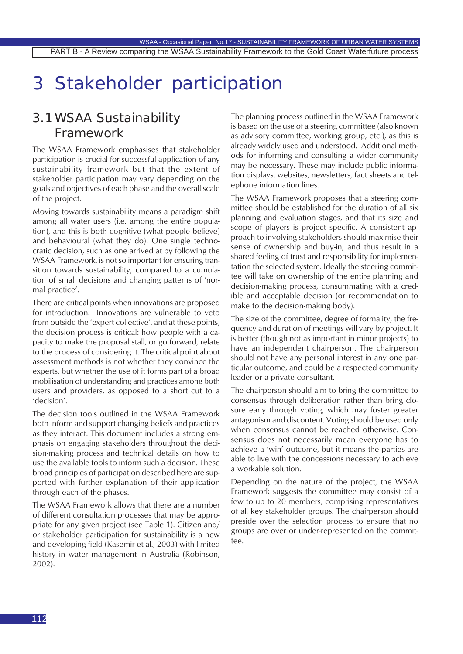# 3 Stakeholder participation

### 3.1WSAA Sustainability Framework

The WSAA Framework emphasises that stakeholder participation is crucial for successful application of any sustainability framework but that the extent of stakeholder participation may vary depending on the goals and objectives of each phase and the overall scale of the project.

Moving towards sustainability means a paradigm shift among all water users (i.e. among the entire population), and this is both cognitive (what people believe) and behavioural (what they do). One single technocratic decision, such as one arrived at by following the WSAA Framework, is not so important for ensuring transition towards sustainability, compared to a cumulation of small decisions and changing patterns of 'normal practice'.

There are critical points when innovations are proposed for introduction. Innovations are vulnerable to veto from outside the 'expert collective', and at these points, the decision process is critical: how people with a capacity to make the proposal stall, or go forward, relate to the process of considering it. The critical point about assessment methods is not whether they convince the experts, but whether the use of it forms part of a broad mobilisation of understanding and practices among both users and providers, as opposed to a short cut to a 'decision'.

The decision tools outlined in the WSAA Framework both inform and support changing beliefs and practices as they interact. This document includes a strong emphasis on engaging stakeholders throughout the decision-making process and technical details on how to use the available tools to inform such a decision. These broad principles of participation described here are supported with further explanation of their application through each of the phases.

The WSAA Framework allows that there are a number of different consultation processes that may be appropriate for any given project (see Table 1). Citizen and/ or stakeholder participation for sustainability is a new and developing field (Kasemir et al., 2003) with limited history in water management in Australia (Robinson, 2002).

The planning process outlined in the WSAA Framework is based on the use of a steering committee (also known as advisory committee, working group, etc.), as this is already widely used and understood. Additional methods for informing and consulting a wider community may be necessary. These may include public information displays, websites, newsletters, fact sheets and telephone information lines.

The WSAA Framework proposes that a steering committee should be established for the duration of all six planning and evaluation stages, and that its size and scope of players is project specific. A consistent approach to involving stakeholders should maximise their sense of ownership and buy-in, and thus result in a shared feeling of trust and responsibility for implementation the selected system. Ideally the steering committee will take on ownership of the entire planning and decision-making process, consummating with a credible and acceptable decision (or recommendation to make to the decision-making body).

The size of the committee, degree of formality, the frequency and duration of meetings will vary by project. It is better (though not as important in minor projects) to have an independent chairperson. The chairperson should not have any personal interest in any one particular outcome, and could be a respected community leader or a private consultant.

The chairperson should aim to bring the committee to consensus through deliberation rather than bring closure early through voting, which may foster greater antagonism and discontent. Voting should be used only when consensus cannot be reached otherwise. Consensus does not necessarily mean everyone has to achieve a 'win' outcome, but it means the parties are able to live with the concessions necessary to achieve a workable solution.

Depending on the nature of the project, the WSAA Framework suggests the committee may consist of a few to up to 20 members, comprising representatives of all key stakeholder groups. The chairperson should preside over the selection process to ensure that no groups are over or under-represented on the committee.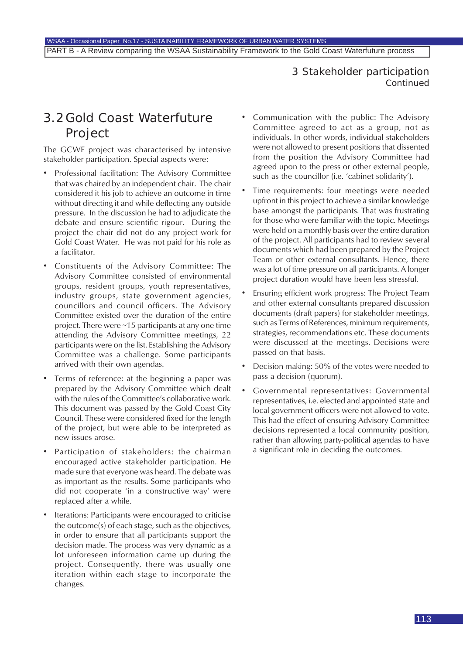### 3 Stakeholder participation *Continued*

### 3.2 Gold Coast Waterfuture Project

The GCWF project was characterised by intensive stakeholder participation. Special aspects were:

- Professional facilitation: The Advisory Committee that was chaired by an independent chair. The chair considered it his job to achieve an outcome in time without directing it and while deflecting any outside pressure. In the discussion he had to adjudicate the debate and ensure scientific rigour. During the project the chair did not do any project work for Gold Coast Water. He was not paid for his role as a facilitator.
- Constituents of the Advisory Committee: The Advisory Committee consisted of environmental groups, resident groups, youth representatives, industry groups, state government agencies, councillors and council officers. The Advisory Committee existed over the duration of the entire project. There were ~15 participants at any one time attending the Advisory Committee meetings, 22 participants were on the list. Establishing the Advisory Committee was a challenge. Some participants arrived with their own agendas.
- Terms of reference: at the beginning a paper was prepared by the Advisory Committee which dealt with the rules of the Committee's collaborative work. This document was passed by the Gold Coast City Council. These were considered fixed for the length of the project, but were able to be interpreted as new issues arose.
- Participation of stakeholders: the chairman encouraged active stakeholder participation. He made sure that everyone was heard. The debate was as important as the results. Some participants who did not cooperate 'in a constructive way' were replaced after a while.
- Iterations: Participants were encouraged to criticise the outcome(s) of each stage, such as the objectives, in order to ensure that all participants support the decision made. The process was very dynamic as a lot unforeseen information came up during the project. Consequently, there was usually one iteration within each stage to incorporate the changes.
- Communication with the public: The Advisory Committee agreed to act as a group, not as individuals. In other words, individual stakeholders were not allowed to present positions that dissented from the position the Advisory Committee had agreed upon to the press or other external people, such as the councillor (i.e. 'cabinet solidarity').
- Time requirements: four meetings were needed upfront in this project to achieve a similar knowledge base amongst the participants. That was frustrating for those who were familiar with the topic. Meetings were held on a monthly basis over the entire duration of the project. All participants had to review several documents which had been prepared by the Project Team or other external consultants. Hence, there was a lot of time pressure on all participants. A longer project duration would have been less stressful.
- Ensuring efficient work progress: The Project Team and other external consultants prepared discussion documents (draft papers) for stakeholder meetings, such as Terms of References, minimum requirements, strategies, recommendations etc. These documents were discussed at the meetings. Decisions were passed on that basis.
- Decision making: 50% of the votes were needed to pass a decision (quorum).
- Governmental representatives: Governmental representatives, i.e. elected and appointed state and local government officers were not allowed to vote. This had the effect of ensuring Advisory Committee decisions represented a local community position, rather than allowing party-political agendas to have a significant role in deciding the outcomes.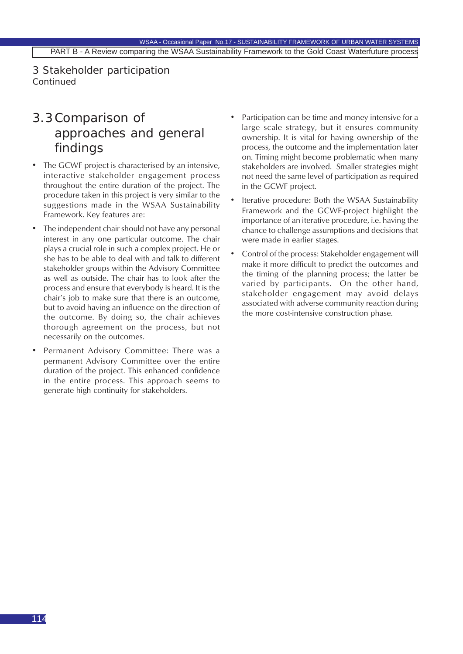3 Stakeholder participation *Continued*

### 3.3Comparison of approaches and general findings

- The GCWF project is characterised by an intensive, interactive stakeholder engagement process throughout the entire duration of the project. The procedure taken in this project is very similar to the suggestions made in the WSAA Sustainability Framework. Key features are:
- The independent chair should not have any personal interest in any one particular outcome. The chair plays a crucial role in such a complex project. He or she has to be able to deal with and talk to different stakeholder groups within the Advisory Committee as well as outside. The chair has to look after the process and ensure that everybody is heard. It is the chair's job to make sure that there is an outcome, but to avoid having an influence on the direction of the outcome. By doing so, the chair achieves thorough agreement on the process, but not necessarily on the outcomes.
- Permanent Advisory Committee: There was a permanent Advisory Committee over the entire duration of the project. This enhanced confidence in the entire process. This approach seems to generate high continuity for stakeholders.
- Participation can be time and money intensive for a large scale strategy, but it ensures community ownership. It is vital for having ownership of the process, the outcome and the implementation later on. Timing might become problematic when many stakeholders are involved. Smaller strategies might not need the same level of participation as required in the GCWF project.
- Iterative procedure: Both the WSAA Sustainability Framework and the GCWF-project highlight the importance of an iterative procedure, i.e. having the chance to challenge assumptions and decisions that were made in earlier stages.
- Control of the process: Stakeholder engagement will make it more difficult to predict the outcomes and the timing of the planning process; the latter be varied by participants. On the other hand, stakeholder engagement may avoid delays associated with adverse community reaction during the more cost-intensive construction phase.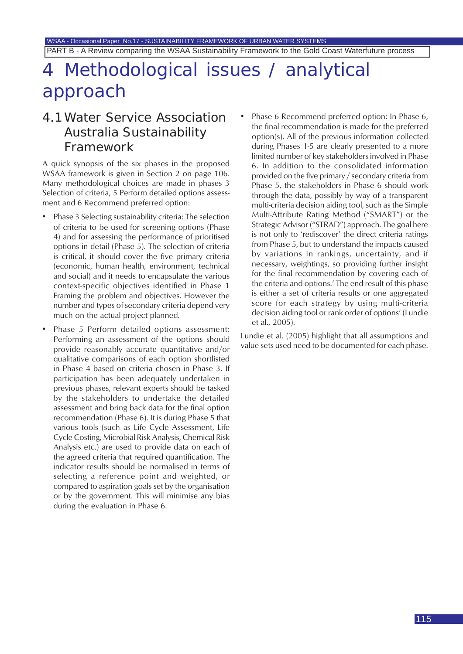WSAA - Occasional Paper No.17 - SUSTAINABILITY FRAMEWORK OF URBAN WATER SYSTEMS PART B - A Review comparing the WSAA Sustainability Framework to the Gold Coast Waterfuture process

## Methodological issues / analytical approach

### 4.1Water Service Association Australia Sustainability Framework

A quick synopsis of the six phases in the proposed WSAA framework is given in Section 2 on page 106. Many methodological choices are made in phases 3 Selection of criteria, 5 Perform detailed options assessment and 6 Recommend preferred option:

- Phase 3 Selecting sustainability criteria: The selection of criteria to be used for screening options (Phase 4) and for assessing the performance of prioritised options in detail (Phase 5). The selection of criteria is critical, it should cover the five primary criteria (economic, human health, environment, technical and social) and it needs to encapsulate the various context-specific objectives identified in Phase 1 Framing the problem and objectives. However the number and types of secondary criteria depend very much on the actual project planned.
- Phase 5 Perform detailed options assessment: Performing an assessment of the options should provide reasonably accurate quantitative and/or qualitative comparisons of each option shortlisted in Phase 4 based on criteria chosen in Phase 3. If participation has been adequately undertaken in previous phases, relevant experts should be tasked by the stakeholders to undertake the detailed assessment and bring back data for the final option recommendation (Phase 6). It is during Phase 5 that various tools (such as Life Cycle Assessment, Life Cycle Costing, Microbial Risk Analysis, Chemical Risk Analysis etc.) are used to provide data on each of the agreed criteria that required quantification. The indicator results should be normalised in terms of selecting a reference point and weighted, or compared to aspiration goals set by the organisation or by the government. This will minimise any bias during the evaluation in Phase 6.
- Phase 6 Recommend preferred option: In Phase 6, the final recommendation is made for the preferred option(s). All of the previous information collected during Phases 1-5 are clearly presented to a more limited number of key stakeholders involved in Phase 6. In addition to the consolidated information provided on the five primary / secondary criteria from Phase 5, the stakeholders in Phase 6 should work through the data, possibly by way of a transparent multi-criteria decision aiding tool, such as the Simple Multi-Attribute Rating Method ("SMART") or the Strategic Advisor ("STRAD") approach. The goal here is not only to 'rediscover' the direct criteria ratings from Phase 5, but to understand the impacts caused by variations in rankings, uncertainty, and if necessary, weightings, so providing further insight for the final recommendation by covering each of the criteria and options.' The end result of this phase is either a set of criteria results or one aggregated score for each strategy by using multi-criteria decision aiding tool or rank order of options' (Lundie et al., 2005).

Lundie et al. (2005) highlight that all assumptions and value sets used need to be documented for each phase.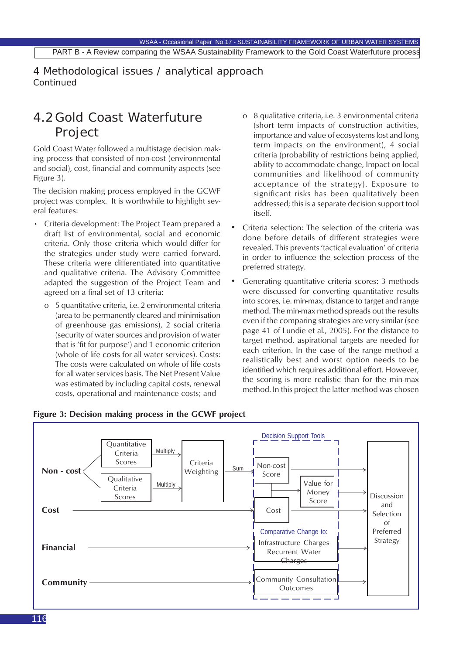4 Methodological issues / analytical approach *Continued*

## 4.2 Gold Coast Waterfuture Project

Gold Coast Water followed a multistage decision making process that consisted of non-cost (environmental and social), cost, financial and community aspects (see Figure 3).

The decision making process employed in the GCWF project was complex. It is worthwhile to highlight several features:

- Criteria development: The Project Team prepared a draft list of environmental, social and economic criteria. Only those criteria which would differ for the strategies under study were carried forward. These criteria were differentiated into quantitative and qualitative criteria. The Advisory Committee adapted the suggestion of the Project Team and agreed on a final set of 13 criteria:
	- o 5 quantitative criteria, i.e. 2 environmental criteria (area to be permanently cleared and minimisation of greenhouse gas emissions), 2 social criteria (security of water sources and provision of water that is 'fit for purpose') and 1 economic criterion (whole of life costs for all water services). Costs: The costs were calculated on whole of life costs for all water services basis. The Net Present Value was estimated by including capital costs, renewal costs, operational and maintenance costs; and
- o 8 qualitative criteria, i.e. 3 environmental criteria (short term impacts of construction activities, importance and value of ecosystems lost and long term impacts on the environment), 4 social criteria (probability of restrictions being applied, ability to accommodate change, Impact on local communities and likelihood of community acceptance of the strategy). Exposure to significant risks has been qualitatively been addressed; this is a separate decision support tool itself.
- Criteria selection: The selection of the criteria was done before details of different strategies were revealed. This prevents 'tactical evaluation' of criteria in order to influence the selection process of the preferred strategy.
- Generating quantitative criteria scores: 3 methods were discussed for converting quantitative results into scores, i.e. min-max, distance to target and range method. The min-max method spreads out the results even if the comparing strategies are very similar (see page 41 of Lundie et al., 2005). For the distance to target method, aspirational targets are needed for each criterion. In the case of the range method a realistically best and worst option needs to be identified which requires additional effort. However, the scoring is more realistic than for the min-max method. In this project the latter method was chosen



### **Figure 3: Decision making process in the GCWF project**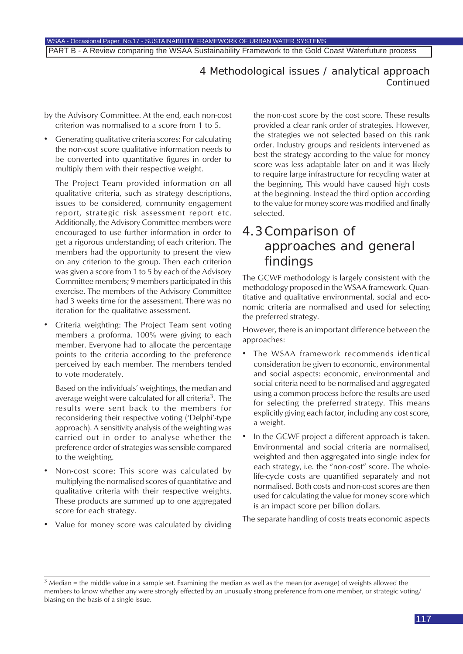### 4 Methodological issues / analytical approach *Continued*

by the Advisory Committee. At the end, each non-cost criterion was normalised to a score from 1 to 5.

• Generating qualitative criteria scores: For calculating the non-cost score qualitative information needs to be converted into quantitative figures in order to multiply them with their respective weight.

The Project Team provided information on all qualitative criteria, such as strategy descriptions, issues to be considered, community engagement report, strategic risk assessment report etc. Additionally, the Advisory Committee members were encouraged to use further information in order to get a rigorous understanding of each criterion. The members had the opportunity to present the view on any criterion to the group. Then each criterion was given a score from 1 to 5 by each of the Advisory Committee members; 9 members participated in this exercise. The members of the Advisory Committee had 3 weeks time for the assessment. There was no iteration for the qualitative assessment.

• Criteria weighting: The Project Team sent voting members a proforma. 100% were giving to each member. Everyone had to allocate the percentage points to the criteria according to the preference perceived by each member. The members tended to vote moderately.

Based on the individuals' weightings, the median and average weight were calculated for all criteria<sup>3</sup>. The results were sent back to the members for reconsidering their respective voting ('Delphi'-type approach). A sensitivity analysis of the weighting was carried out in order to analyse whether the preference order of strategies was sensible compared to the weighting.

- Non-cost score: This score was calculated by multiplying the normalised scores of quantitative and qualitative criteria with their respective weights. These products are summed up to one aggregated score for each strategy.
- Value for money score was calculated by dividing

the non-cost score by the cost score. These results provided a clear rank order of strategies. However, the strategies we not selected based on this rank order. Industry groups and residents intervened as best the strategy according to the value for money score was less adaptable later on and it was likely to require large infrastructure for recycling water at the beginning. This would have caused high costs at the beginning. Instead the third option according to the value for money score was modified and finally selected.

### 4.3Comparison of approaches and general findings

The GCWF methodology is largely consistent with the methodology proposed in the WSAA framework. Quantitative and qualitative environmental, social and economic criteria are normalised and used for selecting the preferred strategy.

However, there is an important difference between the approaches:

- The WSAA framework recommends identical consideration be given to economic, environmental and social aspects: economic, environmental and social criteria need to be normalised and aggregated using a common process before the results are used for selecting the preferred strategy. This means explicitly giving each factor, including any cost score, a weight.
- In the GCWF project a different approach is taken. Environmental and social criteria are normalised, weighted and then aggregated into single index for each strategy, i.e. the "non-cost" score. The wholelife-cycle costs are quantified separately and not normalised. Both costs and non-cost scores are then used for calculating the value for money score which is an impact score per billion dollars.

The separate handling of costs treats economic aspects

<sup>&</sup>lt;sup>3</sup> Median = the middle value in a sample set. Examining the median as well as the mean (or average) of weights allowed the members to know whether any were strongly effected by an unusually strong preference from one member, or strategic voting/ biasing on the basis of a single issue.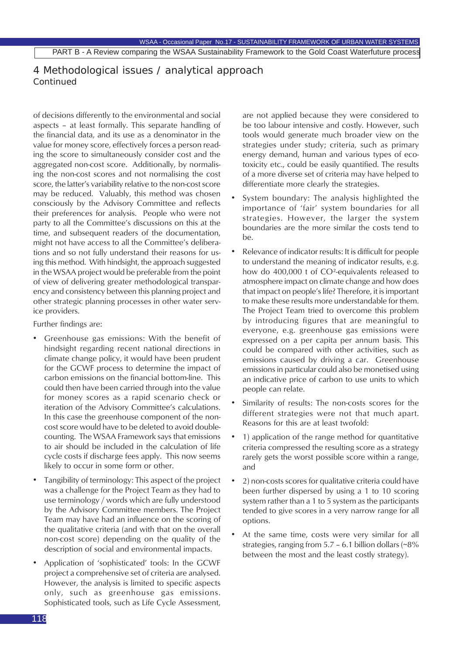### 4 Methodological issues / analytical approach *Continued*

of decisions differently to the environmental and social aspects – at least formally. This separate handling of the financial data, and its use as a denominator in the value for money score, effectively forces a person reading the score to simultaneously consider cost and the aggregated non-cost score. Additionally, by normalising the non-cost scores and not normalising the cost score, the latter's variability relative to the non-cost score may be reduced. Valuably, this method was chosen consciously by the Advisory Committee and reflects their preferences for analysis. People who were not party to all the Committee's discussions on this at the time, and subsequent readers of the documentation, might not have access to all the Committee's deliberations and so not fully understand their reasons for using this method. With hindsight, the approach suggested in the WSAA project would be preferable from the point of view of delivering greater methodological transparency and consistency between this planning project and other strategic planning processes in other water service providers.

Further findings are:

- Greenhouse gas emissions: With the benefit of hindsight regarding recent national directions in climate change policy, it would have been prudent for the GCWF process to determine the impact of carbon emissions on the financial bottom-line. This could then have been carried through into the value for money scores as a rapid scenario check or iteration of the Advisory Committee's calculations. In this case the greenhouse component of the noncost score would have to be deleted to avoid doublecounting. The WSAA Framework says that emissions to air should be included in the calculation of life cycle costs if discharge fees apply. This now seems likely to occur in some form or other.
- Tangibility of terminology: This aspect of the project was a challenge for the Project Team as they had to use terminology / words which are fully understood by the Advisory Committee members. The Project Team may have had an influence on the scoring of the qualitative criteria (and with that on the overall non-cost score) depending on the quality of the description of social and environmental impacts.
- Application of 'sophisticated' tools: In the GCWF project a comprehensive set of criteria are analysed. However, the analysis is limited to specific aspects only, such as greenhouse gas emissions. Sophisticated tools, such as Life Cycle Assessment,

are not applied because they were considered to be too labour intensive and costly. However, such tools would generate much broader view on the strategies under study; criteria, such as primary energy demand, human and various types of ecotoxicity etc., could be easily quantified. The results of a more diverse set of criteria may have helped to differentiate more clearly the strategies.

- System boundary: The analysis highlighted the importance of 'fair' system boundaries for all strategies. However, the larger the system boundaries are the more similar the costs tend to  $ha$
- Relevance of indicator results: It is difficult for people to understand the meaning of indicator results, e.g. how do 400,000 t of CO²-equivalents released to atmosphere impact on climate change and how does that impact on people's life? Therefore, it is important to make these results more understandable for them. The Project Team tried to overcome this problem by introducing figures that are meaningful to everyone, e.g. greenhouse gas emissions were expressed on a per capita per annum basis. This could be compared with other activities, such as emissions caused by driving a car. Greenhouse emissions in particular could also be monetised using an indicative price of carbon to use units to which people can relate.
- Similarity of results: The non-costs scores for the different strategies were not that much apart. Reasons for this are at least twofold:
- 1) application of the range method for quantitative criteria compressed the resulting score as a strategy rarely gets the worst possible score within a range, and
- 2) non-costs scores for qualitative criteria could have been further dispersed by using a 1 to 10 scoring system rather than a 1 to 5 system as the participants tended to give scores in a very narrow range for all options.
- At the same time, costs were very similar for all strategies, ranging from  $5.7 - 6.1$  billion dollars (~8%) between the most and the least costly strategy).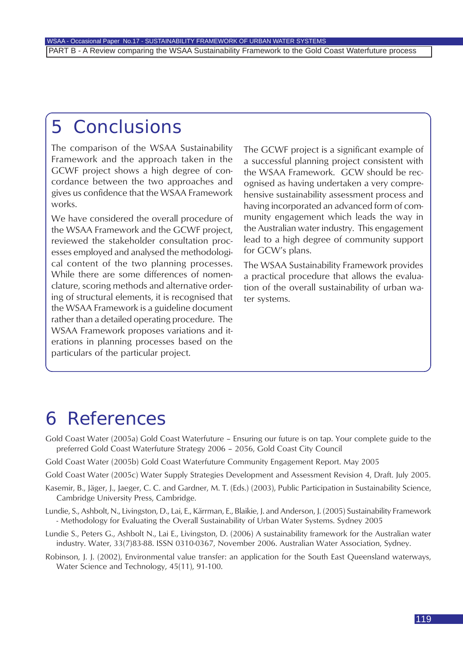## 5 Conclusions

The comparison of the WSAA Sustainability Framework and the approach taken in the GCWF project shows a high degree of concordance between the two approaches and gives us confidence that the WSAA Framework works.

We have considered the overall procedure of the WSAA Framework and the GCWF project, reviewed the stakeholder consultation processes employed and analysed the methodological content of the two planning processes. While there are some differences of nomenclature, scoring methods and alternative ordering of structural elements, it is recognised that the WSAA Framework is a guideline document rather than a detailed operating procedure. The WSAA Framework proposes variations and iterations in planning processes based on the particulars of the particular project.

The GCWF project is a significant example of a successful planning project consistent with the WSAA Framework. GCW should be recognised as having undertaken a very comprehensive sustainability assessment process and having incorporated an advanced form of community engagement which leads the way in the Australian water industry. This engagement lead to a high degree of community support for GCW's plans.

The WSAA Sustainability Framework provides a practical procedure that allows the evaluation of the overall sustainability of urban water systems.

## 6 References

- Gold Coast Water (2005a) Gold Coast Waterfuture Ensuring our future is on tap. Your complete guide to the preferred Gold Coast Waterfuture Strategy 2006 – 2056, Gold Coast City Council
- Gold Coast Water (2005b) Gold Coast Waterfuture Community Engagement Report. May 2005
- Gold Coast Water (2005c) Water Supply Strategies Development and Assessment Revision 4, Draft. July 2005.
- Kasemir, B., Jäger, J., Jaeger, C. C. and Gardner, M. T. (Eds.) (2003), Public Participation in Sustainability Science, Cambridge University Press, Cambridge.
- Lundie, S., Ashbolt, N., Livingston, D., Lai, E., Kärrman, E., Blaikie, J. and Anderson, J. (2005) Sustainability Framework - Methodology for Evaluating the Overall Sustainability of Urban Water Systems. Sydney 2005
- Lundie S., Peters G., Ashbolt N., Lai E., Livingston, D. (2006) A sustainability framework for the Australian water industry. Water, 33(7)83-88. ISSN 0310-0367, November 2006. Australian Water Association, Sydney.
- Robinson, J. J. (2002), Environmental value transfer: an application for the South East Queensland waterways, Water Science and Technology, 45(11), 91-100.